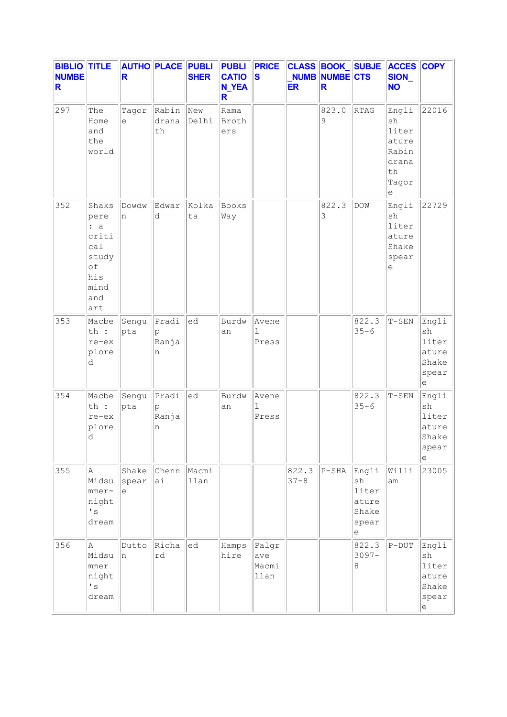| <b>BIBLIO TITLE</b><br><b>NUMBE</b><br>R |                                                                                  | R                   | <b>AUTHO PLACE PUBLI</b>     | <b>SHER</b>  | <b>PUBLI</b><br><b>CATIO</b><br><b>N_YEA</b><br>R | <b>PRICE</b><br>S              | <b>ER</b>         | NUMB NUMBE CTS<br>R | CLASS BOOK_SUBJE                                                                            | <b>ACCES COPY</b><br>SION_<br><b>NO</b>                                                     |                                                                       |
|------------------------------------------|----------------------------------------------------------------------------------|---------------------|------------------------------|--------------|---------------------------------------------------|--------------------------------|-------------------|---------------------|---------------------------------------------------------------------------------------------|---------------------------------------------------------------------------------------------|-----------------------------------------------------------------------|
| 297                                      | The<br>Home<br>and<br>the<br>world                                               | Tagor<br>e          | Rabin<br>drana<br>$\tt th$   | New<br>Delhi | Rama<br>Broth<br>ers                              |                                |                   | 823.0<br>9          | RTAG                                                                                        | Engli<br>sh<br>liter<br>ature<br>Rabin<br>drana<br>th<br>Tagor<br>е                         | 22016                                                                 |
| 352                                      | Shaks<br>pere<br>: a<br>criti<br>ca1<br>study<br>of<br>his<br>mind<br>and<br>art | Dowdw<br>n          | Edwar<br>d                   | Kolka<br>ta  | Books<br>Way                                      |                                |                   | 822.3<br>3          | <b>DOW</b>                                                                                  | Engli<br>sh<br>liter<br>ature<br>Shake<br>spear<br>$\mathrel{\mathop{\mathrm{e}}\nolimits}$ | 22729                                                                 |
| 353                                      | Macbe<br>th :<br>re-ex<br>plore<br>d                                             | Sengu<br>pta        | $ $ Pradi<br>p<br>Ranja<br>n | ed           | Burdw<br>an                                       | Avene<br>$\mathbf{1}$<br>Press |                   |                     | 822.3<br>$35 - 6$                                                                           | $T-SEN$                                                                                     | Engli<br>sh<br>liter<br>ature<br>Shake<br>spear<br>е                  |
| 354                                      | Macbe<br>th :<br>re-ex<br>plore<br>d                                             | Sengu<br>pta        | Pradi<br>p<br>Ranja<br>n     | ed           | Burdw<br>an                                       | Avene<br>1<br>Press            |                   |                     | 822.3<br>$35 - 6$                                                                           | $T-SEN$                                                                                     | Engli<br>$\operatorname{sh}$<br>liter<br>ature<br>Shake<br>spear<br>е |
| 355                                      | Α<br>Midsu<br>$mme$ r-<br>night<br>$\mathbf{I}$ s<br>dream                       | Shake<br>spear<br>e | Chenn Macmi<br>ai            | llan         |                                                   |                                | 822.3<br>$37 - 8$ | $P-SHA$             | Engli<br>sh<br>liter<br>ature<br>Shake<br>spear<br>$\mathrel{\mathop{\mathrm{e}}\nolimits}$ | Willi<br>am                                                                                 | 23005                                                                 |
| 356                                      | A<br>Midsu<br>$mme$ r<br>night<br>$\mathbf{I}$ s<br>dream                        | Dutto<br>In.        | Richa<br>rd                  | ed           | Hamps<br>hire                                     | Palgr<br>ave<br>Macmi<br>llan  |                   |                     | 822.3<br>$3097 -$<br>8                                                                      | $P-DUT$                                                                                     | Engli<br>sh<br>liter<br>ature<br>Shake<br>spear<br>e                  |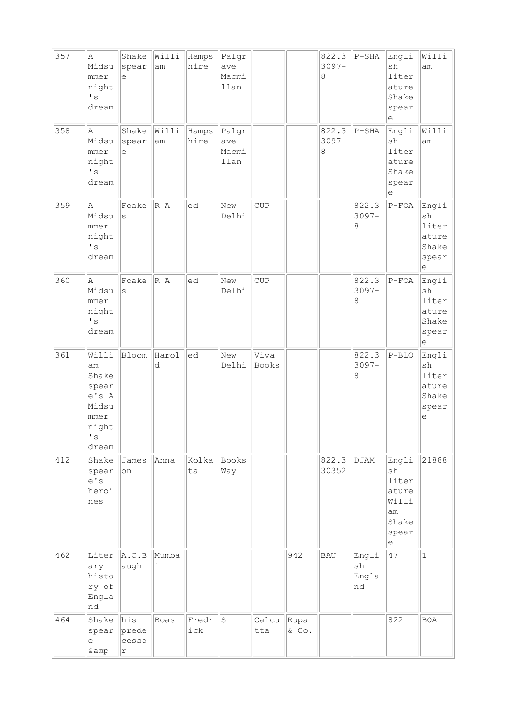| 357 | Α<br>Midsu<br>mmer<br>night<br>$\mathbf{I}$ s<br>dream                                      | Shake<br>spear<br>e                 | Willi<br>am | Hamps<br>hire | Palgr<br>ave<br>Macmi<br>llan |               |               | 822.3<br>$3097 -$<br>8 | $P-SHA$                    | Engli<br>sh<br>liter<br>ature<br>Shake<br>spear<br>e                                        | Willi<br>am                                                                  |
|-----|---------------------------------------------------------------------------------------------|-------------------------------------|-------------|---------------|-------------------------------|---------------|---------------|------------------------|----------------------------|---------------------------------------------------------------------------------------------|------------------------------------------------------------------------------|
| 358 | Α<br>Midsu<br>mmer<br>night<br>$\mathbf{r}_\mathrm{S}$<br>dream                             | Shake<br>spear<br>e                 | Willi<br>am | Hamps<br>hire | Palgr<br>ave<br>Macmi<br>llan |               |               | 822.3<br>$3097 -$<br>8 | $P-SHA$                    | Engli<br>sh<br>liter<br>ature<br>Shake<br>spear<br>$\mathrel{\mathop{\mathrm{e}}\nolimits}$ | Willi<br>am                                                                  |
| 359 | $\mathbb{A}$<br>Midsu<br>mmer<br>night<br>$\mathbf{I}$ s<br>dream                           | Foake<br>$\rm s$                    | R A         | ed            | New<br>Delhi                  | <b>CUP</b>    |               |                        | 822.3<br>$3097 -$<br>8     | $P-FOA$                                                                                     | Engli<br>sh<br>liter<br>ature<br>Shake<br>spear<br>е                         |
| 360 | Α<br>Midsu<br>mmer<br>night<br>$\mathbf{I}$ s<br>dream                                      | Foake<br>S                          | R A         | ed            | New<br>Delhi                  | CUP           |               |                        | 822.3<br>$3097 -$<br>8     | $P-FOA$                                                                                     | Engli<br>sh<br>liter<br>ature<br>Shake<br>spear<br>е                         |
| 361 | Willi<br>am<br>Shake<br>spear<br>e's A<br>Midsu<br>mmer<br>night<br>$\mathbf{I}$ s<br>dream | Bloom                               | Harol<br>d  | ed            | New<br>Delhi                  | Viva<br>Books |               |                        | 822.3<br>$3097 -$<br>8     | $P-BLO$                                                                                     | Engli<br>sh<br>liter<br>ature<br>Shake<br>spear<br>$\mathop{\rm e}\nolimits$ |
| 412 | Shake<br>spear<br>e' s<br>heroi<br>nes                                                      | James<br>on                         | Anna        | Kolka<br>ta   | Books<br>Way                  |               |               | 822.3<br>30352         | DJAM                       | Engli<br>sh<br>liter<br>ature<br>Willi<br>am<br>Shake<br>spear<br>$\rm e$                   | 21888                                                                        |
| 462 | Liter<br>ary<br>histo<br>ry of<br>Engla<br>nd                                               | A.C.B<br>augh                       | Mumba<br>i  |               |                               |               | 942           | <b>BAU</b>             | Engli<br>sh<br>Engla<br>nd | 47                                                                                          | $\mathbf{1}$                                                                 |
| 464 | Shake<br>spear<br>е<br>& amp                                                                | his<br>prede<br>cesso<br>$\Upsilon$ | Boas        | Fredr<br>ick  | $\rm S$                       | Calcu<br>tta  | Rupa<br>& Co. |                        |                            | 822                                                                                         | <b>BOA</b>                                                                   |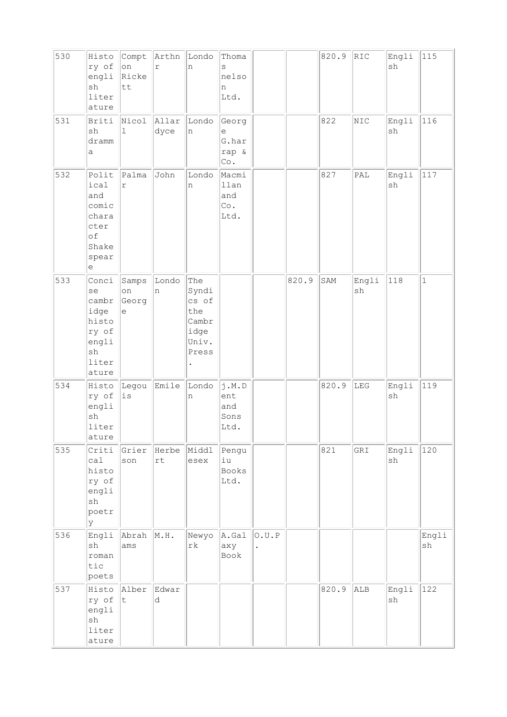| 530 | Histo<br>ry of<br>engli<br>sh<br>liter<br>ature                                 | Compt<br>on<br>Ricke<br>tt         | Arthn<br>$\Upsilon$ | Londo<br>n                                                      | Thoma<br>S<br>nelso<br>n<br>Ltd.                    |                               |       | 820.9 | RIC         | Engli<br>sh | 115          |
|-----|---------------------------------------------------------------------------------|------------------------------------|---------------------|-----------------------------------------------------------------|-----------------------------------------------------|-------------------------------|-------|-------|-------------|-------------|--------------|
| 531 | Briti<br>sh<br>dramm<br>а                                                       | Nicol<br>$\mathbf 1$               | Allar<br>dyce       | Londo<br>n                                                      | Georg<br>е<br>G.har<br>rap &<br>$\mathbb{C}\circ$ . |                               |       | 822   | NIC         | Engli<br>sh | 116          |
| 532 | Polit<br>ical<br>and<br>comic<br>chara<br>cter<br>of<br>Shake<br>spear<br>е     | Palma<br>$\Upsilon$                | John                | Londo<br>n                                                      | Macmi<br>llan<br>and<br>Co.<br>Ltd.                 |                               |       | 827   | PAL         | Engli<br>sh | 117          |
| 533 | Conci<br>se<br>cambr<br>idge<br>histo<br>ry of<br>engli<br>sh<br>liter<br>ature | Samps<br>on<br>Georg<br>$\epsilon$ | Londo<br>n          | The<br>Syndi<br>cs of<br>the<br>Cambr<br>idge<br>Univ.<br>Press |                                                     |                               | 820.9 | SAM   | Engli<br>sh | 118         | $\mathbf{1}$ |
| 534 | Histo<br>ry of<br>engli<br>sh<br>liter<br>ature                                 | Legou<br>is                        | Emile               | Londo<br>n                                                      | j.M.D<br>ent<br>and<br>Sons<br>Ltd.                 |                               |       | 820.9 | LEG         | Engli<br>sh | 119          |
| 535 | Criti<br>ca1<br>histo<br>ry of<br>engli<br>sh<br>poetr<br>lУ                    | Grier<br>son                       | Herbe<br>rt         | Middl<br>esex                                                   | Pengu<br>iu<br>Books<br>Ltd.                        |                               |       | 821   | GRI         | Engli<br>sh | 120          |
| 536 | Engli<br>sh<br>roman<br>tic<br>poets                                            | Abrah<br>ams                       | M.H.                | Newyo<br>$\mathtt{rk}$                                          | A.Gal<br>axy<br>Book                                | 0.U.P<br>$\ddot{\phantom{0}}$ |       |       |             |             | Engli<br>sh  |
| 537 | Histo<br>ry of<br>engli<br>sh<br>liter<br>ature                                 | Alber<br> t                        | Edwar<br>d          |                                                                 |                                                     |                               |       | 820.9 | ALB         | Engli<br>sh | 122          |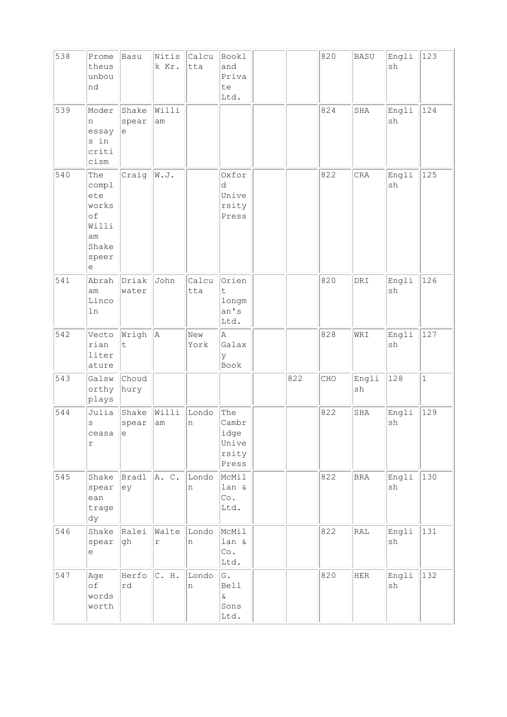| 538 | Prome<br>theus<br>unbou<br>nd                                            | Basu                 | Nitis<br>k Kr.       | Calcu<br>tta | Bookl<br>and<br>Priva<br>te<br>Ltd.             |     | 820 | <b>BASU</b>         | Engli<br>sh | 123         |
|-----|--------------------------------------------------------------------------|----------------------|----------------------|--------------|-------------------------------------------------|-----|-----|---------------------|-------------|-------------|
| 539 | Moder<br>n<br>essay<br>s in<br>criti<br>cism                             | Shake<br>spear<br>e  | Willi<br>am          |              |                                                 |     | 824 | SHA                 | Engli<br>sh | 124         |
| 540 | The<br>compl<br>ete<br>works<br>of<br>Willi<br>am<br>Shake<br>speer<br>e | Craig                | W.J.                 |              | Oxfor<br>d<br>Unive<br>rsity<br>Press           |     | 822 | <b>CRA</b>          | Engli<br>sh | 125         |
| 541 | Abrah<br>am<br>Linco<br>ln                                               | Driak<br>water       | John                 | Calcu<br>tta | Orien<br>t<br>longm<br>an's<br>Ltd.             |     | 820 | $\texttt{DRI}$      | Engli<br>sh | 126         |
| 542 | Vecto<br>rian<br>liter<br>ature                                          | Wrigh<br>t           | A                    | New<br>York  | A<br>Galax<br>У<br>Book                         |     | 828 | WRI                 | Engli<br>sh | 127         |
| 543 | Galsw<br>orthy<br>plays                                                  | Choud<br>hury        |                      |              |                                                 | 822 | CHO | Engli<br>${\rm sh}$ | 128         | $\mathbf 1$ |
| 544 | Julia<br>$\rm s$<br>ceasa<br>r                                           | Shake<br>spear<br> e | Willi<br>$\text{am}$ | Londo<br>n   | The<br>Cambr<br>idge<br>Unive<br>rsity<br>Press |     | 822 | SHA                 | Engli<br>sh | 129         |
| 545 | Shake<br>spear<br>ean<br>trage<br>dy                                     | Bradl<br>ey          | A. C.                | Londo<br>n   | McMil<br>lan &<br>Co.<br>Ltd.                   |     | 822 | <b>BRA</b>          | Engli<br>sh | 130         |
| 546 | Shake<br>spear<br>e                                                      | Ralei<br>gh          | Walte<br>r           | Londo<br>n   | McMil<br>lan &<br>Co.<br>Ltd.                   |     | 822 | $\mathtt{RAL}$      | Engli<br>sh | 131         |
| 547 | Age<br>оf<br>words<br>worth                                              | Herfo<br>rd          | C. H.                | Londo<br>n   | G.<br><b>Bell</b><br>$\delta$<br>Sons<br>Ltd.   |     | 820 | HER                 | Engli<br>sh | 132         |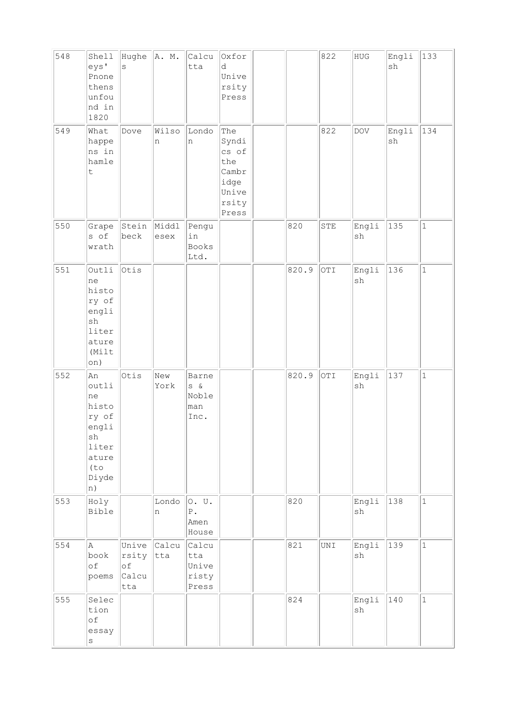| 548 | Shell<br>eys'<br>Pnone<br>thens<br>unfou<br>nd in<br>1820                                                 | Hughe $ A. M.$<br>$\rm s$            |               | Calcu<br>tta                                | Oxfor<br>d<br>Unive<br>rsity<br>Press                                    |       | 822            | ${\rm HUG}$                  | Engli<br>sh | 133          |
|-----|-----------------------------------------------------------------------------------------------------------|--------------------------------------|---------------|---------------------------------------------|--------------------------------------------------------------------------|-------|----------------|------------------------------|-------------|--------------|
| 549 | What<br>happe<br>ns in<br>hamle<br>$\mathsf t$                                                            | Dove                                 | Wilso<br>n    | Londo<br>n                                  | The<br>Syndi<br>cs of<br>the<br>Cambr<br>idge<br>Unive<br>rsity<br>Press |       | 822            | <b>DOV</b>                   | Engli<br>sh | 134          |
| 550 | Grape<br>s of<br>wrath                                                                                    | Stein<br>beck                        | Middl<br>esex | Pengu<br>in<br><b>Books</b><br>Ltd.         |                                                                          | 820   | STE            | Engli<br>sh                  | 135         | $\mathbf{1}$ |
| 551 | Outli<br>ne<br>histo<br>ry of<br>engli<br>sh<br>liter<br>ature<br>(Milt<br>on)                            | Otis                                 |               |                                             |                                                                          | 820.9 | OTI            | Engli<br>sh                  | 136         | $\mathbf{1}$ |
| 552 | An<br>outli<br>ne<br>histo<br>ry of<br>engli<br>sh<br>liter<br>ature<br>(t <sub>O</sub> )<br>Diyde<br> n) | Otis                                 | New<br>York   | Barne<br>$S \delta$<br>Noble<br>man<br>Inc. |                                                                          | 820.9 | OTI            | Engli<br>sh                  | 137         | $\mathbf{1}$ |
| 553 | Holy<br>Bible                                                                                             |                                      | Londo<br>n    | O. U.<br>${\tt P}$ .<br>Amen<br>House       |                                                                          | 820   |                | Engli<br>sh                  | 138         | $\mathbf{1}$ |
| 554 | A<br>book<br>of<br>poems                                                                                  | Unive<br>rsity<br>of<br>Calcu<br>tta | Calcu<br>tta  | Calcu<br>tta<br>Unive<br>risty<br>Press     |                                                                          | 821   | $\texttt{UNI}$ | Engli<br>sh                  | 139         | $\mathbf{1}$ |
| 555 | Selec<br>tion<br>of<br>essay<br>$\rm s$                                                                   |                                      |               |                                             |                                                                          | 824   |                | Engli<br>$\operatorname{sh}$ | 140         | $\mathbf{1}$ |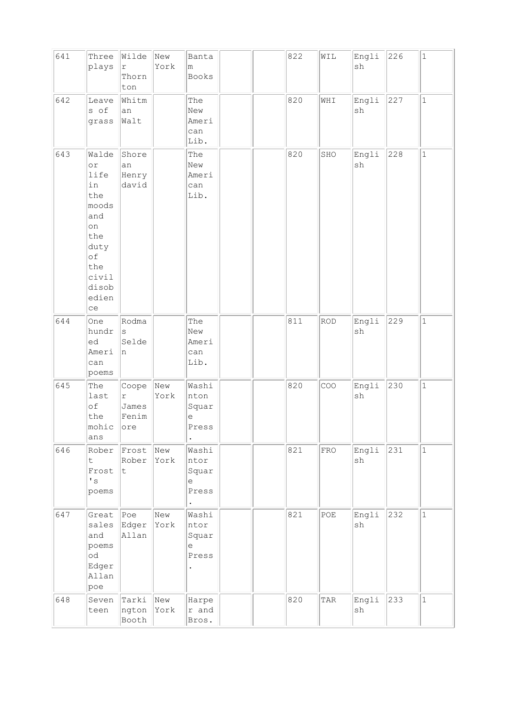| 641 | Three<br>plays                                                                                                      | Wilde<br>$\Upsilon$<br>Thorn<br>ton | New<br>York | Banta<br>m<br>Books                                                         |  | 822 | WIL        | Engli<br>sh | 226 | $\mathbf 1$  |
|-----|---------------------------------------------------------------------------------------------------------------------|-------------------------------------|-------------|-----------------------------------------------------------------------------|--|-----|------------|-------------|-----|--------------|
| 642 | Leave<br>s of<br>grass                                                                                              | Whitm<br>an<br>Walt                 |             | The<br>New<br>Ameri<br>can<br>Lib.                                          |  | 820 | WHI        | Engli<br>sh | 227 | $\mathbf{1}$ |
| 643 | Walde<br>or<br>life<br>in<br>the<br>moods<br>and<br>on<br>the<br>duty<br>оf<br>the<br>civil<br>disob<br>edien<br>ce | Shore<br>an<br>Henry<br>david       |             | The<br>New<br>Ameri<br>can<br>Lib.                                          |  | 820 | SHO        | Engli<br>sh | 228 | $\mathbf 1$  |
| 644 | One<br>hundr<br>ed<br>Ameri<br>can<br>poems                                                                         | Rodma<br>$\rm s$<br>Selde<br>n      |             | The<br>New<br>Ameri<br>can<br>Lib.                                          |  | 811 | <b>ROD</b> | Engli<br>sh | 229 | $\mathbf{1}$ |
| 645 | The<br>last<br>$\circ f$<br>the<br>mohic<br>ans                                                                     | Coope<br>r<br>James<br>Fenim<br>ore | New<br>York | Washi<br>nton<br>Squar<br>$\mathrel{\mathop{\mathrm{e}}\nolimits}$<br>Press |  | 820 | COO        | Engli<br>sh | 230 | $\mathbf 1$  |
| 646 | Rober<br>t.<br>Frost<br>$\mathbf{F}$<br>poems                                                                       | Frost<br>Rober<br>t                 | New<br>York | Washi<br>ntor<br>Squar<br>е<br>Press                                        |  | 821 | FRO        | Engli<br>sh | 231 | $\mathbf 1$  |
| 647 | Great<br>sales<br>and<br>poems<br>$\circ d$<br>Edger<br>Allan<br>poe                                                | Poe <br>Edger<br>Allan              | New<br>York | Washi<br>ntor<br>Squar<br>$\mathrel{\mathop{\mathrm{e}}\nolimits}$<br>Press |  | 821 | POE        | Engli<br>sh | 232 | $\mathbf 1$  |
| 648 | Seven<br>teen                                                                                                       | Tarki<br>ngton<br>Booth             | New<br>York | Harpe<br>r and<br>Bros.                                                     |  | 820 | TAR        | Engli<br>sh | 233 | $\mathbf 1$  |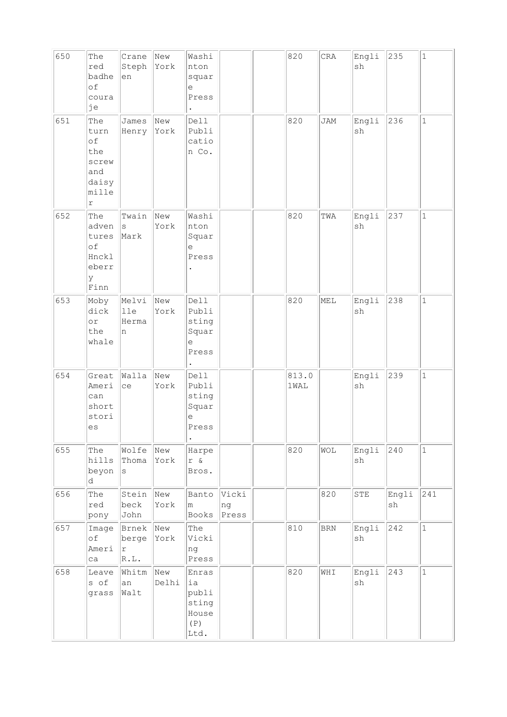| 650 | The<br>red<br>badhe<br>of<br>coura<br>je                                 | Crane<br>Steph<br>en        | New<br>York  | Washi<br>nton<br>squar<br>е<br>Press                                                 |                      | 820           | CRA       | Engli<br>sh | 235         | $\mathbf{1}$ |
|-----|--------------------------------------------------------------------------|-----------------------------|--------------|--------------------------------------------------------------------------------------|----------------------|---------------|-----------|-------------|-------------|--------------|
| 651 | The<br>turn<br>of<br>the<br>screw<br>and<br>daisy<br>mille<br>$\Upsilon$ | James<br>Henry              | New<br>York  | Dell<br>Publi<br>catio<br>n Co.                                                      |                      | 820           | JAM       | Engli<br>sh | 236         | $\mathbf{1}$ |
| 652 | The<br>adven<br>tures<br>of<br>Hnckl<br>eberr<br>У<br>Finn               | Twain<br>$\rm s$<br>Mark    | New<br>York  | Washi<br>nton<br>Squar<br>$\mathrel{\mathop{\mathrm{e}}\nolimits}$<br>Press          |                      | 820           | TWA       | Engli<br>sh | 237         | $\mathbf{1}$ |
| 653 | Moby<br>dick<br>$\circ$ r<br>the<br>whale                                | Melvi<br>lle<br>Herma<br>n  | New<br>York  | Dell<br>Publi<br>sting<br>Squar<br>e<br>Press                                        |                      | 820           | MEL       | Engli<br>sh | 238         | $\mathbf{1}$ |
| 654 | Great<br>Ameri<br>can<br>short<br>stori<br>es                            | Walla<br>ce                 | New<br>York  | Dell<br>Publi<br>sting<br>Squar<br>$\mathrel{\mathop{\mathrm{e}}\nolimits}$<br>Press |                      | 813.0<br>1WAL |           | Engli<br>sh | 239         | $\mathbf{1}$ |
| 655 | The<br>hills<br>beyon<br>d                                               | Wolfe<br>Thoma<br>$\rm s$   | New<br>York  | Harpe<br>$r$ &<br>Bros.                                                              |                      | 820           | WOL       | Engli<br>sh | 240         | $\mathbf 1$  |
| 656 | The<br>red<br>pony                                                       | Stein<br>beck<br>John       | New<br>York  | Banto<br>m<br>Books                                                                  | Vicki<br>ng<br>Press |               | 820       | ${\tt STE}$ | Engli<br>sh | 241          |
| 657 | Image<br>of<br>Ameri<br>ca                                               | Brnek<br>berge<br>r<br>R.L. | New<br>York  | The<br>Vicki<br>ng<br>Press                                                          |                      | 810           | $\rm BRN$ | Engli<br>sh | 242         | $\mathbf 1$  |
| 658 | Leave<br>s of<br>grass                                                   | Whitm<br>an<br>Walt         | New<br>Delhi | Enras<br>ia<br>publi<br>sting<br>House<br>(P)<br>Ltd.                                |                      | 820           | WHI       | Engli<br>sh | 243         | $\mathbf{1}$ |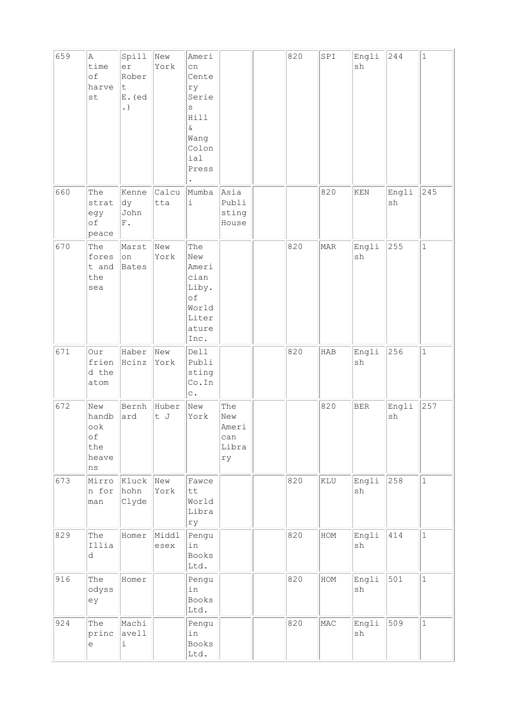| 659 | $\mathbb A$<br>time<br>of<br>harve<br>st              | Spill<br>er<br>Rober<br>t<br>E. (ed<br>. $\hspace{0.05cm}$ | New<br>York   | Ameri<br>cn<br>Cente<br>ry<br>Serie<br>S<br>Hill<br>$\&$<br>Wang<br>Colon<br>ial<br>Press |                                           | 820 | SPI | Engli<br>sh                  | 244         | $\mathbf{1}$ |
|-----|-------------------------------------------------------|------------------------------------------------------------|---------------|-------------------------------------------------------------------------------------------|-------------------------------------------|-----|-----|------------------------------|-------------|--------------|
| 660 | The<br>strat<br>egy<br>of<br>peace                    | Kenne<br>dy<br>John<br>${\rm F}$ .                         | Calcu<br>tta  | Mumba<br>$\dot{\mathtt{l}}$                                                               | Asia<br>Publi<br>sting<br>House           |     | 820 | KEN                          | Engli<br>sh | 245          |
| 670 | The<br>fores<br>t and<br>the<br>sea                   | Marst<br>on<br>Bates                                       | New<br>York   | The<br>New<br>Ameri<br>cian<br>Liby.<br>of<br>World<br>Liter<br>ature<br>Inc.             |                                           | 820 | MAR | Engli<br>$\operatorname{sh}$ | 255         | $\mathbf{1}$ |
| 671 | Our<br>frien<br>d the<br>atom                         | Haber<br>Hcinz                                             | New<br>York   | Dell<br>Publi<br>sting<br>Co.In<br>$\mathtt{C}$ .                                         |                                           | 820 | HAB | Engli<br>sh                  | 256         | $\mathbf{1}$ |
| 672 | New<br>handb<br>ook<br>of<br>the<br>heave<br>$\rm ns$ | Bernh<br>ard                                               | Huber<br>t J  | New<br>York                                                                               | The<br>New<br>Ameri<br>can<br>Libra<br>rу |     | 820 | <b>BER</b>                   | Engli<br>sh | 257          |
| 673 | Mirro<br>n for<br>man                                 | Kluck<br>hohn<br>Clyde                                     | New<br>York   | Fawce<br>tt<br>World<br>Libra<br>ry                                                       |                                           | 820 | KLU | Engli<br>sh                  | 258         | $\mathbf{1}$ |
| 829 | The<br>Illia<br>$\rm d$                               | Homer                                                      | Middl<br>esex | Pengu<br>in<br>Books<br>Ltd.                                                              |                                           | 820 | HOM | Engli<br>$\operatorname{sh}$ | 414         | $\mathbf{1}$ |
| 916 | The<br>odyss<br>ey                                    | Homer                                                      |               | Pengu<br>in<br>Books<br>Ltd.                                                              |                                           | 820 | HOM | Engli<br>sh                  | 501         | $\mathbf{1}$ |
| 924 | The<br>princ<br>e                                     | Machi<br>avell<br>i                                        |               | Pengu<br>in<br>Books<br>Ltd.                                                              |                                           | 820 | MAC | Engli<br>sh                  | 509         | $\mathbf{1}$ |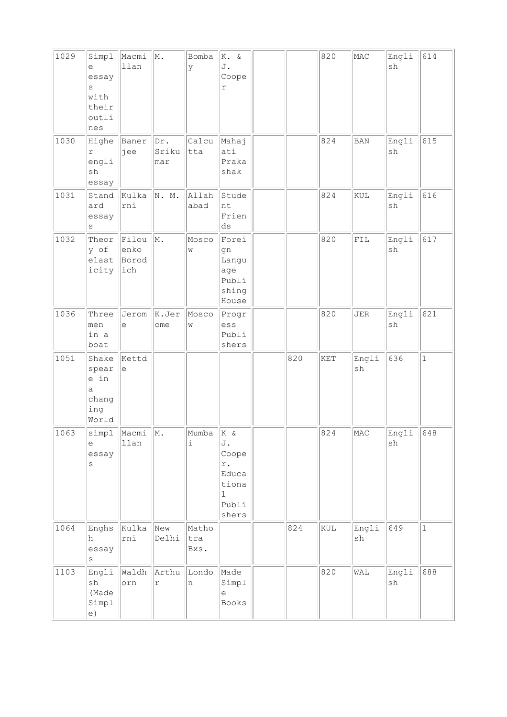| 1029 | Simpl<br>е<br>essay<br>S<br>with<br>their<br>outli<br>nes | Macmi<br>llan                 | M.                      | Bomba<br>У           | K. &<br>J.<br>Coope<br>r                                                                |     | 820 | MAC         | Engli<br>sh | 614          |
|------|-----------------------------------------------------------|-------------------------------|-------------------------|----------------------|-----------------------------------------------------------------------------------------|-----|-----|-------------|-------------|--------------|
| 1030 | Highe<br>r<br>engli<br>sh<br>essay                        | Baner<br>jee                  | Dr.<br>Sriku<br>mar     | Calcu<br>tta         | Mahaj<br>ati<br>Praka<br>shak                                                           |     | 824 | <b>BAN</b>  | Engli<br>sh | 615          |
| 1031 | Stand<br>ard<br>essay<br>$\rm s$                          | Kulka<br>rni                  | N. M.                   | Allah<br>abad        | Stude<br>nt<br>Frien<br>ds                                                              |     | 824 | KUL         | Engli<br>sh | 616          |
| 1032 | Theor<br>y of<br>elast<br>icity                           | Filou<br>enko<br>Borod<br>ich | M.                      | Mosco<br>W           | Forei<br>gn<br>Langu<br>age<br>Publi<br>shing<br>House                                  |     | 820 | ${\tt FIL}$ | Engli<br>sh | 617          |
| 1036 | Three<br>men<br>in a<br>boat                              | Jerom<br>$\epsilon$           | K.Jer<br>ome            | Mosco<br>W           | Progr<br>ess<br>Publi<br>shers                                                          |     | 820 | JER         | Engli<br>sh | 621          |
| 1051 | Shake<br>spear<br>e in<br>a<br>chang<br>ing<br>World      | Kettd<br>e                    |                         |                      |                                                                                         | 820 | KET | Engli<br>sh | 636         | $\mathbf{1}$ |
| 1063 | simpl<br>е<br>essay<br>S                                  | Macmi<br>llan                 | M.                      | Mumba<br>i           | K &<br>J.<br>Coope<br>$\mathtt{r}$ .<br>Educa<br>tiona<br>$\mathbf 1$<br>Publi<br>shers |     | 824 | MAC         | Engli<br>sh | 648          |
| 1064 | Enghs<br>h<br>essay<br>S                                  | Kulka<br>rni                  | New<br>Delhi            | Matho<br>tra<br>Bxs. |                                                                                         | 824 | KUL | Engli<br>sh | 649         | $\mathbf{1}$ |
| 1103 | Engli<br>sh<br>(Made<br>Simpl<br>e)                       | Waldh<br>orn                  | Arthu<br>$\,$ $\,$ $\,$ | Londo<br>n           | Made<br>Simpl<br>$\epsilon$<br>Books                                                    |     | 820 | WAL         | Engli<br>sh | 688          |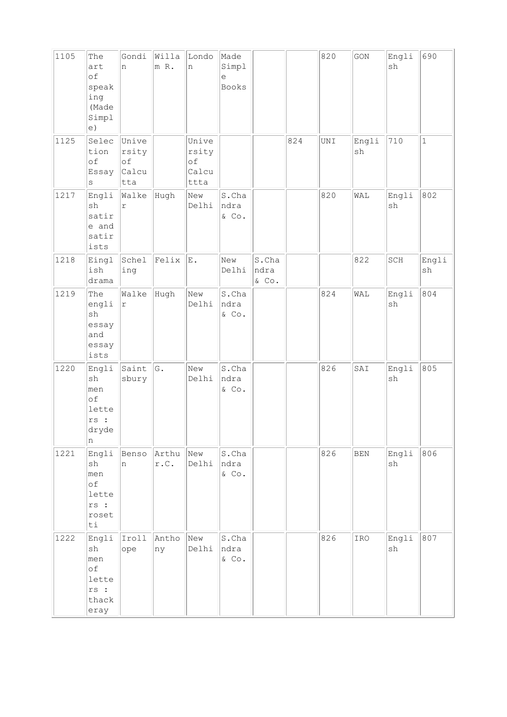| 1105 | The<br>art<br>of<br>speak<br>ing<br>(Made<br>Simpl<br>e)                   | Gondi<br>n                                  | Willa<br>m R. | Londo<br>n                            | Made<br>Simpl<br>e<br><b>Books</b> |                           |     | 820 | GON         | Engli<br>sh                      | 690          |
|------|----------------------------------------------------------------------------|---------------------------------------------|---------------|---------------------------------------|------------------------------------|---------------------------|-----|-----|-------------|----------------------------------|--------------|
| 1125 | Selec<br>tion<br>of<br>Essay<br>$\rm s$                                    | Unive<br>rsity<br>$\circ f$<br>Calcu<br>tta |               | Unive<br>rsity<br>of<br>Calcu<br>ttta |                                    |                           | 824 | UNI | Engli<br>sh | 710                              | $\mathbf{1}$ |
| 1217 | Engli<br>sh<br>satir<br>e and<br>satir<br>ists                             | Walke<br>$\Upsilon$                         | Hugh          | New<br>Delhi                          | S.Cha<br>ndra<br>& Co.             |                           |     | 820 | WAL         | Engli<br>sh                      | 802          |
| 1218 | Eingl<br>ish<br>drama                                                      | Schel<br>ing                                | Felix         | $\mathbf E$ .                         | New<br>Delhi                       | S.Cha<br>ndra<br>$\&$ Co. |     |     | 822         | $\mathbb{S}\mathbb{C}\mathbb{H}$ | Engli<br>sh  |
| 1219 | The<br>engli<br>sh<br>essay<br>and<br>essay<br>ists                        | Walke<br>$\Upsilon$                         | Hugh          | New<br>Delhi                          | S.Cha<br>ndra<br>& Co.             |                           |     | 824 | WAL         | Engli<br>sh                      | 804          |
| 1220 | Engli<br>sh<br>men<br>of<br>lette<br>rs:<br>dryde<br>n                     | Saint<br>sbury                              | G.            | New<br>Delhi                          | S.Cha<br>ndra<br>& Co.             |                           |     | 826 | SAI         | Engli<br>sh                      | 805          |
| 1221 | Engli<br>sh<br>men<br>оf<br>lette<br>rs :<br>roset<br>ti                   | Benso<br>n                                  | Arthu<br>r.C. | New<br>Delhi                          | S.Cha<br>ndra<br>$&$ Co.           |                           |     | 826 | <b>BEN</b>  | Engli<br>sh                      | 806          |
| 1222 | Engli<br>$\operatorname{sh}$<br>men<br>оf<br>lette<br>rs:<br>thack<br>eray | Iroll<br>ope                                | Antho<br>ny   | New<br>Delhi                          | S.Cha<br>ndra<br>$\&$ Co.          |                           |     | 826 | IRO         | Engli<br>$\operatorname{sh}$     | 807          |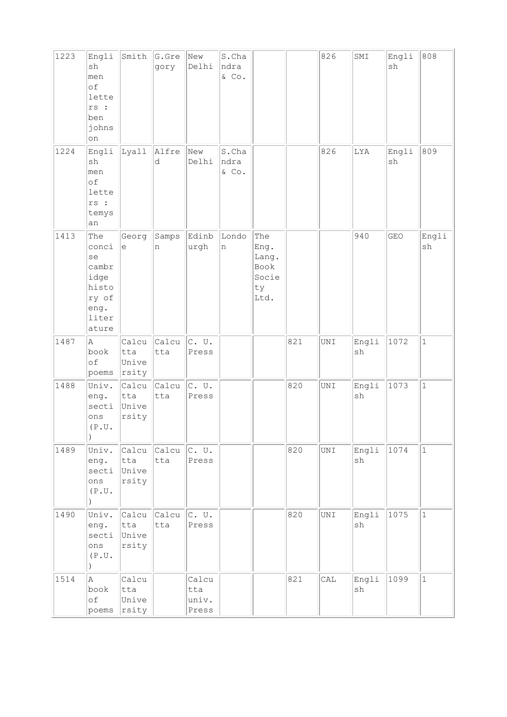| 1223 | Engli<br>sh<br>men<br>of<br>lette<br>rs:<br>ben<br>johns<br>on                  | Smith                                             | G.Gre<br>gory | New<br>Delhi                   | S.Cha<br>ndra<br>$\&$ Co. |                                                     |     | 826            | SMI         | Engli<br>sh | 808          |
|------|---------------------------------------------------------------------------------|---------------------------------------------------|---------------|--------------------------------|---------------------------|-----------------------------------------------------|-----|----------------|-------------|-------------|--------------|
| 1224 | Engli<br>sh<br>men<br>of<br>lette<br>rs :<br>temys<br>an                        | Lyall                                             | Alfre<br>d    | New<br>Delhi                   | S.Cha<br>ndra<br>& Co.    |                                                     |     | 826            | LYA         | Engli<br>sh | 809          |
| 1413 | The<br>conci<br>se<br>cambr<br>idge<br>histo<br>ry of<br>eng.<br>liter<br>ature | Georg<br>$\mathrel{\mathop{\mathrm{e}}\nolimits}$ | Samps<br>n    | Edinb<br>urgh                  | Londo<br>n                | The<br>Eng.<br>Lang.<br>Book<br>Socie<br>ty<br>Ltd. |     |                | 940         | GEO         | Engli<br>sh  |
| 1487 | A<br>book<br>of<br>poems                                                        | Calcu<br>tta<br>Unive<br>rsity                    | Calcu<br>tta  | $ c.$ U.<br>Press              |                           |                                                     | 821 | $\texttt{UNI}$ | Engli<br>sh | 1072        | $\mathbf{1}$ |
| 1488 | Univ.<br>eng.<br>secti<br>ons<br>(P,U.<br>$\lambda$                             | Calcu<br>tta<br>Unive<br>rsity                    | Calcu<br>tta  | $ c.$ U.<br>Press              |                           |                                                     | 820 | $\texttt{UNI}$ | Engli<br>sh | 1073        | $\mathbf{1}$ |
| 1489 | Univ.<br>eng.<br>secti<br>ons<br>(P.U.                                          | Calcu<br>tta<br>Unive<br>rsity                    | Calcu<br>tta  | $ c.$ U.<br>Press              |                           |                                                     | 820 | UNI            | Engli<br>sh | 1074        | $\mathbf{1}$ |
| 1490 | Univ.<br>eng.<br>secti<br>ons<br>(P.U.<br>$\lambda$                             | Calcu<br>tta<br>Unive<br>rsity                    | Calcu<br>tta  | $ c.$ U.<br>Press              |                           |                                                     | 820 | UNI            | Engli<br>sh | 1075        | $\mathbf{1}$ |
| 1514 | A<br>book<br>of<br>poems                                                        | Calcu<br>tta<br>Unive<br>rsity                    |               | Calcu<br>tta<br>univ.<br>Press |                           |                                                     | 821 | CAL            | Engli<br>sh | 1099        | $\vert$ 1    |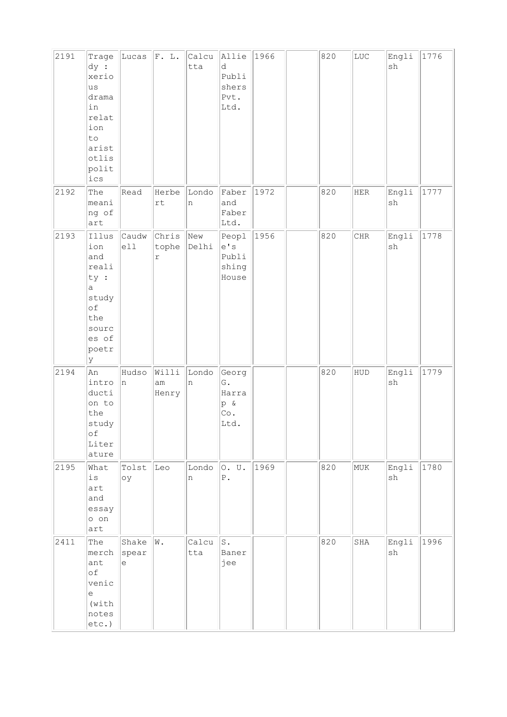| 2191 | Trage<br>dy :<br>xerio<br>us<br>drama<br>in<br>relat<br>ion<br>to<br>arist<br>otlis<br>polit<br>ics | Lucas                                                      | F. L.                          | Calcu<br>tta | Allie<br>d<br>Publi<br>shers<br>Pvt.<br>Ltd. | 1966 | 820 | LUC         | Engli<br>sh                  | 1776 |
|------|-----------------------------------------------------------------------------------------------------|------------------------------------------------------------|--------------------------------|--------------|----------------------------------------------|------|-----|-------------|------------------------------|------|
| 2192 | The<br>meani<br>ng of<br>art                                                                        | Read                                                       | Herbe<br>$\mathtt{rt}$         | Londo<br>n   | Faber<br>and<br>Faber<br>Ltd.                | 1972 | 820 | ${\tt HER}$ | Engli<br>$\operatorname{sh}$ | 1777 |
| 2193 | Illus<br>ion<br>and<br>reali<br>ty :<br>а<br>study<br>оf<br>the<br>sourc<br>es of<br>poetr<br>У     | Caudw<br>e11                                               | Chris<br>tophe<br>$\mathtt{r}$ | New<br>Delhi | Peopl<br>e' s<br>Publi<br>shing<br>House     | 1956 | 820 | ${\rm CHR}$ | Engli<br>$\operatorname{sh}$ | 1778 |
| 2194 | An<br>intro<br>ducti<br>on to<br>the<br>study<br>оf<br>Liter<br>ature                               | Hudso<br>n                                                 | Willi<br>$\text{am}$<br>Henry  | Londo<br>n   | Georg<br>G.<br>Harra<br>p &<br>Co.<br>Ltd.   |      | 820 | HUD         | Engli<br>sh                  | 1779 |
| 2195 | What<br>$\mathtt{is}$<br>art<br>and<br>essay<br>o on<br>art                                         | Tolst<br>oу                                                | Leo                            | Londo<br>n   | 0. U.<br>${\bf P}$ .                         | 1969 | 820 | MUK         | Engli<br>$\operatorname{sh}$ | 1780 |
| 2411 | The<br>merch<br>ant<br>оf<br>venic<br>e<br>(with<br>notes<br>etc.)                                  | Shake<br>spear<br>$\mathrel{\mathop{\mathrm{e}}\nolimits}$ | W.                             | Calcu<br>tta | $\mathtt{S}$ .<br>Baner<br>jee               |      | 820 | SHA         | Engli<br>sh                  | 1996 |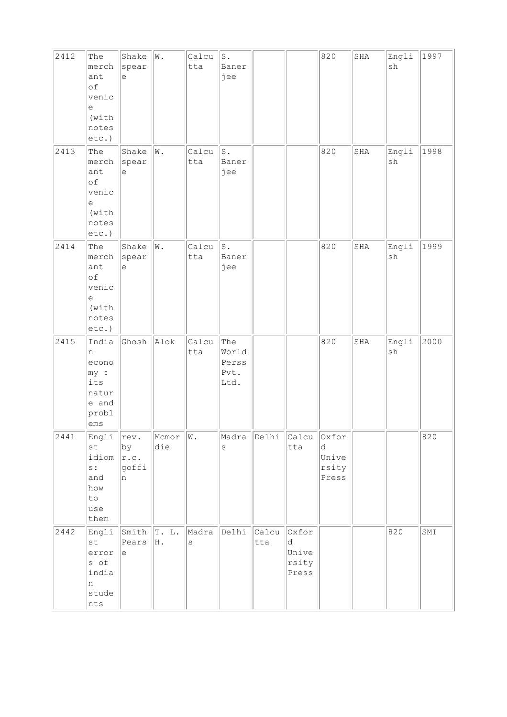| 2412 | The<br>merch<br>ant<br>оf<br>venic<br>e<br>(with<br>notes<br>etc.)  | Shake<br>spear<br>$\mathrel{\mathop{\mathrm{e}}\nolimits}$     | W.                 | Calcu<br>tta     | $\texttt{S}$ .<br>Baner<br>jee        |              |                                       | 820                                   | SHA | Engli<br>$\operatorname{sh}$ | 1997 |
|------|---------------------------------------------------------------------|----------------------------------------------------------------|--------------------|------------------|---------------------------------------|--------------|---------------------------------------|---------------------------------------|-----|------------------------------|------|
| 2413 | The<br>merch<br>ant<br>of<br>venic<br>е<br>(with<br>notes<br>etc.)  | Shake<br>$ $ spear<br>$\mathrel{\mathop{\mathrm{e}}\nolimits}$ | W.                 | Calcu<br>tta     | $\mathtt{S}$ .<br>Baner<br>jee        |              |                                       | 820                                   | SHA | Engli<br>sh                  | 1998 |
| 2414 | The<br>merch<br>ant<br>оf<br>venic<br>е<br>(with<br>notes<br>etc.)  | Shake<br>spear<br>$\mathrel{\mathop{\mathrm{e}}\nolimits}$     | $ _{\mathbb{W}}$ . | Calcu<br>tta     | $\mathtt{S}$ .<br>Baner<br>jee        |              |                                       | 820                                   | SHA | Engli<br>${\tt sh}$          | 1999 |
| 2415 | India<br>n<br>econo<br>my:<br>its<br>natur<br>e and<br>probl<br>ems | Ghosh                                                          | Alok               | Calcu<br>tta     | The<br>World<br>Perss<br>Pvt.<br>Ltd. |              |                                       | 820                                   | SHA | Engli<br>sh                  | 2000 |
| 2441 | Engli<br>st<br>idiom<br>s:<br>and<br>how<br>to<br>use<br>them       | $\vert$ rev.<br>by<br>r.c.<br>goffi<br>n                       | Mcmor<br>die       | W.               | Madra<br>$\rm s$                      | Delhi        | Calcu<br>tta                          | Oxfor<br>d<br>Unive<br>rsity<br>Press |     |                              | 820  |
| 2442 | Engli<br>st<br>error<br>s of<br>india<br>n<br>stude<br>nts          | $ \texttt{Smith}  \texttt{T. L.}$<br>Pears<br>e                | H.                 | Madra<br>$\rm s$ | Delhi                                 | Calcu<br>tta | Oxfor<br>d<br>Unive<br>rsity<br>Press |                                       |     | 820                          | SMI  |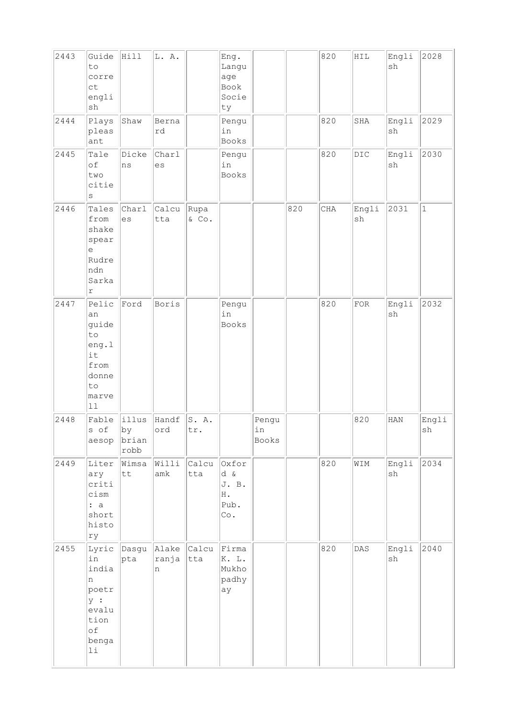| 2443 | Guide<br>to<br>corre<br>ct<br>engli<br>sh                                           | Hill                                          | L. A.                            |               | Eng.<br>Langu<br>age<br>Book<br>Socie<br>ty |                      |     | 820 | $\verb HIL $   | Engli<br>sh  | 2028         |
|------|-------------------------------------------------------------------------------------|-----------------------------------------------|----------------------------------|---------------|---------------------------------------------|----------------------|-----|-----|----------------|--------------|--------------|
| 2444 | Plays<br>pleas<br>ant                                                               | Shaw                                          | Berna<br>rd                      |               | Pengu<br>in<br>Books                        |                      |     | 820 | SHA            | Engli<br>sh  | 2029         |
| 2445 | Tale<br>оf<br>two<br>citie<br>S                                                     | Dicke<br>ns                                   | Charl<br>es                      |               | Pengu<br>in<br>Books                        |                      |     | 820 | $\mathtt{DIC}$ | Engli<br>sh  | 2030         |
| 2446 | Tales<br>from<br>shake<br>spear<br>е<br>Rudre<br>ndn<br>Sarka<br>r                  | Charl<br>es                                   | Calcu<br>tta                     | Rupa<br>& Co. |                                             |                      | 820 | CHA | Engli<br>sh    | 2031         | $\mathbf{1}$ |
| 2447 | Pelic<br>an<br>guide<br>to<br>eng.1<br>it<br>from<br>donne<br>to<br>marve<br>$11\,$ | Ford                                          | Boris                            |               | Pengu<br>in<br>Books                        |                      |     | 820 | ${\tt FOR}$    | Engli<br>sh  | 2032         |
| 2448 | Fable<br>s of<br>aesop                                                              | illus<br>$ {\rm by}$<br>brian<br>${\tt robb}$ | Handf<br>ord                     | S.A.<br> tr.  |                                             | Pengu<br>in<br>Books |     |     | 820            | $_{\rm HAN}$ | Engli<br>sh  |
| 2449 | Liter<br>ary<br>criti<br>cism<br>: a<br>short<br>histo<br>ry                        | Wimsa<br>$\hbox{\tt t}$                       | Willi<br>amk                     | Calcu<br>tta  | Oxfor<br>d &<br>J. B.<br>Η.<br>Pub.<br>Co.  |                      |     | 820 | WIM            | Engli<br>sh  | 2034         |
| 2455 | in<br>india<br>n<br>poetr<br>y :<br>evalu<br>tion<br>оf<br>benga<br>$1\,\mathrm{i}$ | pta                                           | Lyric Dasgu Alake<br> ranja<br>n | Calcu<br> tta | Firma<br>K. L.<br>Mukho<br>$ $ padhy<br>ау  |                      |     | 820 | DAS            | Engli<br>sh  | 2040         |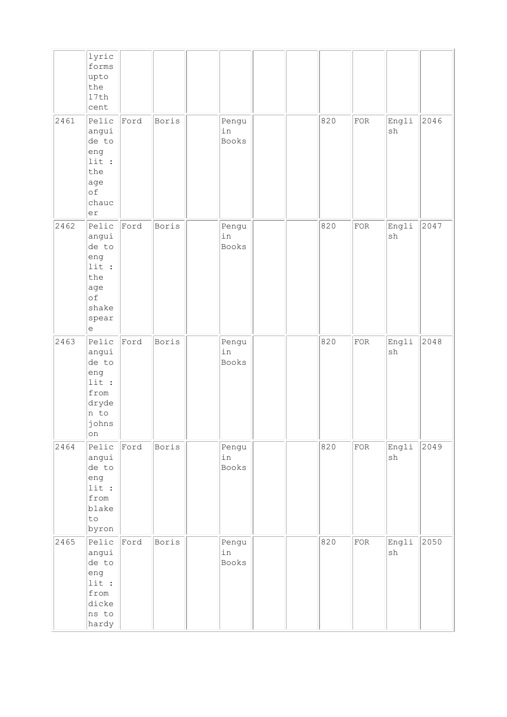|      | lyric<br>forms<br>upto<br>the<br>17th<br>cent                                     |      |       |                             |  |     |             |                              |      |
|------|-----------------------------------------------------------------------------------|------|-------|-----------------------------|--|-----|-------------|------------------------------|------|
| 2461 | Pelic<br>angui<br>de to<br>eng<br>lit:<br>the<br>age<br>оf<br>chauc<br>er         | Ford | Boris | Pengu<br>in<br>Books        |  | 820 | ${\rm FOR}$ | Engli<br>sh                  | 2046 |
| 2462 | Pelic<br>angui<br>de to<br>eng<br>lit:<br>the<br>age<br>of<br>shake<br>spear<br>е | Ford | Boris | Pengu<br>in<br><b>Books</b> |  | 820 | ${\tt FOR}$ | Engli<br>sh                  | 2047 |
| 2463 | Pelic<br>angui<br>de to<br>eng<br>lit:<br>from<br>dryde<br>n to<br>johns<br>on    | Ford | Boris | Pengu<br>in<br>Books        |  | 820 | FOR         | Engli<br>sh                  | 2048 |
| 2464 | Pelic<br>angui<br>de to<br>eng<br>lit:<br>from<br>blake<br>to<br>byron            | Ford | Boris | Pengu<br>in<br>Books        |  | 820 | ${\tt FOR}$ | Engli<br>$\operatorname{sh}$ | 2049 |
| 2465 | Pelic<br>angui<br>de to<br>eng<br>lit:<br>from<br>dicke<br>ns to<br>hardy         | Ford | Boris | Pengu<br>in<br>Books        |  | 820 | ${\tt FOR}$ | Engli<br>sh                  | 2050 |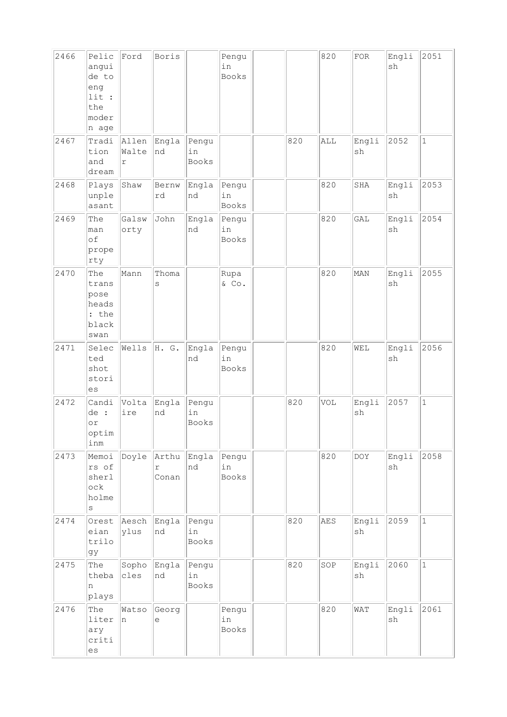| 2466 | Pelic<br>angui<br>de to<br>eng<br>lit :<br>the<br>moder<br>n age | Ford                | Boris               |                             | Pengu<br>in<br><b>Books</b> |     | 820 | ${\rm FOR}$ | Engli<br>sh | 2051         |
|------|------------------------------------------------------------------|---------------------|---------------------|-----------------------------|-----------------------------|-----|-----|-------------|-------------|--------------|
| 2467 | Tradi<br>tion<br>and<br>dream                                    | Allen<br>Walte<br>r | Engla<br>nd         | Pengu<br>in<br>Books        |                             | 820 | ALL | Engli<br>sh | 2052        | $\mathbf{1}$ |
| 2468 | Plays<br>unple<br>asant                                          | Shaw                | Bernw<br>rd         | Engla<br>nd                 | Pengu<br>in<br>Books        |     | 820 | SHA         | Engli<br>sh | 2053         |
| 2469 | The<br>man<br>of<br>prope<br>rty                                 | Galsw<br>orty       | John                | Engla<br>nd                 | Pengu<br>in<br>Books        |     | 820 | GAL         | Engli<br>sh | 2054         |
| 2470 | The<br>trans<br>pose<br>heads<br>: the<br>black<br>swan          | Mann                | Thoma<br>S          |                             | Rupa<br>& Co.               |     | 820 | MAN         | Engli<br>sh | 2055         |
| 2471 | Selec<br>ted<br>shot<br>stori<br>es                              | Wells               | H. G.               | Engla<br>nd                 | Pengu<br>in<br><b>Books</b> |     | 820 | WEL         | Engli<br>sh | 2056         |
| 2472 | Candi<br>de :<br>or<br>optim<br>inm                              | Volta<br>ire        | Engla<br>nd         | Pengu<br>in<br><b>Books</b> |                             | 820 | VOL | Engli<br>sh | 2057        | $\mathbf{1}$ |
| 2473 | Memoi<br>rs of<br>sherl<br>ock<br>holme<br>$\rm s$               | Doyle               | Arthu<br>r<br>Conan | Engla<br>Ind                | Pengu<br>in<br><b>Books</b> |     | 820 | <b>DOY</b>  | Engli<br>sh | 2058         |
| 2474 | Orest<br>eian<br>trilo<br>gy                                     | Aesch<br>ylus       | Engla<br>nd         | Pengu<br>in<br><b>Books</b> |                             | 820 | AES | Engli<br>sh | 2059        | $\mathbf{1}$ |
| 2475 | The<br>theba<br>n<br>plays                                       | Sopho<br>cles       | Engla<br>nd         | Pengu<br>in<br>Books        |                             | 820 | SOP | Engli<br>sh | 2060        | $\mathbf{1}$ |
| 2476 | The<br>liter<br>ary<br>criti<br>es                               | Watso<br>n          | Georg<br>е          |                             | Pengu<br>in<br>Books        |     | 820 | WAT         | Engli<br>sh | 2061         |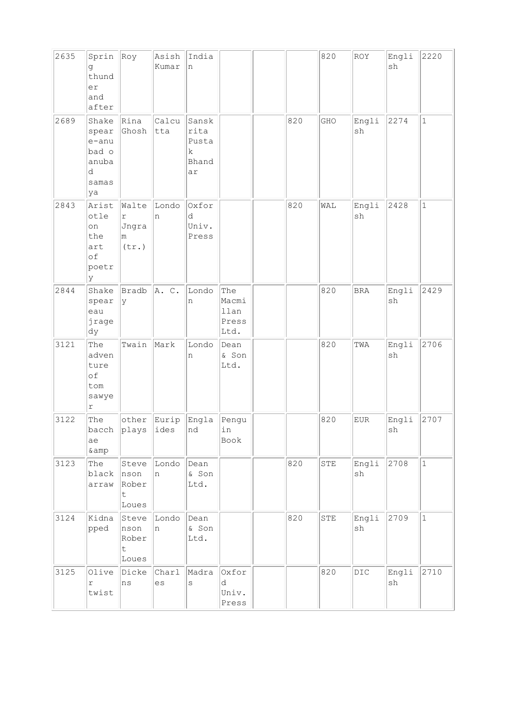| 2635 | Sprin<br>đ<br>thund<br>er<br>and<br>after                     | Roy                                          | Asish<br>Kumar   | India<br>n                                       |                                       |     | 820 | ROY            | Engli<br>sh | 2220         |
|------|---------------------------------------------------------------|----------------------------------------------|------------------|--------------------------------------------------|---------------------------------------|-----|-----|----------------|-------------|--------------|
| 2689 | Shake<br>spear<br>e-anu<br>bad o<br>anuba<br>d<br>samas<br>ya | Rina<br>Ghosh                                | Calcu<br>tta     | Sansk<br>rita<br>Pusta<br>$\rm k$<br>Bhand<br>ar |                                       | 820 | GHO | Engli<br>sh    | 2274        | $\mathbf 1$  |
| 2843 | Arist<br>otle<br>on<br>the<br>art<br>of<br>poetr<br>У         | Walte<br>$\mathtt{r}$<br>Jngra<br>m<br>(tr.) | Londo<br>n       | Oxfor<br>d<br>Univ.<br>Press                     |                                       | 820 | WAL | Engli<br>sh    | 2428        | $\mathbf{1}$ |
| 2844 | Shake<br>spear<br>eau<br>jrage<br>dy                          | Bradb<br>У                                   | A. C.            | Londo<br>n                                       | The<br>Macmi<br>llan<br>Press<br>Ltd. |     | 820 | <b>BRA</b>     | Engli<br>sh | 2429         |
| 3121 | The<br>adven<br>ture<br>of<br>tom<br>sawye<br>$\Upsilon$      | Twain                                        | Mark             | Londo<br>n                                       | Dean<br>& Son<br>Ltd.                 |     | 820 | TWA            | Engli<br>sh | 2706         |
| 3122 | The<br>ae<br>&                                                | other<br>bacch $\ $ plays $\ $ ides          | Eurip            | Engla<br>nd                                      | Pengu<br>in<br>Book                   |     | 820 | ${\rm EUR}$    | Engli<br>sh | 2707         |
| 3123 | The<br>black<br>arraw                                         | nson<br>Rober<br>t<br>Loues                  | Steve Londo<br>n | Dean<br>& Son<br>Ltd.                            |                                       | 820 | STE | Engli<br>sh    | 2708        | $\mathbf{1}$ |
| 3124 | Kidna<br>pped                                                 | Steve<br>nson<br>Rober<br>t.<br>Loues        | Londo<br>n       | Dean<br>& Son<br>Ltd.                            |                                       | 820 | STE | Engli<br>sh    | 2709        | $1\,$        |
| 3125 | Olive<br>r<br>twist                                           | Dicke<br>ns                                  | Charl<br>es      | Madra<br>$\mathtt{s}$                            | Oxfor<br>d<br>Univ.<br>Press          |     | 820 | $\mathtt{DIC}$ | Engli<br>sh | 2710         |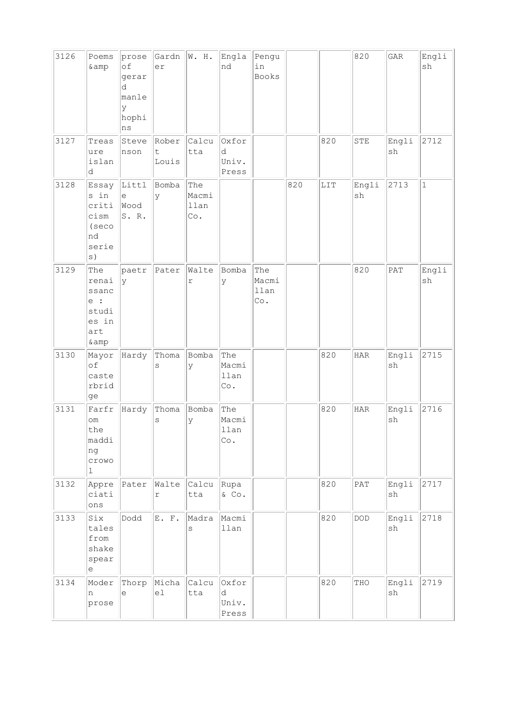| 3126 | Poems<br>& amp                                                      | prose<br>of<br>gerar<br>d<br>manle<br>У<br>hophi<br>ns | Gardn<br>er         | W. H.                       | Engla<br>nd                  | Pengu<br>in<br>Books        |     |     | 820                         | $\mathsf{GAR}$ | Engli<br>sh  |
|------|---------------------------------------------------------------------|--------------------------------------------------------|---------------------|-----------------------------|------------------------------|-----------------------------|-----|-----|-----------------------------|----------------|--------------|
| 3127 | Treas<br>ure<br>islan<br>d                                          | Steve<br>nson                                          | Rober<br>t<br>Louis | Calcu<br>tta                | Oxfor<br>d<br>Univ.<br>Press |                             |     | 820 | ${\tt STE}$                 | Engli<br>sh    | 2712         |
| 3128 | Essay<br>s in<br>criti<br>cism<br>(seco<br>nd<br>serie<br>s)        | Littl<br>$\in$<br>Wood<br>S.R.                         | Bomba<br>У          | The<br>Macmi<br>llan<br>Co. |                              |                             | 820 | LIT | Engli<br>sh                 | 2713           | $\mathbf{1}$ |
| 3129 | The<br>renai<br>ssanc<br>e :<br>studi<br>es in<br>art<br>& amp      | paetr<br>У                                             | Pater               | Walte<br>r                  | Bomba<br>У                   | The<br>Macmi<br>llan<br>Co. |     |     | 820                         | PAT            | Engli<br>sh  |
| 3130 | Mayor<br>of<br>caste<br>rbrid<br>ge                                 | Hardy                                                  | Thoma<br>S          | Bomba<br>У                  | The<br>Macmi<br>llan<br>Co.  |                             |     | 820 | <b>HAR</b>                  | Engli<br>sh    | 2715         |
| 3131 | Farfr<br>om<br>the<br>maddi<br>ng<br>crowo<br>1                     | Hardy                                                  | Thoma<br>$\rm s$    | Bomba<br>У                  | The<br>Macmi<br>llan<br>Co.  |                             |     | 820 | HAR                         | Engli<br>sh    | 2716         |
| 3132 | Appre<br>ciati<br>$\verb ons $                                      | Pater                                                  | Walte<br>r          | Calcu<br>tta                | Rupa<br>$\&$ Co.             |                             |     | 820 | $\ensuremath{\mathsf{PAT}}$ | Engli<br>sh    | 2717         |
| 3133 | Six<br>tales<br>from<br>shake<br>spear<br>$\mathop{\rm e}\nolimits$ | Dodd                                                   | E. F.               | Madra<br>S                  | Macmi<br>llan                |                             |     | 820 | $\texttt{DOD}$              | Engli<br>sh    | 2718         |
| 3134 | Moder<br>n<br>prose                                                 | Thorp<br>e                                             | Micha<br>e1         | Calcu<br>tta                | Oxfor<br>d<br>Univ.<br>Press |                             |     | 820 | THO                         | Engli<br>sh    | 2719         |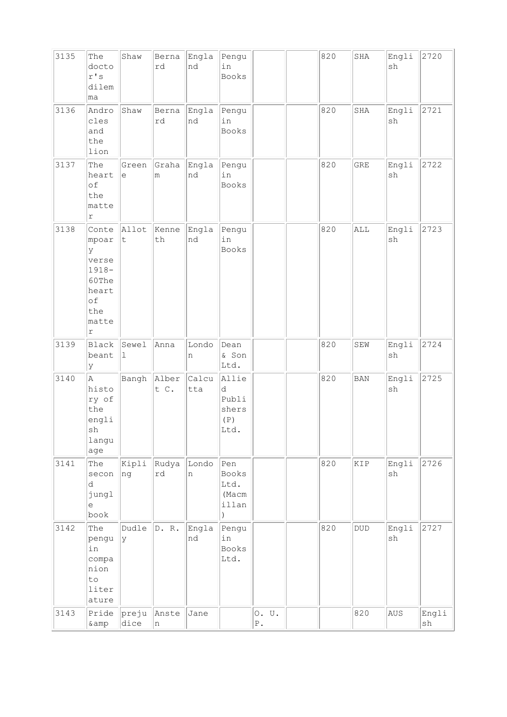| 3135 | The<br>docto<br>$r$ 's<br>dilem<br>ma                                                          | Shaw                | Berna<br>rd      | Engla<br>nd       | Pengu<br>in<br>Books                                |                      | 820 | SHA                         | Engli<br>sh                  | 2720        |
|------|------------------------------------------------------------------------------------------------|---------------------|------------------|-------------------|-----------------------------------------------------|----------------------|-----|-----------------------------|------------------------------|-------------|
| 3136 | Andro<br>cles<br>and<br>the<br>lion                                                            | Shaw                | Berna<br>rd      | Engla<br>nd       | Pengu<br>in<br>Books                                |                      | 820 | SHA                         | Engli<br>sh                  | 2721        |
| 3137 | The<br>heart<br>of<br>the<br>matte<br>$\Upsilon$                                               | Green<br>$\epsilon$ | m                | Graha Engla<br>nd | Pengu<br>in<br>Books                                |                      | 820 | <b>GRE</b>                  | Engli<br>sh                  | 2722        |
| 3138 | Conte<br>mpoar<br>У<br>verse<br>$1918 -$<br>60The<br>heart<br>of<br>the<br>matte<br>$\Upsilon$ | Allot<br>$\sf t$    | Kenne<br>th      | Engla<br>nd       | Pengu<br>in<br>Books                                |                      | 820 | ALL                         | Engli<br>sh                  | 2723        |
| 3139 | Black<br>beant<br>У                                                                            | Sewel<br>ı          | Anna             | Londo<br>n        | Dean<br>& Son<br>Ltd.                               |                      | 820 | SEW                         | Engli<br>$\operatorname{sh}$ | 2724        |
| 3140 | $\mathbb{A}$<br>histo<br>ry of<br>the<br>engli<br>sh<br>langu<br>age                           | Bangh               | Alber<br>t C.    | Calcu<br>tta      | Allie<br>d<br>Publi<br>shers<br>(P)<br>Ltd.         |                      | 820 | <b>BAN</b>                  | Engli<br>sh                  | 2725        |
| 3141 | The<br>secon<br>d<br>jungl<br>$\mathrel{\mathop{\mathrm{e}}\nolimits}$<br>book                 | Kipli<br>ng         | $\ $ Rudya<br>rd | Londo<br>n        | Pen<br>Books<br>Ltd.<br>(Macm<br>illan<br>$\lambda$ |                      | 820 | KIP                         | Engli<br>sh                  | 2726        |
| 3142 | The<br>pengu<br>in<br>compa<br>nion<br>to<br>liter<br>ature                                    | Dudle<br>lУ         | D. R.            | Engla<br>nd       | Pengu<br>in<br>Books<br>Ltd.                        |                      | 820 | $\ensuremath{\mathsf{DUD}}$ | Engli<br>sh                  | 2727        |
| 3143 | Pride<br>$\&amp$                                                                               | preju<br>dice       | Anste<br> n      | Jane              |                                                     | 0. U.<br>${\tt P}$ . |     | 820                         | AUS                          | Engli<br>sh |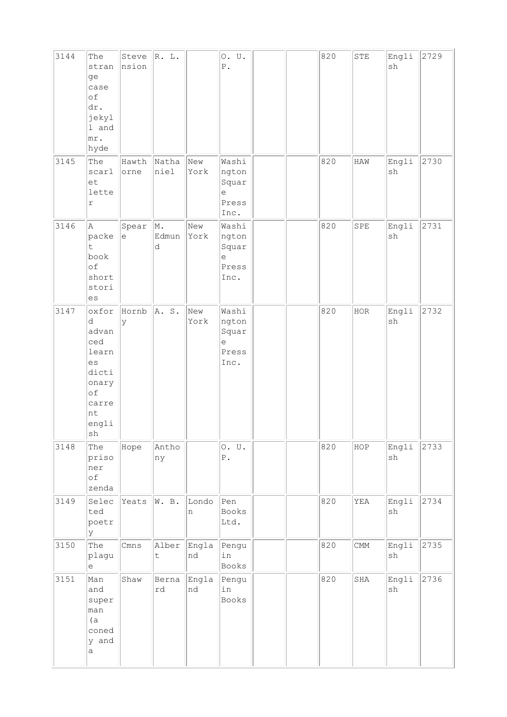| 3144 | The<br>stran<br>ge<br>case<br>of<br>dr.<br>jekyl<br>1 and<br>$ m r$ .<br>hyde                   | Steve<br>nsion                                    | R. L.                |             | 0. U.<br>${\mathbb P}$ .                                              |  | 820 | ${\tt STE}$ | Engli<br>$\operatorname{sh}$ | 2729 |
|------|-------------------------------------------------------------------------------------------------|---------------------------------------------------|----------------------|-------------|-----------------------------------------------------------------------|--|-----|-------------|------------------------------|------|
| 3145 | The<br>scarl<br>et<br>lette<br>r                                                                | Hawth<br>orne                                     | Natha<br>niel        | New<br>York | Washi<br>ngton<br>Squar<br>$\mathop{\rm e}\nolimits$<br>Press<br>Inc. |  | 820 | HAW         | Engli<br>$\operatorname{sh}$ | 2730 |
| 3146 | A<br>packe<br>t.<br>book<br>of<br>short<br>stori<br>es                                          | Spear<br>$\mathrel{\mathop{\mathrm{e}}\nolimits}$ | M.<br>Edmun<br>d     | New<br>York | Washi<br>ngton<br>Squar<br>$\in$<br>Press<br>Inc.                     |  | 820 | SPE         | Engli<br>$\operatorname{sh}$ | 2731 |
| 3147 | oxfor<br>d<br>advan<br>ced<br>learn<br>es<br>dicti<br>onary<br>of<br>carre<br>nt<br>engli<br>sh | Hornb<br>У                                        | A. S.                | New<br>York | Washi<br>ngton<br>Squar<br>е<br>Press<br>Inc.                         |  | 820 | HOR         | Engli<br>sh                  | 2732 |
| 3148 | The<br>priso<br>ner<br>оf<br>zenda                                                              | Hope                                              | Antho<br>ny          |             | 0. U.<br>${\tt P}$ .                                                  |  | 820 | HOP         | Engli<br>$\operatorname{sh}$ | 2733 |
| 3149 | Selec<br>ted<br>poetr<br>У                                                                      | Yeats                                             | W. B.                | Londo<br>n  | Pen<br>Books<br>Ltd.                                                  |  | 820 | YEA         | Engli<br>$\operatorname{sh}$ | 2734 |
| 3150 | The<br>plagu<br>е                                                                               | Cmns                                              | Alber<br>$\mathsf t$ | Engla<br>nd | Pengu<br>in<br>Books                                                  |  | 820 | CMM         | Engli<br>$\operatorname{sh}$ | 2735 |
| 3151 | Man<br>and<br>super<br>man<br>(a)<br>coned<br>y and<br>a                                        | Shaw                                              | Berna<br>rd          | Engla<br>nd | Pengu<br>in<br>Books                                                  |  | 820 | SHA         | Engli<br>sh                  | 2736 |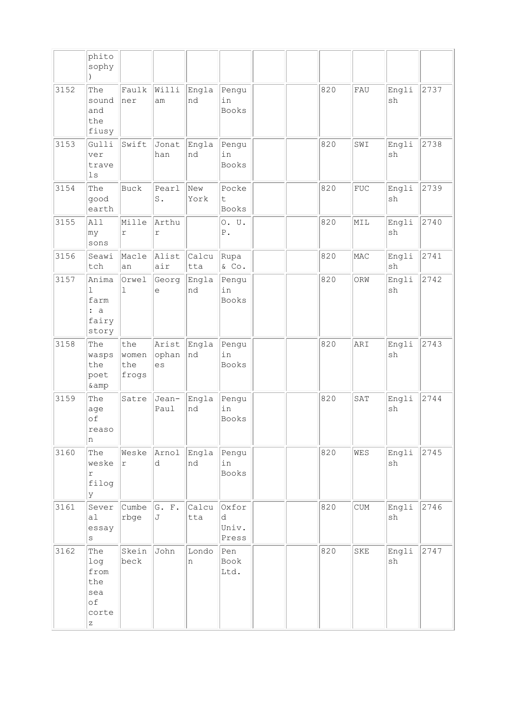|      | phito<br>sophy                                                                                           |                              |                         |              |                              |  |     |                             |                              |      |
|------|----------------------------------------------------------------------------------------------------------|------------------------------|-------------------------|--------------|------------------------------|--|-----|-----------------------------|------------------------------|------|
| 3152 | The<br>sound<br>and<br>the<br>fiusy                                                                      | Faulk<br>ner                 | Willi<br>am             | Engla<br>nd  | Pengu<br>in<br>Books         |  | 820 | FAU                         | Engli<br>sh                  | 2737 |
| 3153 | Gulli<br>ver<br>trave<br>$\log$                                                                          | Swift                        | Jonat<br>han            | Engla<br>nd  | Pengu<br>in<br>Books         |  | 820 | SWI                         | Engli<br>sh                  | 2738 |
| 3154 | The<br>good<br>earth                                                                                     | Buck                         | Pearl<br>$\texttt{S}$ . | New<br>York  | Pocke<br>t.<br>Books         |  | 820 | ${\rm FUC}$                 | Engli<br>sh                  | 2739 |
| 3155 | All<br>my<br>sons                                                                                        | Mille<br>$\mathtt{r}$        | Arthu<br>$\Upsilon$     |              | 0. U.<br>${\mathbb P}$ .     |  | 820 | MIL                         | Engli<br>sh                  | 2740 |
| 3156 | Seawi<br>tch                                                                                             | Macle<br>an                  | Alist<br>air            | Calcu<br>tta | Rupa<br>& Co.                |  | 820 | MAC                         | Engli<br>sh                  | 2741 |
| 3157 | Anima<br>$\mathbf 1$<br>farm<br>: a<br>fairy<br>story                                                    | Orwel<br>1                   | Georg<br>e              | Engla<br>nd  | Pengu<br>in<br>Books         |  | 820 | ORW                         | Engli<br>sh                  | 2742 |
| 3158 | The<br>wasps<br>the<br>poet<br>& amp                                                                     | the<br>women<br>the<br>frogs | Arist<br>ophan<br>es    | Engla<br>Ind | Pengu<br>in<br>Books         |  | 820 | ARI                         | Engli<br>sh                  | 2743 |
| 3159 | The<br>age<br>of<br>reaso<br>n                                                                           | Satre                        | Jean-<br>Paul           | Engla<br>nd  | Pengu<br>in<br><b>Books</b>  |  | 820 | SAT                         | Engli<br>sh                  | 2744 |
| 3160 | The<br>weske<br>r<br>filog<br>У                                                                          | Weske<br>r                   | Arnol<br>d              | Engla<br>nd  | Pengu<br>in<br>Books         |  | 820 | WES                         | Engli<br>sh                  | 2745 |
| 3161 | Sever<br>a1<br>essay<br>$\mathtt{s}$                                                                     | Cumbe<br>rbge                | G. F.<br>J              | Calcu<br>tta | Oxfor<br>d<br>Univ.<br>Press |  | 820 | $\ensuremath{\mathrm{CUM}}$ | Engli<br>$\operatorname{sh}$ | 2746 |
| 3162 | The<br>log<br>from<br>the<br>sea<br>of<br>corte<br>$\mathbf{Z}% ^{T}=\mathbf{Z}^{T}\times\mathbf{Z}^{T}$ | Skein<br>beck                | John                    | Londo<br>n   | Pen<br>Book<br>Ltd.          |  | 820 | SKE                         | Engli<br>sh                  | 2747 |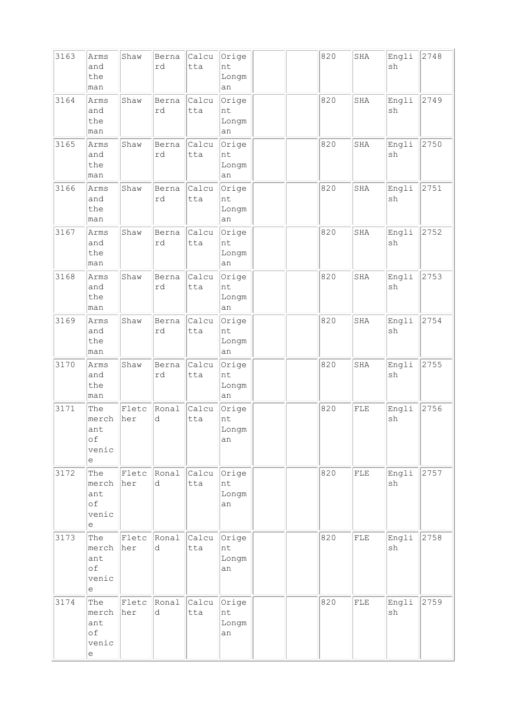| 3163 | Arms<br>and<br>the<br>man                                                      | Shaw         | Berna<br>rd | Calcu<br>tta | Orige<br>nt<br>Longm<br>an |  | 820 | SHA         | Engli<br>sh | 2748 |
|------|--------------------------------------------------------------------------------|--------------|-------------|--------------|----------------------------|--|-----|-------------|-------------|------|
| 3164 | Arms<br>and<br>the<br>man                                                      | Shaw         | Berna<br>rd | Calcu<br>tta | Orige<br>nt<br>Longm<br>an |  | 820 | SHA         | Engli<br>sh | 2749 |
| 3165 | Arms<br>and<br>the<br>man                                                      | Shaw         | Berna<br>rd | Calcu<br>tta | Orige<br>nt<br>Longm<br>an |  | 820 | SHA         | Engli<br>sh | 2750 |
| 3166 | Arms<br>and<br>the<br>man                                                      | Shaw         | Berna<br>rd | Calcu<br>tta | Orige<br>nt<br>Longm<br>an |  | 820 | SHA         | Engli<br>sh | 2751 |
| 3167 | Arms<br>and<br>the<br>man                                                      | Shaw         | Berna<br>rd | Calcu<br>tta | Orige<br>nt<br>Longm<br>an |  | 820 | SHA         | Engli<br>sh | 2752 |
| 3168 | Arms<br>and<br>the<br>man                                                      | Shaw         | Berna<br>rd | Calcu<br>tta | Orige<br>nt<br>Longm<br>an |  | 820 | SHA         | Engli<br>sh | 2753 |
| 3169 | Arms<br>and<br>the<br>man                                                      | Shaw         | Berna<br>rd | Calcu<br>tta | Orige<br>nt<br>Longm<br>an |  | 820 | SHA         | Engli<br>sh | 2754 |
| 3170 | Arms<br>and<br>the<br>man                                                      | Shaw         | Berna<br>rd | Calcu<br>tta | Orige<br>nt<br>Longm<br>an |  | 820 | SHA         | Engli<br>sh | 2755 |
| 3171 | The<br>merch<br>ant<br>of<br>venic<br>e                                        | Fletc<br>her | Ronal<br>d  | Calcu<br>tta | Orige<br>nt<br>Longm<br>an |  | 820 | FLE         | Engli<br>sh | 2756 |
| 3172 | The<br>merch<br>ant<br>of<br>venic<br>е                                        | Fletc<br>her | Ronal<br>d  | Calcu<br>tta | Orige<br>nt<br>Longm<br>an |  | 820 | ${\rm FLE}$ | Engli<br>sh | 2757 |
| 3173 | The<br>merch<br>ant<br>of<br>venic<br>e                                        | Fletc<br>her | Ronal<br>d  | Calcu<br>tta | Orige<br>nt<br>Longm<br>an |  | 820 | ${\rm FLE}$ | Engli<br>sh | 2758 |
| 3174 | The<br>merch<br>ant<br>of<br>venic<br>$\mathrel{\mathop{\mathrm{e}}\nolimits}$ | Fletc<br>her | Ronal<br>d  | Calcu<br>tta | Orige<br>nt<br>Longm<br>an |  | 820 | ${\rm FLE}$ | Engli<br>sh | 2759 |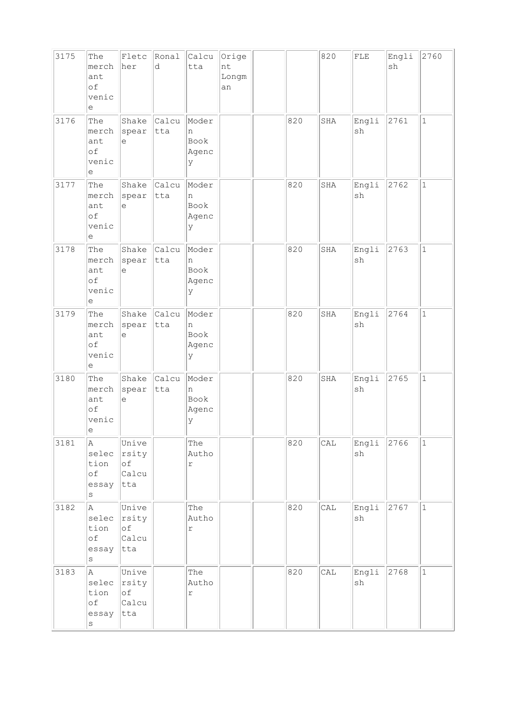| 3175 | The<br>merch<br>ant<br>оf<br>venic<br>e                                        | Fletc<br>her                                | Ronal<br>d          | Calcu<br>tta                     | Orige<br>nt<br>Longm<br>an |     | 820 | ${\rm FLE}$ | Engli<br>sh | 2760         |
|------|--------------------------------------------------------------------------------|---------------------------------------------|---------------------|----------------------------------|----------------------------|-----|-----|-------------|-------------|--------------|
| 3176 | The<br>merch<br>ant<br>of<br>venic<br>е                                        | Shake<br>spear<br>$\in$                     | <b>Calcu</b><br>tta | Moder<br>n<br>Book<br>Agenc<br>У |                            | 820 | SHA | Engli<br>sh | 2761        | $\mathbf{1}$ |
| 3177 | The<br>merch<br>ant<br>of<br>venic<br>$\mathrel{\mathop{\mathrm{e}}\nolimits}$ | Shake<br>spear<br>e                         | Calcu<br>tta        | Moder<br>n<br>Book<br>Agenc<br>У |                            | 820 | SHA | Engli<br>sh | 2762        | $\mathbf{1}$ |
| 3178 | The<br>merch<br>ant<br>оf<br>venic<br>е                                        | Shake<br>spear<br>$\epsilon$                | <b>Calcu</b><br>tta | Moder<br>n<br>Book<br>Agenc<br>У |                            | 820 | SHA | Engli<br>sh | 2763        | $\mathbf{1}$ |
| 3179 | The<br>merch<br>ant<br>of<br>venic<br>е                                        | Shake<br>spear<br>$\epsilon$                | Calcu<br>tta        | Moder<br>n<br>Book<br>Agenc<br>У |                            | 820 | SHA | Engli<br>sh | 2764        | $\mathbf{1}$ |
| 3180 | The<br>merch<br>ant<br>of<br>venic<br> e                                       | Shake<br>spear<br>$\in$                     | Calcu<br>tta        | Moder<br>n<br>Book<br>Agenc<br>Y |                            | 820 | SHA | Engli<br>sh | 2765        | $\mathbf{1}$ |
| 3181 | A<br>selec<br>tion<br>of<br>essay<br>$\rm s$                                   | Unive<br>rsity<br>of<br>Calcu<br>tta        |                     | The<br>Autho<br>$\mathtt{r}$     |                            | 820 | CAL | Engli<br>sh | 2766        | $\mathbf 1$  |
| 3182 | A<br>selec<br>tion<br>$\circ f$<br>essay<br>S                                  | Unive<br>rsity<br>$\circ f$<br>Calcu<br>tta |                     | The<br>Autho<br>$\Upsilon$       |                            | 820 | CAL | Engli<br>sh | 2767        | $\mathbf{1}$ |
| 3183 | A<br>selec<br>tion<br>оf<br>essay<br>S                                         | Unive<br>rsity<br>$\circ f$<br>Calcu<br>tta |                     | The<br>Autho<br>r                |                            | 820 | CAL | Engli<br>sh | 2768        | $\mathbf{1}$ |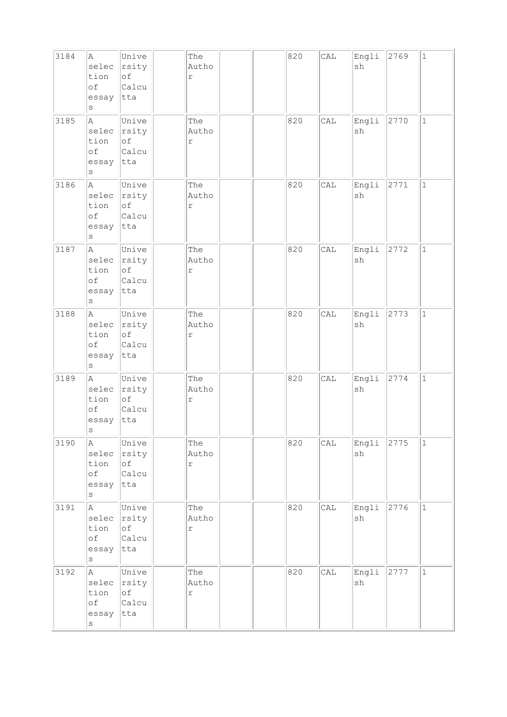| 3184 | A<br>selec<br>tion<br>of<br>essay<br>S         | Unive<br>rsity<br>of<br>Calcu<br> tta       | The<br>Autho<br>$\Upsilon$   |  | 820 | CAL | Engli<br>sh | 2769 | $\mathbf 1$  |
|------|------------------------------------------------|---------------------------------------------|------------------------------|--|-----|-----|-------------|------|--------------|
| 3185 | A<br>selec<br>tion<br>of<br>essay<br>$\rm s$   | Unive<br>rsity<br>of<br>Calcu<br>tta        | The<br>Autho<br>$\mathtt{r}$ |  | 820 | CAL | Engli<br>sh | 2770 | $\mathbf 1$  |
| 3186 | A.<br>selec<br>tion<br>of<br>essay<br>$\rm s$  | Unive<br>rsity<br>of<br>Calcu<br>tta        | The<br>Autho<br>$\mathtt{r}$ |  | 820 | CAL | Engli<br>sh | 2771 | $\mathbf{1}$ |
| 3187 | A<br>selec<br>tion<br>of<br>essay<br>$\rm s$   | Unive<br>rsity<br>of<br>Calcu<br>tta        | The<br>Autho<br>$\mathtt{r}$ |  | 820 | CAL | Engli<br>sh | 2772 | $1\,$        |
| 3188 | la.<br>selec<br>tion<br>of<br>essay<br>$\rm s$ | Unive<br>rsity<br>of<br>Calcu<br>tta        | The<br>Autho<br>$\Upsilon$   |  | 820 | CAL | Engli<br>sh | 2773 | $\mathbf{1}$ |
| 3189 | A<br>selec<br>tion<br>of<br>essay<br>s         | Unive<br>rsity<br>of<br>Calcu<br>tta        | The<br>Autho<br>$\Upsilon$   |  | 820 | CAL | Engli<br>sh | 2774 | $\mathbf{1}$ |
| 3190 | A<br>selec<br>tion<br>of<br>essay<br>$\vert$ S | Unive<br>rsity<br>of<br>Calcu<br>tta        | The<br>Autho<br>$\Upsilon$   |  | 820 | CAL | Engli<br>sh | 2775 | $\mathbf 1$  |
| 3191 | A<br>selec<br>tion<br>$\circ f$<br>essay<br>S  | Unive<br>rsity<br>of<br>Calcu<br>tta        | The<br>Autho<br>$\Upsilon$   |  | 820 | CAL | Engli<br>sh | 2776 | $\mathbf{1}$ |
| 3192 | A<br>selec<br>tion<br>оf<br>essay<br>$\rm s$   | Unive<br>rsity<br>$\circ$ f<br>Calcu<br>tta | The<br>Autho<br>$\mathtt{r}$ |  | 820 | CAL | Engli<br>sh | 2777 | $\mathbf{1}$ |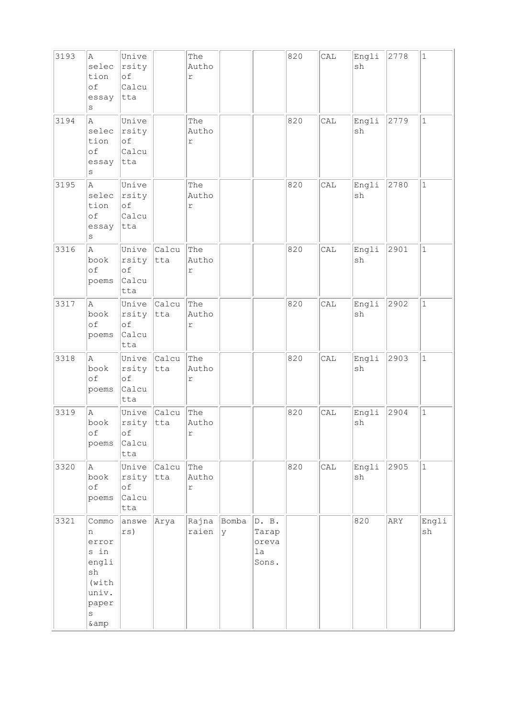| 3193 | Α<br>selec<br>tion<br>of<br>essay<br>S                                                 | Unive<br>rsity<br>of<br>Calcu<br>tta |                     | The<br>Autho<br>$\Upsilon$   |            |                                        | 820 | CAL | Engli<br>sh | 2778 | $\mathbf 1$  |
|------|----------------------------------------------------------------------------------------|--------------------------------------|---------------------|------------------------------|------------|----------------------------------------|-----|-----|-------------|------|--------------|
| 3194 | A<br>selec<br>tion<br>of<br>essay<br>$\rm s$                                           | Unive<br>rsity<br>of<br>Calcu<br>tta |                     | The<br>Autho<br>$\mathtt{r}$ |            |                                        | 820 | CAL | Engli<br>sh | 2779 | $\mathbf{1}$ |
| 3195 | A<br>selec<br>tion<br>of<br>essay<br>$\rm s$                                           | Unive<br>rsity<br>of<br>Calcu<br>tta |                     | The<br>Autho<br>$\Upsilon$   |            |                                        | 820 | CAL | Engli<br>sh | 2780 | $\mathbf{1}$ |
| 3316 | A<br>book<br>of<br>poems                                                               | rsity tta<br>of<br>Calcu<br>tta      | Unive Calcu         | The<br>Autho<br>r            |            |                                        | 820 | CAL | Engli<br>sh | 2901 | $\mathbf{1}$ |
| 3317 | la.<br>book<br>of<br>poems                                                             | rsity<br>of<br>Calcu<br>tta          | Unive Calcu<br>tta  | The<br>Autho<br>$\Upsilon$   |            |                                        | 820 | CAL | Engli<br>sh | 2902 | $\mathbf{1}$ |
| 3318 | A<br>book<br>of<br>poems                                                               | Unive<br>rsity<br>of<br>Calcu<br>tta | <b>Calcu</b><br>tta | The<br>Autho<br>r            |            |                                        | 820 | CAL | Engli<br>sh | 2903 | $\mathbf{1}$ |
| 3319 | A<br>book<br>оf<br>poems                                                               | rsity tta<br>оf<br>Calcu<br>tta      | Unive Calcu         | The<br>Autho<br>$\mathtt{r}$ |            |                                        | 820 | CAL | Engli<br>sh | 2904 | $\mathbf{1}$ |
| 3320 | A<br>book<br>of<br>poems                                                               | Unive<br>rsity<br>of<br>Calcu<br>tta | Calcu<br>tta        | The<br>Autho<br>$\Upsilon$   |            |                                        | 820 | CAL | Engli<br>sh | 2905 | $\vert$ 1    |
| 3321 | Commo<br>n<br>error<br>s in<br>engli<br>sh<br>(with)<br>univ.<br>paper<br>S<br>$\&amp$ | answe<br>rs)                         | Arya                | Rajna<br>raien               | Bomba<br>У | D. B.<br>Tarap<br>oreva<br>la<br>Sons. |     |     | 820         | ARY  | Engli<br>sh  |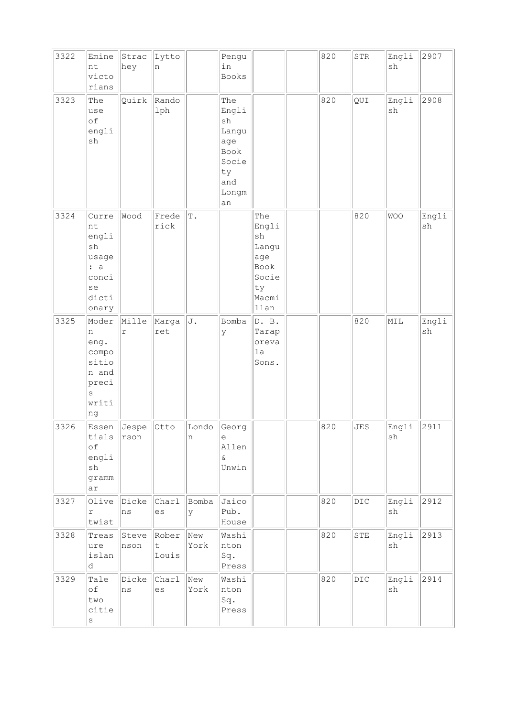| 3322 | Emine<br>nt<br>victo<br>rians                                               | Strac<br>hey                      | Lytto<br>n                    |               | Pengu<br>in<br>Books                                                                             |                                                                                             | 820 | ${\tt STR}$    | Engli<br>sh                  | 2907        |
|------|-----------------------------------------------------------------------------|-----------------------------------|-------------------------------|---------------|--------------------------------------------------------------------------------------------------|---------------------------------------------------------------------------------------------|-----|----------------|------------------------------|-------------|
| 3323 | The<br>use<br>of<br>engli<br>sh                                             | Quirk                             | Rando<br>lph                  |               | The<br>Engli<br>$\operatorname{sh}$<br>Langu<br>age<br>Book<br>Socie<br>ty<br>and<br>Longm<br>an |                                                                                             | 820 | QUI            | Engli<br>sh                  | 2908        |
| 3324 | Curre<br>nt<br>engli<br>sh<br>usage<br>: a<br>conci<br>se<br>dicti<br>onary | Wood                              | Frede<br>rick                 | $\mathbb T$ . |                                                                                                  | The<br>Engli<br>$\operatorname{sh}$<br>Langu<br>age<br>Book<br>Socie<br>ty<br>Macmi<br>llan |     | 820            | <b>WOO</b>                   | Engli<br>sh |
| 3325 | Moder<br>n<br>eng.<br>compo<br>sitio<br>n and<br>preci<br>S<br>writi<br>ng  | Mille<br>r                        | Marga<br>ret                  | J.            | Bomba<br>У                                                                                       | D. B.<br>Tarap<br>oreva<br>la<br>Sons.                                                      |     | 820            | MIL                          | Engli<br>sh |
| 3326 | Essen<br>tials<br>of<br>engli<br>$\operatorname{sh}$<br>gramm<br>ar         | Jespe<br>$r \, \rm{s} \, \rm{on}$ | Otto                          | Londo<br>n    | Georg<br>$\mathrel{\text{e}}$<br>Allen<br>$\delta$<br>Unwin                                      |                                                                                             | 820 | <b>JES</b>     | Engli<br>$\operatorname{sh}$ | 2911        |
| 3327 | Olive<br>r<br>twist                                                         | Dicke<br>ns                       | Charl<br>es                   | Bomba<br>У    | Jaico<br>Pub.<br>House                                                                           |                                                                                             | 820 | $_{\rm DIC}$   | Engli<br>sh                  | 2912        |
| 3328 | Treas<br>ure<br>islan<br>d                                                  | Steve<br>nson                     | Rober<br>$\mathsf t$<br>Louis | New<br>York   | Washi<br>nton<br>Sq.<br>Press                                                                    |                                                                                             | 820 | ${\tt STE}$    | Engli<br>sh                  | 2913        |
| 3329 | Tale<br>$\circ f$<br>two<br>citie<br>$\rm S$                                | Dicke<br>ns                       | Charl<br>es                   | New<br>York   | Washi<br>nton<br>Sq.<br>Press                                                                    |                                                                                             | 820 | $\mathtt{DIC}$ | Engli<br>sh                  | 2914        |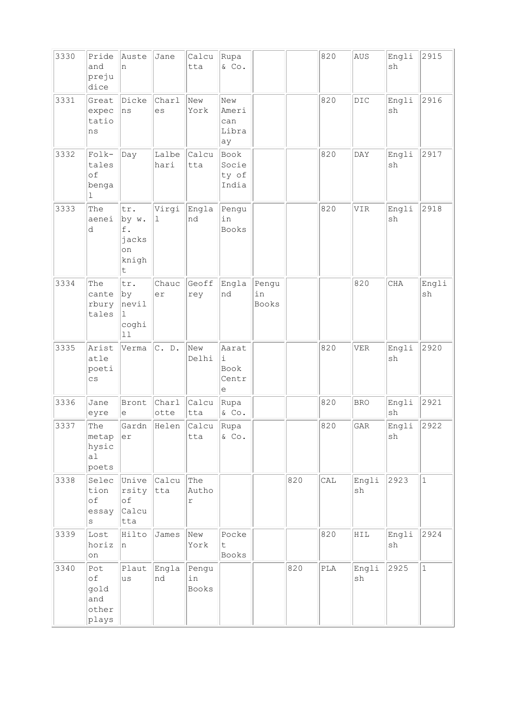| 3330 | Pride<br>and<br>preju<br>dice              | Auste<br>n                                      | Jane                 | Calcu<br>tta         | Rupa<br>& Co.                      |                      |     | 820 | AUS         | Engli<br>sh                  | 2915         |
|------|--------------------------------------------|-------------------------------------------------|----------------------|----------------------|------------------------------------|----------------------|-----|-----|-------------|------------------------------|--------------|
| 3331 | Great<br>expec<br>tatio<br>ns              | Dicke<br> ns                                    | Charl<br>es          | New<br>York          | New<br>Ameri<br>can<br>Libra<br>ay |                      |     | 820 | DIC         | Engli<br>sh                  | 2916         |
| 3332 | $Folk-$<br>tales<br>of<br>benga<br>1       | Day                                             | Lalbe<br>hari        | Calcu<br>tta         | Book<br>Socie<br>ty of<br>India    |                      |     | 820 | DAY         | Engli<br>sh                  | 2917         |
| 3333 | The<br>aenei<br>d                          | tr.<br>by w.<br>f.<br>jacks<br>on<br>knigh<br>t | Virgi<br>$\mathbf 1$ | Engla<br>nd          | Pengu<br>in<br>Books               |                      |     | 820 | VIR         | Engli<br>sh                  | 2918         |
| 3334 | The<br>cante<br>rbury<br>tales             | tr.<br>by<br>nevil<br>ı<br>coghi<br>11          | Chauc<br>er          | Geoff<br>rey         | Engla<br>nd                        | Pengu<br>in<br>Books |     |     | 820         | CHA                          | Engli<br>sh  |
| 3335 | Arist<br>atle<br>poeti<br>$\mathsf{cs}$    | Verma                                           | C. D.                | New<br>Delhi         | Aarat<br>i.<br>Book<br>Centr<br>е  |                      |     | 820 | <b>VER</b>  | Engli<br>sh                  | 2920         |
| 3336 | Jane<br>eyre                               | Bront<br>е                                      | Charl<br>otte        | Calcu<br>tta         | Rupa<br>& Co.                      |                      |     | 820 | <b>BRO</b>  | Engli<br>sh                  | 2921         |
| 3337 | The<br>metap<br>hysic<br>a1<br>poets       | Gardn<br>er                                     | Helen                | Calcu<br>tta         | Rupa<br>$\&$ Co.                   |                      |     | 820 | <b>GAR</b>  | Engli<br>$\operatorname{sh}$ | 2922         |
| 3338 | Selec<br>tion<br>$\circ f$<br>essay<br>S   | Unive Calcu<br>rsity<br>of<br> Calcu<br>tta     | tta                  | The<br>Autho<br>r    |                                    |                      | 820 | CAL | Engli<br>sh | 2923                         | $\mathbf{1}$ |
| 3339 | Lost<br>horiz<br>on                        | Hilto<br>n                                      | James                | New<br>York          | Pocke<br>t<br>Books                |                      |     | 820 | HIL         | Engli<br>sh                  | 2924         |
| 3340 | Pot<br>of<br>gold<br>and<br>other<br>plays | Plaut<br>lus                                    | Engla<br>nd          | Pengu<br>in<br>Books |                                    |                      | 820 | PLA | Engli<br>sh | 2925                         | $\mathbf{1}$ |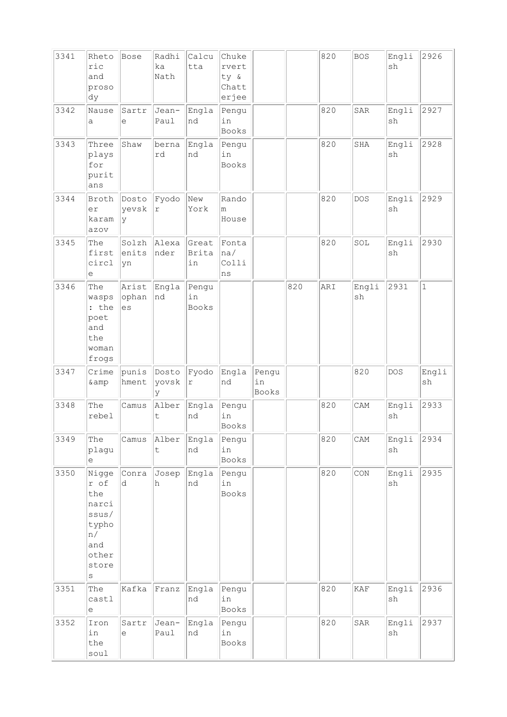| 3341 | Rheto<br>ric<br>and<br>proso<br>dy                                                        | Bose                 | Radhi<br>ka<br>Nath            | Calcu<br>tta                | Chuke<br>rvert<br>ty &<br>Chatt<br>erjee |                             |     | 820 | <b>BOS</b>  | Engli<br>sh                  | 2926         |
|------|-------------------------------------------------------------------------------------------|----------------------|--------------------------------|-----------------------------|------------------------------------------|-----------------------------|-----|-----|-------------|------------------------------|--------------|
| 3342 | Nause<br>a                                                                                | Sartr<br>е           | Jean-<br>Paul                  | Engla<br>nd                 | Pengu<br>in<br>Books                     |                             |     | 820 | SAR         | Engli<br>sh                  | 2927         |
| 3343 | Three<br>plays<br>for<br>purit<br>ans                                                     | Shaw                 | berna<br>rd                    | Engla<br>nd                 | Pengu<br>in<br><b>Books</b>              |                             |     | 820 | SHA         | Engli<br>sh                  | 2928         |
| 3344 | Broth<br>er<br>karam<br>azov                                                              | Dosto<br>yevsk<br> y | Fyodo<br>$\Upsilon$            | New<br>York                 | Rando<br>m<br>House                      |                             |     | 820 | <b>DOS</b>  | Engli<br>sh                  | 2929         |
| 3345 | The<br>first<br>circl<br>е                                                                | Solzh<br>enits<br>yn | Alexa<br>nder                  | Great<br>Brita<br>in        | Fonta<br> na/<br>Colli<br>ns             |                             |     | 820 | SOL         | Engli<br>sh                  | 2930         |
| 3346 | The<br>wasps<br>: the<br>poet<br>and<br>the<br>woman<br>frogs                             | Arist<br>ophan<br>es | Engla<br>nd                    | Pengu<br>in<br><b>Books</b> |                                          |                             | 820 | ARI | Engli<br>sh | 2931                         | $\mathbf{1}$ |
| 3347 | Crime<br>& amp                                                                            | punis<br>hment       | Dosto<br>yovsk<br><sup>y</sup> | Fyodo<br>$\Upsilon$         | Engla<br>nd                              | Pengu<br>in<br><b>Books</b> |     |     | 820         | <b>DOS</b>                   | Engli<br>sh  |
| 3348 | The<br>rebel                                                                              | Camus                | Alber<br>t                     | Engla<br>nd                 | Pengu<br>in<br>Books                     |                             |     | 820 | CAM         | Engli<br>sh                  | 2933         |
| 3349 | The<br>plagu<br>е                                                                         | Camus                | Alber<br>$\mathsf t$           | Engla<br>nd                 | Pengu<br>in<br>Books                     |                             |     | 820 | CAM         | Engli<br>sh                  | 2934         |
| 3350 | Nigge<br>r of<br>the<br>narci<br>ssus/<br>typho<br>n/<br>and<br>other<br>store<br>$\rm s$ | Conra<br>d           | Josep<br>h                     | Engla<br>nd                 | Pengu<br>in<br>Books                     |                             |     | 820 | CON         | Engli<br>sh                  | 2935         |
| 3351 | The<br>castl<br>e                                                                         | Kafka                | Franz                          | Engla<br>nd                 | Pengu<br>in<br>Books                     |                             |     | 820 | KAF         | Engli<br>$\operatorname{sh}$ | 2936         |
| 3352 | Iron<br>in<br>the<br>soul                                                                 | Sartr<br>e           | Jean-<br>Paul                  | Engla<br>nd                 | Pengu<br>in<br>Books                     |                             |     | 820 | SAR         | Engli<br>sh                  | 2937         |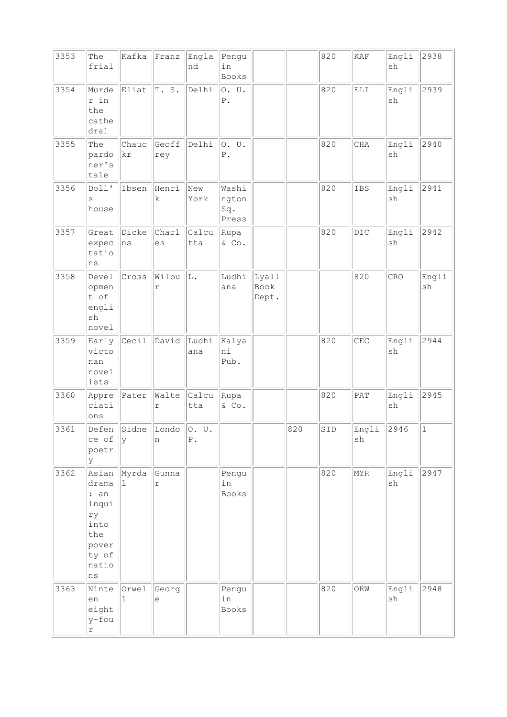| 3353 | The<br>frial                                                                          | Kafka                | Franz                  | Engla<br>nd     | Pengu<br>in<br>Books           |                        |     | 820 | $\ensuremath{\text{KAF}}$ | Engli<br>sh | 2938        |
|------|---------------------------------------------------------------------------------------|----------------------|------------------------|-----------------|--------------------------------|------------------------|-----|-----|---------------------------|-------------|-------------|
| 3354 | Murde<br>r in<br>the<br>cathe<br>dral                                                 | Eliat                | T.S.                   | Delhi           | O. U.<br>${\mathbb P}$ .       |                        |     | 820 | ELI                       | Engli<br>sh | 2939        |
| 3355 | The<br>pardo<br>ner's<br>tale                                                         | Chauc<br>kr          | Geoff<br>rey           | Delhi           | 0. U.<br>${\tt P}$ .           |                        |     | 820 | <b>CHA</b>                | Engli<br>sh | 2940        |
| 3356 | Doll'<br>S<br>house                                                                   | Ibsen                | Henri<br>$\mathbf k$   | New<br>York     | Washi<br>ngton<br>Sq.<br>Press |                        |     | 820 | IBS                       | Engli<br>sh | 2941        |
| 3357 | Great<br>expec<br>tatio<br>$\rm ns$                                                   | Dicke<br>ns          | Charl<br>es            | Calcu<br>tta    | Rupa<br>& Co.                  |                        |     | 820 | DIC                       | Engli<br>sh | 2942        |
| 3358 | Devel<br>opmen<br>t of<br>engli<br>sh<br>novel                                        | Cross                | Wilbu<br>$\Upsilon$    | L.              | Ludhi<br>ana                   | Lyall<br>Book<br>Dept. |     |     | 820                       | CRO         | Engli<br>sh |
| 3359 | Early<br>victo<br>nan<br>novel<br>ists                                                | $ {\texttt{Cecil}} $ | David                  | Ludhi<br>ana    | Kalya<br>ni<br>Pub.            |                        |     | 820 | CEC                       | Engli<br>sh | 2944        |
| 3360 | Appre<br>ciati<br>ons                                                                 | Pater                | Walte<br>$\Upsilon$    | Calcu<br>tta    | Rupa<br>& Co.                  |                        |     | 820 | PAT                       | Engli<br>sh | 2945        |
| 3361 | Defen<br>ce of<br>poetr<br>У                                                          | y                    | Sidne Londo O. U.<br>n | ${\mathbb P}$ . |                                |                        | 820 | SID | Engli<br>sh               | 2946        | $ 1\rangle$ |
| 3362 | Asian<br>drama<br>: an<br>inqui<br>ry<br>into<br>the<br>pover<br>ty of<br>natio<br>ns | Myrda<br>ı.          | Gunna<br>$\mathtt{r}$  |                 | Pengu<br>in<br>Books           |                        |     | 820 | MYR                       | Engli<br>sh | 2947        |
| 3363 | Ninte<br>en<br>eight<br>y-fou<br>r                                                    | Orwel<br>ı           | Georg<br>е             |                 | Pengu<br>in<br>Books           |                        |     | 820 | ORW                       | Engli<br>sh | 2948        |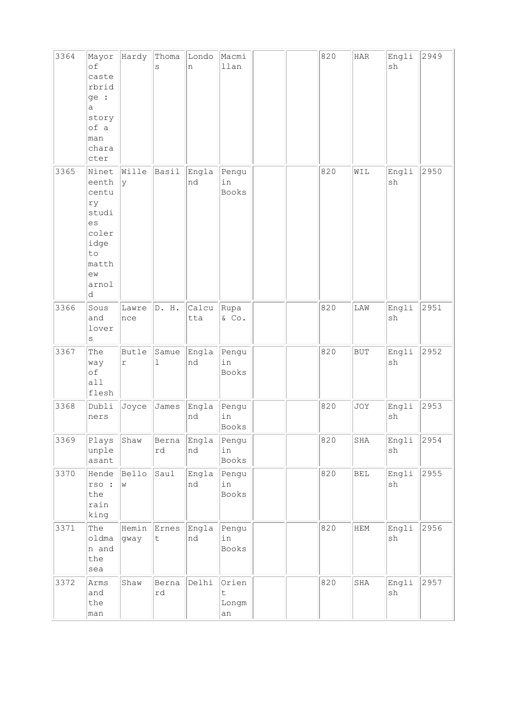| 3364 | Mayor<br>of<br>caste<br>rbrid<br>ge :<br>a<br>story<br>of a<br>man<br>chara<br>cter              | Hardy                      | Thoma<br>S             | Londo<br>n   | Macmi<br>llan              |  | 820 | $_{\rm HAR}$ | Engli<br>sh                  | 2949 |
|------|--------------------------------------------------------------------------------------------------|----------------------------|------------------------|--------------|----------------------------|--|-----|--------------|------------------------------|------|
| 3365 | Ninet<br>eenth<br>centu<br>ry<br>studi<br>es<br>coler<br>idge<br>to<br>matth<br>ew<br>arnol<br>d | Wille<br>У                 | Basil                  | Engla<br>nd  | Pengu<br>in<br>Books       |  | 820 | WIL          | Engli<br>sh                  | 2950 |
| 3366 | Sous<br>and<br>lover<br>S                                                                        | Lawre<br>nce               | D. H.                  | Calcu<br>tta | Rupa<br>& Co.              |  | 820 | LAW          | Engli<br>sh                  | 2951 |
| 3367 | The<br>way<br>of<br>all<br>flesh                                                                 | <b>Butle</b><br>$\Upsilon$ | Samue<br>ı             | Engla<br>nd  | Pengu<br>in<br>Books       |  | 820 | <b>BUT</b>   | Engli<br>sh                  | 2952 |
| 3368 | Dubli<br>ners                                                                                    | Joyce                      | James                  | Engla<br>nd  | Pengu<br>in<br>Books       |  | 820 | JOY          | Engli<br>sh                  | 2953 |
| 3369 | Plays<br>unple<br>asant                                                                          | Shaw                       | Berna<br>rd            | Engla<br>nd  | Pengu<br>in<br>Books       |  | 820 | SHA          | Engli<br>$\operatorname{sh}$ | 2954 |
| 3370 | Hende<br>rso :<br>the<br>rain<br>king                                                            | <b>Bello</b><br>W          | Saul                   | Engla<br>nd  | Pengu<br>in<br>Books       |  | 820 | <b>BEL</b>   | Engli<br>sh                  | 2955 |
| 3371 | The<br>oldma<br>n and<br>the<br>sea                                                              | Hemin<br>gway              | Ernes<br>$\sf t$       | Engla<br>nd  | Pengu<br>in<br>Books       |  | 820 | HEM          | Engli<br>sh                  | 2956 |
| 3372 | Arms<br>and<br>the<br>man                                                                        | Shaw                       | Berna<br>$\mathtt{rd}$ | Delhi        | Orien<br>t.<br>Longm<br>an |  | 820 | SHA          | Engli<br>$\operatorname{sh}$ | 2957 |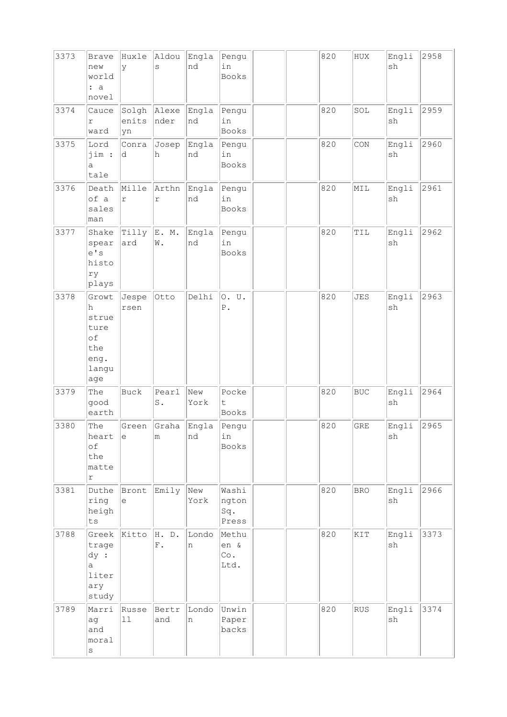| 3373 | <b>Brave</b><br>new<br>world<br>: a<br>novel                      | Huxle<br>y           | Aldou<br>S                 | Engla<br>nd | Pengu<br>in<br>Books           |  | 820 | ${\tt HUX}$ | Engli<br>sh                  | 2958 |
|------|-------------------------------------------------------------------|----------------------|----------------------------|-------------|--------------------------------|--|-----|-------------|------------------------------|------|
| 3374 | Cauce<br>r<br>ward                                                | Solgh<br>enits<br>yn | Alexe<br>nder              | Engla<br>nd | Pengu<br>in<br>Books           |  | 820 | SOL         | Engli<br>sh                  | 2959 |
| 3375 | Lord<br>jim :<br>a<br>tale                                        | Conra<br>d           | Josep<br>h                 | Engla<br>nd | Pengu<br>in<br>Books           |  | 820 | CON         | Engli<br>$\operatorname{sh}$ | 2960 |
| 3376 | Death<br>of a<br>sales<br>man                                     | Mille<br>$\Upsilon$  | Arthn<br>$\Upsilon$        | Engla<br>nd | Pengu<br>in<br><b>Books</b>    |  | 820 | MIL         | Engli<br>sh                  | 2961 |
| 3377 | Shake<br>spear<br>e' s<br>histo<br>ry<br>plays                    | Tilly<br>ard         | E. M.<br>$\mathbbmss{N}$ . | Engla<br>nd | Pengu<br>in<br>Books           |  | 820 | TIL         | Engli<br>sh                  | 2962 |
| 3378 | Growt<br>h.<br>strue<br>ture<br>of<br>the<br>eng.<br>langu<br>age | Jespe<br>rsen        | Otto                       | Delhi       | 0. U.<br>${\tt P}$ .           |  | 820 | <b>JES</b>  | Engli<br>sh                  | 2963 |
| 3379 | The<br>good<br>earth                                              | <b>Buck</b>          | Pearl<br>$\texttt{S}$ .    | New<br>York | Pocke<br>t<br>Books            |  | 820 | <b>BUC</b>  | Engli<br>sh                  | 2964 |
| 3380 | The<br>heart<br>of<br>the<br>matte<br>$\Upsilon$                  | Green<br>le          | Graha<br>m                 | Engla<br>nd | Pengu<br>in<br>Books           |  | 820 | <b>GRE</b>  | Engli<br>sh                  | 2965 |
| 3381 | Duthe<br>ring<br>heigh<br>ts                                      | Bront<br>e           | Emily                      | New<br>York | Washi<br>ngton<br>Sq.<br>Press |  | 820 | <b>BRO</b>  | Engli<br>sh                  | 2966 |
| 3788 | Greek<br>trage<br>dy:<br>a<br>liter<br>ary<br>study               | Kitto                | H. D.<br>${\rm F}$ .       | Londo<br>n  | Methu<br>en &<br>Co.<br>Ltd.   |  | 820 | KIT         | Engli<br>sh                  | 3373 |
| 3789 | Marri<br>ag<br>and<br>moral<br>$\rm s$                            | Russe<br>$11\,$      | Bertr<br>and               | Londo<br>n  | Unwin<br>Paper<br>backs        |  | 820 | <b>RUS</b>  | Engli<br>sh                  | 3374 |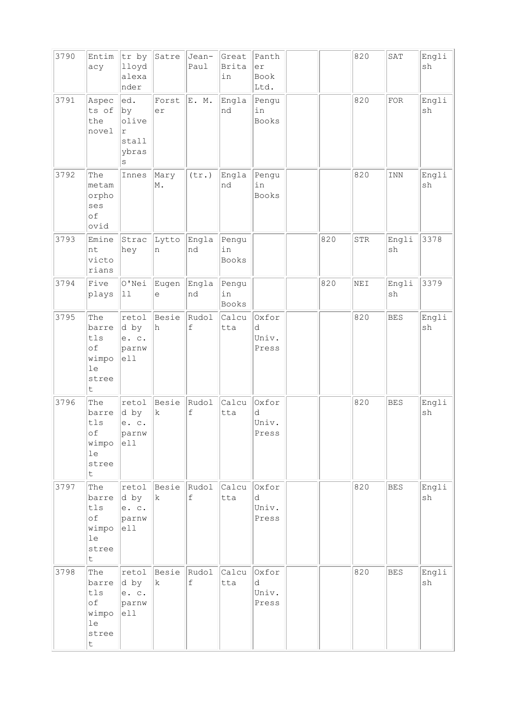| 3790 | Entim<br>acy                                                     | tr by<br>lloyd<br>alexa<br>nder                         | Satre                | Jean-<br>Paul                      | Great<br><b>Brita</b><br>in | Panth<br>er<br>Book<br>Ltd.  |     | 820 | SAT            | Engli<br>sh |
|------|------------------------------------------------------------------|---------------------------------------------------------|----------------------|------------------------------------|-----------------------------|------------------------------|-----|-----|----------------|-------------|
| 3791 | Aspec<br>ts of<br>the<br>novel                                   | ed.<br>$ {\rm by}$<br>olive<br>r<br>stall<br>ybras<br>S | Forst<br>er          | E. M.                              | Engla<br>nd                 | Pengu<br>in<br>Books         |     | 820 | ${\tt FOR}$    | Engli<br>sh |
| 3792 | The<br>metam<br>orpho<br>ses<br>of<br>ovid                       | Innes                                                   | Mary<br>M.           | (tr.)                              | Engla<br>nd                 | Pengu<br>in<br><b>Books</b>  |     | 820 | $\texttt{INN}$ | Engli<br>sh |
| 3793 | Emine<br>nt<br>victo<br>rians                                    | Strac<br>hey                                            | Lytto<br>n           | Engla<br>nd                        | Pengu<br>in<br><b>Books</b> |                              | 820 | STR | Engli<br>sh    | 3378        |
| 3794 | Five<br>plays                                                    | O'Nei<br>$ 11$                                          | Eugen<br>е           | Engla<br>nd                        | Pengu<br>in<br>Books        |                              | 820 | NEI | Engli<br>sh    | 3379        |
| 3795 | The<br>barre<br>tls<br>of<br>wimpo<br>le<br>stree<br>t           | retol<br>d by<br>e. c.<br>parnw<br>e11                  | Besie<br>h           | Rudol<br>$\mathbf f$               | Calcu<br>tta                | Oxfor<br>d<br>Univ.<br>Press |     | 820 | <b>BES</b>     | Engli<br>sh |
| 3796 | The<br>barre<br>tls<br>оf<br>wimpo<br>le<br>stree<br>$\mathsf t$ | retol<br>d by<br>e. c.<br>parnw<br>e11                  | Besie<br>k           | Rudol<br>$\ensuremath{\mathbf{f}}$ | Calcu<br>tta                | Oxfor<br>d<br>Univ.<br>Press |     | 820 | <b>BES</b>     | Engli<br>sh |
| 3797 | The<br>barre<br>tls<br>of<br>wimpo<br>le<br>stree<br>t           | retol<br>d by<br>e. c.<br>parnw<br> e11                 | Besie<br>$\mathbf k$ | Rudol<br>$\ensuremath{\mathbf{f}}$ | Calcu<br>tta                | Oxfor<br>d<br>Univ.<br>Press |     | 820 | BES            | Engli<br>sh |
| 3798 | The<br>barre<br>tls<br>оf<br>wimpo<br>1e<br>stree<br>t           | retol<br>d by<br>e. c.<br>parnw<br>ell                  | Besie<br>k           | Rudol<br>$\mathbf f$               | Calcu<br>tta                | Oxfor<br>d<br>Univ.<br>Press |     | 820 | <b>BES</b>     | Engli<br>sh |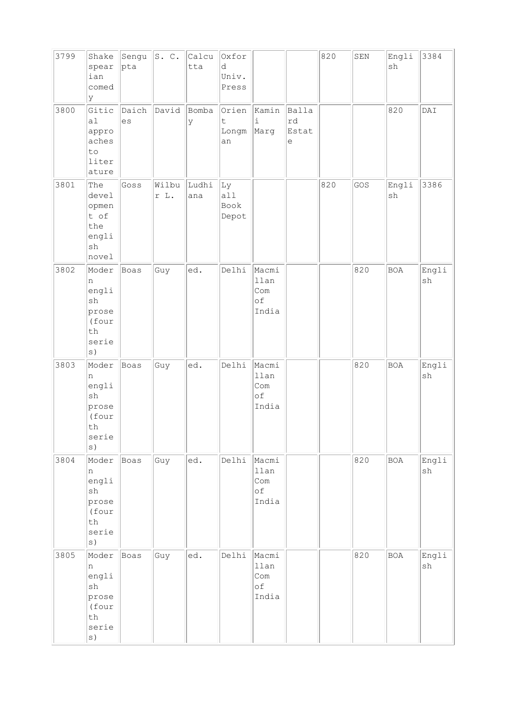| 3799 | Shake<br>spear<br>ian<br>comed<br>У                                                                   | Sengu<br> pta | S. C.         | Calcu<br>tta | Oxfor<br>d<br>Univ.<br>Press |                                            |                           | 820 | ${\tt SEN}$ | Engli<br>sh                  | 3384        |
|------|-------------------------------------------------------------------------------------------------------|---------------|---------------|--------------|------------------------------|--------------------------------------------|---------------------------|-----|-------------|------------------------------|-------------|
| 3800 | Gitic<br>a1<br>appro<br>aches<br>$\texttt{to}$<br>liter<br>ature                                      | Daich<br>es   | David         | Bomba<br>У   | Orien<br>t<br>Longm<br>an    | Kamin<br>$\mathtt{i}$<br>Marg              | Balla<br>rd<br>Estat<br>е |     |             | 820                          | DAI         |
| 3801 | The<br>devel<br>opmen<br>t of<br>the<br>engli<br>sh<br>novel                                          | Goss          | Wilbu<br>r L. | Ludhi<br>ana | Ly<br>all<br>Book<br>Depot   |                                            |                           | 820 | GOS         | Engli<br>$\operatorname{sh}$ | 3386        |
| 3802 | Moder<br>n<br>engli<br>sh<br>prose<br>(four<br>th<br>serie                                            | Boas          | Guy           | ed.          | Delhi                        | Macmi<br>llan<br>Com<br>of<br>India        |                           |     | 820         | <b>BOA</b>                   | Engli<br>sh |
| 3803 | Moder<br>n<br>engli<br>sh<br>prose<br>(four<br>$\operatorname{\mathsf{th}}$<br>serie<br>s)            | Boas          | Guy           | ed.          | Delhi                        | Macmi<br>llan<br>Com<br>оf<br>India        |                           |     | 820         | <b>BOA</b>                   | Engli<br>sh |
| 3804 | Moder<br>n<br>engli<br>sh<br>prose<br>(four<br>th<br>serie<br>s)                                      | Boas          | Guy           | ed.          | Delhi                        | Macmi<br>llan<br>Com<br>оf<br>India        |                           |     | 820         | BOA                          | Engli<br>sh |
| 3805 | Moder<br>n<br>engli<br>$\operatorname{sh}$<br>prose<br>(four<br>$\operatorname{\mathsf{th}}$<br>serie | Boas          | Guy           | ed.          | Delhi                        | Macmi<br>llan<br>Com<br>$\circ f$<br>India |                           |     | 820         | <b>BOA</b>                   | Engli<br>sh |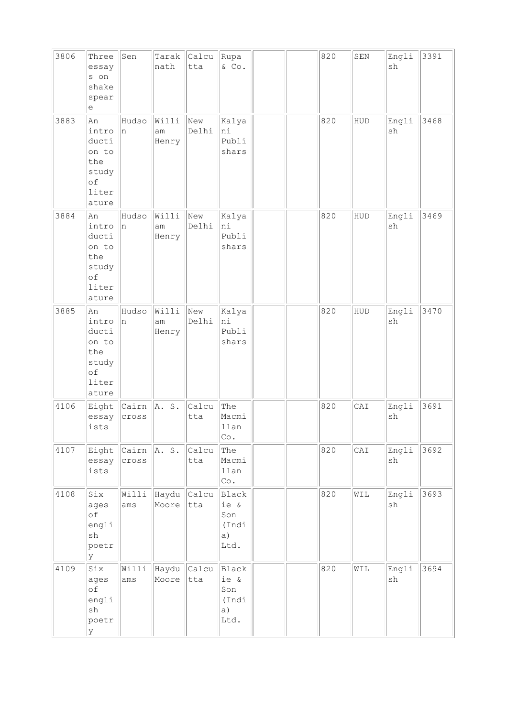| 3806 | Three<br>essay<br>s on<br>shake<br>spear<br>е                         | Sen                    | Tarak<br>nath        | Calcu<br>tta | Rupa<br>& Co.                               |  | 820 | ${\tt SEN}$ | Engli<br>sh                  | 3391 |
|------|-----------------------------------------------------------------------|------------------------|----------------------|--------------|---------------------------------------------|--|-----|-------------|------------------------------|------|
| 3883 | An<br>intro<br>ducti<br>on to<br>the<br>study<br>of<br>liter<br>ature | Hudso<br>n             | Willi<br>am<br>Henry | New<br>Delhi | Kalya<br>ni<br>Publi<br>shars               |  | 820 | HUD         | Engli<br>sh                  | 3468 |
| 3884 | An<br>intro<br>ducti<br>on to<br>the<br>study<br>of<br>liter<br>ature | Hudso<br>n             | Willi<br>am<br>Henry | New<br>Delhi | Kalya<br>ni<br>Publi<br>shars               |  | 820 | HUD         | Engli<br>sh                  | 3469 |
| 3885 | An<br>intro<br>ducti<br>on to<br>the<br>study<br>of<br>liter<br>ature | Hudso<br>n             | Willi<br>am<br>Henry | New<br>Delhi | Kalya<br>ni<br>Publi<br>shars               |  | 820 | HUD         | Engli<br>sh                  | 3470 |
| 4106 | Eight<br>essay<br>ists                                                | Cairn<br>cross         | A. S.                | Calcu<br>tta | The<br>Macmi<br>llan<br>Co.                 |  | 820 | CAI         | Engli<br>sh                  | 3691 |
| 4107 | Eight<br>essay<br>ists                                                | Cairn $A. S.$<br>cross |                      | Calcu<br>tta | The<br>Macmi<br>llan<br>Co.                 |  | 820 | CAI         | Engli<br>sh                  | 3692 |
| 4108 | Six<br>ages<br>of<br>engli<br>sh<br>poetr<br>У                        | Willi<br>ams           | Haydu<br>Moore       | Calcu<br>tta | Black<br>ie &<br>Son<br>(Indi<br>a)<br>Ltd. |  | 820 | WIL         | Engli<br>sh                  | 3693 |
| 4109 | Six<br>ages<br>of<br>engli<br>$\operatorname{sh}$<br>poetr<br>У       | Willi<br>ams           | Haydu<br>Moore       | Calcu<br>tta | Black<br>ie &<br>Son<br>(Indi<br>a)<br>Ltd. |  | 820 | WIL         | Engli<br>$\operatorname{sh}$ | 3694 |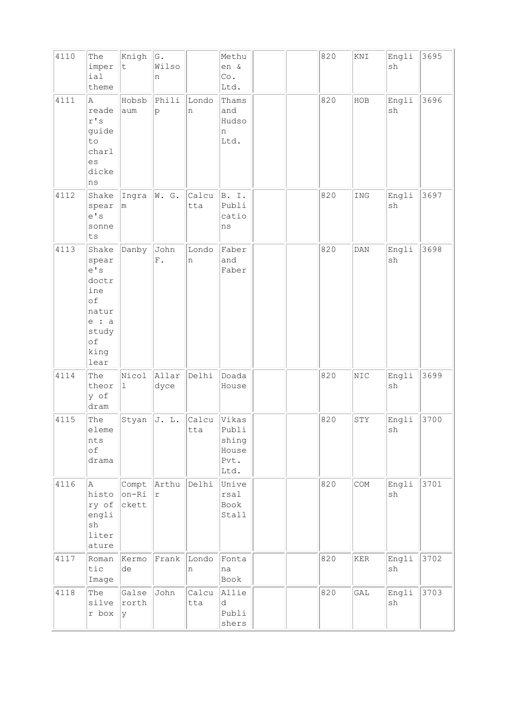| 4110 | The<br>imper<br>ial<br>theme                                                                    | Knigh<br>$\mathsf t$        | G.<br>Wilso<br>n    |              | Methu<br>en &<br>Co.<br>Ltd.                     |  | 820 | KNI                  | Engli<br>sh                  | 3695 |
|------|-------------------------------------------------------------------------------------------------|-----------------------------|---------------------|--------------|--------------------------------------------------|--|-----|----------------------|------------------------------|------|
| 4111 | A<br>reade<br>$r$ 's $\,$<br>guide<br>to<br>charl<br>es<br>dicke<br>ns                          | Hobsb<br>aum                | Phili<br>p          | Londo<br>n   | Thams<br>and<br>Hudso<br>n<br>Ltd.               |  | 820 | HOB                  | Engli<br>sh                  | 3696 |
| 4112 | Shake<br>spear<br>e' s<br>sonne<br>ts                                                           | Ingra<br>m                  | W. G.               | Calcu<br>tta | B. I.<br>Publi<br>catio<br>ns                    |  | 820 | ING                  | Engli<br>sh                  | 3697 |
| 4113 | Shake<br>spear<br>e' s<br>doctr<br>ine<br>of<br>natur<br>$e$ : a<br>study<br>of<br>king<br>lear | Danby                       | John<br>${\bf F}$ . | Londo<br>n   | Faber<br>and<br>Faber                            |  | 820 | DAN                  | Engli<br>sh                  | 3698 |
| 4114 | The<br>theor<br>y of<br>dram                                                                    | Nicol<br>$\perp$            | Allar<br>dyce       | Delhi        | Doada<br>House                                   |  | 820 | NIC                  | Engli<br>sh                  | 3699 |
| 4115 | The<br>eleme<br>nts<br>of<br>drama                                                              | Styan                       | J. L.               | Calcu<br>tta | Vikas<br>Publi<br>shing<br>House<br>Pvt.<br>Ltd. |  | 820 | STY                  | Engli<br>sh                  | 3700 |
| 4116 | A<br>histo<br>ry of<br>engli<br>$\operatorname{sh}$<br>liter<br>ature                           | Compt<br>$ on-Ri $<br>ckett | Arthu<br>r          | Delhi        | Unive<br>rsal<br>Book<br>Stall                   |  | 820 | COM                  | Engli<br>sh                  | 3701 |
| 4117 | Roman<br>tic<br>Image                                                                           | Kermo<br>de                 | Frank               | Londo<br>n   | Fonta<br>na<br>Book                              |  | 820 | $\operatorname{KER}$ | Engli<br>$\operatorname{sh}$ | 3702 |
| 4118 | The<br>silve<br>r box                                                                           | Galse<br>rorth<br> y        | John                | Calcu<br>tta | Allie<br>d<br>Publi<br>shers                     |  | 820 | GAL                  | Engli<br>$\operatorname{sh}$ | 3703 |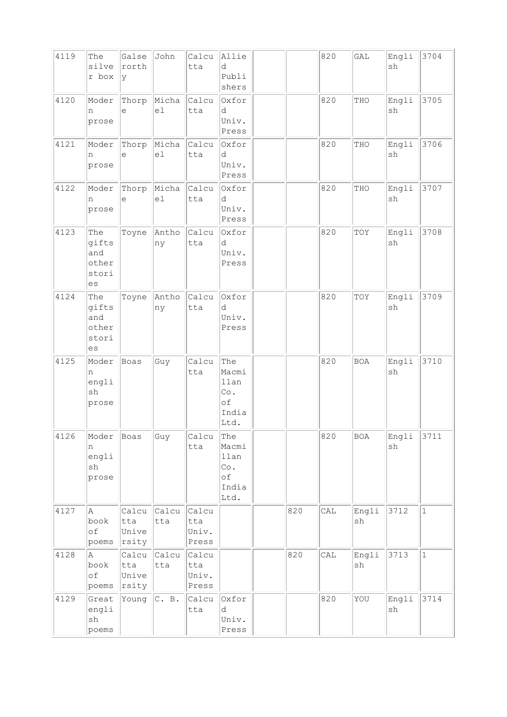| 4119 | The<br>silve<br>r box                               | Galse<br>rorth<br><sup>y</sup> | John         | Calcu<br>tta                   | Allie<br>d<br>Publi<br>shers                                       |     | 820 | GAL         | Engli<br>sh                  | 3704        |
|------|-----------------------------------------------------|--------------------------------|--------------|--------------------------------|--------------------------------------------------------------------|-----|-----|-------------|------------------------------|-------------|
| 4120 | Moder<br>n<br>prose                                 | Thorp<br>е                     | Micha<br>el  | Calcu<br>tta                   | Oxfor<br>d<br>Univ.<br>Press                                       |     | 820 | THO         | Engli<br>sh                  | 3705        |
| 4121 | Moder<br>n<br>prose                                 | Thorp<br>е                     | Micha<br>el  | Calcu<br>tta                   | Oxfor<br>d<br>Univ.<br>Press                                       |     | 820 | THO         | Engli<br>sh                  | 3706        |
| 4122 | Moder<br>n<br>prose                                 | Thorp<br>е                     | Micha<br>el  | Calcu<br>tta                   | Oxfor<br>d<br>Univ.<br>Press                                       |     | 820 | THO         | Engli<br>sh                  | 3707        |
| 4123 | The<br>gifts<br>and<br>other<br>stori<br>es         | Toyne                          | Antho<br>ny  | Calcu<br>tta                   | Oxfor<br>d<br>Univ.<br>Press                                       |     | 820 | TOY         | Engli<br>sh                  | 3708        |
| 4124 | The<br>gifts<br>and<br>other<br>stori<br>es         | Toyne                          | Antho<br>ny  | Calcu<br>tta                   | Oxfor<br>d<br>Univ.<br>Press                                       |     | 820 | TOY         | Engli<br>$\operatorname{sh}$ | 3709        |
| 4125 | Moder<br>n<br>engli<br>sh<br>prose                  | Boas                           | Guy          | Calcu<br>tta                   | The<br>Macmi<br>llan<br>$\mathbb{C}\circ$ .<br>of<br>India<br>Ltd. |     | 820 | <b>BOA</b>  | Engli<br>sh                  | 3710        |
| 4126 | Moder<br>n<br>engli<br>$\operatorname{sh}$<br>prose | Boas                           | Guy          | Calcu<br>tta                   | The<br>Macmi<br>llan<br>Co.<br>оf<br>India<br>Ltd.                 |     | 820 | <b>BOA</b>  | Engli<br>sh                  | 3711        |
| 4127 | Α<br>book<br>of<br>poems                            | Calcu<br>tta<br>Unive<br>rsity | Calcu<br>tta | Calcu<br>tta<br>Univ.<br>Press |                                                                    | 820 | CAL | Engli<br>sh | 3712                         | $\mathbf 1$ |
| 4128 | Α<br>book<br>of<br>poems                            | Calcu<br>tta<br>Unive<br>rsity | Calcu<br>tta | Calcu<br>tta<br>Univ.<br>Press |                                                                    | 820 | CAL | Engli<br>sh | 3713                         | $1\,$       |
| 4129 | Great<br>engli<br>sh<br>poems                       | Young                          | C. B.        | Calcu<br>tta                   | Oxfor<br>d<br>Univ.<br>Press                                       |     | 820 | YOU         | Engli<br>$\operatorname{sh}$ | 3714        |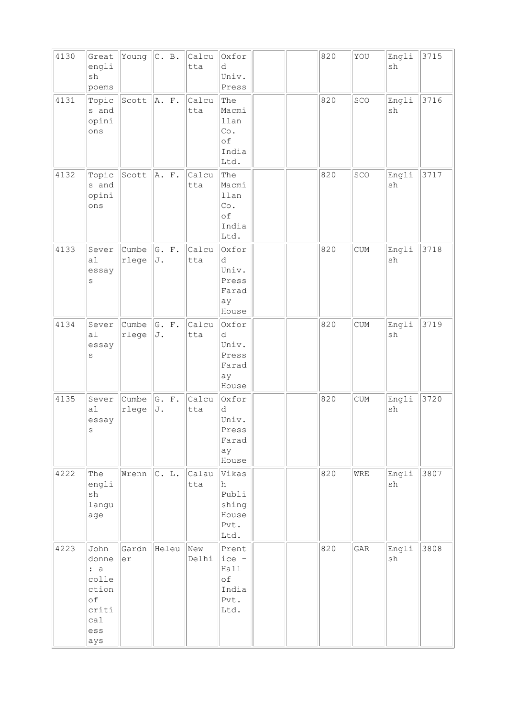| 4130 | Great<br>engli<br>sh<br>poems                                              | Young          | C. B.          | Calcu<br>tta | Oxfor<br>d<br>Univ.<br>Press                                       |  | 820 | YOU                         | Engli<br>sh                  | 3715 |
|------|----------------------------------------------------------------------------|----------------|----------------|--------------|--------------------------------------------------------------------|--|-----|-----------------------------|------------------------------|------|
| 4131 | Topic<br>s and<br>opini<br>ons                                             | Scott          | A. F.          | Calcu<br>tta | The<br>Macmi<br>llan<br>$\mathbb{C}\circ$ .<br>of<br>India<br>Ltd. |  | 820 | SCO                         | Engli<br>sh                  | 3716 |
| 4132 | Topic<br>s and<br>opini<br>ons                                             | Scott          | A. F.          | Calcu<br>tta | The<br>Macmi<br>llan<br>Co.<br>of<br>India<br>Ltd.                 |  | 820 | SCO                         | Engli<br>sh                  | 3717 |
| 4133 | Sever<br>a1<br>essay<br>$\rm s$                                            | Cumbe<br>rlege | G. F.<br>J.    | Calcu<br>tta | Oxfor<br>d<br>Univ.<br>Press<br>Farad<br>ay<br>House               |  | 820 | <b>CUM</b>                  | Engli<br>sh                  | 3718 |
| 4134 | Sever<br>a1<br>essay<br>$\rm s$                                            | Cumbe<br>rlege | G. F.<br>J.    | Calcu<br>tta | Oxfor<br>d<br>Univ.<br>Press<br>Farad<br>ay<br>House               |  | 820 | $\ensuremath{\mathrm{CUM}}$ | Engli<br>$\operatorname{sh}$ | 3719 |
| 4135 | Sever<br>a1<br>essay<br>$\mathbf{s}$                                       | Cumbe<br>rlege | G. F.<br>J.    | Calcu<br>tta | Oxfor<br>d<br>Univ.<br>Press<br>Farad<br>ay<br>House               |  | 820 | CUM                         | Engli<br>sh                  | 3720 |
| 4222 | The<br>engli<br>$\operatorname{sh}$<br>langu<br>age                        | Wrenn          | $ {\rm C.}$ L. | Calau<br>tta | Vikas<br>h<br>Publi<br>shing<br>House<br>Pvt.<br>Ltd.              |  | 820 | WRE                         | Engli<br>sh                  | 3807 |
| 4223 | John<br>donne<br>: a<br>colle<br>ction<br>of<br>criti<br>ca1<br>ess<br>ays | Gardn<br>er    | Heleu          | New<br>Delhi | Prent<br>ice -<br>Hall<br>оf<br>India<br>Pvt.<br>Ltd.              |  | 820 | GAR                         | Engli<br>sh                  | 3808 |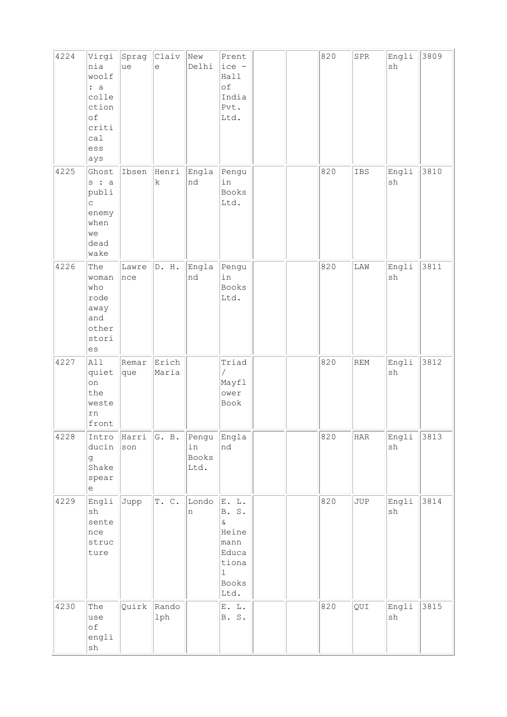| 4224 | Virgi<br>nia<br>woolf<br>: a<br>colle<br>ction<br>of<br>criti<br>cal<br>ess<br>ays        | Sprag<br>ue  | Claiv<br>e     | New<br>Delhi                 | Prent<br>ice -<br>Hall<br>of<br>India<br>Pvt.<br>Ltd.                                                |  | 820 | ${\tt SPR}$ | Engli<br>sh                  | 3809 |
|------|-------------------------------------------------------------------------------------------|--------------|----------------|------------------------------|------------------------------------------------------------------------------------------------------|--|-----|-------------|------------------------------|------|
| 4225 | Ghost<br>$s$ : a<br>publi<br>$\mathop{\mathsf{C}}$<br>enemy<br>when<br>we<br>dead<br>wake | Ibsen        | Henri<br>k     | Engla<br>nd                  | Pengu<br>in<br>Books<br>Ltd.                                                                         |  | 820 | IBS         | Engli<br>sh                  | 3810 |
| 4226 | The<br>woman<br>who<br>rode<br>away<br>and<br>other<br>stori<br>es                        | Lawre<br>nce | D. H.          | Engla<br>nd                  | Pengu<br>in<br>Books<br>Ltd.                                                                         |  | 820 | LAW         | Engli<br>$\operatorname{sh}$ | 3811 |
| 4227 | All<br>quiet<br>on<br>the<br>weste<br>rn<br>front                                         | Remar<br>que | Erich<br>Maria |                              | Triad<br>Γ<br>Mayfl<br>ower<br>Book                                                                  |  | 820 | REM         | Engli<br>sh                  | 3812 |
| 4228 | Intro<br>ducin<br>g<br>Shake<br>spear<br>e                                                | Harri<br>son | G. B.          | Pengu<br>in<br>Books<br>Ltd. | Engla<br>nd                                                                                          |  | 820 | HAR         | Engli<br>sh                  | 3813 |
| 4229 | Engli<br>$\operatorname{sh}$<br>sente<br>nce<br>struc<br>ture                             | Jupp         | T. C.          | Londo<br>n                   | E. L.<br><b>B.</b> S.<br>$\delta$<br>Heine<br>mann<br>Educa<br>tiona<br>$\mathbf 1$<br>Books<br>Ltd. |  | 820 | JUP         | Engli<br>sh                  | 3814 |
| 4230 | The<br>use<br>оf<br>engli<br>sh                                                           | Quirk        | Rando<br>lph   |                              | E. L.<br>B. S.                                                                                       |  | 820 | QUI         | Engli<br>sh                  | 3815 |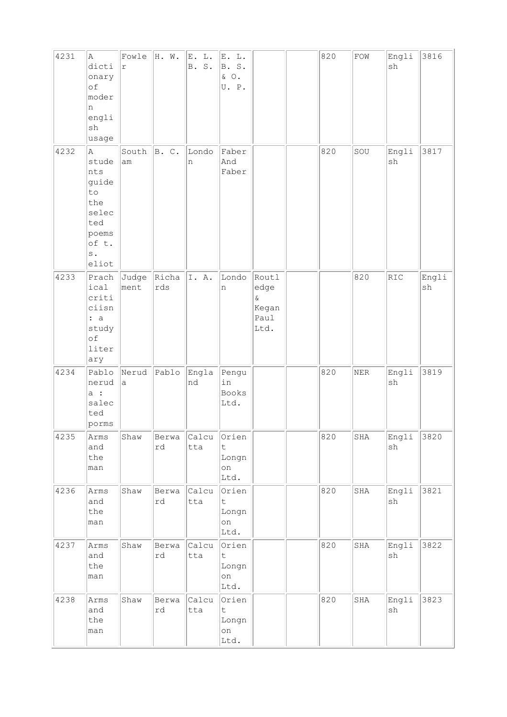| 4231 | A<br>dicti<br>onary<br>of<br>moder<br>n<br>engli<br>sh<br>usage                                     | Fowle<br>$\mathtt{r}$ | H. W.        | $\mathbb L$ .<br>E.<br>$S$ .<br><b>B</b> . | E. L.<br>B. S.<br>& O.<br>U. P.                     |                                                | 820 | ${\tt FOW}$  | Engli<br>sh | 3816        |
|------|-----------------------------------------------------------------------------------------------------|-----------------------|--------------|--------------------------------------------|-----------------------------------------------------|------------------------------------------------|-----|--------------|-------------|-------------|
| 4232 | A<br>stude<br>nts<br>guide<br>to<br>the<br>selec<br>ted<br>poems<br>of t.<br>$\mathbf s$ .<br>eliot | South<br>am           | B. C.        | Londo<br>n                                 | Faber<br>And<br>Faber                               |                                                | 820 | SOU          | Engli<br>sh | 3817        |
| 4233 | Prach<br>ical<br>criti<br>ciisn<br>: a<br>study<br>of<br>liter<br>ary                               | Judge<br>ment         | Richa<br>rds | I. A.                                      | Londo<br>n                                          | Routl<br>edge<br>$\&$<br>Kegan<br>Paul<br>Ltd. |     | 820          | RIC         | Engli<br>sh |
| 4234 | Pablo<br>nerud<br>a :<br>salec<br>ted<br>porms                                                      | Nerud<br>a            | Pablo        | Engla<br>nd                                | Pengu<br>in<br><b>Books</b><br>Ltd.                 |                                                | 820 | ${\tt NER}$  | Engli<br>sh | 3819        |
| 4235 | Arms<br>and<br>the<br>man                                                                           | Shaw                  | Berwa<br>rd  | Calcu<br>tta                               | Orien<br>$\ddot{\mathsf{t}}$<br>Longn<br>on<br>Ltd. |                                                | 820 | $_{\rm SHA}$ | Engli<br>sh | 3820        |
| 4236 | Arms<br>and<br>the<br>man                                                                           | Shaw                  | Berwa<br>rd  | Calcu<br>tta                               | Orien<br>t<br>Longn<br>on<br>Ltd.                   |                                                | 820 | SHA          | Engli<br>sh | 3821        |
| 4237 | Arms<br>and<br>the<br>man                                                                           | Shaw                  | Berwa<br>rd  | Calcu<br>tta                               | Orien<br>$\mathsf t$<br>Longn<br>on<br>Ltd.         |                                                | 820 | SHA          | Engli<br>sh | 3822        |
| 4238 | Arms<br>and<br>the<br>man                                                                           | Shaw                  | Berwa<br>rd  | Calcu<br>tta                               | Orien<br>$\ddot{\mathsf{t}}$<br>Longn<br>on<br>Ltd. |                                                | 820 | SHA          | Engli<br>sh | 3823        |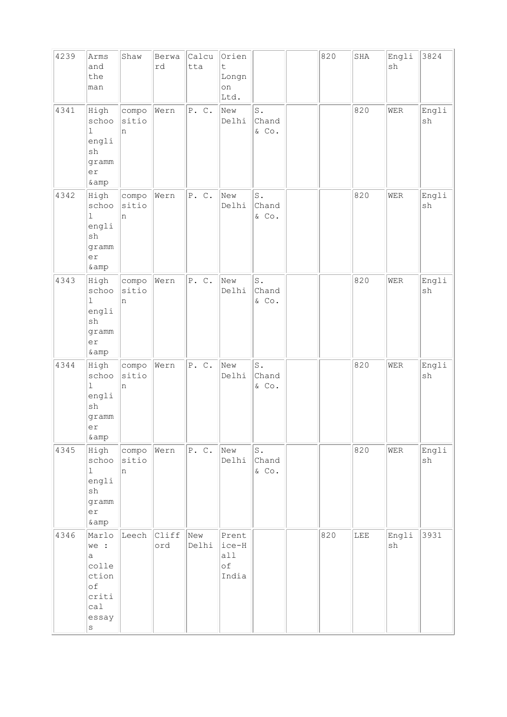| 4239 | Arms<br>and<br>the<br>man                                                              | Shaw                | Berwa<br>rd  | Calcu<br>tta | Orien<br>$\ddot{\mathsf{t}}$<br>Longn<br>on<br>Ltd. |                                  | 820 | SHA | Engli<br>sh | 3824        |
|------|----------------------------------------------------------------------------------------|---------------------|--------------|--------------|-----------------------------------------------------|----------------------------------|-----|-----|-------------|-------------|
| 4341 | High<br>schoo<br>$\mathbf 1$<br>engli<br>sh<br>gramm<br>er<br>& amp                    | compo<br>sitio<br>n | Wern         | P. C.        | New<br>Delhi                                        | $\mathtt{S}$ .<br>Chand<br>& Co. |     | 820 | WER         | Engli<br>sh |
| 4342 | High<br>schoo<br>$\mathbf 1$<br>engli<br>$\operatorname{sh}$<br>gramm<br>er<br>$\&amp$ | compo<br>sitio<br>n | Wern         | P. C.        | New<br>Delhi                                        | $S$ .<br>Chand<br>& Co.          |     | 820 | WER         | Engli<br>sh |
| 4343 | High<br>schoo<br>$\mathbf 1$<br>engli<br>sh<br>gramm<br>er<br>& amp                    | compo<br>sitio<br>n | Wern         | P. C.        | New<br>Delhi                                        | S.<br>Chand<br>& Co.             |     | 820 | <b>WER</b>  | Engli<br>sh |
| 4344 | High<br>schoo<br>$\mathbf 1$<br>engli<br>sh<br>gramm<br>er<br>& amp                    | compo<br>sitio<br>n | Wern         | P. C.        | New<br>Delhi                                        | $\texttt{S}$ .<br>Chand<br>& Co. |     | 820 | <b>WER</b>  | Engli<br>sh |
| 4345 | High<br>schoo<br>$\mathbf{1}$<br>engli<br>sh<br>gramm<br>er<br>$\&amp$                 | compo<br>sitio<br>n | Wern         | P. C.        | New<br>Delhi                                        | $\mathtt{S}$ .<br>Chand<br>& Co. |     | 820 | WER         | Engli<br>sh |
| 4346 | Marlo<br>we :<br>a<br>colle<br>ction<br>of<br>criti<br>cal<br>essay<br>$\rm s$         | Leech               | Cliff<br>ord | New<br>Delhi | Prent<br>ice-H<br>all<br>оf<br>India                |                                  | 820 | LEE | Engli<br>sh | 3931        |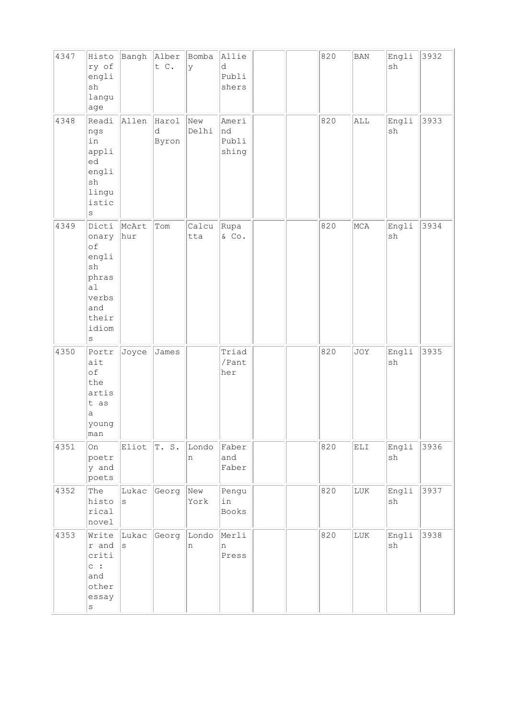| 4347 | Histo<br>ry of<br>engli<br>sh<br>langu<br>age                                                                      | Bangh        | Alber<br>t C.       | Bomba<br>У   | Allie<br>d<br>Publi<br>shers  |  | 820 | <b>BAN</b>   | Engli<br>sh                  | 3932 |
|------|--------------------------------------------------------------------------------------------------------------------|--------------|---------------------|--------------|-------------------------------|--|-----|--------------|------------------------------|------|
| 4348 | Readi<br>ngs<br>in<br>appli<br>led<br>engli<br>sh<br>lingu<br>istic<br>$\rm s$                                     | Allen        | Harol<br>d<br>Byron | New<br>Delhi | Ameri<br>nd<br>Publi<br>shing |  | 820 | ALL          | Engli<br>sh                  | 3933 |
| 4349 | Dicti<br>onary<br>of<br>engli<br>$\operatorname{sh}$<br>phras<br> a1 <br>verbs<br>and<br>their<br>idiom<br>$\rm s$ | McArt<br>hur | Tom                 | Calcu<br>tta | Rupa<br>& Co.                 |  | 820 | MCA          | Engli<br>$\operatorname{sh}$ | 3934 |
| 4350 | Portr<br>ait<br>οf<br>the<br>artis<br>t as<br>a<br>young<br>man                                                    | Joyce        | James               |              | Triad<br>/Pant<br>her         |  | 820 | JOY          | Engli<br>sh                  | 3935 |
| 4351 | <b>On</b><br>poetr<br>y and<br>poets                                                                               | Eliot        | T.S.                | Londo<br>n   | Faber<br>and<br>Faber         |  | 820 | ELI          | Engli<br>$\operatorname{sh}$ | 3936 |
| 4352 | The<br>histo<br>rical<br>novel                                                                                     | Lukac<br>S   | Georg               | New<br>York  | Pengu<br>in<br>Books          |  | 820 | LUK          | Engli<br>sh                  | 3937 |
| 4353 | Write<br>r and<br>criti<br>$\circ$ :<br>and<br>other<br>essay<br>$\rm s$                                           | Lukac<br>S   | Georg               | Londo<br>n   | Merli<br>n<br>Press           |  | 820 | $_{\rm LUK}$ | Engli<br>sh                  | 3938 |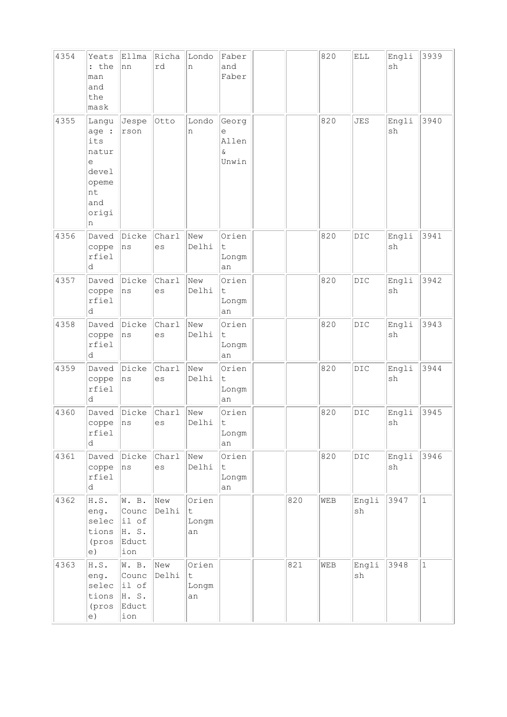| 4354 | Yeats<br>: the<br>man<br>and<br>the<br>mask                                      | Ellma<br>nn                                                             | Richa<br>rd        | Londo<br>n                          | Faber<br>and<br>Faber                    |     | 820 | ELL          | Engli<br>sh | 3939         |
|------|----------------------------------------------------------------------------------|-------------------------------------------------------------------------|--------------------|-------------------------------------|------------------------------------------|-----|-----|--------------|-------------|--------------|
| 4355 | Langu<br>age :<br>its<br>natur<br>е<br>devel<br>opeme<br>nt<br>and<br>origi<br>n | Jespe<br>rson                                                           | Otto               | Londo<br>n                          | Georg<br>е<br>Allen<br>$\delta$<br>Unwin |     | 820 | <b>JES</b>   | Engli<br>sh | 3940         |
| 4356 | Daved<br>coppe<br>rfiel<br>d                                                     | Dicke<br>ns                                                             | Charl<br>es        | New<br>Delhi                        | Orien<br>t<br>Longm<br>an                |     | 820 | $_{\rm DIC}$ | Engli<br>sh | 3941         |
| 4357 | Daved<br>coppe<br>rfiel<br>d                                                     | Dicke<br>ns                                                             | Charl<br>es        | New<br>Delhi                        | Orien<br>t<br>Longm<br>an                |     | 820 | DIC          | Engli<br>sh | 3942         |
| 4358 | Daved<br>coppe<br>rfiel<br>d                                                     | Dicke<br>ns                                                             | Charl<br>es        | New<br>Delhi                        | Orien<br>t<br>Longm<br>an                |     | 820 | DIC          | Engli<br>sh | 3943         |
| 4359 | Daved<br>coppe<br>rfiel<br>d                                                     | Dicke<br>ns                                                             | Charl<br>es        | New<br>Delhi                        | Orien<br>t<br>Longm<br>an                |     | 820 | DIC          | Engli<br>sh | 3944         |
| 4360 | Daved<br>coppe<br>rfiel<br>d                                                     | Dicke<br>ns                                                             | Charl<br>es        | New<br>Delhi                        | Orien<br>t<br>Longm<br>an                |     | 820 | DIC          | Engli<br>sh | 3945         |
| 4361 | Daved<br>coppe<br>rfiel<br>d                                                     | Dicke<br>ns                                                             | <b>Char1</b><br>es | New<br>Delhi                        | Orien<br>$\mathsf{t}$<br>Longm<br>an     |     | 820 | DIC          | Engli<br>sh | 3946         |
| 4362 | H.S.<br>eng.<br>selec<br>tions<br>(pros<br>e)                                    | W. B.<br>Counc<br>$ i1$ of<br>H.S.<br>Educt<br>ion                      | New<br>Delhi       | Orien<br>$\mathsf t$<br>Longm<br>an |                                          | 820 | WEB | Engli<br>sh  | 3947        | $\mathbf{1}$ |
| 4363 | H.S.<br>eng.<br>selec<br>tions<br>(pros<br>e)                                    | W. B.<br>Counc<br>$\left  \text{i1 of}\right $<br>H. S.<br>Educt<br>ion | New<br>Delhi       | Orien<br>t<br>Longm<br>an           |                                          | 821 | WEB | Engli<br>sh  | 3948        | $\mathbf{1}$ |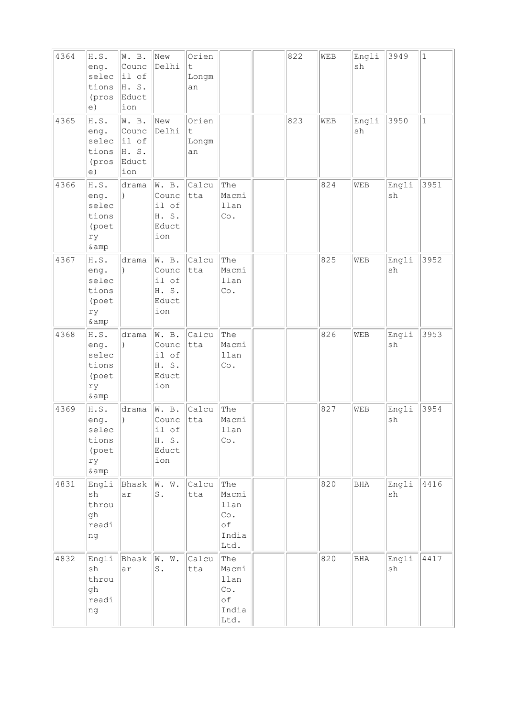| 4364 | $\texttt{H.S.}$<br>eng.<br>selec<br>tions<br>(pros<br>e) | W. B.<br>Counc<br>il of<br>H. S.<br>Educt<br>ion                        | New<br>Delhi                                     | Orien<br>t<br>Longm<br>an |                                                    | 822 | WEB | Engli<br>sh | 3949        | $\mathbf{1}$ |
|------|----------------------------------------------------------|-------------------------------------------------------------------------|--------------------------------------------------|---------------------------|----------------------------------------------------|-----|-----|-------------|-------------|--------------|
| 4365 | H.S.<br>eng.<br>selec<br>tions<br>(pros<br>e)            | W. B.<br>Counc<br>$\left  \text{i1 of}\right $<br>H. S.<br>Educt<br>ion | New<br>Delhi                                     | Orien<br>t<br>Longm<br>an |                                                    | 823 | WEB | Engli<br>sh | 3950        | $\mathbf{1}$ |
| 4366 | H.S.<br>eng.<br>selec<br>tions<br>(poet<br>ry<br>& amp   | drama                                                                   | W. B.<br>Counc<br>il of<br>H. S.<br>Educt<br>ion | Calcu<br>tta              | The<br>Macmi<br>llan<br>Co.                        |     | 824 | WEB         | Engli<br>sh | 3951         |
| 4367 | H.S.<br>eng.<br>selec<br>tions<br>(poet<br>ry<br>& amp   | drama<br>$\lambda$                                                      | W. B.<br>Counc<br>il of<br>H. S.<br>Educt<br>ion | Calcu<br>tta              | The<br>Macmi<br>llan<br>Co.                        |     | 825 | WEB         | Engli<br>sh | 3952         |
| 4368 | H.S.<br>eng.<br>selec<br>tions<br>(poet<br>ry<br>& amp   | drama<br>$\lambda$                                                      | W. B.<br>Counc<br>il of<br>H. S.<br>Educt<br>ion | Calcu<br>tta              | The<br>Macmi<br>llan<br>Co.                        |     | 826 | WEB         | Engli<br>sh | 3953         |
| 4369 | H.S.<br>eng.<br>selec<br>tions<br>(poet<br>ry<br>$\&amp$ | drama<br>$\lambda$                                                      | W. B.<br>Counc<br>il of<br>H. S.<br>Educt<br>ion | Calcu<br>tta              | The<br>Macmi<br>llan<br>$\circ$ .                  |     | 827 | <b>WEB</b>  | Engli<br>sh | 3954         |
| 4831 | Engli<br>sh<br>throu<br>gh<br>readi<br>ng                | Bhask<br>ar                                                             | W. W.<br>S.                                      | Calcu<br>tta              | The<br>Macmi<br>llan<br>Co.<br>оf<br>India<br>Ltd. |     | 820 | BHA         | Engli<br>sh | 4416         |
| 4832 | Engli<br>sh<br>throu<br>gh<br>readi<br>ng                | Bhask<br>ar                                                             | W. W.<br>${\tt S}$ .                             | Calcu<br>tta              | The<br>Macmi<br>llan<br>Co.<br>оf<br>India<br>Ltd. |     | 820 | BHA         | Engli<br>sh | 4417         |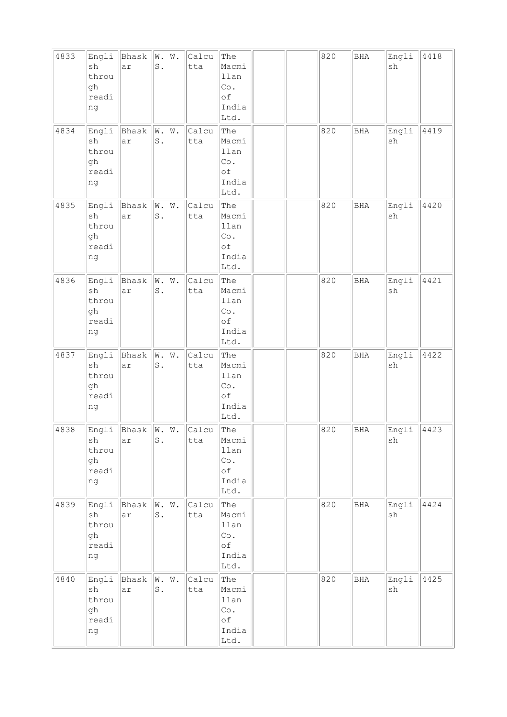| 4833 | Engli<br>sh<br>throu<br>gh<br>readi<br>ng                  | Bhask<br>ar             | W. W.<br>$\texttt{S}$ .                  | Calcu<br>tta | The<br>Macmi<br>llan<br>Co.<br>of<br>India<br>Ltd. |  | 820 | <b>BHA</b>   | Engli<br>sh | 4418 |
|------|------------------------------------------------------------|-------------------------|------------------------------------------|--------------|----------------------------------------------------|--|-----|--------------|-------------|------|
| 4834 | Engli<br>sh<br>throu<br>gh<br>readi<br>ng                  | Bhask<br>ar             | W. W.<br>$S$ .                           | Calcu<br>tta | The<br>Macmi<br>llan<br>Co.<br>of<br>India<br>Ltd. |  | 820 | <b>BHA</b>   | Engli<br>sh | 4419 |
| 4835 | Engli<br>sh<br>throu<br>gh<br>readi<br>ng                  | Bhask<br>ar             | W. W.<br>$\texttt{S}$ .                  | Calcu<br>tta | The<br>Macmi<br>llan<br>Co.<br>of<br>India<br>Ltd. |  | 820 | <b>BHA</b>   | Engli<br>sh | 4420 |
| 4836 | Engli<br>sh<br>throu<br>gh<br>readi<br>ng                  | Bhask<br>ar             | W.<br>$\mathbbmss{N}$ .<br>$\mathbb S$ . | Calcu<br>tta | The<br>Macmi<br>llan<br>Co.<br>οf<br>India<br>Ltd. |  | 820 | <b>BHA</b>   | Engli<br>sh | 4421 |
| 4837 | Engli<br>sh<br>throu<br>gh<br>readi<br>ng                  | Bhask<br>ar             | W. W.<br>S.                              | Calcu<br>tta | The<br>Macmi<br>llan<br>Co.<br>of<br>India<br>Ltd. |  | 820 | <b>BHA</b>   | Engli<br>sh | 4422 |
| 4838 | Engli<br>sh<br>throu<br>gh<br>readi<br>ng                  | Bhask W. W.<br>ar       | $\texttt{S}$ .                           | Calcu<br>tta | The<br>Macmi<br>llan<br>Co.<br>оf<br>India<br>Ltd. |  | 820 | $_{\rm BHA}$ | Engli<br>sh | 4423 |
| 4839 | sh<br>throu<br>gh<br>readi<br>ng                           | Engli Bhask W. W.<br>ar | $\mathbb S$ .                            | Calcu<br>tta | The<br>Macmi<br>llan<br>Co.<br>оf<br>India<br>Ltd. |  | 820 | <b>BHA</b>   | Engli<br>sh | 4424 |
| 4840 | Engli<br>$\operatorname{sh}$<br>throu<br>gh<br>readi<br>ng | Bhask W. W.<br>ar       | $\mathtt{S}$ .                           | Calcu<br>tta | The<br>Macmi<br>llan<br>Co.<br>оf<br>India<br>Ltd. |  | 820 | <b>BHA</b>   | Engli<br>sh | 4425 |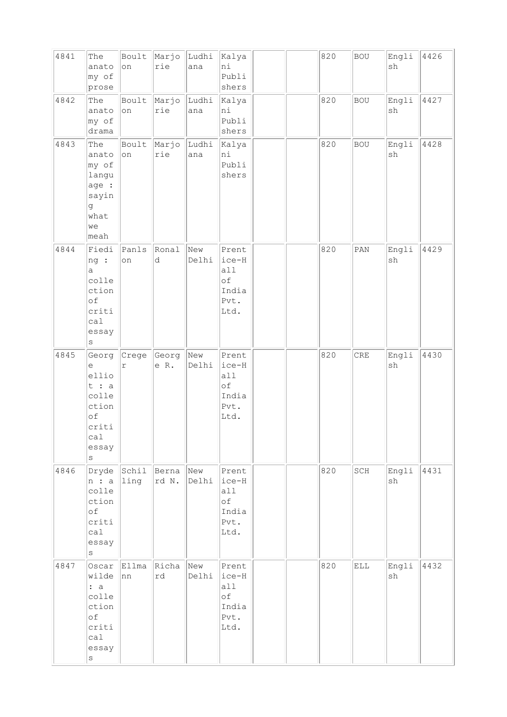| 4841 | The<br>anato<br>my of<br>prose                                                     | Boult<br>on   | Marjo<br>rie   | Ludhi<br>ana | Kalya<br>ni<br>Publi<br>shers                        |  | 820 | <b>BOU</b>     | Engli<br>$\operatorname{sh}$ | 4426 |
|------|------------------------------------------------------------------------------------|---------------|----------------|--------------|------------------------------------------------------|--|-----|----------------|------------------------------|------|
| 4842 | The<br>anato<br>my of<br>drama                                                     | Boult<br>on   | Marjo<br>rie   | Ludhi<br>ana | Kalya<br>ni<br>Publi<br>shers                        |  | 820 | <b>BOU</b>     | Engli<br>sh                  | 4427 |
| 4843 | The<br>anato<br>my of<br>langu<br>age :<br>sayin<br>g<br>what<br>we<br>meah        | Boult<br>on   | Marjo<br>rie   | Ludhi<br>ana | Kalya<br>ni<br>Publi<br>shers                        |  | 820 | <b>BOU</b>     | Engli<br>$\operatorname{sh}$ | 4428 |
| 4844 | Fiedi<br>ng:<br>a<br>colle<br>ction<br>of<br>criti<br>calal<br>essay<br>$\rm s$    | Panls<br>on   | Ronal<br>d     | New<br>Delhi | Prent<br>ice-H<br>a11<br>оf<br>India<br>Pvt.<br>Ltd. |  | 820 | $\texttt{PAN}$ | Engli<br>sh                  | 4429 |
| 4845 | Georg<br>е<br>ellio<br>t : a<br>colle<br>ction<br>of<br>criti<br>cal<br>essay<br>S | Crege<br>r    | Georg<br>e R.  | New<br>Delhi | Prent<br>ice-H<br>a11<br>оf<br>India<br>Pvt.<br>Ltd. |  | 820 | CRE            | Engli<br>sh                  | 4430 |
| 4846 | Dryde<br>n : a<br>colle<br>ction<br>of<br>criti<br>cal<br>essay<br>$\rm s$         | Schil<br>1ing | Berna<br>rd N. | New<br>Delhi | Prent<br>ice-H<br>all<br>оf<br>India<br>Pvt.<br>Ltd. |  | 820 | SCH            | Engli<br>sh                  | 4431 |
| 4847 | Oscar<br>wilde<br>: a<br>colle<br>ction<br>of<br>criti<br>ca1<br>essay<br>$\rm s$  | Ellma<br>nn   | Richa<br>rd    | New<br>Delhi | Prent<br>ice-H<br>all<br>оf<br>India<br>Pvt.<br>Ltd. |  | 820 | <b>ELL</b>     | Engli<br>sh                  | 4432 |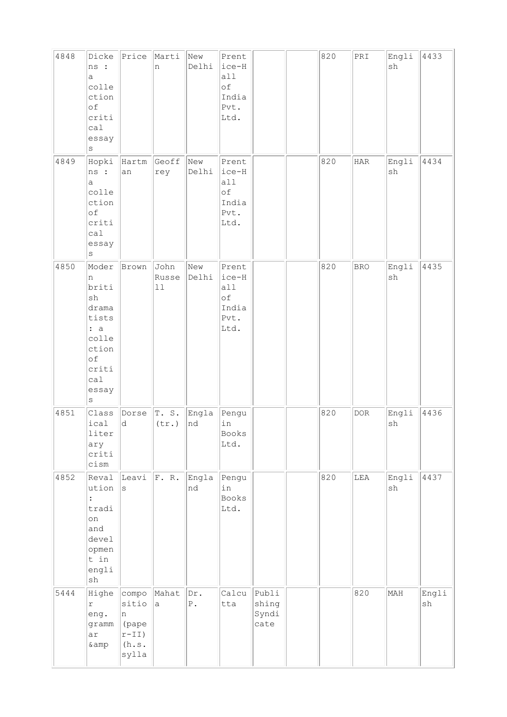| 4848 | Dicke<br>ns :<br>a<br>colle<br>ction<br>$\circ f$<br>criti<br>ca1<br>essay<br>S                          | Price                                                     | Marti<br>n              | New<br>Delhi       | Prent<br>ice-H<br>all<br>of<br>India<br>Pvt.<br>Ltd.   |                                 | 820 | $\ensuremath{\mathsf{PRI}}$ | Engli<br>sh                  | 4433        |
|------|----------------------------------------------------------------------------------------------------------|-----------------------------------------------------------|-------------------------|--------------------|--------------------------------------------------------|---------------------------------|-----|-----------------------------|------------------------------|-------------|
| 4849 | Hopki<br>ns :<br>а<br>colle<br>ction<br>оf<br>criti<br>ca1<br>essay<br>S                                 | Hartm<br>an                                               | Geoff<br>rey            | New<br>Delhi       | Prent<br>$ice-H$<br>all<br>of<br>India<br>Pvt.<br>Ltd. |                                 | 820 | $_{\rm HAR}$                | Engli<br>sh                  | 4434        |
| 4850 | Moder<br>n<br>briti<br>sh<br>drama<br>tists<br>: a<br>colle<br>ction<br>of<br>criti<br>ca1<br>essay<br>S | Brown                                                     | John<br>Russe<br>$1\,1$ | New<br>Delhi       | Prent<br>ice-H<br>all<br>of<br>India<br>Pvt.<br>Ltd.   |                                 | 820 | <b>BRO</b>                  | Engli<br>$\operatorname{sh}$ | 4435        |
| 4851 | Class<br>ical<br>liter<br>ary<br>criti<br>cism                                                           | Dorse<br>d                                                | T.S.<br>(tr.)           | Engla<br>nd        | Pengu<br>in<br>Books<br>Ltd.                           |                                 | 820 | $\texttt{DOR}$              | Engli<br>sh                  | 4436        |
| 4852 | Reval<br>ution<br>tradi<br>on<br>and<br>devel<br>opmen<br>t in<br>engli<br>$\operatorname{sh}$           | Leavi<br>$\vert$ S                                        | F. R.                   | Engla<br>nd        | Pengu<br>in<br>Books<br>Ltd.                           |                                 | 820 | LEA                         | Engli<br>sh                  | 4437        |
| 5444 | Highe<br>$\Upsilon$<br>eng.<br>gramm<br>ar<br>$\&amp$                                                    | compo<br>sitio<br>n<br>(pape<br>$r-II)$<br>(h.s.<br>sylla | Mahat<br>a,             | Dr.<br>${\tt P}$ . | Calcu<br>tta                                           | Publi<br>shing<br>Syndi<br>cate |     | 820                         | MAH                          | Engli<br>sh |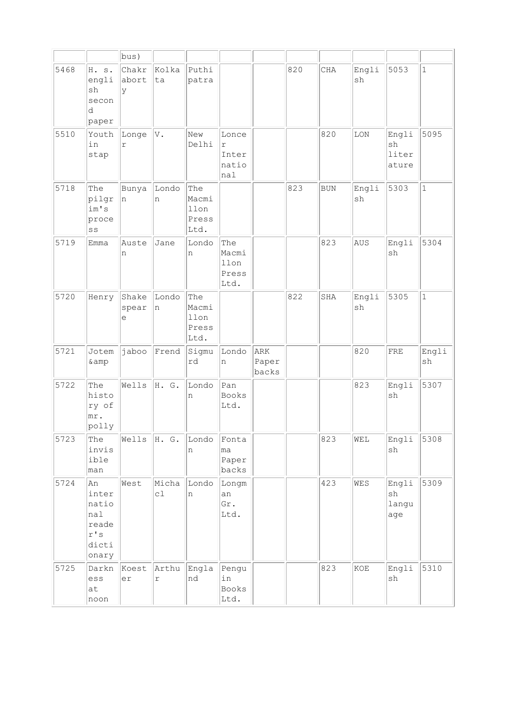|      |                                                                       | bus)                |                       |                                       |                                       |                       |     |            |             |                               |              |
|------|-----------------------------------------------------------------------|---------------------|-----------------------|---------------------------------------|---------------------------------------|-----------------------|-----|------------|-------------|-------------------------------|--------------|
| 5468 | H. s.<br>engli<br>sh<br>secon<br>d<br>paper                           | Chakr<br>abort<br>У | kolka<br>ta           | Puthi<br>patra                        |                                       |                       | 820 | CHA        | Engli<br>sh | 5053                          | $\mathbf{1}$ |
| 5510 | Youth<br>in<br>stap                                                   | Longe<br>$\Upsilon$ | V.                    | New<br>Delhi                          | Lonce<br>r<br>Inter<br>natio<br>nal   |                       |     | 820        | LON         | Engli<br>sh<br>liter<br>ature | 5095         |
| 5718 | The<br>pilgr<br>im's<br>proce<br>$\mathbf{S}\,\mathbf{S}$             | Bunya<br>n          | Londo<br>n            | The<br>Macmi<br>llon<br>Press<br>Ltd. |                                       |                       | 823 | <b>BUN</b> | Engli<br>sh | 5303                          | $\mathbf{1}$ |
| 5719 | Emma                                                                  | Auste<br>n          | Jane                  | Londo<br>n                            | The<br>Macmi<br>llon<br>Press<br>Ltd. |                       |     | 823        | AUS         | Engli<br>sh                   | 5304         |
| 5720 | Henry                                                                 | Shake<br>spear<br>е | Londo<br>n            | The<br>Macmi<br>llon<br>Press<br>Ltd. |                                       |                       | 822 | SHA        | Engli<br>sh | 5305                          | $\mathbf{1}$ |
| 5721 | Jotem<br>& amp                                                        | jaboo               | Frend                 | Sigmu<br>rd                           | Londo<br>n                            | ARK<br>Paper<br>backs |     |            | 820         | ${\rm FRE}$                   | Engli<br>sh  |
| 5722 | The<br>histo<br>ry of<br>mr.<br>polly                                 | Wells               | H. G.                 | Londo<br>n                            | Pan<br>Books<br>Ltd.                  |                       |     |            | 823         | Engli<br>sh                   | 5307         |
| 5723 | The<br>invis<br>ible<br>man                                           | Wells               | H. G.                 | Londo<br>n                            | Fonta<br>ma<br>Paper<br>backs         |                       |     | 823        | WEL         | Engli<br>sh                   | 5308         |
| 5724 | An<br>inter<br>natio<br>nal<br>reade<br>$r$ 's $\,$<br>dicti<br>onary | West                | Micha<br>cl           | Londo<br>n                            | Longm<br>an<br>Gr.<br>Ltd.            |                       |     | 423        | WES         | Engli<br>sh<br>langu<br>age   | 5309         |
| 5725 | Darkn<br>ess<br>at<br>noon                                            | Koest<br>er         | Arthu<br>$\mathtt{r}$ | Engla<br>nd                           | Pengu<br>in<br>Books<br>Ltd.          |                       |     | 823        | KOE         | Engli<br>$\operatorname{sh}$  | 5310         |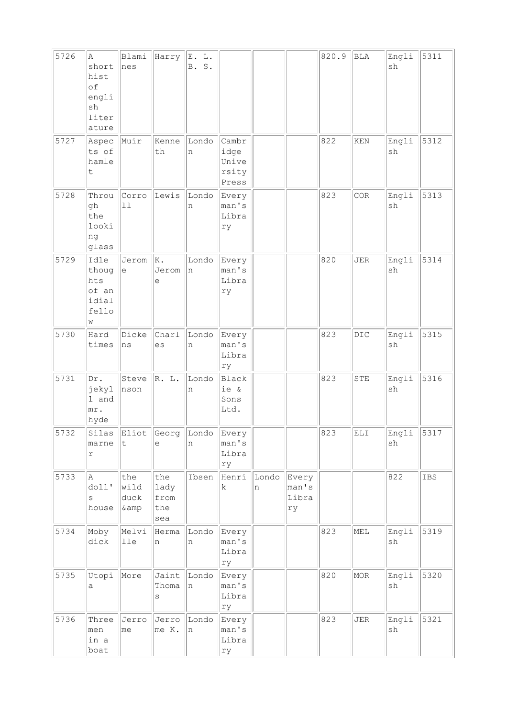| 5726 | la.<br>short<br>hist<br>of<br>engli<br>sh<br>liter<br>ature | Blami<br>nes                                      | Harry                             | E. L.<br>B. S. |                                          |            |                               | 820.9 | BLA                                                    | Engli<br>sh                  | 5311 |
|------|-------------------------------------------------------------|---------------------------------------------------|-----------------------------------|----------------|------------------------------------------|------------|-------------------------------|-------|--------------------------------------------------------|------------------------------|------|
| 5727 | Aspec<br>ts of<br>hamle<br>t                                | Muir                                              | Kenne<br>th                       | Londo<br>n     | Cambr<br>idge<br>Unive<br>rsity<br>Press |            |                               | 822   | KEN                                                    | Engli<br>sh                  | 5312 |
| 5728 | Throu<br>gh<br>the<br>looki<br>ng<br>glass                  | Corro<br>11                                       | Lewis                             | Londo<br>n     | Every<br>man's<br>Libra<br>ry            |            |                               | 823   | COR                                                    | Engli<br>sh                  | 5313 |
| 5729 | Idle<br>thoug<br>hts<br>of an<br>idial<br>fello<br>W        | Jerom<br>$\mathrel{\mathop{\mathrm{e}}\nolimits}$ | K.<br>Jerom<br>е                  | Londo<br>n     | Every<br>man's<br>Libra<br>ry            |            |                               | 820   | <b>JER</b>                                             | Engli<br>sh                  | 5314 |
| 5730 | Hard<br>times                                               | Dicke<br>ns                                       | Charl<br>es                       | Londo<br>n     | Every<br>man's<br>Libra<br>ry            |            |                               | 823   | DIC                                                    | Engli<br>$\operatorname{sh}$ | 5315 |
| 5731 | Dr.<br>jekyl<br>1 and<br>mr.<br>hyde                        | Steve<br>nson                                     | R. L.                             | Londo<br>n     | <b>Black</b><br>ie &<br>Sons<br>Ltd.     |            |                               | 823   | STE                                                    | Engli<br>sh                  | 5316 |
| 5732 | Silas<br>marne<br>r                                         | Eliot<br>t                                        | Georg<br>$\in$                    | Londo<br>n     | Every<br>man's<br>Libra<br>ry            |            |                               | 823   | $\mathop{\hbox{\rm EL}}\nolimits\mathop{\hbox{\rm I}}$ | Engli<br>$\operatorname{sh}$ | 5317 |
| 5733 | A<br>dol1'<br>S<br>house                                    | the<br>wild<br>duck<br>& amp                      | the<br>lady<br>from<br>the<br>sea | Ibsen          | Henri<br>k.                              | Londo<br>n | Every<br>man's<br>Libra<br>rу |       |                                                        | 822                          | IBS  |
| 5734 | Moby<br>dick                                                | Melvi<br>lle                                      | Herma<br>n                        | Londo<br>n     | Every<br>man's<br>Libra<br>rу            |            |                               | 823   | MEL                                                    | Engli<br>sh                  | 5319 |
| 5735 | Utopi<br>а                                                  | More                                              | Jaint<br>Thoma<br>$\rm s$         | Londo<br>n     | Every<br>man's<br>Libra<br>rу            |            |                               | 820   | MOR                                                    | Engli<br>$\operatorname{sh}$ | 5320 |
| 5736 | Three<br>men<br>in a<br>boat                                | Jerro<br>me                                       | Jerro<br>me K.                    | Londo<br>n     | Every<br>man's<br>Libra<br>ry            |            |                               | 823   | <b>JER</b>                                             | Engli<br>$\operatorname{sh}$ | 5321 |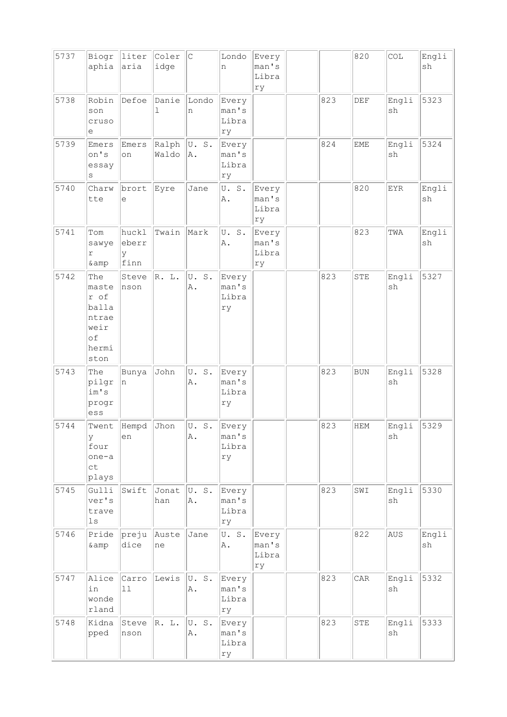| 5737 | Biogr<br>aphia                                                        | liter<br>aria               | Coler<br>idge  | $\vert$ C                                 | Londo<br>n                    | Every<br>man's<br>Libra<br>ry |     | 820        | COL                 | Engli<br>sh                  |
|------|-----------------------------------------------------------------------|-----------------------------|----------------|-------------------------------------------|-------------------------------|-------------------------------|-----|------------|---------------------|------------------------------|
| 5738 | Robin<br>son<br>cruso<br>е                                            | Defoe                       | Danie<br>ı     | Londo<br>n                                | Every<br>man's<br>Libra<br>ry |                               | 823 | DEF        | Engli<br>sh         | 5323                         |
| 5739 | Emers<br>on's<br>essay<br>S                                           | Emers<br>on                 | Ralph<br>Waldo | U.S.<br>A.                                | Every<br>man's<br>Libra<br>ry |                               | 824 | <b>EME</b> | Engli<br>sh         | 5324                         |
| 5740 | Charw<br>tte                                                          | brort<br>е                  | Eyre           | Jane                                      | U.S.<br>A.                    | Every<br>man's<br>Libra<br>ry |     | 820        | EYR                 | Engli<br>sh                  |
| 5741 | Tom<br>sawye<br>r<br>& amp                                            | huckl<br>eberr<br>У<br>finn | Twain          | Mark                                      | U.S.<br>A.                    | Every<br>man's<br>Libra<br>ry |     | 823        | TWA                 | Engli<br>$\operatorname{sh}$ |
| 5742 | The<br>maste<br>r of<br>balla<br>ntrae<br>weir<br>of<br>hermi<br>ston | Steve<br>nson               | R. L.          | U.S.<br>Α.                                | Every<br>man's<br>Libra<br>ry |                               | 823 | <b>STE</b> | Engli<br>sh         | 5327                         |
| 5743 | The<br>pilgr<br>im's<br>progr<br>ess                                  | Bunya<br>n                  | John           | U.<br>$\mathbb S$ .<br>Α.                 | Every<br>man's<br>Libra<br>ry |                               | 823 | <b>BUN</b> | Engli<br>sh         | 5328                         |
| 5744 | Twent<br>У<br>four<br>one-a<br>ct<br>plays                            | Hempd<br>en                 | Jhon           | U.<br>$\texttt{S}$ .<br>A.                | Every<br>man's<br>Libra<br>ry |                               | 823 | <b>HEM</b> | Engli<br>${\tt sh}$ | 5329                         |
| 5745 | Gulli<br>ver's<br>trave<br>$1s$                                       | Swift                       | Jonat<br>han   | U.S.<br>A.                                | Every<br>man's<br>Libra<br>ry |                               | 823 | SWI        | Engli<br>sh         | 5330                         |
| 5746 | Pride<br>& amp                                                        | preju<br>dice               | Auste<br>ne    | Jane                                      | U.S.<br>A.                    | Every<br>man's<br>Libra<br>ry |     | 822        | AUS                 | Engli<br>sh                  |
| 5747 | Alice<br>in<br>wonde<br>rland                                         | Carro<br>11                 | Lewis          | U.S.<br>Α.                                | Every<br>man's<br>Libra<br>ry |                               | 823 | CAR        | Engli<br>${\rm sh}$ | 5332                         |
| 5748 | Kidna<br>pped                                                         | Steve<br>nson               | R. L.          | $\operatorname{\mathsf{S}}$ .<br>U.<br>Α. | Every<br>man's<br>Libra<br>ry |                               | 823 | STE        | Engli<br>sh         | 5333                         |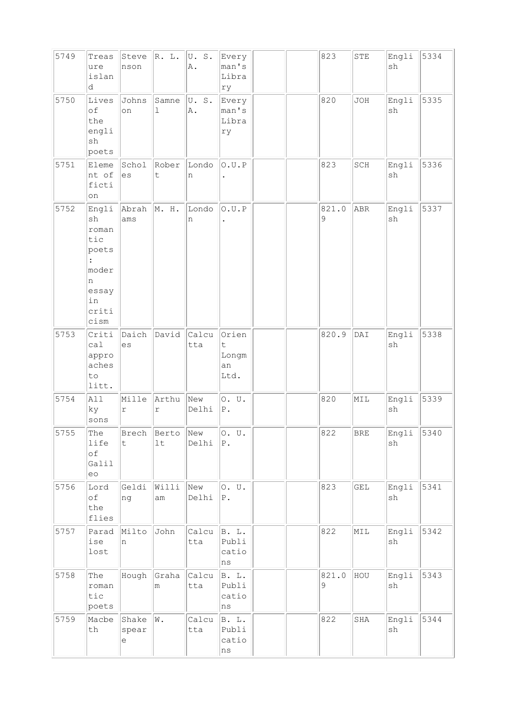| 5749 | Treas<br>ure<br>islan<br>d                                                         | Steve<br>nson       | R. L.                | U.S.<br>Α.   | Every<br>man's<br>Libra<br>ry                       |  | 823        | ${\tt STE}$  | Engli<br>sh                  | 5334 |
|------|------------------------------------------------------------------------------------|---------------------|----------------------|--------------|-----------------------------------------------------|--|------------|--------------|------------------------------|------|
| 5750 | Lives<br>of<br>the<br>engli<br>sh<br>poets                                         | Johns<br>on         | Samne<br>$\mathbf 1$ | U.S.<br>A.   | Every<br>man's<br>Libra<br>rу                       |  | 820        | JOH          | Engli<br>sh                  | 5335 |
| 5751 | Eleme<br>nt of<br>ficti<br>on                                                      | Schol<br>es         | Rober<br>t.          | Londo<br>n   | 0.U.P                                               |  | 823        | SCH          | Engli<br>sh                  | 5336 |
| 5752 | Engli<br>sh<br>roman<br>tic<br>poets<br>moder<br>n<br>essay<br>in<br>criti<br>cism | Abrah<br>ams        | M. H.                | Londo<br>n   | 0.U.P                                               |  | 821.0<br>9 | ABR          | Engli<br>$\operatorname{sh}$ | 5337 |
| 5753 | Criti<br>ca1<br>appro<br>aches<br>to<br>litt.                                      | Daich<br>es         | David                | Calcu<br>tta | Orien<br>$\ddot{\mathsf{t}}$<br>Longm<br>an<br>Ltd. |  | 820.9      | DAI          | Engli<br>sh                  | 5338 |
| 5754 | All<br>ky<br>sons                                                                  | Mille<br>r          | Arthu<br>$\Upsilon$  | New<br>Delhi | 0. U.<br>${\tt P}$ .                                |  | 820        | MIL          | Engli<br>sh                  | 5339 |
| 5755 | The<br>life<br>$\circ f$<br>Galil<br>eo                                            | Brech<br>t          | Berto<br>1t          | New<br>Delhi | 0. U.<br>$ P$ .                                     |  | 822        | <b>BRE</b>   | Engli<br>sh                  | 5340 |
| 5756 | Lord<br>of<br>the<br>flies                                                         | Geldi<br>ng         | Willi<br>$\text{am}$ | New<br>Delhi | 0. U.<br>$ P$ .                                     |  | 823        | GEL          | Engli<br>$\operatorname{sh}$ | 5341 |
| 5757 | Parad<br>ise<br>lost                                                               | Milto<br>In.        | John                 | Calcu<br>tta | B. L.<br>Publi<br>catio<br>ns                       |  | 822        | MIL          | Engli<br>sh                  | 5342 |
| 5758 | The<br>roman<br>tic<br>poets                                                       | Hough               | Graha<br>m           | Calcu<br>tta | B. L.<br>Publi<br>catio<br>ns                       |  | 821.0<br>9 | HOU          | Engli<br>sh                  | 5343 |
| 5759 | Macbe<br>$\tt th$                                                                  | Shake<br>spear<br>е | W.                   | Calcu<br>tta | B. L.<br>Publi<br>catio<br>ns                       |  | 822        | $_{\rm SHA}$ | Engli<br>$\operatorname{sh}$ | 5344 |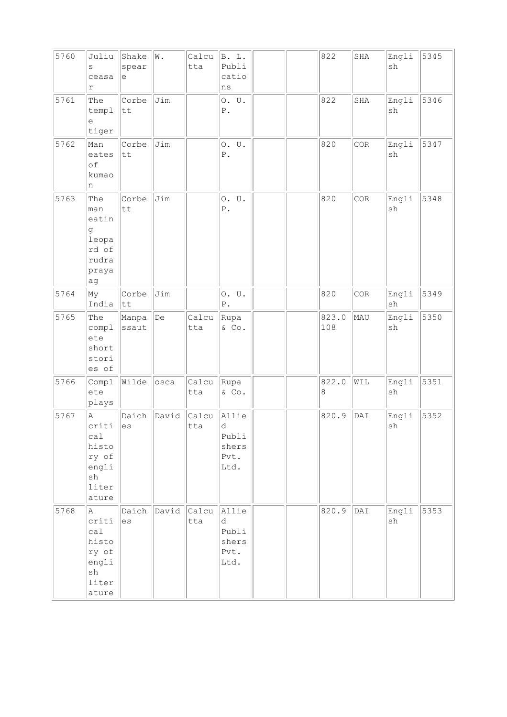| 5760 | Juliu<br>S<br>ceasa<br>r                                                     | Shake<br>spear<br>е     | W.    | Calcu<br>tta | B. L.<br>Publi<br>catio<br>ns                |  | 822          | SHA | Engli<br>sh                  | 5345 |
|------|------------------------------------------------------------------------------|-------------------------|-------|--------------|----------------------------------------------|--|--------------|-----|------------------------------|------|
| 5761 | The<br>templ<br>е<br>tiger                                                   | Corbe<br>tt             | Jim   |              | 0. U.<br>${\mathbb P}$ .                     |  | 822          | SHA | Engli<br>sh                  | 5346 |
| 5762 | Man<br>eates<br>of<br>kumao<br>n                                             | Corbe<br>tt             | Jim   |              | 0. U.<br>${\mathbb P}$ .                     |  | 820          | COR | Engli<br>sh                  | 5347 |
| 5763 | The<br>man<br>eatin<br>g<br>leopa<br>rd of<br>rudra<br>praya<br>ag           | Corbe<br>tt             | Jim   |              | 0. U.<br>${\tt P}$ .                         |  | 820          | COR | Engli<br>sh                  | 5348 |
| 5764 | My<br>India                                                                  | Corbe<br>$ \texttt{tt}$ | Jim   |              | 0. U.<br>${\tt P}$ .                         |  | 820          | COR | Engli<br>$\operatorname{sh}$ | 5349 |
| 5765 | The<br>compl<br>ete<br>short<br>stori<br>es of                               | Manpa<br>ssaut          | De    | Calcu<br>tta | Rupa<br>& Co.                                |  | 823.0<br>108 | MAU | Engli<br>$\operatorname{sh}$ | 5350 |
| 5766 | Compl<br>ete<br>plays                                                        | Wilde                   | osca  | Calcu<br>tta | Rupa<br>& Co.                                |  | 822.0<br>8   | WIL | Engli<br>sh                  | 5351 |
| 5767 | Α<br>criti<br>cal<br>histo<br>ry of<br>engli<br>${\tt sh}$<br>liter<br>ature | Daich<br>es             | David | Calcu<br>tta | Allie<br>d<br>Publi<br>shers<br>Pvt.<br>Ltd. |  | 820.9        | DAI | Engli<br>$\operatorname{sh}$ | 5352 |
| 5768 | Α<br>criti<br>ca1<br>histo<br>ry of<br>engli<br>sh<br>liter<br>ature         | Daich<br>es             | David | Calcu<br>tta | Allie<br>d<br>Publi<br>shers<br>Pvt.<br>Ltd. |  | 820.9        | DAI | Engli<br>sh                  | 5353 |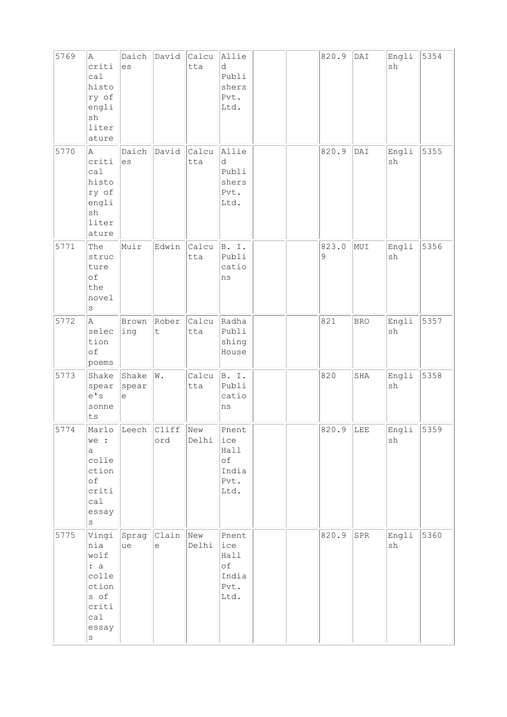| 5769 | A<br>criti<br>ca1<br>histo<br>ry of<br>engli<br>sh<br>liter<br>ature                      | Daich<br>es                  | David            | Calcu<br>tta | Allie<br>d<br>Publi<br>shers<br>Pvt.<br>Ltd.        |  | 820.9      | $\texttt{DAT}$ | Engli<br>sh                  | 5354 |
|------|-------------------------------------------------------------------------------------------|------------------------------|------------------|--------------|-----------------------------------------------------|--|------------|----------------|------------------------------|------|
| 5770 | A<br>criti<br>ca1<br>histo<br>ry of<br>engli<br>$\operatorname{sh}$<br>liter<br>ature     | Daich<br>es                  | David            | Calcu<br>tta | Allie<br>d<br>Publi<br>shers<br>Pvt.<br>Ltd.        |  | 820.9      | DAI            | Engli<br>sh                  | 5355 |
| 5771 | The<br>struc<br>ture<br>of<br>the<br>novel<br>$\rm s$                                     | Muir                         | Edwin            | Calcu<br>tta | B. I.<br>Publi<br>catio<br>ns                       |  | 823.0<br>9 | MUI            | Engli<br>$\operatorname{sh}$ | 5356 |
| 5772 | A<br>selec<br>tion<br>οf<br>poems                                                         | Brown<br>ing                 | Rober<br>$\sf t$ | Calcu<br>tta | Radha<br>Publi<br>shing<br>House                    |  | 821        | <b>BRO</b>     | Engli<br>sh                  | 5357 |
| 5773 | Shake<br>spear<br>e' s<br>sonne<br>ts                                                     | Shake<br>spear<br>$\epsilon$ | W.               | Calcu<br>tta | B. I.<br>Publi<br>catio<br>ns                       |  | 820        | SHA            | Engli<br>sh                  | 5358 |
| 5774 | we :<br>a<br>colle<br>ction<br>оf<br>criti<br>calal<br>essay<br>$\rm s$                   | Marlo Leech Cliff            | ord              | New<br>Delhi | Pnent<br>ice<br>Hall<br>оf<br>India<br>Pvt.<br>Ltd. |  | 820.9      | LEE            | Engli<br>sh                  | 5359 |
| 5775 | Vingi<br>nia<br>wolf<br>: a<br>colle<br>ction<br>s of<br>criti<br>ca1<br>essay<br>$\rm s$ | Sprag<br>ue                  | Clain<br>$\in$   | New<br>Delhi | Pnent<br>ice<br>Hall<br>оf<br>India<br>Pvt.<br>Ltd. |  | 820.9      | SPR            | Engli<br>$\operatorname{sh}$ | 5360 |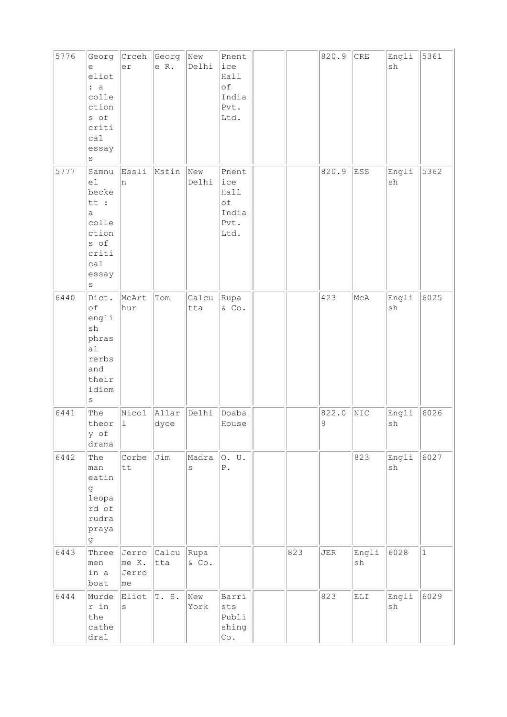| 5776 | Georg<br>e<br>eliot<br>: a<br>colle<br>ction<br>s of<br>criti<br>cal<br>essay<br>S                      | Crceh<br>er                    | Georg<br>e R.     | New<br>Delhi | Pnent<br>ice<br>Hall<br>of<br>India<br>Pvt.<br>Ltd. |     | 820.9      | CRE         | Engli<br>sh                  | 5361         |
|------|---------------------------------------------------------------------------------------------------------|--------------------------------|-------------------|--------------|-----------------------------------------------------|-----|------------|-------------|------------------------------|--------------|
| 5777 | Samnu<br>e1<br>becke<br>tt :<br>a<br>colle<br>ction<br>s of<br>criti<br>ca1<br>essay<br>$\rm s$         | Essli<br>n                     | Msfin             | New<br>Delhi | Pnent<br>ice<br>Hall<br>of<br>India<br>Pvt.<br>Ltd. |     | 820.9      | ESS         | Engli<br>$\operatorname{sh}$ | 5362         |
| 6440 | Dict.<br>of<br>engli<br>$\operatorname{sh}$<br>phras<br>a1<br>rerbs<br>and<br>their<br>idiom<br>$\rm s$ | McArt<br>hur                   | Tom               | Calcu<br>tta | Rupa<br>$&$ Co.                                     |     | 423        | McA         | Engli<br>$\operatorname{sh}$ | 6025         |
| 6441 | The<br>theor<br>y of<br>drama                                                                           | Nicol<br>$\vert$ 1             | Allar<br>dyce     | Delhi        | Doaba<br>House                                      |     | 822.0<br>9 | NIC         | Engli<br>sh                  | 6026         |
| 6442 | The<br>man<br>eatin<br>g<br>leopa<br>rd of<br>rudra<br>praya<br>g.                                      | Corbe<br>tt                    | Jim               | Madra<br>S   | O. U.<br>${\bf P}$ .                                |     |            | 823         | Engli<br>$\operatorname{sh}$ | 6027         |
| 6443 | Three<br>men<br>in a<br>boat                                                                            | Jerro<br>me K.<br>Jerro<br> me | Calcu Rupa<br>tta | & Co.        |                                                     | 823 | JER        | Engli<br>sh | 6028                         | $\mathbf{1}$ |
| 6444 | Murde<br>r in<br>the<br>cathe<br>dral                                                                   | Eliot<br>S                     | T.S.              | New<br>York  | Barri<br>sts<br>Publi<br>shing<br>Co.               |     | 823        | ELI         | Engli<br>sh                  | 6029         |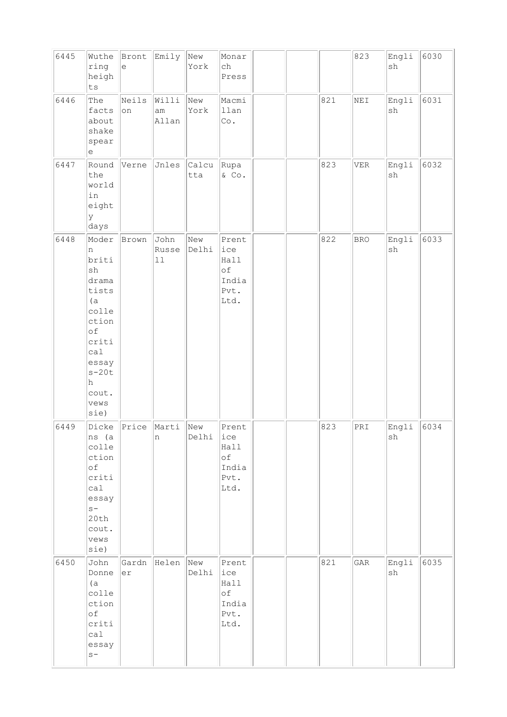| 6445 | Wuthe<br>ring<br>heigh<br>${\tt ts}$                                                                                                         | Bront<br>$\mathrel{\mathrm{e}}$ | Emily                         | New<br>York  | Monar<br>ch<br>Press                                 |  |     | 823        | Engli<br>$\operatorname{sh}$ | 6030 |
|------|----------------------------------------------------------------------------------------------------------------------------------------------|---------------------------------|-------------------------------|--------------|------------------------------------------------------|--|-----|------------|------------------------------|------|
| 6446 | The<br>facts<br>about<br>shake<br>spear<br>$\mathrel{\mathop{\mathrm{e}}\nolimits}$                                                          | Neils<br>on                     | Willi<br>$\text{am}$<br>Allan | New<br>York  | Macmi<br>llan<br>$\circ$ .                           |  | 821 | NEI        | Engli<br>$\operatorname{sh}$ | 6031 |
| 6447 | Round<br>the<br>world<br>in<br>eight<br>У<br>days                                                                                            | Verne                           | Jnles                         | Calcu<br>tta | Rupa<br>$&$ Co.                                      |  | 823 | <b>VER</b> | Engli<br>sh                  | 6032 |
| 6448 | Moder<br>n<br>briti<br>sh<br>drama<br>tists<br>(a)<br>colle<br>ction<br>of<br>criti<br>ca1<br>essay<br>$s-20t$<br>h<br>cout.<br>vews<br>sie) | Brown                           | John<br>Russe<br>$11\,$       | New<br>Delhi | Prent<br>ice<br>Hall<br>оf<br>India<br>Pvt.<br>Ltd.  |  | 822 | <b>BRO</b> | Engli<br>$\operatorname{sh}$ | 6033 |
| 6449 | Dicke<br>ns (a<br>colle<br>ction<br>of<br>criti<br>ca1<br>essay<br>$s-$<br>20th<br>cout.<br>vews<br>sie)                                     | Price                           | Marti<br>n                    | New<br>Delhi | Prent<br> ice<br>Hall<br>оf<br>India<br>Pvt.<br>Ltd. |  | 823 | PRI        | Engli<br>${\tt sh}$          | 6034 |
| 6450 | John<br>Donne<br>(a)<br>colle<br>ction<br>of<br>criti<br>calal<br>essay<br>$S -$                                                             | Gardn<br>er                     | Helen                         | New<br>Delhi | Prent<br>ice<br>Hall<br>оf<br>India<br>Pvt.<br>Ltd.  |  | 821 | GAR        | Engli<br>$\operatorname{sh}$ | 6035 |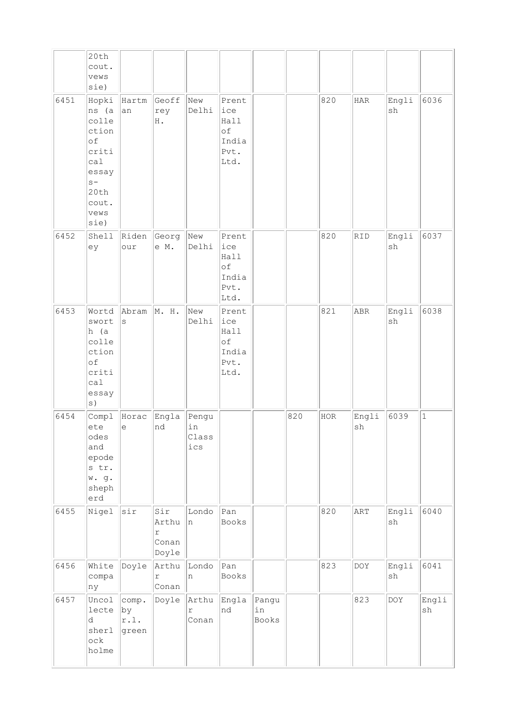|      | 20th                                                                             |                                       |                                                |                             |                                                     |                      |     |            |             |             |                              |
|------|----------------------------------------------------------------------------------|---------------------------------------|------------------------------------------------|-----------------------------|-----------------------------------------------------|----------------------|-----|------------|-------------|-------------|------------------------------|
|      | cout.                                                                            |                                       |                                                |                             |                                                     |                      |     |            |             |             |                              |
|      | vews                                                                             |                                       |                                                |                             |                                                     |                      |     |            |             |             |                              |
|      | sie)                                                                             |                                       |                                                |                             |                                                     |                      |     |            |             |             |                              |
| 6451 | Hopki<br>ns (a<br>colle<br>ction<br>of<br>criti<br>cal<br>essay<br>$S -$<br>20th | Hartm<br>an                           | Geoff<br>rey<br>H .                            | New<br>Delhi                | Prent<br>ice<br>Hall<br>of<br>India<br>Pvt.<br>Ltd. |                      |     | 820        | <b>HAR</b>  | Engli<br>sh | 6036                         |
|      | cout.<br>vews<br>sie)                                                            |                                       |                                                |                             |                                                     |                      |     |            |             |             |                              |
| 6452 | Shell<br>ey                                                                      | Riden<br>our                          | Georg<br>e M.                                  | New<br>Delhi                | Prent<br>ice<br>Hall<br>of<br>India<br>Pvt.<br>Ltd. |                      |     | 820        | RID         | Engli<br>sh | 6037                         |
| 6453 | Wortd<br>swort<br>h (a<br>colle<br>ction<br>of<br>criti<br>cal<br>essay<br>s)    | Abram<br>S                            | M. H.                                          | New<br>Delhi                | Prent<br>ice<br>Hall<br>of<br>India<br>Pvt.<br>Ltd. |                      |     | 821        | ABR         | Engli<br>sh | 6038                         |
| 6454 | Compl<br>ete<br>odes<br>and<br>epode<br>s tr.<br>w.g.<br>sheph<br>erd            | Horac<br>е                            | Engla<br>nd                                    | Pengu<br>in<br>Class<br>ics |                                                     |                      | 820 | <b>HOR</b> | Engli<br>sh | 6039        | $\vert$ 1                    |
| 6455 | Nigel                                                                            | sir                                   | Sir<br>Arthu<br>$\mathtt{r}$<br>Conan<br>Doyle | Londo<br>n                  | Pan<br>Books                                        |                      |     | 820        | ART         | Engli<br>sh | 6040                         |
| 6456 | White<br>compa<br>ny                                                             | Doyle                                 | Arthu<br>$\Upsilon$<br>Conan                   | Londo<br>n                  | Pan<br>Books                                        |                      |     | 823        | DOY         | Engli<br>sh | 6041                         |
| 6457 | Uncol<br>lecte<br>d<br>sherl<br>ock<br>holme                                     | comp.<br>$ {\rm by}$<br>r.l.<br>green |                                                | Doyle Arthu<br>r<br>Conan   | Engla<br>nd                                         | Pangu<br>in<br>Books |     |            | 823         | DOY         | Engli<br>$\operatorname{sh}$ |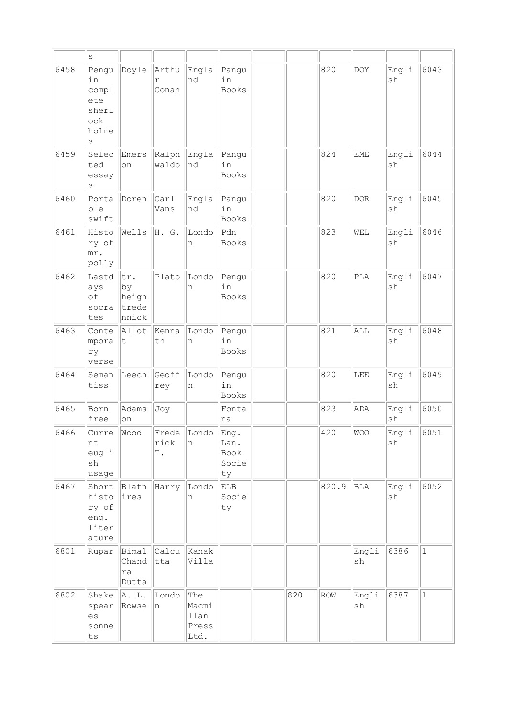|      | S                                                         |                                      |                                |                                       |                                     |     |       |             |                                       |              |
|------|-----------------------------------------------------------|--------------------------------------|--------------------------------|---------------------------------------|-------------------------------------|-----|-------|-------------|---------------------------------------|--------------|
| 6458 | Pengu<br>in<br>compl<br>ete<br>sherl<br>ock<br>holme<br>S | Doyle                                | Arthu<br>r<br>Conan            | Engla<br>nd                           | Pangu<br>in<br>Books                |     | 820   | <b>DOY</b>  | Engli<br>sh                           | 6043         |
| 6459 | Selec<br>ted<br>essay<br>S                                | Emers<br>on                          | Ralph<br>waldo                 | Engla<br>nd                           | Pangu<br>in<br><b>Books</b>         |     | 824   | <b>EME</b>  | Engli<br>sh                           | 6044         |
| 6460 | Porta<br>ble<br>swift                                     | Doren                                | Carl<br>Vans                   | Engla<br>nd                           | Pangu<br>in<br>Books                |     | 820   | $DOR$       | Engli<br>sh                           | 6045         |
| 6461 | Histo<br>ry of<br>mr.<br>polly                            | Wells                                | H. G.                          | Londo<br>n                            | Pdn<br><b>Books</b>                 |     | 823   | WEL         | Engli<br>sh                           | 6046         |
| 6462 | Lastd<br>ays<br>οf<br>socra<br>tes                        | tr.<br>by<br>heigh<br>trede<br>nnick | Plato                          | Londo<br>n                            | Pengu<br>in<br><b>Books</b>         |     | 820   | PLA         | Engli<br>sh                           | 6047         |
| 6463 | Conte<br>mpora<br>ry<br>verse                             | Allot<br>t                           | Kenna<br>th                    | Londo<br>n                            | Pengu<br>in<br>Books                |     | 821   | ALL         | Engli<br>sh                           | 6048         |
| 6464 | Seman<br>tiss                                             | Leech                                | Geoff<br>rey                   | Londo<br>n                            | Pengu<br>in<br>Books                |     | 820   | LEE         | Engli<br>sh                           | 6049         |
| 6465 | Born<br>free                                              | Adams<br>on                          | Joy                            |                                       | Fonta<br>na                         |     | 823   | ADA         | Engli<br>sh                           | 6050         |
| 6466 | <b>Curre</b><br>nt<br>eugli<br>sh<br>usage                |                                      | Wood Frede Londo<br>rick<br>Τ. | n                                     | Eng.<br>Lan.<br>Book<br>Socie<br>ty |     | 420   | WOO         | $\boxed{\texttt{English}}$ 6051<br>sh |              |
| 6467 | Short<br>histo<br>ry of<br>eng.<br>liter<br>ature         | Blatn<br>ires                        | Harry                          | Londo<br>n                            | ELB<br>Socie<br>ty                  |     | 820.9 | BLA         | Engli<br>sh                           | 6052         |
| 6801 | Rupar                                                     | Bimal<br>Chand<br>ra<br>Dutta        | Calcu<br>tta                   | Kanak<br>Villa                        |                                     |     |       | Engli<br>sh | 6386                                  | $\mathbf{1}$ |
| 6802 | Shake<br>spear<br>es<br>sonne<br>${\tt ts}$               | A. L.<br>Rowse                       | Londo<br>In.                   | The<br>Macmi<br>llan<br>Press<br>Ltd. |                                     | 820 | ROW   | Engli<br>sh | 6387                                  | $\mathbf{1}$ |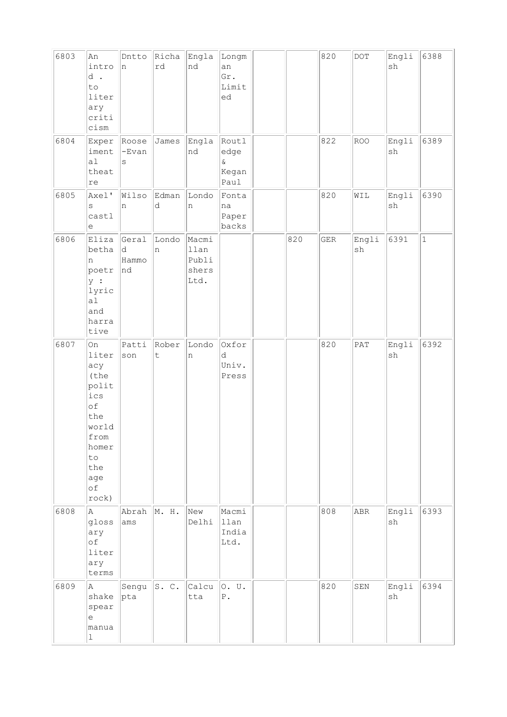| 6803 | An<br>intro<br>d.<br>to<br>liter<br>ary<br>criti<br>cism                                                                    | Dntto<br>n                 | Richa<br>rd          | Engla<br>nd                             | Longm<br>an<br>Gr.<br>Limit<br>ed      |     | 820         | $\rm{DOT}$  | Engli<br>sh                  | 6388         |
|------|-----------------------------------------------------------------------------------------------------------------------------|----------------------------|----------------------|-----------------------------------------|----------------------------------------|-----|-------------|-------------|------------------------------|--------------|
| 6804 | Exper<br>iment<br>a1<br>theat<br>re                                                                                         | Roose<br>$-Evan$<br>S      | James                | Engla<br>nd                             | Routl<br>edge<br>$\&$<br>Kegan<br>Paul |     | 822         | <b>ROO</b>  | Engli<br>sh                  | 6389         |
| 6805 | Axel'<br>S<br>castl<br>$\mathrel{\mathop{\mathrm{e}}\nolimits}$                                                             | Wilso<br>n                 | Edman<br>d           | Londo<br>n                              | Fonta<br>na<br>Paper<br>backs          |     | 820         | WIL         | Engli<br>$\operatorname{sh}$ | 6390         |
| 6806 | Eliza<br>betha<br>n<br>poetr<br>$ y $ :<br>lyric<br>a1<br>and<br>harra<br>tive                                              | Geral<br>d.<br>Hammo<br>nd | Londo<br>In.         | Macmi<br>llan<br>Publi<br>shers<br>Ltd. |                                        | 820 | ${\tt GER}$ | Engli<br>sh | 6391                         | $\mathbf{1}$ |
| 6807 | <b>On</b><br>liter<br>acy<br>(the<br>polit<br>ics<br>of<br>the<br>world<br>from<br>homer<br>to<br>the<br>age<br>of<br>rock) | Patti<br>son               | Rober<br>$\mathsf t$ | Londo<br>$\,$ n                         | Oxfor<br>d<br>Univ.<br>Press           |     | 820         | PAT         | Engli<br>sh                  | 6392         |
| 6808 | A<br>gloss<br>ary<br>of<br>liter<br>ary<br>terms                                                                            | Abrah<br>ams               | M. H.                | New<br>Delhi                            | Macmi<br>llan<br>India<br>Ltd.         |     | 808         | <b>ABR</b>  | Engli<br>sh                  | 6393         |
| 6809 | la.<br>shake<br>spear<br>le<br>manua<br>$\vert$ 1                                                                           | Sengu<br> pta              | s. c.                | Calcu<br>tta                            | 0. U.<br>${\mathbb P}$ .               |     | 820         | SEN         | Engli<br>sh                  | 6394         |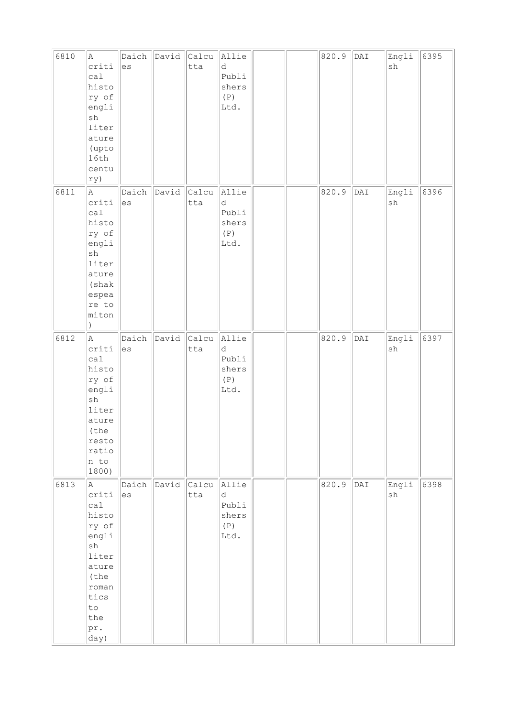| 6810 | $\mathbb A$<br>criti<br>cal<br>histo<br>ry of<br>engli<br>sh<br>liter<br>ature<br>(upto<br>16th<br>centu<br>ry)                            | Daich<br>es | David | Calcu<br>tta | Allie<br>d<br>Publi<br>shers<br>(P)<br>Ltd. |  | 820.9 | DAI | Engli<br>$\operatorname{sh}$ | 6395 |
|------|--------------------------------------------------------------------------------------------------------------------------------------------|-------------|-------|--------------|---------------------------------------------|--|-------|-----|------------------------------|------|
| 6811 | A<br>criti<br>calal<br>histo<br>ry of<br>engli<br>$\operatorname{sh}$<br>liter<br>ature<br>(shak<br>espea<br>re to<br>miton<br>$\lambda$   | Daich<br>es | David | Calcu<br>tta | Allie<br>d<br>Publi<br>shers<br>(P)<br>Ltd. |  | 820.9 | DAI | Engli<br>sh                  | 6396 |
| 6812 | A<br>criti<br>cal<br>histo<br>ry of<br>engli<br>$\operatorname{sh}$<br>liter<br>ature<br>(the<br>resto<br>ratio<br>n to<br>1800)           | Daich<br>es | David | Calcu<br>tta | Allie<br>d<br>Publi<br>shers<br>(P)<br>Ltd. |  | 820.9 | DAI | Engli<br>$\operatorname{sh}$ | 6397 |
| 6813 | A<br>criti<br>ca1<br>histo<br>ry of<br>engli<br>$\operatorname{sh}$<br>liter<br>ature<br>(the<br>roman<br>tics<br>to<br>the<br>pr.<br>day) | Daich<br>es | David | Calcu<br>tta | Allie<br>d<br>Publi<br>shers<br>(P)<br>Ltd. |  | 820.9 | DAI | Engli<br>sh                  | 6398 |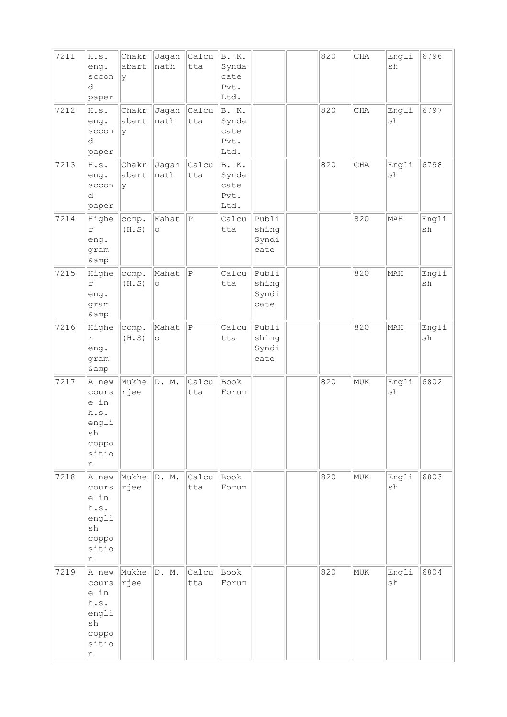| 7211<br>7212 | H.S.<br>eng.<br>sccon<br>d<br>paper<br>H.s.                          | Chakr<br>abart<br>У<br>Chakr | Jagan<br>nath<br>Jagan | Calcu<br>tta<br>Calcu | B. K.<br>Synda<br>cate<br>Pvt.<br>Ltd.<br>B. K. |                                 | 820<br>820 | CHA<br>CHA | Engli<br>sh<br>Engli | 6796<br>6797 |
|--------------|----------------------------------------------------------------------|------------------------------|------------------------|-----------------------|-------------------------------------------------|---------------------------------|------------|------------|----------------------|--------------|
|              | eng.<br>sccon<br>d<br>paper                                          | abart<br>ly                  | nath                   | tta                   | Synda<br>cate<br>Pvt.<br>Ltd.                   |                                 |            |            | sh                   |              |
| 7213         | H.s.<br>eng.<br>sccon<br>d<br>paper                                  | Chakr<br>abart<br>ly         | Jagan<br>nath          | Calcu<br>tta          | B. K.<br>Synda<br>cate<br>Pvt.<br>Ltd.          |                                 | 820        | CHA        | Engli<br>sh          | 6798         |
| 7214         | Highe<br>r<br>eng.<br>gram<br>& amp                                  | comp.<br>(H.S)               | Mahat<br>$\circ$       | $\vert$ P             | Calcu<br>tta                                    | Publi<br>shing<br>Syndi<br>cate |            | 820        | MAH                  | Engli<br>sh  |
| 7215         | Highe<br>$\Upsilon$<br>eng.<br>gram<br>& amp                         | comp.<br>(H.S)               | Mahat<br>$\circ$       | $\vert$ P             | Calcu<br>tta                                    | Publi<br>shing<br>Syndi<br>cate |            | 820        | MAH                  | Engli<br>sh  |
| 7216         | Highe<br>r<br>eng.<br>gram<br>& amp                                  | comp.<br>(H.S)               | Mahat<br>$\circ$       | $\, {\bf P}$          | Calcu<br>tta                                    | Publi<br>shing<br>Syndi<br>cate |            | 820        | MAH                  | Engli<br>sh  |
| 7217         | A new<br>cours<br>e in<br>h.s.<br>engli<br>sh<br>coppo<br>sitio<br>n | Mukhe<br>rjee                | D. M.                  | Calcu<br>tta          | Book<br>Forum                                   |                                 | 820        | MUK        | Engli<br>sh          | 6802         |
| 7218         | A new<br>cours<br>e in<br>h.s.<br>engli<br>sh<br>coppo<br>sitio<br>n | Mukhe<br> rjee               | D. M.                  | Calcu<br>tta          | Book<br>Forum                                   |                                 | 820        | MUK        | Engli<br>sh          | 6803         |
| 7219         | A new<br>cours<br>e in<br>h.s.<br>engli<br>sh<br>coppo<br>sitio<br>n | Mukhe<br>rjee                | D. M.                  | Calcu<br>tta          | Book<br>Forum                                   |                                 | 820        | MUK        | Engli<br>sh          | 6804         |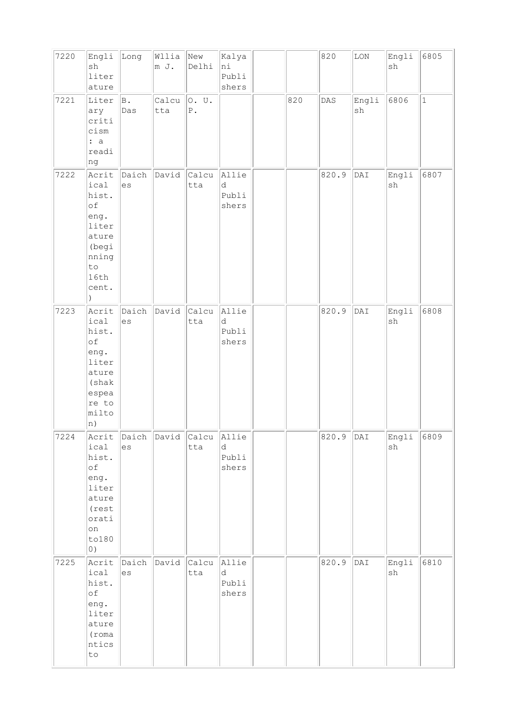| 7220 | Engli<br>sh<br>liter<br>ature                                                                                | Long        | Wllia<br>m J. | New<br>Delhi             | Kalya<br>ni<br>Publi<br>shers |     | 820            | $\rm{LON}$     | Engli<br>$\operatorname{sh}$ | 6805         |
|------|--------------------------------------------------------------------------------------------------------------|-------------|---------------|--------------------------|-------------------------------|-----|----------------|----------------|------------------------------|--------------|
| 7221 | Liter<br>ary<br>criti<br>cism<br>: a<br>readi<br>ng                                                          | B.<br>Das   | Calcu<br>tta  | O. U.<br>${\mathbb P}$ . |                               | 820 | $\texttt{DAS}$ | Engli<br>sh    | 6806                         | $\mathbf{1}$ |
| 7222 | Acrit<br>ical<br>hist.<br>of<br>eng.<br>liter<br>ature<br>(begi<br>nning<br>to<br>16th<br>cent.<br>$\lambda$ | Daich<br>es | David         | Calcu<br>tta             | Allie<br>d<br>Publi<br>shers  |     | 820.9          | $\texttt{DAT}$ | Engli<br>$\operatorname{sh}$ | 6807         |
| 7223 | Acrit<br>ical<br>hist.<br>of<br>eng.<br>liter<br>ature<br>(shak<br>espea<br>re to<br>milto<br> n)            | Daich<br>es | David         | Calcu<br>tta             | Allie<br>d<br>Publi<br>shers  |     | 820.9          | $\texttt{DAT}$ | Engli<br>$\operatorname{sh}$ | 6808         |
| 7224 | Acrit<br>ical<br>hist.<br>$\circ$ f<br>eng.<br>liter<br>ature<br>(rest<br>orati<br>on<br>to180<br>$\circ$ )  | Daich<br>es | David Calcu   | tta                      | Allie<br>d<br>Publi<br>shers  |     | 820.9          | DAI            | Engli<br>${\tt sh}$          | 6809         |
| 7225 | Acrit<br>ical<br>hist.<br>$\circ f$<br>eng.<br>liter<br>ature<br>(roma<br>ntics<br>$\texttt{to}$             | Daich<br>es | David         | Calcu<br>tta             | Allie<br>d<br>Publi<br>shers  |     | 820.9          | $\texttt{DAT}$ | Engli<br>$\operatorname{sh}$ | 6810         |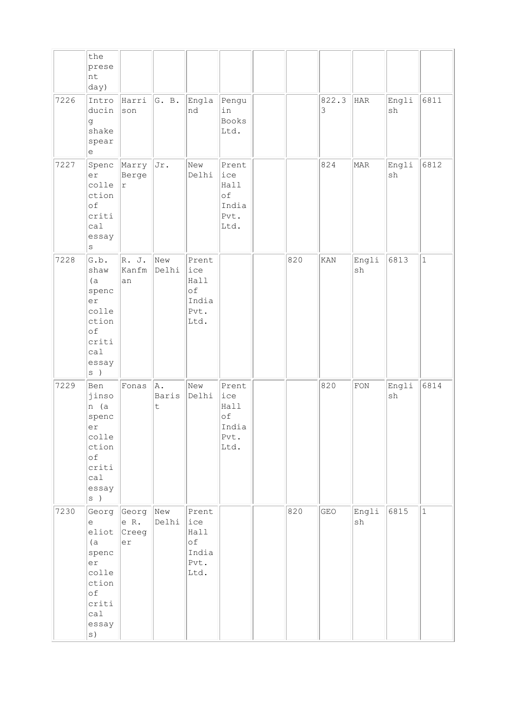|      | the<br>prese<br>nt<br>day)                                                                        |                              |                        |                                                     |                                                     |     |            |             |             |              |
|------|---------------------------------------------------------------------------------------------------|------------------------------|------------------------|-----------------------------------------------------|-----------------------------------------------------|-----|------------|-------------|-------------|--------------|
| 7226 | Intro<br>ducin<br>g<br>shake<br>spear<br>е                                                        | Harri<br>son                 | G. B.                  | Engla<br>Ind                                        | Pengu<br>in<br>Books<br>Ltd.                        |     | 822.3<br>3 | HAR         | Engli<br>sh | 6811         |
| 7227 | Spenc<br>er<br>colle<br>ction<br>of<br>criti<br>ca1<br>essay<br>$\rm s$                           | Marry<br>Berge<br>r          | Jr.                    | New<br>Delhi                                        | Prent<br>ice<br>Hall<br>of<br>India<br>Pvt.<br>Ltd. |     | 824        | MAR         | Engli<br>sh | 6812         |
| 7228 | G.b.<br>shaw<br>(a)<br>spenc<br>er<br>colle<br>ction<br>of<br>criti<br>ca1<br>essay<br>$s$ )      | R. J.<br>Kanfm<br>an         | New<br>Delhi           | Prent<br>ice<br>Hall<br>of<br>India<br>Pvt.<br>Ltd. |                                                     | 820 | KAN        | Engli<br>sh | 6813        | $\mathbf{1}$ |
| 7229 | Ben<br>jinso<br>n (a<br>spenc<br>er<br>colle<br>ction<br>of<br>criti<br>calal<br>essay<br>$s$ )   | Fonas                        | A.<br>Baris<br>$\sf t$ | New<br>Delhi                                        | Prent<br>ice<br>Hall<br>of<br>India<br>Pvt.<br>Ltd. |     | 820        | <b>FON</b>  | Engli<br>sh | 6814         |
| 7230 | Georg<br>e<br>eliot<br>(a)<br>spenc<br>er<br>colle<br>ction<br>of<br>criti<br>call<br>essay<br>s) | Georg<br>e R.<br>Creeg<br>er | New<br>Delhi           | Prent<br>ice<br>Hall<br>of<br>India<br>Pvt.<br>Ltd. |                                                     | 820 | GEO        | Engli<br>sh | 6815        | $\mathbf{1}$ |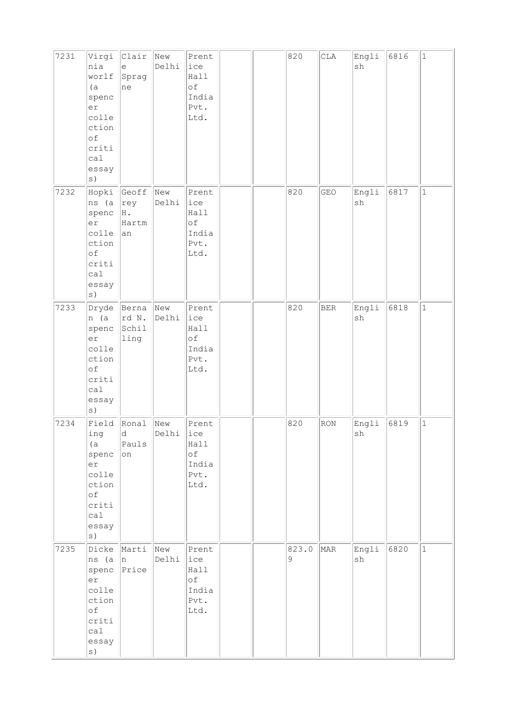| 7231 | Virgi<br>nia<br>worlf<br>(a)<br>spenc<br>er<br>colle<br>ction<br>of<br>criti<br>cal<br>essay<br>s) | $ $ Clair<br>$\mathrel{\mathrm{e}}$<br>Sprag<br>ne | New<br>Delhi | Prent<br>ice<br>Hall<br>of<br>India<br>Pvt.<br>Ltd. |  | 820                    | CLA        | Engli<br>sh | 6816 | $\mathbf 1$  |
|------|----------------------------------------------------------------------------------------------------|----------------------------------------------------|--------------|-----------------------------------------------------|--|------------------------|------------|-------------|------|--------------|
| 7232 | ns (a<br>spenc<br>er<br>colle<br>ction<br>of<br>criti<br>calal<br>essay                            | Hopki Geoff<br>$ $ rey<br>H.<br>Hartm<br>an        | New<br>Delhi | Prent<br>ice<br>Hall<br>of<br>India<br>Pvt.<br>Ltd. |  | 820                    | GEO        | Engli<br>sh | 6817 | $\mathbf{1}$ |
| 7233 | n (a<br>spenc<br>er<br>colle<br>ction<br>of<br>criti<br>ca1<br>essay                               | Dryde Berna<br>rd N.<br>Schil<br>ling              | New<br>Delhi | Prent<br>ice<br>Hall<br>of<br>India<br>Pvt.<br>Ltd. |  | 820                    | <b>BER</b> | Engli<br>sh | 6818 | $\mathbf{1}$ |
| 7234 | Field Ronal<br>ing<br>(a)<br>spenc<br>er<br>colle<br>ction<br>of<br>criti<br>cal<br>essay<br>s)    | d.<br>Pauls<br>on                                  | New<br>Delhi | Prent<br>ice<br>Hall<br>of<br>India<br>Pvt.<br>Ltd. |  | 820                    | RON        | Engli<br>sh | 6819 | $\mathbf 1$  |
| 7235 | Dicke<br>ns (a<br>spenc<br>er<br>colle<br>ction<br>оf<br>criti<br>ca1<br>essay<br>s)               | Marti<br>In.<br>Price                              | New<br>Delhi | Prent<br>ice<br>Hall<br>of<br>India<br>Pvt.<br>Ltd. |  | 823.0<br>$\mathcal{G}$ | MAR        | Engli<br>sh | 6820 | $\vert$ 1    |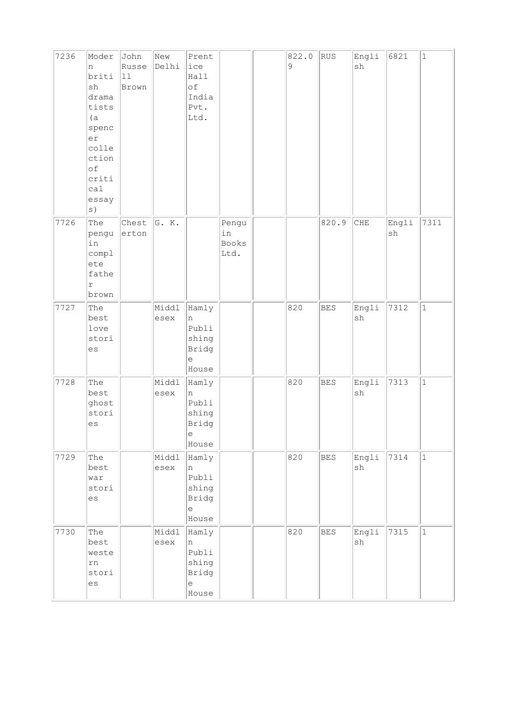| 7236 | Moder<br>n<br>briti<br>sh<br>drama<br>tists<br>(a)<br>spenc<br>er<br>colle<br>ction<br>of<br>criti<br>cal<br>essay | John<br>Russe<br>$ 11$<br>Brown | New<br>Delhi  | Prent<br>ice<br>Hall<br>of<br>India<br>Pvt.<br>Ltd.                                        |                                     | 822.0<br>9 | RUS        | Engli<br>sh                  | 6821        | $\mathbf{1}$ |
|------|--------------------------------------------------------------------------------------------------------------------|---------------------------------|---------------|--------------------------------------------------------------------------------------------|-------------------------------------|------------|------------|------------------------------|-------------|--------------|
| 7726 | The<br>pengu<br>in<br>compl<br>ete<br>fathe<br>$\Upsilon$<br>brown                                                 | Chest<br>erton                  | G. K.         |                                                                                            | Pengu<br>in<br><b>Books</b><br>Ltd. |            | 820.9      | CHE                          | Engli<br>sh | 7311         |
| 7727 | The<br>best<br>love<br>stori<br>es                                                                                 |                                 | Middl<br>esex | Hamly<br>n<br>Publi<br>shing<br>Bridg<br>$\epsilon$<br>House                               |                                     | 820        | <b>BES</b> | Engli<br>$\operatorname{sh}$ | 7312        | $\mathbf{1}$ |
| 7728 | The<br>best<br>ghost<br>stori<br>es                                                                                |                                 | Middl<br>esex | Hamly<br>n<br>Publi<br>shing<br>Bridg<br>$\mathrel{\mathop{\mathrm{e}}\nolimits}$<br>House |                                     | 820        | <b>BES</b> | Engli<br>sh                  | 7313        | $\mathbf{1}$ |
| 7729 | The<br>best<br>war<br>stori<br>es                                                                                  |                                 | Middl<br>esex | Hamly<br>n<br>Publi<br>shing<br>Bridg<br>$\epsilon$<br>House                               |                                     | 820        | <b>BES</b> | Engli<br>sh                  | 7314        | $\mathbf{1}$ |
| 7730 | The<br>best<br>weste<br>${\tt rn}$<br>stori<br>es                                                                  |                                 | Middl<br>esex | Hamly<br>n<br>Publi<br>shing<br>Bridg<br>$\mathrel{\text{e}}$<br>House                     |                                     | 820        | BES        | Engli<br>$\operatorname{sh}$ | 7315        | $\mathbf{1}$ |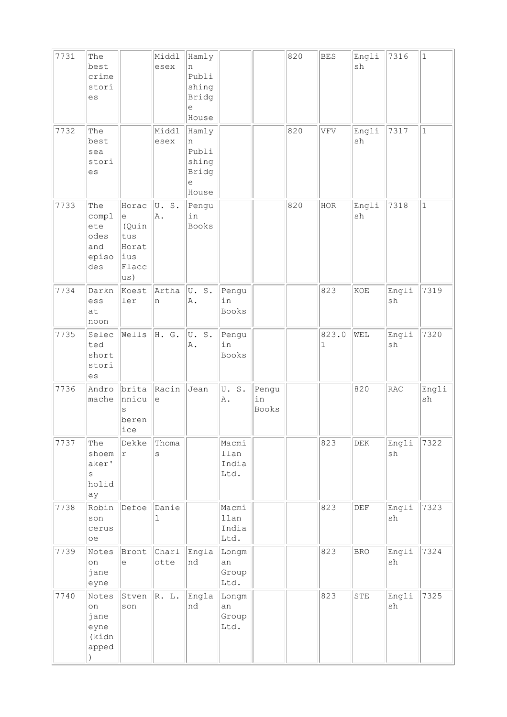| 7731 | The<br>best<br>crime<br>stori<br>es                        |                                                                                                   | Middl<br>esex | Hamly<br>n<br>Publi<br>shing<br>Bridg<br>$\epsilon$<br>House                               |                                |                      | 820 | <b>BES</b> | Engli<br>sh | 7316                         | $\mathbf 1$                  |
|------|------------------------------------------------------------|---------------------------------------------------------------------------------------------------|---------------|--------------------------------------------------------------------------------------------|--------------------------------|----------------------|-----|------------|-------------|------------------------------|------------------------------|
| 7732 | The<br>best<br>sea<br>stori<br>es                          |                                                                                                   | Middl<br>esex | Hamly<br>n<br>Publi<br>shing<br>Bridg<br>$\mathrel{\mathop{\mathrm{e}}\nolimits}$<br>House |                                |                      | 820 | VFV        | Engli<br>sh | 7317                         | $\mathbf{1}$                 |
| 7733 | The<br>compl<br>ete<br>odes<br>and<br>episo<br>des         | Horac<br>$\mathrel{\mathop{\mathrm{e}}\nolimits}$<br>(Quin<br>tus<br>Horat<br>ius<br>Flacc<br>us) | U.S.<br>A.    | Pengu<br>in<br><b>Books</b>                                                                |                                |                      | 820 | HOR        | Engli<br>sh | 7318                         | $\mathbf 1$                  |
| 7734 | Darkn<br>ess<br>at<br>noon                                 | Koest<br>ler                                                                                      | Artha<br>n    | U.S.<br>Α.                                                                                 | Pengu<br>in<br>Books           |                      |     | 823        | KOE         | Engli<br>sh                  | 7319                         |
| 7735 | Selec<br>ted<br>short<br>stori<br>es                       | Wells                                                                                             | H. G.         | U.S.<br>Α.                                                                                 | Pengu<br>in<br>Books           |                      |     | 823.0<br>1 | WEL         | Engli<br>sh                  | 7320                         |
| 7736 | Andro<br>mache                                             | brita<br>nnicu<br>S<br>beren<br>ice                                                               | Racin<br>le   | Jean                                                                                       | U.S.<br>Α.                     | Pengu<br>in<br>Books |     |            | 820         | RAC                          | Engli<br>$\operatorname{sh}$ |
| 7737 | The<br>shoem<br>aker'<br>$\rm s$<br>holid<br>ay            | Dekke<br>$\Upsilon$                                                                               | Thoma<br>S    |                                                                                            | Macmi<br>llan<br>India<br>Ltd. |                      |     | 823        | DEK         | Engli<br>sh                  | 7322                         |
| 7738 | Robin<br>son<br>cerus<br>oe                                | Defoe                                                                                             | Danie<br>ı    |                                                                                            | Macmi<br>llan<br>India<br>Ltd. |                      |     | 823        | DEF         | Engli<br>$\operatorname{sh}$ | 7323                         |
| 7739 | Notes<br>on<br>jane<br>eyne                                | Bront<br>$\epsilon$                                                                               | Charl<br>otte | Engla<br>nd                                                                                | Longm<br>an<br>Group<br>Ltd.   |                      |     | 823        | <b>BRO</b>  | Engli<br>sh                  | 7324                         |
| 7740 | Notes<br>on<br>jane<br>eyne<br>(kidn<br>apped<br>$\lambda$ | Stven<br>son                                                                                      | R. L.         | Engla<br>nd                                                                                | Longm<br>an<br>Group<br>Ltd.   |                      |     | 823        | ${\tt STE}$ | Engli<br>sh                  | 7325                         |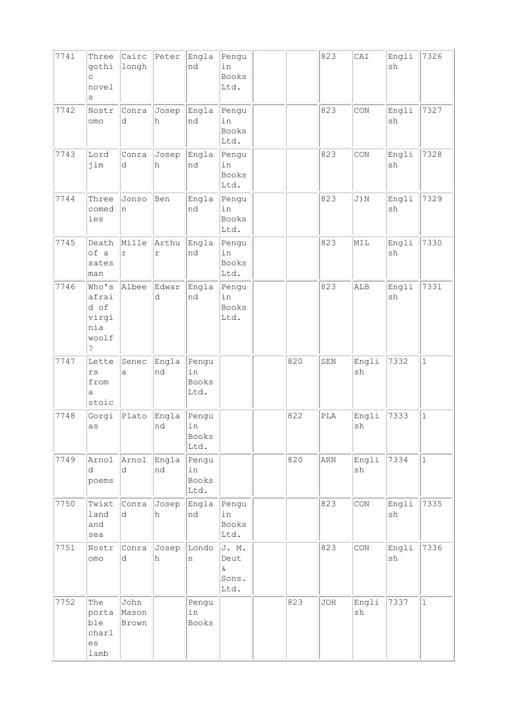| 7741 | Three<br>gothi<br>$\mathsf C$<br>novel<br>$\rm s$                 | Cairc<br>longh         | Peter               | Engla<br>nd                         | Pengu<br>in<br><b>Books</b><br>Ltd.        |     | 823        | CAI                          | Engli<br>sh | 7326         |
|------|-------------------------------------------------------------------|------------------------|---------------------|-------------------------------------|--------------------------------------------|-----|------------|------------------------------|-------------|--------------|
| 7742 | Nostr<br>omo                                                      | Conra<br>d             | Josep<br>h          | Engla<br>nd                         | Pengu<br>in<br><b>Books</b><br>Ltd.        |     | 823        | CON                          | Engli<br>sh | 7327         |
| 7743 | Lord<br>jim                                                       | Conra<br>d             | Josep<br>h          | Engla<br>nd                         | Pengu<br>in<br>Books<br>Ltd.               |     | 823        | CON                          | Engli<br>sh | 7328         |
| 7744 | Three<br>comed<br>ies                                             | Jonso<br>n             | Ben                 | Engla<br>nd                         | Pengu<br>in<br>Books<br>Ltd.               |     | 823        | J) N                         | Engli<br>sh | 7329         |
| 7745 | Death<br>of a<br>sates<br>man                                     | Mille<br>$\Upsilon$    | Arthu<br>$\Upsilon$ | Engla<br>nd                         | Pengu<br>in<br>Books<br>Ltd.               |     | 823        | MIL                          | Engli<br>sh | 7330         |
| 7746 | Who's<br>afrai<br>d of<br>virgi<br>nia<br>woolf<br>$\ddot{\cdot}$ | Albee                  | Edwar<br>d          | Engla<br>nd                         | Pengu<br>in<br><b>Books</b><br>Ltd.        |     | 823        | ALB                          | Engli<br>sh | 7331         |
| 7747 | Lette<br>$r s$<br>from<br>a<br>stoic                              | Senec<br>a             | Engla<br>nd         | Pengu<br>in<br><b>Books</b><br>Ltd. |                                            | 820 | SEN        | Engli<br>sh                  | 7332        | $\vert$ 1    |
| 7748 | Gorgi<br>as                                                       | Plato                  | Engla<br>nd         | Pengu<br>ın<br><b>Books</b><br>Ltd. |                                            | 822 | PLA        | Engli<br>sh                  | 7333        | $\mathbf{1}$ |
| 7749 | Arnol<br>ld.<br>poems                                             | Arnol<br>d             | Engla<br>nd         | Pengu<br>in<br><b>Books</b><br>Ltd. |                                            | 820 | ARN        | Engli<br>$\operatorname{sh}$ | 7334        | $\vert$ 1    |
| 7750 | Twixt<br>land<br>and<br>sea                                       | Conra<br>d             | Josep<br>h          | Engla<br>nd                         | Pengu<br>in<br>Books<br>Ltd.               |     | 823        | CON                          | Engli<br>sh | 7335         |
| 7751 | Nostr<br>OMO                                                      | Conra<br>d             | Josep<br>h          | Londo<br>n                          | J. M.<br>Deut<br>$\delta$<br>Sons.<br>Ltd. |     | 823        | CON                          | Engli<br>sh | 7336         |
| 7752 | The<br>porta<br>ble<br>charl<br>es<br>lamb                        | John<br>Mason<br>Brown |                     | Pengu<br>in<br>Books                |                                            | 823 | <b>JOH</b> | Engli<br>sh                  | 7337        | $\vert$ 1    |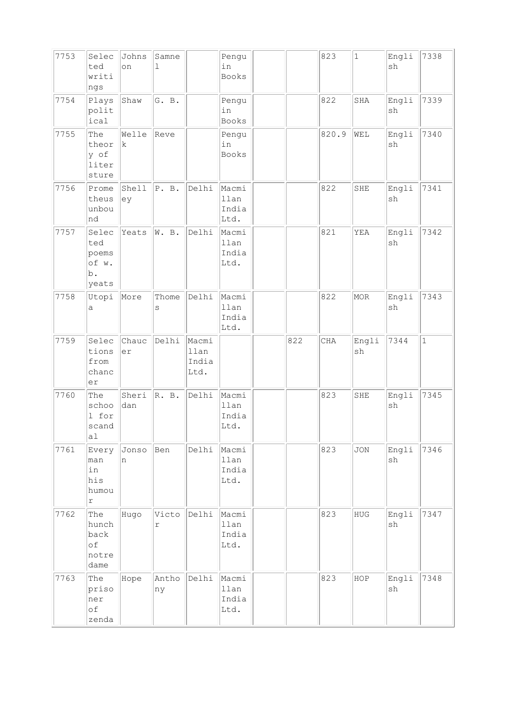| 7753 | Selec<br>ted<br>writi<br>ngs                  | Johns<br>on          | Samne<br>$\mathbf 1$ |                                | Pengu<br>in<br>Books           |     | 823        | $1\,$       | Engli<br>sh | 7338         |
|------|-----------------------------------------------|----------------------|----------------------|--------------------------------|--------------------------------|-----|------------|-------------|-------------|--------------|
| 7754 | Plays<br>polit<br>ical                        | Shaw                 | G. B.                |                                | Pengu<br>in<br>Books           |     | 822        | SHA         | Engli<br>sh | 7339         |
| 7755 | The<br>theor<br>y of<br>liter<br>sture        | Welle<br>$\mathbf k$ | Reve                 |                                | Pengu<br>in<br><b>Books</b>    |     | 820.9      | WEL         | Engli<br>sh | 7340         |
| 7756 | Prome<br>theus<br>unbou<br>nd                 | Shell<br>ey          | P. B.                | Delhi                          | Macmi<br>llan<br>India<br>Ltd. |     | 822        | SHE         | Engli<br>sh | 7341         |
| 7757 | Selec<br>ted<br>poems<br>of w.<br>b.<br>yeats | Yeats                | W. B.                | Delhi                          | Macmi<br>llan<br>India<br>Ltd. |     | 821        | YEA         | Engli<br>sh | 7342         |
| 7758 | Utopi<br>а                                    | More                 | Thome<br>S           | Delhi                          | Macmi<br>llan<br>India<br>Ltd. |     | 822        | <b>MOR</b>  | Engli<br>sh | 7343         |
| 7759 | Selec<br>tions<br>from<br>chanc<br>er         | Chauc<br>er          | Delhi                | Macmi<br>llan<br>India<br>Ltd. |                                | 822 | <b>CHA</b> | Engli<br>sh | 7344        | $\mathbf{1}$ |
| 7760 | The<br>schoo<br>1 for<br>scand<br>a1          | Sheri<br>dan         | R. B.                | Delhi                          | Macmi<br>llan<br>India<br>Ltd. |     | 823        | SHE         | Engli<br>sh | 7345         |
| 7761 | Every<br>man<br>in<br>his<br>humou<br>r       | Jonso<br>n           | Ben                  | Delhi                          | Macmi<br>llan<br>India<br>Ltd. |     | 823        | <b>JON</b>  | Engli<br>sh | 7346         |
| 7762 | The<br>hunch<br>back<br>of<br>notre<br>dame   | Hugo                 | Victo<br>$\Upsilon$  | Delhi                          | Macmi<br>llan<br>India<br>Ltd. |     | 823        | ${\tt HUG}$ | Engli<br>sh | 7347         |
| 7763 | The<br>priso<br>ner<br>of<br>zenda            | Hope                 | Antho<br>ny          | Delhi                          | Macmi<br>llan<br>India<br>Ltd. |     | 823        | HOP         | Engli<br>sh | 7348         |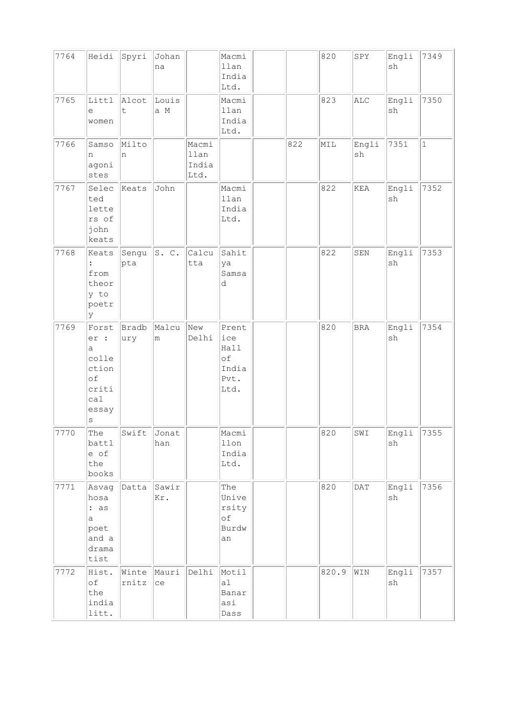| 7764 | Heidi                                                                          | Spyri          | Johan<br>na  |                                | Macmi<br>llan<br>India<br>Ltd.                      |     | 820   | SPY            | Engli<br>sh | 7349        |
|------|--------------------------------------------------------------------------------|----------------|--------------|--------------------------------|-----------------------------------------------------|-----|-------|----------------|-------------|-------------|
| 7765 | Littl<br>е<br>women                                                            | Alcot<br>t     | Louis<br>a M |                                | Macmi<br>llan<br>India<br>Ltd.                      |     | 823   | $\mathtt{ALC}$ | Engli<br>sh | 7350        |
| 7766 | Samso<br>n<br>agoni<br>stes                                                    | Milto<br>n     |              | Macmi<br>llan<br>India<br>Ltd. |                                                     | 822 | MIL   | Engli<br>sh    | 7351        | $\mathbf 1$ |
| 7767 | Selec<br>ted<br>lette<br>rs of<br>john<br>keats                                | Keats          | John         |                                | Macmi<br>llan<br>India<br>Ltd.                      |     | 822   | KEA            | Engli<br>sh | 7352        |
| 7768 | Keats<br>:<br>from<br>theor<br>y to<br>poetr<br>lУ                             | Sengu<br>pta   | S. C.        | Calcu<br>tta                   | Sahit<br>ya<br>Samsa<br>d                           |     | 822   | SEN            | Engli<br>sh | 7353        |
| 7769 | Forst<br>er :<br>a<br>colle<br>ction<br>of<br>criti<br>cal<br>essay<br>$\rm s$ | Bradb<br>ury   | Malcu<br>m   | New<br>Delhi                   | Prent<br>ice<br>Hall<br>of<br>India<br>Pvt.<br>Ltd. |     | 820   | <b>BRA</b>     | Engli<br>sh | 7354        |
| 7770 | The<br>battl<br>e of<br>the<br>books                                           | Swift          | Jonat<br>han |                                | Macmi<br>$11$ on<br>India<br>Ltd.                   |     | 820   | SWI            | Engli<br>sh | 7355        |
| 7771 | Asvag<br>hosa<br>: as<br>а<br>poet<br>and a<br>drama<br>tist                   | Datta          | Sawir<br>Kr. |                                | The<br>Unive<br>rsity<br>оf<br>Burdw<br>an          |     | 820   | DATA           | Engli<br>sh | 7356        |
| 7772 | Hist.<br>оf<br>the<br>india<br>litt.                                           | Winte<br>rnitz | Mauri<br>ce  | Delhi                          | Motil<br>a <sub>1</sub><br>Banar<br>asi<br>Dass     |     | 820.9 | $\texttt{WIN}$ | Engli<br>sh | 7357        |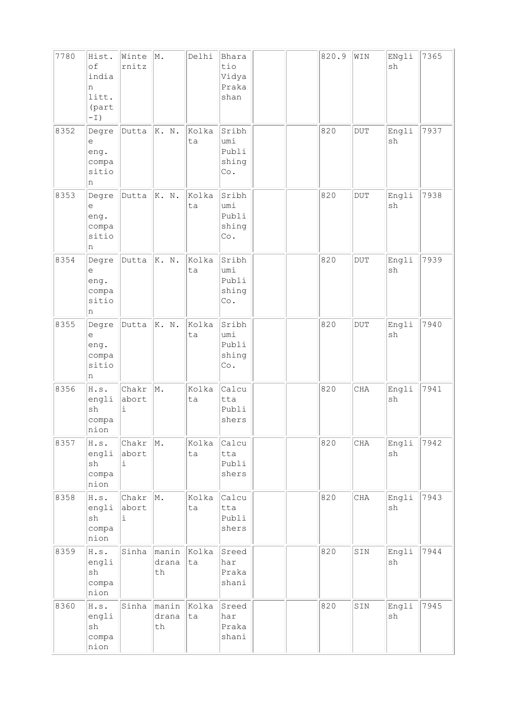| 7780 | Hist.<br>of<br>india<br>n<br>litt.<br>(part<br>$-\,1)$                           | Winte<br>rnitz                    | M.                         | Delhi       | Bhara<br>tio<br>Vidya<br>Praka<br>shan |  | 820.9 | WIN                     | ENgli<br>sh | 7365 |
|------|----------------------------------------------------------------------------------|-----------------------------------|----------------------------|-------------|----------------------------------------|--|-------|-------------------------|-------------|------|
| 8352 | Degre<br>е<br>eng.<br>compa<br>sitio<br>n                                        | Dutta                             | K. N.                      | Kolka<br>ta | Sribh<br>umi<br>Publi<br>shing<br>Co.  |  | 820   | $\rm DUT$               | Engli<br>sh | 7937 |
| 8353 | Degre<br>е<br>eng.<br>compa<br>sitio<br>n                                        | Dutta                             | K. N.                      | Kolka<br>ta | Sribh<br>umi<br>Publi<br>shing<br>Co.  |  | 820   | $_{\rm DUT}$            | Engli<br>sh | 7938 |
| 8354 | Degre<br>е<br>eng.<br>compa<br>sitio<br>n                                        | Dutta                             | K. N.                      | Kolka<br>ta | Sribh<br>umi<br>Publi<br>shing<br>Co.  |  | 820   | $\overline{\text{DUT}}$ | Engli<br>sh | 7939 |
| 8355 | Degre<br>$\mathrel{\mathop{\mathrm{e}}\nolimits}$<br>eng.<br>compa<br>sitio<br>n | Dutta                             | K. N.                      | Kolka<br>ta | Sribh<br>umi<br>Publi<br>shing<br>Co.  |  | 820   | $\overline{\text{DUT}}$ | Engli<br>sh | 7940 |
| 8356 | H.s.<br>engli<br>$\operatorname{sh}$<br>compa<br>nion                            | Chakr<br>abort<br>$\dot{1}$       | M.                         | Kolka<br>ta | Calcu<br>tta<br>Publi<br>shers         |  | 820   | CHA                     | Engli<br>sh | 7941 |
| 8357 | H.s.<br>engli<br>$\operatorname{sh}$<br>compa<br>nion                            | $ {\rm Char}\; $ M.<br>abort<br>i |                            | Kolka<br>ta | Calcu<br>tta<br>Publi<br>shers         |  | 820   | CHA                     | Engli<br>sh | 7942 |
| 8358 | H.s.<br>engli<br>sh<br>compa<br>nion                                             | Chakr<br>abort<br>$\dot{1}$       | $\parallel$ M.             | Kolka<br>ta | Calcu<br>tta<br>Publi<br>shers         |  | 820   | CHA                     | Engli<br>sh | 7943 |
| 8359 | H.s.<br>engli<br>sh<br>compa<br>nion                                             |                                   | Sinha manin<br>drana<br>th | Kolka<br>ta | Sreed<br>har<br>Praka<br>shani         |  | 820   | SIN                     | Engli<br>sh | 7944 |
| 8360 | H.s.<br>engli<br>sh<br>compa<br>nion                                             | Sinha                             | manin<br>drana<br>$\tt th$ | Kolka<br>ta | Sreed<br>har<br>Praka<br>shani         |  | 820   | SIN                     | Engli<br>sh | 7945 |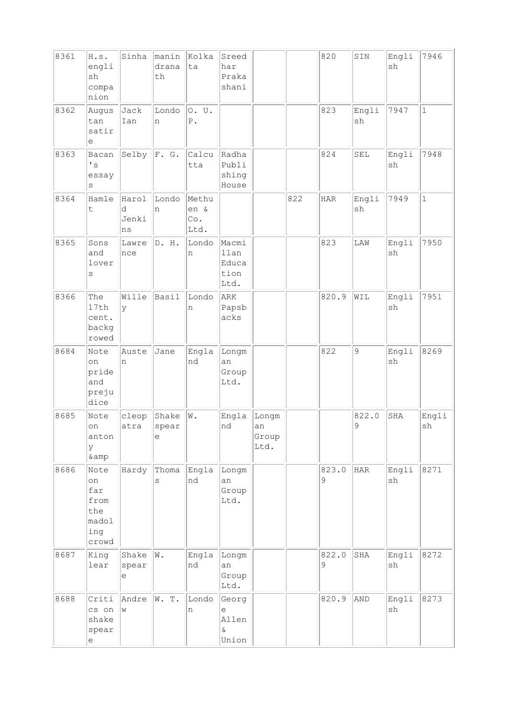| 8361 | H.s.<br>engli<br>sh<br>compa<br>nion                                         | Sinha                     | manin<br>drana<br>th | Kolka<br>ta                  | Sreed<br>har<br>Praka<br>shani           |                              |     | 820        | SIN         | Engli<br>sh | 7946         |
|------|------------------------------------------------------------------------------|---------------------------|----------------------|------------------------------|------------------------------------------|------------------------------|-----|------------|-------------|-------------|--------------|
| 8362 | Augus<br>tan<br>satir<br>е                                                   | Jack<br>Ian               | Londo<br>n           | 0. U.<br>${\mathbb P}$ .     |                                          |                              |     | 823        | Engli<br>sh | 7947        | $\mathbf{1}$ |
| 8363 | Bacan<br>$\mathbf{F}$ s<br>essay<br>$\rm s$                                  | Selby                     | F. G.                | Calcu<br>tta                 | Radha<br>Publi<br>shing<br>House         |                              |     | 824        | SEL         | Engli<br>sh | 7948         |
| 8364 | Hamle<br>t                                                                   | Harol<br>d<br>Jenki<br>ns | Londo<br>n           | Methu<br>en &<br>Co.<br>Ltd. |                                          |                              | 822 | <b>HAR</b> | Engli<br>sh | 7949        | $\mathbf{1}$ |
| 8365 | Sons<br>and<br>lover<br>S                                                    | Lawre<br>nce              | D. H.                | Londo<br>n                   | Macmi<br>llan<br>Educa<br>tion<br>Ltd.   |                              |     | 823        | LAW         | Engli<br>sh | 7950         |
| 8366 | The<br>17th<br>cent.<br>backg<br>rowed                                       | Wille<br>У                | Basil                | Londo<br>n                   | ARK<br>Papsb<br>acks                     |                              |     | 820.9      | WIL         | Engli<br>sh | 7951         |
| 8684 | Note<br>on<br>pride<br>and<br>preju<br>dice                                  | Auste<br>'n               | Jane                 | Engla<br>nd                  | Longm<br>an<br>Group<br>Ltd.             |                              |     | 822        | 9           | Engli<br>sh | 8269         |
| 8685 | Note<br>on<br>anton<br>У<br>& amp                                            | cleop<br>atra             | Shake<br>spear<br>е  | $\mathbbmss{N}$ .            | Engla<br>nd                              | Longm<br>an<br>Group<br>Ltd. |     |            | 822.0<br>9  | SHA         | Engli<br>sh  |
| 8686 | Note<br>on<br>far<br>from<br>the<br>madol<br>ing<br>crowd                    | Hardy                     | Thoma<br>S           | Engla<br>nd                  | Longm<br>an<br>Group<br>Ltd.             |                              |     | 823.0<br>9 | HAR         | Engli<br>sh | 8271         |
| 8687 | King<br>lear                                                                 | Shake<br>spear<br>е       | W.                   | Engla<br>nd                  | Longm<br>an<br>Group<br>Ltd.             |                              |     | 822.0<br>9 | SHA         | Engli<br>sh | 8272         |
| 8688 | Criti<br>cs on<br>shake<br>spear<br>$\mathrel{\mathop{\mathrm{e}}\nolimits}$ | Andre<br>W                | W. T.                | Londo<br>n                   | Georg<br>е<br>Allen<br>$\delta$<br>Union |                              |     | 820.9      | AND         | Engli<br>sh | 8273         |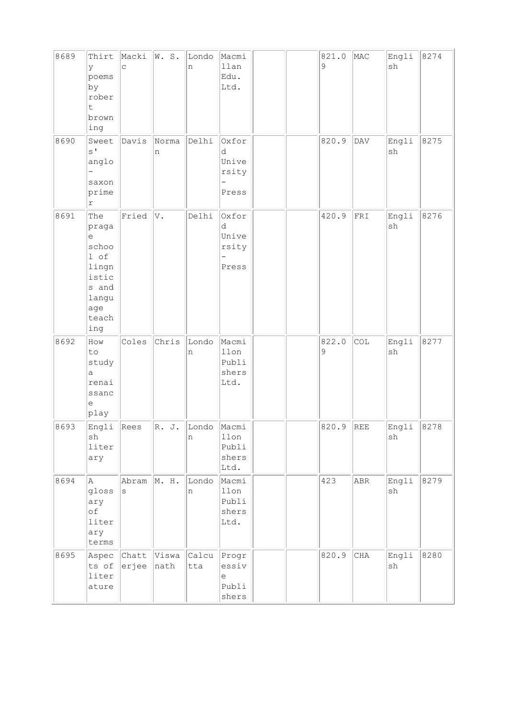| 8689 | Thirt<br>У<br>poems<br>by<br>rober<br>t.<br>brown<br>ing                                               | Macki<br>$\mathsf{C}$       | W. S.         | Londo<br>n   | Macmi<br>llan<br>Edu.<br>Ltd.                                     |  | 821.0<br>9 | MAC                              | Engli<br>sh                  | 8274 |
|------|--------------------------------------------------------------------------------------------------------|-----------------------------|---------------|--------------|-------------------------------------------------------------------|--|------------|----------------------------------|------------------------------|------|
| 8690 | Sweet<br>$S^{\dagger}$<br>anglo<br>saxon<br>prime<br>$\Upsilon$                                        | Davis                       | Norma<br>n    | Delhi        | Oxfor<br>d<br>Unive<br>rsity<br>Press                             |  | 820.9      | $\mathbf{D}\mathbf{A}\mathbf{V}$ | Engli<br>sh                  | 8275 |
| 8691 | The<br>praga<br>$\epsilon$<br>schoo<br>1 of<br>lingn<br>istic<br>s and<br>langu<br>age<br>teach<br>ing | Fried                       | V.            | Delhi        | Oxfor<br>d<br>Unive<br>rsity<br>$\overline{\phantom{0}}$<br>Press |  | 420.9      | FRI                              | Engli<br>$\operatorname{sh}$ | 8276 |
| 8692 | How<br>to<br>study<br>а<br>renai<br>ssanc<br>е<br>play                                                 | Coles                       | Chris         | Londo<br>n   | Macmi<br>llon<br>Publi<br>shers<br>Ltd.                           |  | 822.0<br>9 | COL                              | Engli<br>sh                  | 8277 |
| 8693 | Engli<br>sh<br>liter<br>ary                                                                            | Rees                        | R. J.         | Londo<br>n   | Macmi<br>$11$ on<br>Publi<br>shers<br>Ltd.                        |  | 820.9      | REE                              | Engli<br>$\operatorname{sh}$ | 8278 |
| 8694 | Α<br>gloss<br>ary<br>оf<br>liter<br>ary<br>terms                                                       | Abram M. H.<br>$\mathtt{s}$ |               | Londo<br>n   | Macmi<br>llon<br>Publi<br>shers<br>Ltd.                           |  | 423        | <b>ABR</b>                       | Engli<br>sh                  | 8279 |
| 8695 | Aspec<br>ts of<br>liter<br>ature                                                                       | Chatt<br>erjee              | Viswa<br>nath | Calcu<br>tta | Progr<br>essiv<br>$\mathop{\rm e}\nolimits$<br>Publi<br>shers     |  | 820.9      | CHA                              | Engli<br>$\operatorname{sh}$ | 8280 |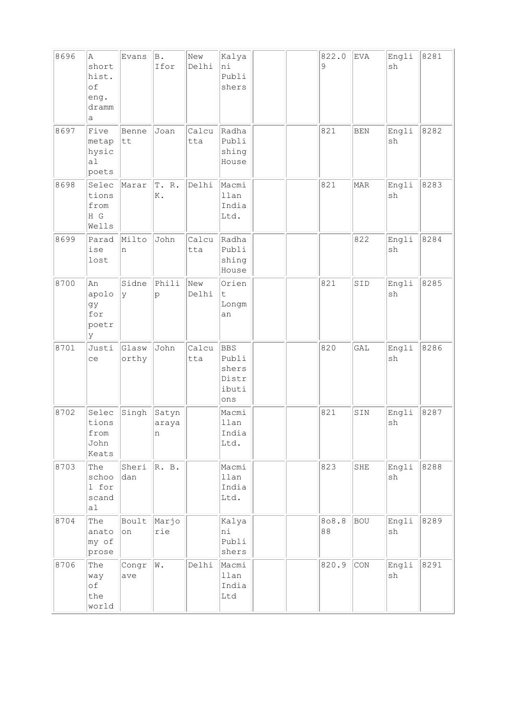| 8696 | Α<br>short<br>hist.<br>of<br>eng.<br>dramm<br>a   | Evans          | B.<br>Ifor          | New<br>Delhi | Kalya<br>ni<br>Publi<br>shers                         |  | 822.0<br>9  | EVA        | Engli<br>sh | 8281 |
|------|---------------------------------------------------|----------------|---------------------|--------------|-------------------------------------------------------|--|-------------|------------|-------------|------|
| 8697 | Five<br>metap<br>hysic<br>a <sub>1</sub><br>poets | Benne<br>tt    | Joan                | Calcu<br>tta | Radha<br>Publi<br>shing<br>House                      |  | 821         | <b>BEN</b> | Engli<br>sh | 8282 |
| 8698 | Selec<br>tions<br>from<br>H G<br>Wells            | Marar          | T. R.<br>K.         | Delhi        | Macmi<br>llan<br>India<br>Ltd.                        |  | 821         | <b>MAR</b> | Engli<br>sh | 8283 |
| 8699 | Parad<br>ise<br>lost                              | Milto<br>n     | John                | Calcu<br>tta | Radha<br>Publi<br>shing<br>House                      |  |             | 822        | Engli<br>sh | 8284 |
| 8700 | An<br>apolo<br>gy<br>for<br>poetr<br>У            | Sidne<br>ly    | Phili<br>p          | New<br>Delhi | Orien<br>$\sf t$<br>Longm<br>an                       |  | 821         | SID        | Engli<br>sh | 8285 |
| 8701 | Justi<br>ce                                       | Glasw<br>orthy | John                | Calcu<br>tta | <b>BBS</b><br>Publi<br>shers<br>Distr<br>ibuti<br>ons |  | 820         | GAL        | Engli<br>sh | 8286 |
| 8702 | Selec<br>tions<br>from<br>John<br>Keats           | Singh          | Satyn<br>araya<br>n |              | Macmi<br>llan<br>India<br>Ltd.                        |  | 821         | SIN        | Engli<br>sh | 8287 |
| 8703 | The<br>schoo<br>1 for<br>scand<br>a1              | Sheri<br>dan   | R. B.               |              | Macmi<br>llan<br>India<br>Ltd.                        |  | 823         | SHE        | Engli<br>sh | 8288 |
| 8704 | The<br>anato<br>my of<br>prose                    | Boult<br>on    | Marjo<br>rie        |              | Kalya<br>hi<br>Publi<br>shers                         |  | 808.8<br>88 | <b>BOU</b> | Engli<br>sh | 8289 |
| 8706 | The<br>way<br>of<br>the<br>world                  | Congr<br>ave   | W.                  | Delhi        | Macmi<br>llan<br>India<br>Ltd                         |  | 820.9       | CON        | Engli<br>sh | 8291 |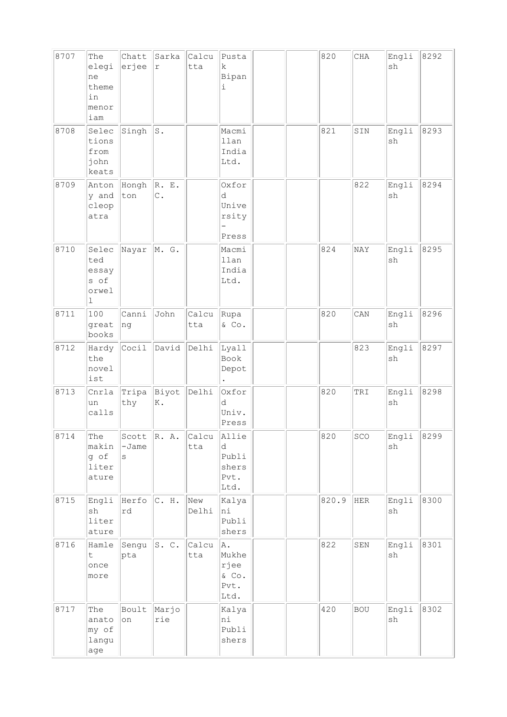| 8707 | The<br>elegi<br>ne<br>theme<br>in<br>menor<br>iam     | Chatt<br>erjee        | Sarka<br>$\mathtt{r}$  | Calcu<br>tta | Pusta<br>k<br>Bipan<br>i                                          |  | 820   | CHA         | Engli<br>sh                  | 8292 |
|------|-------------------------------------------------------|-----------------------|------------------------|--------------|-------------------------------------------------------------------|--|-------|-------------|------------------------------|------|
| 8708 | Selec<br>tions<br>from<br>john<br>keats               | Singh                 | s.                     |              | Macmi<br>llan<br>India<br>Ltd.                                    |  | 821   | SIN         | Engli<br>sh                  | 8293 |
| 8709 | Anton<br>y and<br>cleop<br>atra                       | Hongh<br>ton          | R. E.<br>$\mathbb C$ . |              | Oxfor<br>d<br>Unive<br>rsity<br>$\overline{\phantom{0}}$<br>Press |  |       | 822         | Engli<br>sh                  | 8294 |
| 8710 | Selec<br>ted<br>essay<br>s of<br>orwel<br>$\mathbf 1$ | Nayar                 | M. G.                  |              | Macmi<br>llan<br>India<br>Ltd.                                    |  | 824   | NAY         | Engli<br>sh                  | 8295 |
| 8711 | 100<br>great<br>books                                 | Canni<br> ng          | John                   | Calcu<br>tta | Rupa<br>& Co.                                                     |  | 820   | CAN         | Engli<br>sh                  | 8296 |
| 8712 | Hardy<br>the<br>novel<br>ist                          | Cocil                 | David                  | Delhi        | Lyall<br>Book<br>Depot                                            |  |       | 823         | Engli<br>sh                  | 8297 |
| 8713 | Cnrla<br>un<br>calls                                  | Tripa<br>thy          | Biyot<br>Κ.            | Delhi        | Oxfor<br>d<br>Univ.<br>Press                                      |  | 820   | TRI         | Engli<br>sh                  | 8298 |
| 8714 | The<br>makin<br>g of<br>liter<br>ature                | Scott<br>$-Jame$<br>S | R. A.                  | Calcu<br>tta | Allie<br>d<br>Publi<br>shers<br>Pvt.<br>Ltd.                      |  | 820   | SCO         | Engli<br>sh                  | 8299 |
| 8715 | Engli<br>sh<br>liter<br>ature                         | Herfo<br>rd           | C. H.                  | New<br>Delhi | Kalya<br>ni<br>Publi<br>shers                                     |  | 820.9 | ${\tt HER}$ | Engli<br>$\operatorname{sh}$ | 8300 |
| 8716 | Hamle<br>$\sf t$<br>once<br>more                      | Sengu<br>pta          | S. C.                  | Calcu<br>tta | A.<br>Mukhe<br>rjee<br>$\&$ Co.<br>Pvt.<br>Ltd.                   |  | 822   | ${\tt SEN}$ | Engli<br>sh                  | 8301 |
| 8717 | The<br>anato<br>my of<br>langu<br>age                 | Boult<br>on           | Marjo<br>rie           |              | Kalya<br>ni<br>Publi<br>shers                                     |  | 420   | <b>BOU</b>  | Engli<br>$\operatorname{sh}$ | 8302 |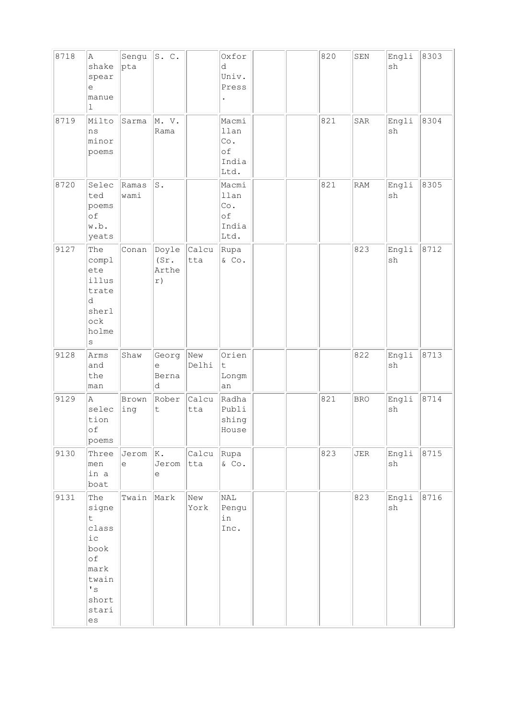| 8718 | A<br>shake<br>spear<br>е<br>manue<br>$\mathbf 1$                                                          | Sengu<br>pta                                              | S.C.                         |              | Oxfor<br>d<br>Univ.<br>Press                                |  | 820 | SEN        | Engli<br>sh                  | 8303 |
|------|-----------------------------------------------------------------------------------------------------------|-----------------------------------------------------------|------------------------------|--------------|-------------------------------------------------------------|--|-----|------------|------------------------------|------|
| 8719 | Milto<br>ns<br>minor<br>poems                                                                             | Sarma                                                     | M. V.<br>Rama                |              | Macmi<br>llan<br>$\mathbb{C}\circ$ .<br>оf<br>India<br>Ltd. |  | 821 | SAR        | Engli<br>sh                  | 8304 |
| 8720 | Selec<br>ted<br>poems<br>of<br>w.b.<br>yeats                                                              | Ramas<br>wami                                             | $\texttt{S}$ .               |              | Macmi<br>llan<br>Co.<br>of<br>India<br>Ltd.                 |  | 821 | RAM        | Engli<br>sh                  | 8305 |
| 9127 | The<br>compl<br>ete<br>illus<br>trate<br>d<br>sherl<br>ock<br>holme<br>$\rm s$                            | Conan                                                     | Doyle<br>(Sr.<br>Arthe<br>r) | Calcu<br>tta | Rupa<br>& Co.                                               |  |     | 823        | Engli<br>sh                  | 8712 |
| 9128 | Arms<br>and<br>the<br>man                                                                                 | Shaw                                                      | Georg<br>е<br>Berna<br>d     | New<br>Delhi | Orien<br>t<br>Longm<br>an                                   |  |     | 822        | Engli<br>sh                  | 8713 |
| 9129 | A<br>selec<br>tion<br>оf<br>poems                                                                         | Brown<br>ing                                              | Rober<br>$\sf t$             | Calcu<br>tta | Radha<br>Publi<br>shing<br>House                            |  | 821 | <b>BRO</b> | Engli<br>$\operatorname{sh}$ | 8714 |
| 9130 | Three<br>men<br>in a<br>boat                                                                              | $Jerom$ $ K.$<br>$\mathrel{\mathop{\mathrm{e}}\nolimits}$ | Jerom<br>е                   | Calcu<br>tta | Rupa<br>$\&$ Co.                                            |  | 823 | JER        | Engli<br>sh                  | 8715 |
| 9131 | The<br>signe<br>t<br>class<br>ic<br>book<br>оf<br>mark<br>twain<br>$\mathbf{I}$ s<br>short<br>stari<br>es | Twain                                                     | Mark                         | New<br>York  | NAL<br>Pengu<br>in<br>Inc.                                  |  |     | 823        | Engli<br>sh                  | 8716 |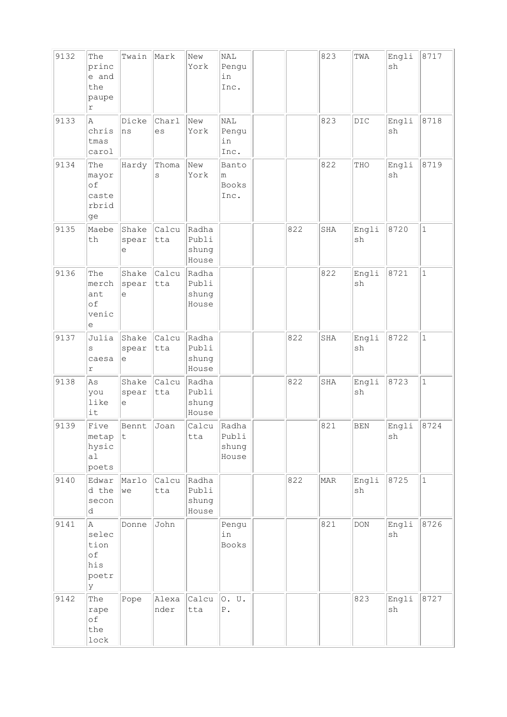| 9132 | The<br>princ<br>e and<br>the<br>paupe<br>$\Upsilon$ | Twain               | Mark          | New<br>York                      | <b>NAL</b><br>Pengu<br>in<br>Inc.  |     | 823 | TWA                 | Engli<br>sh                  | 8717         |
|------|-----------------------------------------------------|---------------------|---------------|----------------------------------|------------------------------------|-----|-----|---------------------|------------------------------|--------------|
| 9133 | $\mathbb{A}$<br>chris<br>tmas<br>carol              | Dicke<br>ns         | Charl<br>es   | New<br>York                      | NAL<br>Pengu<br>in<br>Inc.         |     | 823 | DIC                 | Engli<br>sh                  | 8718         |
| 9134 | The<br>mayor<br>of<br>caste<br>rbrid<br>ge          | Hardy               | Thoma<br>S    | New<br>York                      | Banto<br>m<br><b>Books</b><br>Inc. |     | 822 | THO                 | Engli<br>sh                  | 8719         |
| 9135 | Maebe<br>th                                         | Shake<br>spear<br>e | Calcu<br>tta  | Radha<br>Publi<br>shung<br>House |                                    | 822 | SHA | Engli<br>sh         | 8720                         | $\mathbf{1}$ |
| 9136 | The<br>merch<br>ant<br>of<br>venic<br>е             | Shake<br>spear<br>е | Calcu<br>tta  | Radha<br>Publi<br>shung<br>House |                                    |     | 822 | Engli<br>sh         | 8721                         | $\mathbf{1}$ |
| 9137 | Julia<br>S<br>caesa<br>$\Upsilon$                   | Shake<br>spear<br>е | Calcu<br>tta  | Radha<br>Publi<br>shung<br>House |                                    | 822 | SHA | Engli<br>sh         | 8722                         | $\mathbf{1}$ |
| 9138 | As<br>you<br>like<br>it                             | Shake<br>spear<br>e | Calcu<br>tta  | Radha<br>Publi<br>shung<br>House |                                    | 822 | SHA | Engli<br>sh         | 8723                         | $\mathbf{1}$ |
| 9139 | Five<br>metap<br>hysic<br>a1<br>poets               | Bennt<br>$ \tt{t}$  | Joan          | Calcu<br>tta                     | Radha<br>Publi<br>shung<br>House   |     | 821 | <b>BEN</b>          | Engli<br>$\operatorname{sh}$ | 8724         |
| 9140 | Edwar<br>d the<br>secon<br>d                        | Marlo<br>we         | Calcu<br>tta  | Radha<br>Publi<br>shung<br>House |                                    | 822 | MAR | Engli<br>sh         | 8725                         | $\mathbf 1$  |
| 9141 | Α<br>selec<br>tion<br>of<br>his<br>poetr<br>lУ      | Donne               | John          |                                  | Pengu<br>in<br>Books               |     | 821 | $\mathop{\rm{DOM}}$ | Engli<br>$\operatorname{sh}$ | 8726         |
| 9142 | The<br>rape<br>of<br>the<br>$_{\tt lock}$           | Pope                | Alexa<br>nder | Calcu<br>tta                     | 0. U.<br>${\mathbb P}$ .           |     |     | 823                 | Engli<br>$\operatorname{sh}$ | 8727         |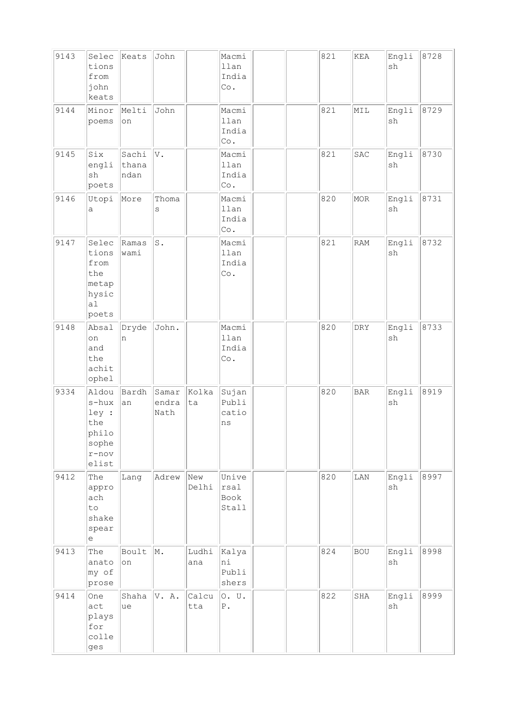| 9143 | Selec<br>tions<br>from<br>john<br>keats                               | Keats                  | John                   |              | Macmi<br>llan<br>India<br>Co.                 |  | 821 | KEA        | Engli<br>sh                  | 8728 |
|------|-----------------------------------------------------------------------|------------------------|------------------------|--------------|-----------------------------------------------|--|-----|------------|------------------------------|------|
| 9144 | Minor<br>poems                                                        | Melti<br>on            | John                   |              | Macmi<br>llan<br>India<br>$\mathbb{C}\circ$ . |  | 821 | MIL        | Engli<br>$\operatorname{sh}$ | 8729 |
| 9145 | Six<br>engli<br>sh<br>poets                                           | Sachi<br>thana<br>ndan | V.                     |              | Macmi<br>llan<br>India<br>Co.                 |  | 821 | SAC        | Engli<br>sh                  | 8730 |
| 9146 | Utopi<br>а                                                            | More                   | Thoma<br>S             |              | Macmi<br>llan<br>India<br>Co.                 |  | 820 | <b>MOR</b> | Engli<br>$\operatorname{sh}$ | 8731 |
| 9147 | Selec<br>tions<br>from<br>the<br>metap<br>hysic<br>a1<br>poets        | Ramas<br>wami          | s.                     |              | Macmi<br>llan<br>India<br>Co.                 |  | 821 | <b>RAM</b> | Engli<br>sh                  | 8732 |
| 9148 | Absal<br>on<br>and<br>the<br>achit<br>ophel                           | Dryde<br>n             | John.                  |              | Macmi<br>llan<br>India<br>Co.                 |  | 820 | DRY        | Engli<br>sh                  | 8733 |
| 9334 | Aldou<br>s-hux<br>ley :<br>the<br>philo<br>sophe<br>$r$ -nov<br>elist | Bardh<br>an            | Samar<br>endra<br>Nath | Kolka<br>ta  | Sujan<br>Publi<br>catio<br>ns                 |  | 820 | $\rm BAR$  | Engli<br>$\operatorname{sh}$ | 8919 |
| 9412 | The<br>appro<br>ach<br>to<br>shake<br>spear<br>е                      | Lang                   | Adrew                  | New<br>Delhi | Unive<br>rsal<br>Book<br>Stall                |  | 820 | LAN        | Engli<br>sh                  | 8997 |
| 9413 | The<br>anato<br>my of<br>prose                                        | Boult<br>on            | M.                     | Ludhi<br>ana | Kalya<br>ni<br>Publi<br>shers                 |  | 824 | <b>BOU</b> | Engli<br>sh                  | 8998 |
| 9414 | One<br>act<br>plays<br>for<br>colle<br>ges                            | Shaha<br>ue            | V. A.                  | Calcu<br>tta | 0. U.<br>${\mathbb P}$ .                      |  | 822 | SHA        | Engli<br>sh                  | 8999 |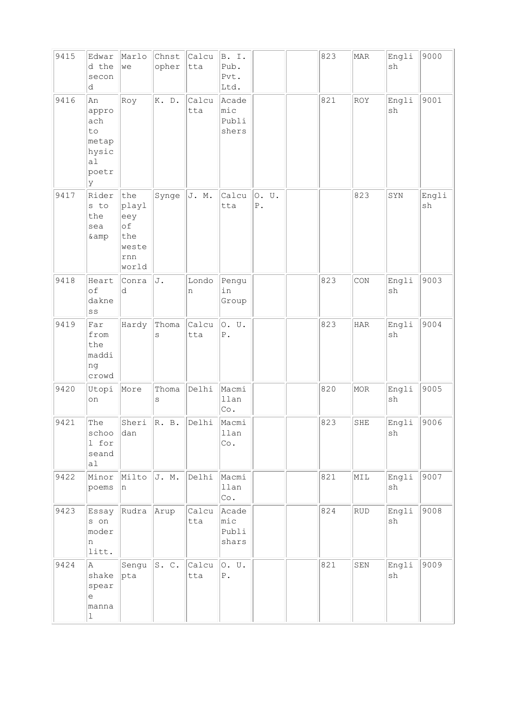| 9415 | Edwar<br>d the<br>secon<br>d                                                            | Marlo<br>we                                               | Chnst<br>opher | Calcu<br>tta | B. I.<br>Pub.<br>Pvt.<br>Ltd.        |                          | 823 | MAR         | Engli<br>sh | 9000        |
|------|-----------------------------------------------------------------------------------------|-----------------------------------------------------------|----------------|--------------|--------------------------------------|--------------------------|-----|-------------|-------------|-------------|
| 9416 | An<br>appro<br>ach<br>to<br>metap<br>hysic<br>a1<br>poetr<br>У                          | Roy                                                       | K. D.          | Calcu<br>tta | Acade<br>$ $ mic<br>Publi<br>shers   |                          | 821 | <b>ROY</b>  | Engli<br>sh | 9001        |
| 9417 | Rider<br>s to<br>the<br>sea<br>& amp                                                    | the<br>playl<br>eey<br>of<br>the<br>weste<br>rnn<br>world | Synge          | J. M.        | Calcu<br>tta                         | 0. U.<br>${\mathbb P}$ . |     | 823         | SYN         | Engli<br>sh |
| 9418 | Heart<br>of<br>dakne<br>SS                                                              | Conra<br>d                                                | J.             | Londo<br>n   | Pengu<br>in<br>Group                 |                          | 823 | CON         | Engli<br>sh | 9003        |
| 9419 | Far<br>from<br>the<br>maddi<br>ng<br>crowd                                              | Hardy                                                     | Thoma<br>S     | Calcu<br>tta | 0. U.<br>${\tt P}$ .                 |                          | 823 | <b>HAR</b>  | Engli<br>sh | 9004        |
| 9420 | Utopi<br>on                                                                             | More                                                      | Thoma<br>S     | Delhi        | Macmi<br>llan<br>$\mathbb{C}\circ$ . |                          | 820 | MOR         | Engli<br>sh | 9005        |
| 9421 | The<br>schoo<br>1 for<br>seand<br>a1                                                    | Sheri<br>dan                                              | R. B.          | Delhi        | Macmi<br>llan<br>Co.                 |                          | 823 | SHE         | Engli<br>sh | 9006        |
| 9422 | Minor<br>poems                                                                          | Milto<br>n                                                | J. M.          | Delhi        | Macmi<br>llan<br>Co.                 |                          | 821 | MIL         | Engli<br>sh | 9007        |
| 9423 | Essay<br>s on<br>moder<br>n<br>litt.                                                    | Rudra                                                     | Arup           | Calcu<br>tta | Acade<br>mic<br>Publi<br>shars       |                          | 824 | <b>RUD</b>  | Engli<br>sh | 9008        |
| 9424 | Α<br>shake<br>spear<br>$\mathrel{\mathop{\mathrm{e}}\nolimits}$<br>manna<br>$\mathbf 1$ | Sengu<br>pta                                              | s. c.          | Calcu<br>tta | 0. U.<br>${\tt P}$ .                 |                          | 821 | ${\tt SEM}$ | Engli<br>sh | 9009        |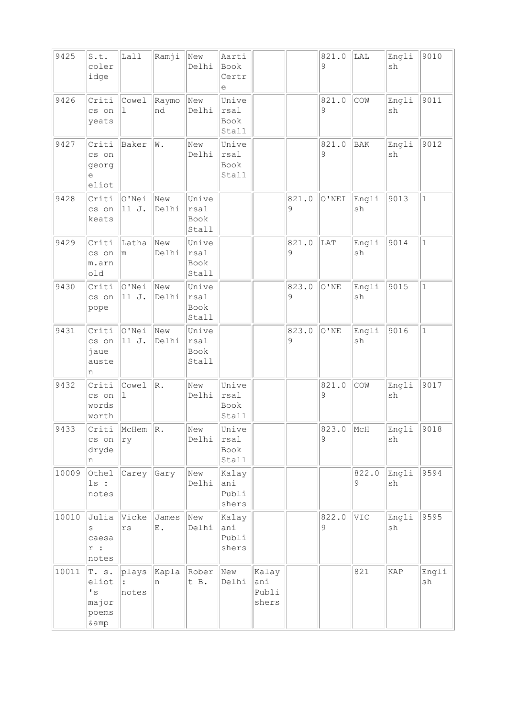| 9425  | S.t.<br>coler<br>idge                                             | Lall                   | Ramji                | New<br>Delhi                   | Aarti<br>Book<br>Certr<br>е    |                                |            | 821.0<br>9   | LAL                | Engli<br>sh | 9010         |
|-------|-------------------------------------------------------------------|------------------------|----------------------|--------------------------------|--------------------------------|--------------------------------|------------|--------------|--------------------|-------------|--------------|
| 9426  | Criti<br>cs on<br>yeats                                           | Cowel<br>ı             | Raymo<br>nd          | New<br>Delhi                   | Unive<br>rsal<br>Book<br>Stall |                                |            | 821.0<br>9   | COW                | Engli<br>sh | 9011         |
| 9427  | Criti<br>cs on<br>georg<br>е<br>eliot                             | Baker                  | W.                   | New<br>Delhi                   | Unive<br>rsal<br>Book<br>Stall |                                |            | 821.0<br>9   | $\rm \mathbf{BAK}$ | Engli<br>sh | 9012         |
| 9428  | Criti<br>cs on<br>keats                                           | O'Nei<br>11 J.         | New<br>Delhi         | Unive<br>rsal<br>Book<br>Stall |                                |                                | 821.0<br>9 | $\circ$ 'NEI | Engli<br>sh        | 9013        | $\mathbf{1}$ |
| 9429  | Criti<br>cs on<br>m.arn<br>old                                    | Latha<br>m             | New<br>Delhi         | Unive<br>rsal<br>Book<br>Stall |                                |                                | 821.0<br>9 | LAT          | Engli<br>sh        | 9014        | $\mathbf{1}$ |
| 9430  | Criti<br>cs on<br>pope                                            | O'Nei<br>11 J.         | New<br>Delhi         | Unive<br>rsal<br>Book<br>Stall |                                |                                | 823.0<br>9 | $\circ$ 'NE  | Engli<br>sh        | 9015        | $\mathbf{1}$ |
| 9431  | Criti<br>cs on<br>jaue<br>auste<br>n                              | O'Nei<br>11 J.         | New<br>Delhi         | Unive<br>rsal<br>Book<br>Stall |                                |                                | 823.0<br>9 | $\circ$ 'ne  | Engli<br>sh        | 9016        | $\mathbf{1}$ |
| 9432  | Criti<br>cs on<br>words<br>worth                                  | Cowel<br>ı             | $\mathbb R$ .        | New<br>Delhi                   | Unive<br>rsal<br>Book<br>Stall |                                |            | 821.0<br>9   | COW                | Engli<br>sh | 9017         |
| 9433  | Criti<br>cs on<br>dryde<br>n                                      | McHem<br>ry            | R.                   | New<br>Delhi                   | Unive<br>rsal<br>Book<br>Stall |                                |            | 823.0<br>9   | MCH                | Engli<br>sh | 9018         |
| 10009 | Othel<br>ls:<br>notes                                             | Carey                  | Gary                 | New<br>Delhi                   | Kalay<br>ani<br>Publi<br>shers |                                |            |              | 822.0<br>9         | Engli<br>sh | 9594         |
| 10010 | Julia<br>S<br>caesa<br>$\mathtt{r}$ :<br>notes                    | Vicke<br>$\mathtt{rs}$ | James<br>${\bf E}$ . | New<br>Delhi                   | Kalay<br>ani<br>Publi<br>shers |                                |            | 822.0<br>9   | VIC                | Engli<br>sh | 9595         |
| 10011 | T. s.<br>eliot<br>$\mathstrut^{\bullet}$ s<br>major<br>poems<br>& | plays<br>notes         | Kapla<br>n           | Rober<br>t B.                  | New<br>Delhi                   | Kalay<br>ani<br>Publi<br>shers |            |              | 821                | KAP         | Engli<br>sh  |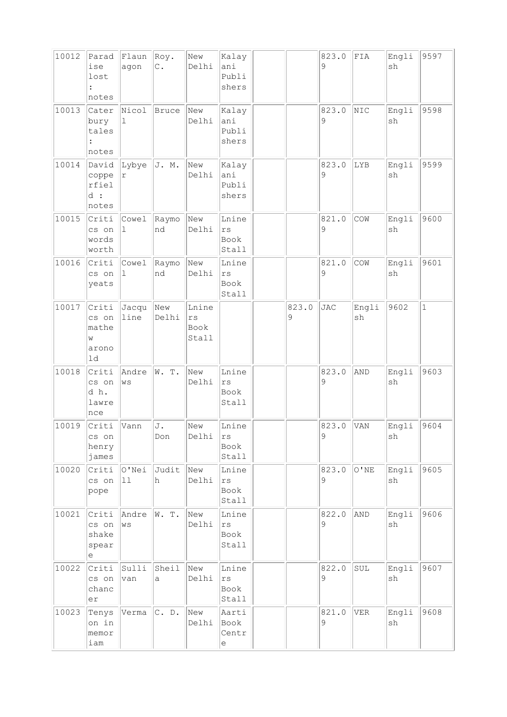| 10012 | Parad<br>ise<br>lost<br>notes               | Flaun<br>agon             | Roy.<br>$\mathtt{C}$ . | New<br>Delhi                 | Kalay<br>ani<br>Publi<br>shers          |            | 823.0<br>9           | ${\tt FIA}$     | Engli<br>sh                  | 9597         |
|-------|---------------------------------------------|---------------------------|------------------------|------------------------------|-----------------------------------------|------------|----------------------|-----------------|------------------------------|--------------|
| 10013 | Cater<br>bury<br>tales<br>notes             | Nicol<br>ı                | <b>Bruce</b>           | New<br>Delhi                 | Kalay<br>ani<br>Publi<br>shers          |            | 823.0<br>9           | NIC             | Engli<br>sh                  | 9598         |
| 10014 | David<br>coppe<br>rfiel<br>d:<br>notes      | Lybye<br>r                | J. M.                  | New<br>Delhi                 | Kalay<br>ani<br>Publi<br>shers          |            | 823.0<br>9           | LYB             | Engli<br>sh                  | 9599         |
| 10015 | Criti<br>cs on<br>words<br>worth            | Cowel<br>1                | Raymo<br>nd            | New<br>Delhi                 | Lnine<br>rs<br>Book<br>Stall            |            | 821.0<br>9           | COW             | Engli<br>sh                  | 9600         |
| 10016 | Criti<br>cs on<br>yeats                     | Cowel<br>$\mathbf 1$      | Raymo<br>nd            | New<br>Delhi                 | Lnine<br>$\vert$ rs<br>Book<br>Stall    |            | 821.0<br>9           | COW             | Engli<br>sh                  | 9601         |
| 10017 | Criti<br>cs on<br>mathe<br>W<br>arono<br>1d | Jacqu<br>line             | New<br>Delhi           | Lnine<br>rs<br>Book<br>Stall |                                         | 823.0<br>9 | <b>JAC</b>           | Engli<br>sh     | 9602                         | $\mathbf{1}$ |
| 10018 | Criti<br>cs on<br>dh.<br>lawre<br>nce       | Andre<br>$\rm{W}\,\rm{S}$ | W. T.                  | New<br>Delhi                 | Lnine<br>rs<br>Book<br>Stall            |            | 823.0<br>9           | AND             | Engli<br>sh                  | 9603         |
| 10019 | Criti<br>cs on<br>henry<br>james            | Vann                      | J.<br>Don              | New<br>Delhi                 | Lnine<br>rs<br>Book<br>Stall            |            | 823.0<br>$\mathsf 9$ | VAN             | Engli<br>$\operatorname{sh}$ | 9604         |
| 10020 | Criti<br>cs on<br>pope                      | O'Nei<br>$\boxed{11}$     | Judit<br>h             | New<br>Delhi                 | Lnine<br>rs<br>Book<br>Stall            |            | 823.0<br>9           | $\hbox{O}$ ' NE | Engli<br>sh                  | 9605         |
| 10021 | Criti<br>cs on<br>shake<br>spear<br>е       | Andre<br>WS               | W. T.                  | New<br>Delhi                 | Lnine<br>$\mathtt{rs}$<br>Book<br>Stall |            | 822.0<br>9           | AND             | Engli<br>sh                  | 9606         |
| 10022 | Criti<br>cs on<br>chanc<br>er               | Sulli<br>van              | Sheil<br>a             | New<br>Delhi                 | Lnine<br>rs<br>Book<br>Stall            |            | 822.0<br>9           | SUL             | Engli<br>sh                  | 9607         |
| 10023 | Tenys<br>on in<br>memor<br>iam              | Verma                     | C. D.                  | New<br>Delhi                 | Aarti<br>Book<br>Centr<br>е             |            | 821.0<br>9           | <b>VER</b>      | Engli<br>sh                  | 9608         |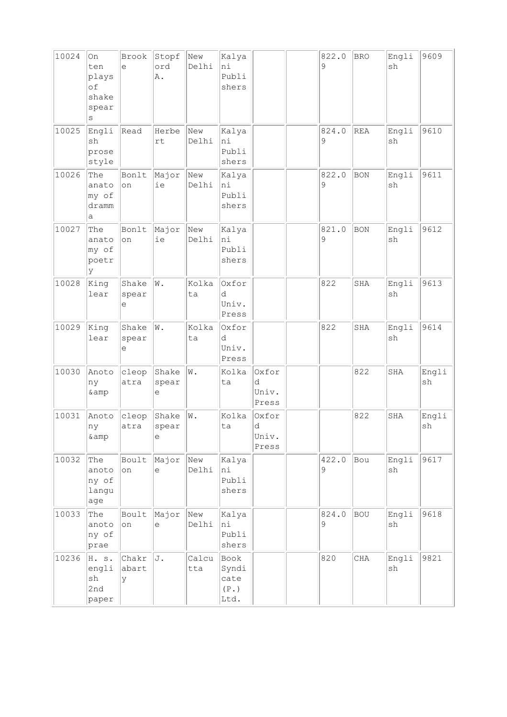| 10024 | On<br>ten<br>plays<br>of<br>shake<br>spear<br>S       | Brook<br>e          | Stopf<br>ord<br>A.   | New<br>Delhi | Kalya<br>ni<br>Publi<br>shers          |                              | 822.0<br>9 | <b>BRO</b> | Engli<br>sh                  | 9609        |
|-------|-------------------------------------------------------|---------------------|----------------------|--------------|----------------------------------------|------------------------------|------------|------------|------------------------------|-------------|
| 10025 | Engli<br>sh<br>prose<br>style                         | Read                | Herbe<br>rt          | New<br>Delhi | Kalya<br>hi<br>Publi<br>shers          |                              | 824.0<br>9 | <b>REA</b> | Engli<br>sh                  | 9610        |
| 10026 | The<br>anato<br>my of<br>dramm<br>а                   | Bonlt<br>on         | Major<br>ie          | New<br>Delhi | Kalya<br>hi<br>Publi<br>shers          |                              | 822.0<br>9 | <b>BON</b> | Engli<br>sh                  | 9611        |
| 10027 | The<br>anato<br>my of<br>poetr<br>У                   | Bonlt<br>on         | Major<br>ie          | New<br>Delhi | Kalya<br>hi<br>Publi<br>shers          |                              | 821.0<br>9 | <b>BON</b> | Engli<br>sh                  | 9612        |
| 10028 | King<br>lear                                          | Shake<br>spear<br>е | W.                   | Kolka<br>ta  | Oxfor<br>d<br>Univ.<br>Press           |                              | 822        | SHA        | Engli<br>sh                  | 9613        |
| 10029 | King<br>lear                                          | Shake<br>spear<br>е | $\bar{\mathtt{W}}$ . | Kolka<br>ta  | Oxfor<br>d<br>Univ.<br>Press           |                              | 822        | SHA        | Engli<br>sh                  | 9614        |
| 10030 | Anoto<br>ny<br>& amp                                  | cleop<br>atra       | Shake<br>spear<br>e  | W.           | Kolka<br>ta                            | Oxfor<br>d<br>Univ.<br>Press |            | 822        | SHA                          | Engli<br>sh |
| 10031 | Anoto<br>ny<br>& amp                                  | cleop<br>atra       | Shake<br>spear<br>е  | W.           | Kolka<br>ta                            | Oxfor<br>d<br>Univ.<br>Press |            | 822        | SHA                          | Engli<br>sh |
| 10032 | The<br>anoto<br>ny of<br>langu<br>age                 | Boult<br>on         | Major<br>e           | New<br>Delhi | Kalya<br>hi<br>Publi<br>shers          |                              | 422.0<br>9 | Bou        | Engli<br>sh                  | 9617        |
| 10033 | The<br>anoto<br>ny of<br>prae                         | Boult<br>on         | Major<br>$\in$       | New<br>Delhi | Kalya<br>hi<br>Publi<br>shers          |                              | 824.0<br>9 | <b>BOU</b> | Engli<br>sh                  | 9618        |
| 10236 | H. s.<br>engli<br>$\operatorname{sh}$<br>2nd<br>paper | Chakr<br>abart<br>У | J.                   | Calcu<br>tta | Book<br>Syndi<br>cate<br>(P. )<br>Ltd. |                              | 820        | CHA        | Engli<br>$\operatorname{sh}$ | 9821        |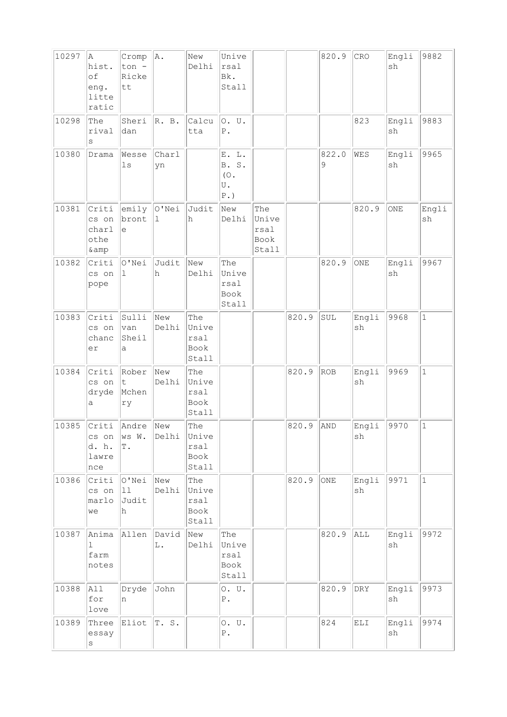| 10297 | Α<br>hist.<br>of<br>eng.<br>litte<br>ratic | Cromp<br>ton -<br>Ricke<br>tt   | A.             | New<br>Delhi                          | Unive<br>rsal<br>Bk.<br>Stall                 |                                       |       | 820.9      | CRO                                        | Engli<br>sh | 9882         |
|-------|--------------------------------------------|---------------------------------|----------------|---------------------------------------|-----------------------------------------------|---------------------------------------|-------|------------|--------------------------------------------|-------------|--------------|
| 10298 | The<br>rival<br>S                          | Sheri<br>dan                    | R. B.          | Calcu<br>tta                          | 0. U.<br>${\bf P}$ .                          |                                       |       |            | 823                                        | Engli<br>sh | 9883         |
| 10380 | Drama                                      | Wesse<br>$\ln s$                | Charl<br>yn    |                                       | E. L.<br>B. S.<br>(O.<br>U.<br>${\Bbb P}$ . ) |                                       |       | 822.0<br>9 | WES                                        | Engli<br>sh | 9965         |
| 10381 | Criti<br>cs on<br>charl<br>othe<br>& amp   | emily<br>bront<br>e             | $ O'$ Nei<br>1 | Judit<br>h                            | New<br>Delhi                                  | The<br>Unive<br>rsal<br>Book<br>Stall |       |            | 820.9                                      | ONE         | Engli<br>sh  |
| 10382 | Criti<br>cs on<br>pope                     | O'Nei<br>ı                      | Judit<br>h     | New<br>Delhi                          | The<br>Unive<br>rsal<br>Book<br>Stall         |                                       |       | 820.9      | ONE                                        | Engli<br>sh | 9967         |
| 10383 | Criti<br>cs on<br>chanc<br>er              | Sulli<br>van<br>Sheil<br>а      | New<br>Delhi   | The<br>Unive<br>rsal<br>Book<br>Stall |                                               |                                       | 820.9 | SUL        | Engli<br>sh                                | 9968        | $\mathbf{1}$ |
| 10384 | Criti<br>cs on<br>dryde<br>а               | Rober<br>t<br>Mchen<br>ry       | New<br>Delhi   | The<br>Unive<br>rsal<br>Book<br>Stall |                                               |                                       | 820.9 | ROB        | Engli<br>sh                                | 9969        | $\mathbf{1}$ |
| 10385 | Criti<br>cs on<br>d. h.<br>lawre<br>nce    | Andre<br>ws W.<br>$\mathbb T$ . | New<br>Delhi   | The<br>Unive<br>rsal<br>Book<br>Stall |                                               |                                       | 820.9 | AND        | Engli<br>$\operatorname{sh}$               | 9970        | $\mathbf 1$  |
| 10386 | Criti<br>cs on<br>marlo<br>we              | O'Nei<br>11<br>Judit<br>h       | New<br>Delhi   | The<br>Unive<br>rsal<br>Book<br>Stall |                                               |                                       | 820.9 | ONE        | Engli<br>sh                                | 9971        | $\mathbf{1}$ |
| 10387 | Anima<br>$\mathbf 1$<br>farm<br>notes      | Allen                           | David<br>L.    | New<br>Delhi                          | The<br>Unive<br>rsal<br>Book<br>Stall         |                                       |       | 820.9      | ALL                                        | Engli<br>sh | 9972         |
| 10388 | All<br>for<br>love                         | Dryde<br>n                      | John           |                                       | 0. U.<br>${\tt P}$ .                          |                                       |       | 820.9      | $\mathtt{DRY}$                             | Engli<br>sh | 9973         |
| 10389 | Three<br>essay<br>$\rm s$                  | Eliot                           | T.S.           |                                       | 0. U.<br>${\mathbb P}$ .                      |                                       |       | 824        | $\mathop{\hbox{\rm EL}}\nolimits\mathbb I$ | Engli<br>sh | 9974         |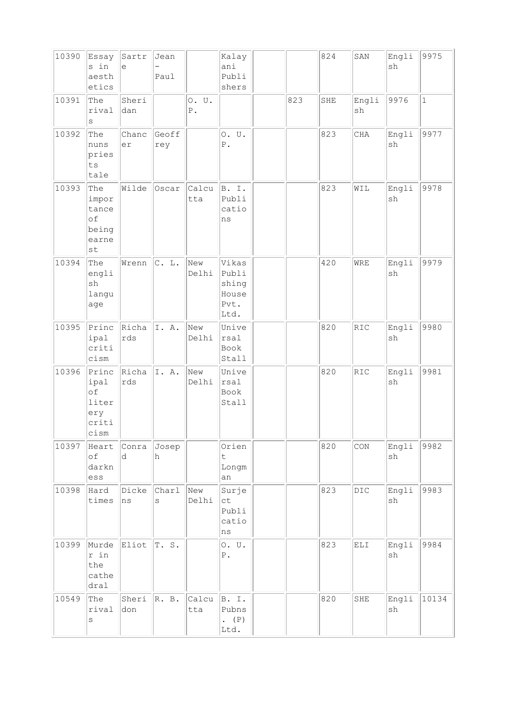| 10390 | Essay<br>s in<br>aesth<br>etics                                                | Sartr<br>e   | Jean<br>Paul |                          | Kalay<br>ani<br>Publi<br>shers                   |     | 824 | SAN                                        | Engli<br>sh | 9975         |
|-------|--------------------------------------------------------------------------------|--------------|--------------|--------------------------|--------------------------------------------------|-----|-----|--------------------------------------------|-------------|--------------|
| 10391 | The<br>rival<br>$\rm s$                                                        | Sheri<br>dan |              | 0. U.<br>${\mathbb P}$ . |                                                  | 823 | SHE | Engli<br>sh                                | 9976        | $\mathbf{1}$ |
| 10392 | The<br>nuns<br>pries<br>${\tt ts}$<br>tale                                     | Chanc<br>er  | Geoff<br>rey |                          | 0. U.<br>${\tt P}$ .                             |     | 823 | CHA                                        | Engli<br>sh | 9977         |
| 10393 | The<br>impor<br>tance<br>of<br>being<br>earne<br>$\operatorname{\mathsf {st}}$ | Wilde        | Oscar        | Calcu<br>tta             | B. I.<br>Publi<br>catio<br>ns                    |     | 823 | WIL                                        | Engli<br>sh | 9978         |
| 10394 | The<br>engli<br>sh<br>langu<br>age                                             | Wrenn        | C. L.        | New<br>Delhi             | Vikas<br>Publi<br>shing<br>House<br>Pvt.<br>Ltd. |     | 420 | WRE                                        | Engli<br>sh | 9979         |
| 10395 | Princ<br>ipal<br>criti<br>cism                                                 | Richa<br>rds | I. A.        | New<br>Delhi             | Unive<br>rsal<br>Book<br>Stall                   |     | 820 | $\mathbb{R}\mathbb{I}\mathbb{C}$           | Engli<br>sh | 9980         |
| 10396 | Princ<br>ipal<br>of<br>liter<br>ery<br>criti<br>cism                           | Richa<br>rds | I. A.        | New<br>Delhi             | Unive<br>rsal<br>Book<br>Stall                   |     | 820 | RIC                                        | Engli<br>sh | 9981         |
| 10397 | Heart<br>of<br>darkn<br>ess                                                    | Conra<br>d   | Josep<br>h   |                          | Orien<br>$\ddot{\mathsf{t}}$<br>Longm<br>an      |     | 820 | CON                                        | Engli<br>sh | 9982         |
| 10398 | Hard<br>times                                                                  | Dicke<br>ns  | Charl<br>S   | New<br>Delhi             | Surje<br>ct<br>Publi<br>catio<br>ns              |     | 823 | DIC                                        | Engli<br>sh | 9983         |
| 10399 | Murde<br>r in<br>the<br>cathe<br>dral                                          | Eliot        | T.S.         |                          | 0. U.<br>${\mathbb P}$ .                         |     | 823 | $\mathop{\hbox{\rm EL}}\nolimits\mathbb I$ | Engli<br>sh | 9984         |
| 10549 | The<br>rival<br>$\rm s$                                                        | Sheri<br>don | R. B.        | Calcu<br>tta             | B. I.<br>Pubns<br>. $(P)$<br>Ltd.                |     | 820 | SHE                                        | Engli<br>sh | 10134        |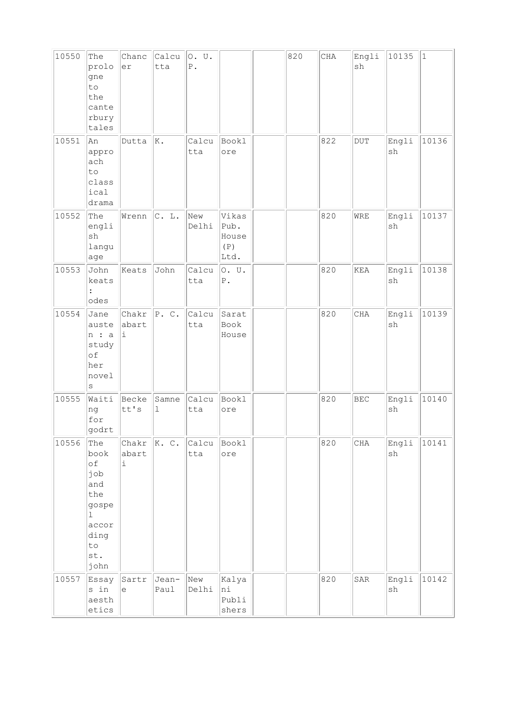| 10550 | The<br>prolo<br>gne<br>to<br>the<br>cante<br>rbury<br>tales                                                      | Chanc<br>er         | Calcu<br>tta  | 0. U.<br>${\mathbb P}$ . |                                       | 820 | $\rm CHA$ | Engli<br>sh | 10135                        | $\vert$ 1 |
|-------|------------------------------------------------------------------------------------------------------------------|---------------------|---------------|--------------------------|---------------------------------------|-----|-----------|-------------|------------------------------|-----------|
| 10551 | An<br>appro<br>ach<br>to<br>class<br>ical<br>drama                                                               | Dutta               | K.            | Calcu<br>tta             | <b>Bookl</b><br>ore                   |     | 822       | $\rm DUT$   | Engli<br>$\operatorname{sh}$ | 10136     |
| 10552 | The<br>engli<br>$\operatorname{sh}$<br>langu<br>age                                                              | Wrenn               | C. L.         | New<br>Delhi             | Vikas<br>Pub.<br>House<br>(P)<br>Ltd. |     | 820       | WRE         | Engli<br>$\operatorname{sh}$ | 10137     |
| 10553 | John<br>keats<br>odes                                                                                            | Keats               | John          | Calcu<br>tta             | 0. U.<br>${\mathbb P}$ .              |     | 820       | KEA         | Engli<br>$\operatorname{sh}$ | 10138     |
| 10554 | Jane<br>auste<br>n : a<br>study<br>of<br>her<br>novel<br>$\rm s$                                                 | Chakr<br>abart<br>i | P. C.         | Calcu<br>tta             | Sarat<br>Book<br>House                |     | 820       | CHA         | Engli<br>sh                  | 10139     |
| 10555 | Waiti<br>ng<br>for<br>godrt                                                                                      | Becke<br>tt's       | Samne<br>ı    | Calcu<br>tta             | Bookl<br>ore                          |     | 820       | <b>BEC</b>  | Engli<br>$\operatorname{sh}$ | 10140     |
| 10556 | The<br>book<br>of<br>job<br>and<br>the<br>gospe<br>$\mathbf{1}$<br>accor<br>ding<br>$\texttt{to}$<br>st.<br>john | Chakr<br>abart<br>i | K. C.         | Calcu<br>tta             | Bookl<br>ore                          |     | 820       | $\rm CHA$   | Engli<br>${\tt sh}$          | 10141     |
| 10557 | Essay<br>s in<br>aesth<br>etics                                                                                  | Sartr<br>$\in$      | Jean-<br>Paul | New<br>Delhi             | Kalya<br>ni<br>Publi<br>shers         |     | 820       | ${\tt SAR}$ | Engli<br>$\operatorname{sh}$ | 10142     |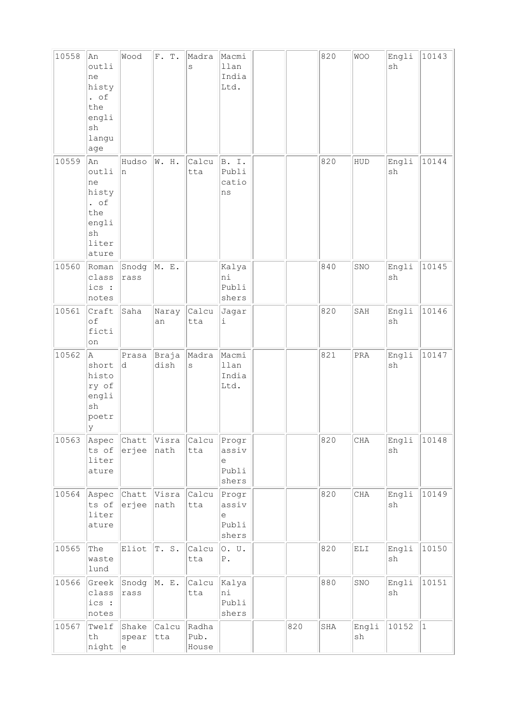| 10558 | An<br>outli<br>ne<br>histy<br>$\cdot$ of<br>the<br>engli<br>sh<br>langu<br>age    | Wood           | F. T.         | Madra<br>S   | Macmi<br>llan<br>India<br>Ltd.                 |     | 820 | <b>WOO</b> | Engli<br>$\operatorname{sh}$ | 10143 |
|-------|-----------------------------------------------------------------------------------|----------------|---------------|--------------|------------------------------------------------|-----|-----|------------|------------------------------|-------|
| 10559 | An<br>outli<br>ne<br>histy<br>. $\circ$ f<br>the<br>engli<br>sh<br>liter<br>ature | Hudso<br>In.   | W. H.         | Calcu<br>tta | B. I.<br>Publi<br>catio<br>ns                  |     | 820 | HUD        | Engli<br>sh                  | 10144 |
| 10560 | Roman<br>class<br>ics :<br>notes                                                  | Snodg<br>rass  | M. E.         |              | Kalya<br>ni<br>Publi<br>shers                  |     | 840 | SNO        | Engli<br>sh                  | 10145 |
| 10561 | Craft<br>of<br>ficti<br>on                                                        | Saha           | Naray<br>an   | Calcu<br>tta | Jagar<br>$\mathtt{i}$                          |     | 820 | SAH        | Engli<br>sh                  | 10146 |
|       |                                                                                   |                |               |              |                                                |     |     |            |                              |       |
| 10562 | la.<br>short<br>histo<br>ry of<br>engli<br>sh<br>poetr<br>ΙY                      | Prasa<br>d     | Braja<br>dish | Madra<br>S   | Macmi<br>llan<br>India<br>Ltd.                 |     | 821 | PRA        | Engli<br>sh                  | 10147 |
| 10563 | Aspec<br>ts of<br>liter<br>ature                                                  | Chatt<br>erjee | Visra<br>nath | Calcu<br>tta | Progr<br>assiv<br>e<br>Publi<br>shers          |     | 820 | $\rm CHA$  | Engli<br>$\operatorname{sh}$ | 10148 |
| 10564 | Aspec<br>ts of<br>liter<br>ature                                                  | Chatt<br>erjee | Visra<br>nath | Calcu<br>tta | Progr<br>assiv<br>$\epsilon$<br>Publi<br>shers |     | 820 | $\rm CHA$  | Engli<br>sh                  | 10149 |
| 10565 | The<br>waste<br>lund                                                              | Eliot          | T.S.          | Calcu<br>tta | O. U.<br>${\bf P}$ .                           |     | 820 | ELI        | Engli<br>$\operatorname{sh}$ | 10150 |
| 10566 | Greek<br>class<br>ics:<br>notes                                                   | Snodg<br>rass  | M. E.         | Calcu<br>tta | Kalya<br>ni<br>Publi<br>shers                  | 820 | 880 | SNO        | Engli<br>$\operatorname{sh}$ | 10151 |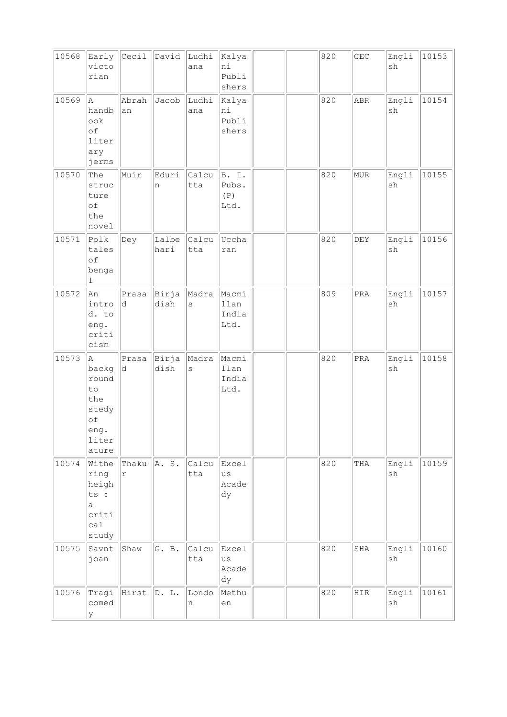| 10568 | Early<br>victo<br>rian                                                    | Cecil               | David         | Ludhi<br>ana     | Kalya<br>ni<br>Publi<br>shers  |  | 820 | $\mathbb{CEC}$        | Engli<br>$\operatorname{sh}$ | 10153 |
|-------|---------------------------------------------------------------------------|---------------------|---------------|------------------|--------------------------------|--|-----|-----------------------|------------------------------|-------|
| 10569 | A.<br>handb<br>ook<br>of<br>liter<br>ary<br>jerms                         | Abrah<br>an         | Jacob         | Ludhi<br>ana     | Kalya<br>ni<br>Publi<br>shers  |  | 820 | ABR                   | Engli<br>sh                  | 10154 |
| 10570 | The<br>struc<br>ture<br>$\circ f$<br>the<br>novel                         | Muir                | Eduri<br>n    | Calcu<br>tta     | B. I.<br>Pubs.<br>(P)<br>Ltd.  |  | 820 | <b>MUR</b>            | Engli<br>$\operatorname{sh}$ | 10155 |
| 10571 | Polk<br>tales<br>of<br>benga<br>ı                                         | Dey                 | Lalbe<br>hari | Calcu<br>tta     | Uccha<br>ran                   |  | 820 | DEY                   | Engli<br>$\operatorname{sh}$ | 10156 |
| 10572 | An<br>intro<br>d. to<br>eng.<br>criti<br>cism                             | Prasa<br>d          | Birja<br>dish | Madra<br>$\rm s$ | Macmi<br>llan<br>India<br>Ltd. |  | 809 | $\mbox{\texttt{PRA}}$ | Engli<br>$\operatorname{sh}$ | 10157 |
| 10573 | A<br>backg<br>round<br>to<br>the<br>stedy<br>of<br>eng.<br>liter<br>ature | Prasa<br>d          | Birja<br>dish | Madra<br>$\rm s$ | Macmi<br>llan<br>India<br>Ltd. |  | 820 | PRA                   | Engli<br>$\operatorname{sh}$ | 10158 |
| 10574 | Withe<br>ring<br>heigh<br>ts :<br>a<br>criti<br>ca1<br>study              | Thaku<br>$\Upsilon$ | A. S.         | Calcu<br>tta     | Excel<br>us<br>Acade<br>dy     |  | 820 | THA                   | Engli<br>sh                  | 10159 |
| 10575 | Savnt<br>joan                                                             | Shaw                | G. B.         | Calcu<br>tta     | Excel<br>us<br>Acade<br>dy     |  | 820 | SHA                   | Engli<br>sh                  | 10160 |
| 10576 | Tragi<br>comed<br>У                                                       | Hirst               | D. L.         | Londo<br>n       | Methu<br>en                    |  | 820 | HIR                   | Engli<br>sh                  | 10161 |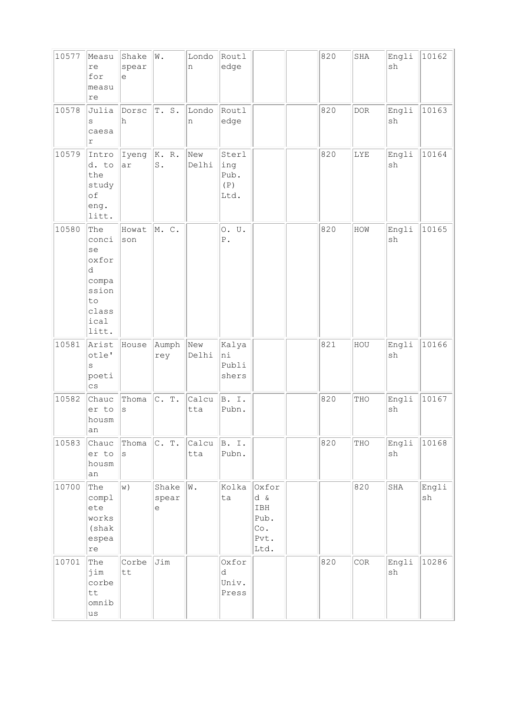| 10577 | Measu<br>re<br>for<br>measu<br>re                                                  | Shake<br>spear<br>e | W.                     | Londo<br>n   | Routl<br>edge                       |                                                    | 820 | SHA        | Engli<br>sh | 10162       |
|-------|------------------------------------------------------------------------------------|---------------------|------------------------|--------------|-------------------------------------|----------------------------------------------------|-----|------------|-------------|-------------|
| 10578 | Julia<br>S<br>caesa<br>$\Upsilon$                                                  | Dorsc<br>h          | T.S.                   | Londo<br>n   | Routl<br>edge                       |                                                    | 820 | <b>DOR</b> | Engli<br>sh | 10163       |
| 10579 | Intro<br>d. to<br>the<br>study<br>of<br>eng.<br>litt.                              | Iyeng<br>ar         | K. R.<br>$\mathbf S$ . | New<br>Delhi | Sterl<br>ing<br>Pub.<br>(P)<br>Ltd. |                                                    | 820 | LYE        | Engli<br>sh | 10164       |
| 10580 | The<br>conci<br>se<br>oxfor<br>d<br>compa<br>ssion<br>to<br>class<br>ical<br>litt. | Howat<br>son        | M. C.                  |              | 0. U.<br>${\mathbb P}$ .            |                                                    | 820 | HOW        | Engli<br>sh | 10165       |
| 10581 | Arist<br>otle'<br>$\rm s$<br>poeti<br>$\mathbb{C}\,\mathbf{S}$                     | House               | Aumph<br>rey           | New<br>Delhi | Kalya<br>ni<br>Publi<br>shers       |                                                    | 821 | HOU        | Engli<br>sh | 10166       |
| 10582 | Chauc<br>er to<br>housm<br> an                                                     | Thoma<br>$\rm s$    | C. T.                  | Calcu<br>tta | B. I.<br>Pubn.                      |                                                    | 820 | THO        | Engli<br>sh | 10167       |
| 10583 | Chauc<br>er to<br>housm<br>an                                                      | Thoma<br>S          | C. T.                  | Calcu<br>tta | B. I.<br>Pubn.                      |                                                    | 820 | THO        | Engli<br>sh | 10168       |
| 10700 | The<br>compl<br>ete<br>works<br>(shak<br>espea<br>$\mathtt{re}$                    | w)                  | Shake<br>spear<br>е    | W.           | Kolka<br>ta                         | Oxfor<br>d &<br>IBH<br>Pub.<br>Co.<br>Pvt.<br>Ltd. |     | 820        | SHA         | Engli<br>sh |
| 10701 | The<br>jim<br>corbe<br>tt<br>omnib<br>us                                           | Corbe<br>tt         | Jim                    |              | Oxfor<br>d<br>Univ.<br>Press        |                                                    | 820 | COR        | Engli<br>sh | 10286       |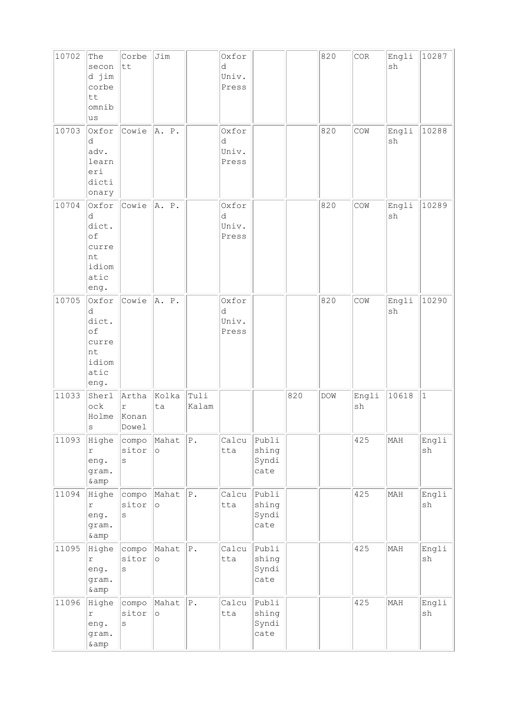| 10702 | The<br>secon<br>d jim<br>corbe<br>tt<br>omnib<br>lus              | Corbe<br>tt                           | Jim              |                 | Oxfor<br>d<br>Univ.<br>Press |                                 |     | 820 | $\rm{COR}$  | Engli<br>sh                  | 10287       |
|-------|-------------------------------------------------------------------|---------------------------------------|------------------|-----------------|------------------------------|---------------------------------|-----|-----|-------------|------------------------------|-------------|
| 10703 | Oxfor<br>d<br>adv.<br>learn<br>eri<br>dicti<br>onary              | Cowie                                 | A. P.            |                 | Oxfor<br>d<br>Univ.<br>Press |                                 |     | 820 | COM         | Engli<br>sh                  | 10288       |
| 10704 | Oxfor<br>d<br>dict.<br>of<br>curre<br>nt<br>idiom<br>atic<br>eng. | Cowie                                 | A. P.            |                 | Oxfor<br>d<br>Univ.<br>Press |                                 |     | 820 | COM         | Engli<br>$\operatorname{sh}$ | 10289       |
| 10705 | Oxfor<br>d<br>dict.<br>of<br>curre<br>nt<br>idiom<br>atic<br>eng. | Cowie                                 | A. P.            |                 | Oxfor<br>d<br>Univ.<br>Press |                                 |     | 820 | COW         | Engli<br>sh                  | 10290       |
| 11033 | Sherl<br>${\tt ock}$<br>Holme<br>$\rm s$                          | Artha<br>$\Upsilon$<br>Konan<br>Dowel | Kolka<br>ta      | Tuli<br>Kalam   |                              |                                 | 820 | DOW | Engli<br>sh | 10618                        | $\vert$ 1   |
| 11093 | Highe<br>$\Upsilon$<br>eng.<br>gram.<br>& amp                     | compo<br>sitor<br>$\rm s$             | Mahat<br>$\circ$ | ${\bf P}$ .     | Calcu<br>tta                 | Publi<br>shing<br>Syndi<br>cate |     |     | 425         | MAH                          | Engli<br>sh |
| 11094 | Highe<br>r<br>eng.<br>gram.<br>& amp                              | compo<br>sitor<br>$\rm s$             | Mahat<br>$\circ$ | ${\bf P}$ .     | Calcu<br>tta                 | Publi<br>shing<br>Syndi<br>cate |     |     | 425         | MAH                          | Engli<br>sh |
| 11095 | Highe<br>r<br>eng.<br>gram.<br>& amp                              | compo<br>sitor<br>$\rm s$             | Mahat<br>$\circ$ | ${\bf P}$ .     | Calcu<br>tta                 | Publi<br>shing<br>Syndi<br>cate |     |     | 425         | MAH                          | Engli<br>sh |
| 11096 | Highe<br>r<br>eng.<br>gram.<br>& amp                              | compo<br>sitor<br>$\rm s$             | Mahat<br>$\circ$ | ${\mathbb P}$ . | Calcu<br>tta                 | Publi<br>shing<br>Syndi<br>cate |     |     | 425         | MAH                          | Engli<br>sh |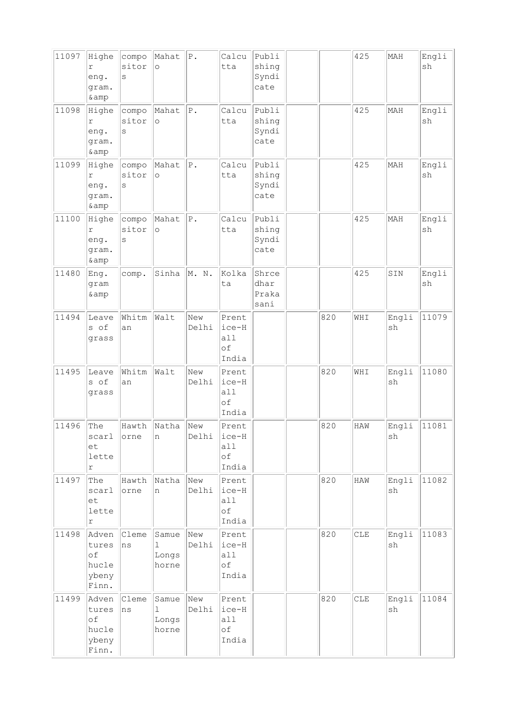| 11097 | Highe<br>r<br>eng.<br>gram.<br>& amp            | compo<br>sitor<br>S | Mahat<br>$\circ$                       | ${\bf P}$ .     | Calcu<br>tta                         | Publi<br>shing<br>Syndi<br>cate |     | 425 | MAH                          | Engli<br>sh |
|-------|-------------------------------------------------|---------------------|----------------------------------------|-----------------|--------------------------------------|---------------------------------|-----|-----|------------------------------|-------------|
| 11098 | Highe<br>r<br>eng.<br>gram.<br>& amp            | compo<br>sitor<br>S | Mahat<br>$\circ$                       | ${\bf P}$ .     | Calcu<br>tta                         | Publi<br>shing<br>Syndi<br>cate |     | 425 | MAH                          | Engli<br>sh |
| 11099 | Highe<br>r<br>eng.<br>gram.<br>& amp            | compo<br>sitor<br>S | Mahat<br>$\circ$                       | ${\mathbb P}$ . | Calcu<br>tta                         | Publi<br>shing<br>Syndi<br>cate |     | 425 | MAH                          | Engli<br>sh |
| 11100 | Highe<br>r<br>eng.<br>gram.<br>& amp            | compo<br>sitor<br>S | Mahat<br>$\circ$                       | ${\mathbb P}$ . | Calcu<br>tta                         | Publi<br>shing<br>Syndi<br>cate |     | 425 | MAH                          | Engli<br>sh |
| 11480 | Eng.<br>gram<br>& amp                           | comp.               | Sinha                                  | M. N.           | Kolka<br>ta                          | Shrce<br>dhar<br>Praka<br>sani  |     | 425 | SIN                          | Engli<br>sh |
| 11494 | Leave<br>s of<br>grass                          | Whitm<br>an         | Walt                                   | New<br>Delhi    | Prent<br>ice-H<br>a11<br>оf<br>India |                                 | 820 | WHI | Engli<br>sh                  | 11079       |
| 11495 | Leave<br>s of<br>grass                          | Whitm<br>an         | Walt                                   | New<br>Delhi    | Prent<br>ice-H<br>a11<br>οf<br>India |                                 | 820 | WHI | Engli<br>sh                  | 11080       |
| 11496 | The<br>scarl<br>et<br>lette<br>$\Upsilon$       | Hawth<br>orne       | Natha<br>n                             | New<br>Delhi    | Prent<br>ice-H<br>all<br>of<br>India |                                 | 820 | HAW | Engli<br>$\operatorname{sh}$ | 11081       |
| 11497 | The<br>scarl<br>et<br>lette<br>r                | Hawth<br>orne       | Natha<br>n                             | New<br>Delhi    | Prent<br>ice-H<br>a11<br>оf<br>India |                                 | 820 | HAW | Engli<br>sh                  | 11082       |
| 11498 | Adven<br>tures<br>of<br>hucle<br>ybeny<br>Finn. | Cleme<br>ns         | Samue<br>$\mathbf 1$<br>Longs<br>horne | New<br>Delhi    | Prent<br>ice-H<br>a11<br>оf<br>India |                                 | 820 | CLE | Engli<br>sh                  | 11083       |
| 11499 | Adven<br>tures<br>of<br>hucle<br>ybeny<br>Finn. | Cleme<br>ns         | Samue<br>1<br>Longs<br>horne           | New<br>Delhi    | Prent<br>ice-H<br>a11<br>of<br>India |                                 | 820 | CLE | Engli<br>$\operatorname{sh}$ | 11084       |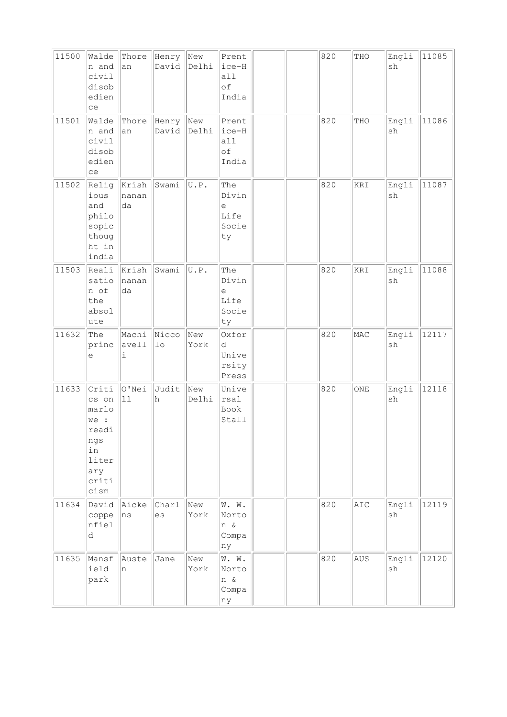| 11500 | Walde<br>n and<br>civil<br>disob<br>edien<br>ce                                        | Thore<br>an          | Henry New<br>David Delhi |              | Prent<br>ice-H<br>all<br>оf<br>India                                            |  | 820 | THO | Engli<br>sh                  | 11085 |
|-------|----------------------------------------------------------------------------------------|----------------------|--------------------------|--------------|---------------------------------------------------------------------------------|--|-----|-----|------------------------------|-------|
| 11501 | Walde<br>n and<br>civil<br>disob<br>edien<br>ce                                        | Thore<br>an          | Henry<br>David           | New<br>Delhi | Prent<br>ice-H<br>a11<br>οf<br>India                                            |  | 820 | THO | Engli<br>$\operatorname{sh}$ | 11086 |
| 11502 | Relig<br>ious<br>and<br>philo<br>sopic<br>thoug<br>ht in<br>india                      | Krish<br>nanan<br>da | Swami                    | U.P.         | The<br>Divin<br>$\mathrel{\mathop{\mathrm{e}}\nolimits}$<br>Life<br>Socie<br>ty |  | 820 | KRI | Engli<br>$\operatorname{sh}$ | 11087 |
| 11503 | Reali<br>satio<br>n of<br>the<br>absol<br>ute                                          | Krish<br>nanan<br>da | Swami                    | U.P.         | The<br>Divin<br>е<br>Life<br>Socie<br>ty                                        |  | 820 | KRI | Engli<br>sh                  | 11088 |
| 11632 | The<br>princ<br>е                                                                      | Machi<br>avell<br>i  | Nicco<br>1 <sub>o</sub>  | New<br>York  | Oxfor<br>d<br>Unive<br>rsity<br>Press                                           |  | 820 | MAC | Engli<br>sh                  | 12117 |
| 11633 | Criti<br>cs on<br>marlo<br>we :<br>readi<br>ngs<br>in<br>liter<br>ary<br>criti<br>cism | O'Nei<br>11          | Judit<br>h               | New<br>Delhi | Unive<br>rsal<br>Book<br>Stall                                                  |  | 820 | ONE | Engli<br>$\operatorname{sh}$ | 12118 |
| 11634 | David<br>coppe<br>nfiel<br>d                                                           | Aicke<br>ns          | Charl<br>es              | New<br>York  | W. W.<br>Norto<br>n &<br>Compa<br>ny                                            |  | 820 | AIC | Engli<br>sh                  | 12119 |
| 11635 | Mansf<br>ield<br>park                                                                  | Auste<br>n           | Jane                     | New<br>York  | W. W.<br>Norto<br>n &<br>Compa<br>ny                                            |  | 820 | AUS | Engli<br>$\operatorname{sh}$ | 12120 |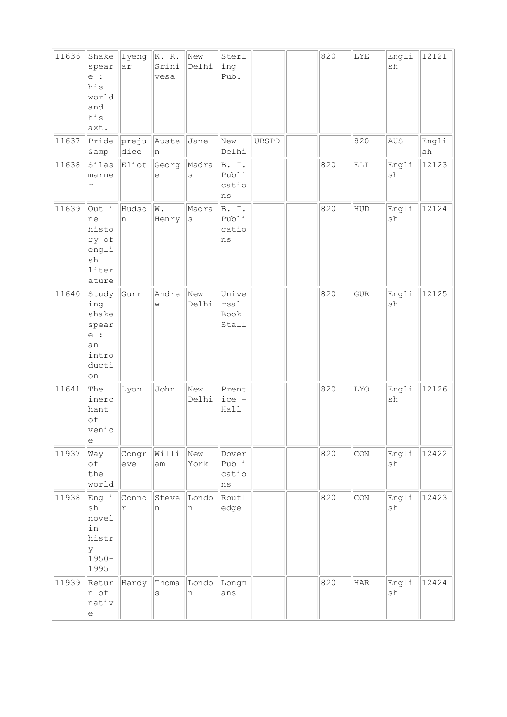| 11636 | Shake<br>spear<br>e :<br>his<br>world<br>and<br>his<br>axt.           | Iyeng<br>ar         | K. R.<br>Srini<br>vesa | New<br>Delhi     | Sterl<br>ing<br>Pub.                |       | 820 | LYE                                                    | Engli<br>sh                  | 12121                        |
|-------|-----------------------------------------------------------------------|---------------------|------------------------|------------------|-------------------------------------|-------|-----|--------------------------------------------------------|------------------------------|------------------------------|
| 11637 | Pride<br>& amp                                                        | preju<br>dice       | Auste<br>n             | Jane             | New<br>Delhi                        | UBSPD |     | 820                                                    | AUS                          | Engli<br>$\operatorname{sh}$ |
| 11638 | Silas<br>marne<br>$\mathtt{r}$                                        | Eliot               | Georg<br>е             | Madra<br>$\rm s$ | B. I.<br>Publi<br>catio<br>ns       |       | 820 | $\mathop{\hbox{\rm EL}}\nolimits\mathop{\hbox{\rm I}}$ | Engli<br>$\operatorname{sh}$ | 12123                        |
| 11639 | Outli<br>ne<br>histo<br>ry of<br>engli<br>sh<br>liter<br>ature        | Hudso<br>n          | W.<br>Henry            | Madra<br>$\rm s$ | B. I.<br>Publi<br>catio<br>ns       |       | 820 | HUD                                                    | Engli<br>sh                  | 12124                        |
| 11640 | Study<br>ing<br>shake<br>spear<br>$e$ :<br>an<br>intro<br>ducti<br>on | Gurr                | Andre<br>W             | New<br>Delhi     | Unive<br>rsal<br>Book<br>Stall      |       | 820 | ${\tt GUR}$                                            | Engli<br>sh                  | 12125                        |
| 11641 | The<br>inerc<br>hant<br>of<br>venic<br>е                              | Lyon                | John                   | New<br>Delhi     | Prent<br>ice -<br>Hall              |       | 820 | LYO                                                    | Engli<br>$\operatorname{sh}$ | 12126                        |
| 11937 | Way<br>of<br>the<br>world                                             | Congr<br>eve        | Willi<br>am            | New<br>York      | Dover<br>Publi<br>catio<br>$\rm ns$ |       | 820 | CON                                                    | Engli<br>sh                  | 12422                        |
| 11938 | Engli<br>sh<br>novel<br>in<br>histr<br>У<br>$1950 -$<br>1995          | Conno<br>$\Upsilon$ | Steve<br>n             | Londo<br>n       | Routl<br>edge                       |       | 820 | CON                                                    | Engli<br>$\operatorname{sh}$ | 12423                        |
| 11939 | Retur<br>n of<br>nativ<br>$\mathrel{\mathop{\mathrm{e}}\nolimits}$    | Hardy               | Thoma<br>S             | Londo<br>$\,$ n  | Longm<br>ans                        |       | 820 | $_{\rm HAR}$                                           | Engli<br>$\operatorname{sh}$ | 12424                        |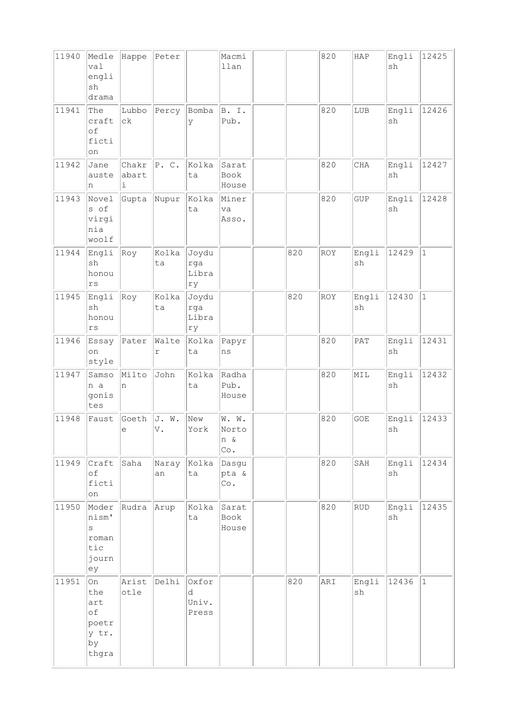| 11940 | Medle<br>val<br>engli<br>sh<br>drama                    | Happe               | Peter                   |                              | Macmi<br>llan                |     | 820 | HAP         | Engli<br>sh | 12425        |
|-------|---------------------------------------------------------|---------------------|-------------------------|------------------------------|------------------------------|-----|-----|-------------|-------------|--------------|
| 11941 | The<br>craft<br>of<br>ficti<br>on                       | Lubbo<br>$c\,k$     | Percy                   | Bomba<br>У                   | B. I.<br>Pub.                |     | 820 | LUB         | Engli<br>sh | 12426        |
| 11942 | Jane<br>auste<br>n                                      | Chakr<br>abart<br>i | P. C.                   | Kolka<br>ta                  | Sarat<br>Book<br>House       |     | 820 | $\rm CHA$   | Engli<br>sh | 12427        |
| 11943 | Novel<br>s of<br>virgi<br>nia<br>woolf                  | Gupta               | Nupur                   | Kolka<br>ta                  | Miner<br>va<br>Asso.         |     | 820 | GUP         | Engli<br>sh | 12428        |
| 11944 | Engli<br>sh<br>honou<br>rs                              | Roy                 | Kolka<br>ta             | Joydu<br>rga<br>Libra<br>ry  |                              | 820 | ROY | Engli<br>sh | 12429       | $\mathbf{1}$ |
| 11945 | Engli<br>sh<br>honou<br>rs                              | Roy                 | Kolka<br>ta             | Joydu<br>rga<br>Libra<br>ry  |                              | 820 | ROY | Engli<br>sh | 12430       | $\mathbf{1}$ |
| 11946 | Essay<br>on<br>style                                    | Pater               | Walte<br>r              | Kolka<br>ta                  | Papyr<br>ns                  |     | 820 | PAT         | Engli<br>sh | 12431        |
| 11947 | Samso<br>n a<br>gonis<br>tes                            | Milto<br>n          | John                    | Kolka<br>ta                  | Radha<br>Pub.<br>House       |     | 820 | MIL         | Engli<br>sh | 12432        |
| 11948 | Faust                                                   | Goeth<br>е          | J. W.<br>$\mathbb{V}$ . | New<br>York                  | W. W.<br>Norto<br>n &<br>Co. |     | 820 | GOE         | Engli<br>sh | 12433        |
| 11949 | Craft<br>of<br>ficti<br>on                              | Saha                | Naray<br>an             | Kolka<br>ta                  | Dasgu<br>pta &<br>Co.        |     | 820 | SAH         | Engli<br>sh | 12434        |
| 11950 | Moder<br>nism'<br>S<br>roman<br>tic<br>journ<br>ey      | Rudra               | Arup                    | kolka<br>ta                  | Sarat<br>Book<br>House       |     | 820 | ${\rm RUD}$ | Engli<br>sh | 12435        |
| 11951 | On<br>the<br>art<br>of<br>poetr<br>y tr.<br>by<br>thgra | Arist<br>otle       | Delhi                   | Oxfor<br>d<br>Univ.<br>Press |                              | 820 | ARI | Engli<br>sh | 12436       | $\mathbf{1}$ |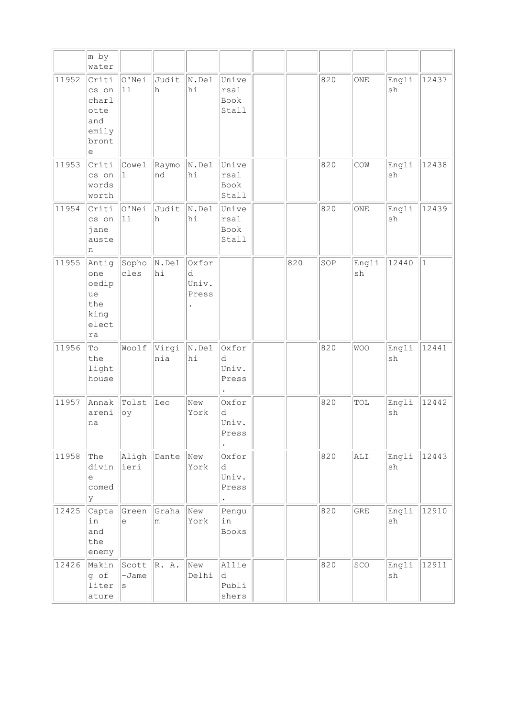|       | m by<br>water                                                          |                             |              |                              |                                           |     |     |             |             |           |
|-------|------------------------------------------------------------------------|-----------------------------|--------------|------------------------------|-------------------------------------------|-----|-----|-------------|-------------|-----------|
| 11952 | Criti<br>cs on<br>charl<br>otte<br>and<br>emily<br>bront<br>е          | O'Nei<br>11                 | Judit<br>h   | $\mathbb{N}$ . Del<br>hi     | Unive<br>rsal<br>Book<br>Stall            |     | 820 | ONE         | Engli<br>sh | 12437     |
| 11953 | Criti<br>cs on<br>words<br>worth                                       | Cowel<br>1                  | Raymo<br>nd  | $\mathbb{N}$ . Del<br>hi     | Unive<br>rsal<br>Book<br>Stall            |     | 820 | COW         | Engli<br>sh | 12438     |
| 11954 | Criti<br>cs on<br>jane<br>auste<br>n                                   | O'Nei<br>11                 | Judit<br>h   | N.Del<br>hi                  | Unive<br>rsal<br>Book<br>Stall            |     | 820 | ONE         | Engli<br>sh | 12439     |
| 11955 | Antig<br>one<br>oedip<br>ue<br>the<br>king<br>elect<br>ra              | Sopho<br>cles               | N.Del<br>hi  | Oxfor<br>d<br>Univ.<br>Press |                                           | 820 | SOP | Engli<br>sh | 12440       | $\vert$ 1 |
| 11956 | $\mathbb T\circ$<br>the<br>light<br>house                              | Woolf                       | Virgi<br>nia | $\vert$ N.Del<br>hi          | Oxfor<br>d<br>Univ.<br>Press              |     | 820 | <b>WOO</b>  | Engli<br>sh | 12441     |
| 11957 | Annak<br>areni<br>na                                                   | Tolst<br>oy                 | Leo          | New<br>York                  | Oxfor<br>d<br>Univ.<br>Press<br>$\bullet$ |     | 820 | TOL         | Engli<br>sh | 12442     |
| 11958 | The<br>divin<br>$\mathrel{\mathop{\mathrm{e}}\nolimits}$<br>comed<br>У | Aligh<br>ieri               | Dante        | New<br>York                  | Oxfor<br>d<br>Univ.<br>Press              |     | 820 | ALI         | Engli<br>sh | 12443     |
| 12425 | Capta<br>in<br>and<br>the<br>enemy                                     | Green<br>e                  | Graha<br>m   | New<br>York                  | Pengu<br>in<br><b>Books</b>               |     | 820 | <b>GRE</b>  | Engli<br>sh | 12910     |
| 12426 | Makin<br>g of<br>liter<br>ature                                        | Scott<br>$-Jame$<br>$\rm s$ | R. A.        | New<br>Delhi                 | Allie<br>d<br>Publi<br>shers              |     | 820 | SCO         | Engli<br>sh | 12911     |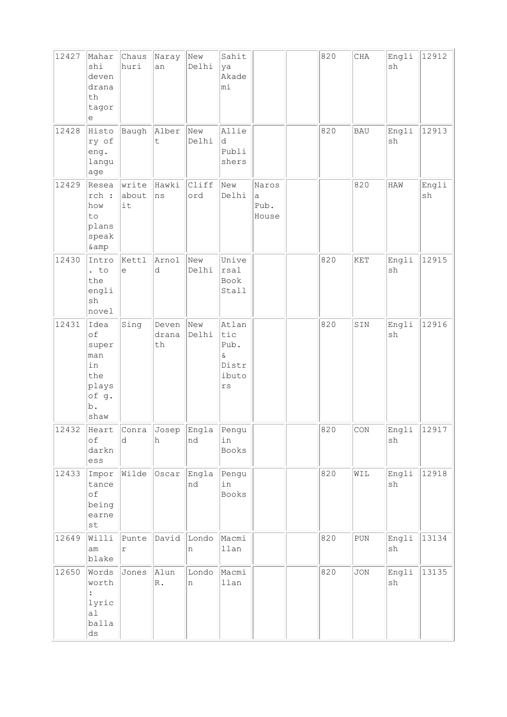| 12427 | Mahar<br>shi<br>deven<br>drana<br>th<br>tagor<br>е                             | Chaus<br>huri         | Naray<br>an                   | New<br>Delhi | Sahit<br>ya<br>Akade<br>mi                               |                             | 820 | CHA                         | Engli<br>sh | 12912       |
|-------|--------------------------------------------------------------------------------|-----------------------|-------------------------------|--------------|----------------------------------------------------------|-----------------------------|-----|-----------------------------|-------------|-------------|
| 12428 | Histo<br>ry of<br>eng.<br>langu<br>age                                         | Baugh                 | Alber<br>t                    | New<br>Delhi | Allie<br>d<br>Publi<br>shers                             |                             | 820 | <b>BAU</b>                  | Engli<br>sh | 12913       |
| 12429 | Resea<br>rch :<br>how<br>to<br>plans<br>speak<br>& amp                         | write<br>about<br>it  | Hawki<br> ns                  | Cliff<br>ord | New<br>Delhi                                             | Naros<br>a<br>Pub.<br>House |     | 820                         | HAW         | Engli<br>sh |
| 12430 | Intro<br>$:$ to<br>the<br>engli<br>sh<br>novel                                 | Kettl<br>e            | Arnol<br>d                    | New<br>Delhi | Unive<br>rsal<br>Book<br>Stall                           |                             | 820 | <b>KET</b>                  | Engli<br>sh | 12915       |
| 12431 | Idea<br>of<br>super<br>man<br>in<br>the<br>plays<br>of g.<br>$b$ .<br>shaw     | Sing                  | Deven<br>drana<br>th          | New<br>Delhi | Atlan<br>tic<br>Pub.<br>$\delta$<br>Distr<br>ibuto<br>rs |                             | 820 | SIN                         | Engli<br>sh | 12916       |
| 12432 | оf<br>darkn<br>ess                                                             | d.                    | Heart Conra Josep Engla<br>h. | Ind          | Pengu<br>in<br>Books                                     |                             | 820 | $\mathop{\rm CON}\nolimits$ | Engli<br>sh | 12917       |
| 12433 | Impor<br>tance<br>$\circ f$<br>being<br>earne<br>$\operatorname{\mathsf {st}}$ |                       | Wilde Oscar                   | Engla<br>nd  | Pengu<br>in<br>Books                                     |                             | 820 | WIL                         | Engli<br>sh | 12918       |
| 12649 | Willi<br>am<br>blake                                                           | Punte<br>$\mathtt{r}$ | David                         | Londo<br>n   | Macmi<br>llan                                            |                             | 820 | ${\rm PUN}$                 | Engli<br>sh | 13134       |
| 12650 | Words<br>worth<br>lyric<br>a1<br>balla<br>$\mathrm{d}\mathbf{s}$               | Jones                 | Alun<br>$\mathbb R$ .         | Londo<br>n   | Macmi<br>llan                                            |                             | 820 | <b>JON</b>                  | Engli<br>sh | 13135       |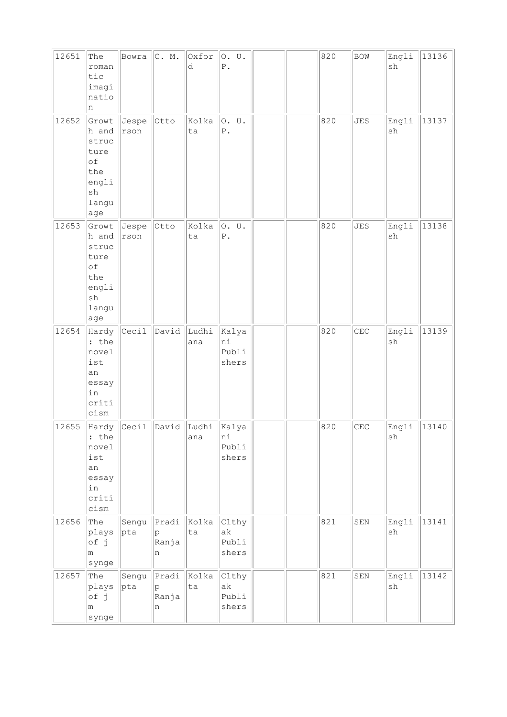| 12651 | The<br>roman<br>tic<br>imagi<br>natio<br>n                                                   | Bowra         | C. M.                    | Oxfor<br>d   | 0. U.<br>${\mathbb P}$ .      |  | 820 | <b>BOW</b> | Engli<br>sh                  | 13136 |
|-------|----------------------------------------------------------------------------------------------|---------------|--------------------------|--------------|-------------------------------|--|-----|------------|------------------------------|-------|
| 12652 | Growt<br>h and<br>struc<br>ture<br>of<br>the<br>engli<br>sh<br>langu<br>age                  | Jespe<br>rson | Otto                     | Kolka<br>ta  | 0. U.<br>${\tt P}$ .          |  | 820 | <b>JES</b> | Engli<br>sh                  | 13137 |
| 12653 | Growt<br>h and<br>struc<br>ture<br>of<br>the<br>engli<br>$\operatorname{sh}$<br>langu<br>age | Jespe<br>rson | Otto                     | Kolka<br>ta  | 0. U.<br>${\tt P}$ .          |  | 820 | <b>JES</b> | Engli<br>$\operatorname{sh}$ | 13138 |
| 12654 | Hardy<br>: the<br>novel<br>ist<br>an<br>essay<br>in<br>criti<br>cism                         | Cecil         | David                    | Ludhi<br>ana | Kalya<br>ni<br>Publi<br>shers |  | 820 | CEC        | Engli<br>sh                  | 13139 |
| 12655 | Hardy<br>: the<br>novel<br>ist<br>an<br>essay<br>in<br>criti<br>cism                         | Cecil         | David                    | Ludhi<br>ana | Kalya<br>ni<br>Publi<br>shers |  | 820 | CEC        | Engli<br>sh                  | 13140 |
| 12656 | The<br>plays<br>of j<br>m<br>synge                                                           | Sengu<br> pta | Pradi<br>p<br>Ranja<br>n | Kolka<br>ta  | Clthy<br>ak<br>Publi<br>shers |  | 821 | SEN        | Engli<br>$\operatorname{sh}$ | 13141 |
| 12657 | The<br>plays<br>of j<br>m<br>synge                                                           | Sengu<br> pta | Pradi<br>p<br>Ranja<br>n | Kolka<br>ta  | Clthy<br>ak<br>Publi<br>shers |  | 821 | SEN        | Engli<br>sh                  | 13142 |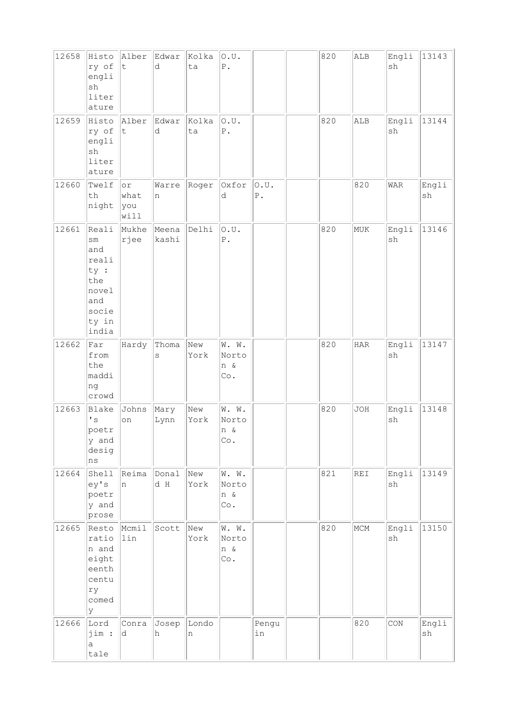| 12658 | Histo<br>ry of<br>engli<br>sh<br>liter<br>ature                                                  | Alber<br>t.                | Edwar<br>d     | Kolka<br>ta | O.U.<br>$P$ .                      |                         | 820 | ALB        | Engli<br>sh                  | 13143       |
|-------|--------------------------------------------------------------------------------------------------|----------------------------|----------------|-------------|------------------------------------|-------------------------|-----|------------|------------------------------|-------------|
| 12659 | Histo<br>ry of<br>engli<br>$\operatorname{sh}$<br>liter<br>ature                                 | Alber<br>$ \tt{t}$         | Edwar<br>d     | Kolka<br>ta | O.U.<br>$P$ .                      |                         | 820 | ALB        | Engli<br>sh                  | 13144       |
| 12660 | Twelf<br>th<br>night                                                                             | or<br>what<br> you<br>will | Warre<br>n     | Roger       | Oxfor<br>d                         | 0.U.<br>${\mathbb P}$ . |     | 820        | WAR                          | Engli<br>sh |
| 12661 | Reali<br>$\texttt{sm}$<br>and<br>reali<br>ty :<br>the<br>novel<br>and<br>socie<br>ty in<br>india | Mukhe<br>rjee              | Meena<br>kashi | Delhi       | O.U.<br>${\tt P}$ .                |                         | 820 | MUK        | Engli<br>sh                  | 13146       |
| 12662 | Far<br>from<br>the<br>maddi<br>ng<br>crowd                                                       | Hardy                      | Thoma<br>S     | New<br>York | W. W.<br>Norto<br>n &<br>Co.       |                         | 820 | HAR        | Engli<br>sh                  | 13147       |
| 12663 | Blake<br>$\mathbf{I}$ s<br>poetr<br>y and<br>desig<br>$\rm ns$                                   | Johns<br>on                | Mary<br>Lynn   | New<br>York | W. W.<br>Norto<br>n &<br>Co.       |                         | 820 | <b>JOH</b> | Engli<br>sh                  | 13148       |
| 12664 | Shell<br>ey's<br>poetr<br>y and<br>prose                                                         | Reima<br>n                 | Donal<br>d H   | New<br>York | W. W.<br>Norto<br>n &<br>Co.       |                         | 821 | <b>REI</b> | Engli<br>$\operatorname{sh}$ | 13149       |
| 12665 | Resto<br>ratio<br>n and<br>eight<br>eenth<br>centu<br>ry<br>comed<br>У                           | Mcmil<br>lin               | Scott          | New<br>York | W. W.<br>Norto<br>n &<br>$\circ$ . |                         | 820 | MCM        | Engli<br>sh                  | 13150       |
| 12666 | Lord<br>jim :<br>a<br>tale                                                                       | Conra<br>d                 | Josep<br>h     | Londo<br>n  |                                    | Pengu<br>in             |     | 820        | $\mathop{\rm CON}\nolimits$  | Engli<br>sh |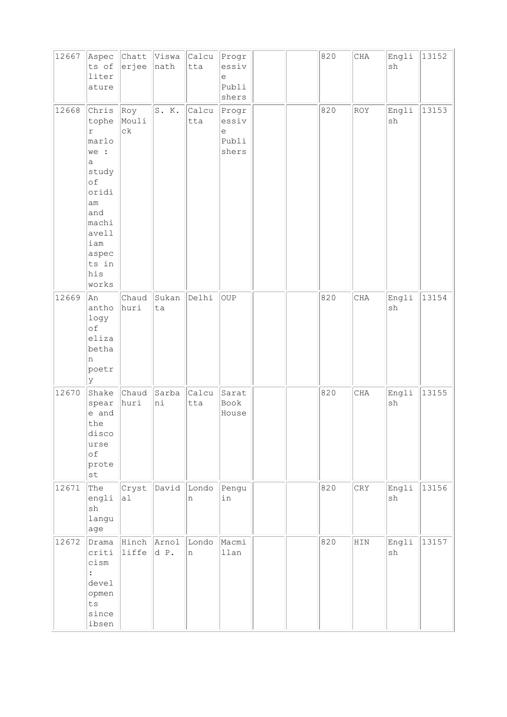| 12667 | Aspec<br>ts of<br>liter<br>ature                                                                                                                   | erjee                  | Chatt Viswa Calcu<br>nath | tta          | Progr<br>essiv<br>e<br>Publi<br>shers |  | 820 | $\rm CHA$    | Engli<br>sh                  | 13152 |
|-------|----------------------------------------------------------------------------------------------------------------------------------------------------|------------------------|---------------------------|--------------|---------------------------------------|--|-----|--------------|------------------------------|-------|
| 12668 | Chris<br>tophe<br>$\Upsilon$<br>marlo<br>we :<br>a<br>study<br>of<br>oridi<br>am<br>and<br>machi<br>avell<br>iam<br>aspec<br>ts in<br>his<br>works | Roy<br>Mouli<br>$c\,k$ | S. K.                     | Calcu<br>tta | Progr<br>essiv<br>е<br>Publi<br>shers |  | 820 | ROY          | Engli<br>$\operatorname{sh}$ | 13153 |
| 12669 | An<br>antho<br>logy<br>of<br>eliza<br>betha<br>n<br>poetr<br>У                                                                                     | Chaud<br>huri          | Sukan<br>ta               | Delhi        | OUP                                   |  | 820 | CHA          | Engli<br>$\operatorname{sh}$ | 13154 |
| 12670 | Shake<br>spear<br>e and<br>the<br>disco<br>urse<br>of<br>prote<br>st                                                                               | Chaud<br>huri          | Sarba<br>ni               | Calcu<br>tta | Sarat<br>Book<br>House                |  | 820 | $\rm CHA$    | Engli<br>sh                  | 13155 |
| 12671 | The<br>engli<br>${\tt sh}$<br>langu<br>age                                                                                                         | Cryst<br>al            | David Londo               | n            | Pengu<br>in                           |  | 820 | CRY          | Engli<br>sh                  | 13156 |
| 12672 | Drama<br>criti<br>cism<br>$\vdots$<br>devel<br>opmen<br>ts<br>since<br>ibsen                                                                       | Hinch Arnol<br>liffe   | d P.                      | Londo<br>n   | Macmi<br>llan                         |  | 820 | $_{\rm HIN}$ | Engli<br>sh                  | 13157 |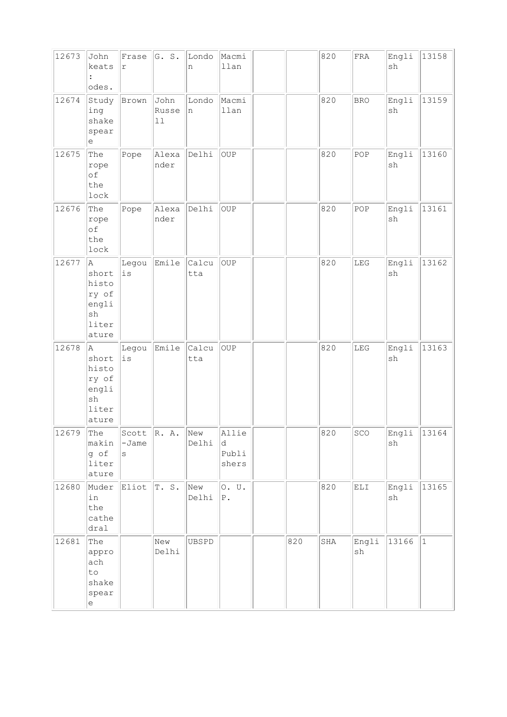| 12673 | John<br>keats<br>$\ddot{\cdot}$<br>odes.                                 | Frase<br>$\Upsilon$           | G. S.                   | Londo<br>n   | Macmi<br>llan                |     | 820 | ${\tt FRA}$ | Engli<br>sh                  | 13158       |
|-------|--------------------------------------------------------------------------|-------------------------------|-------------------------|--------------|------------------------------|-----|-----|-------------|------------------------------|-------------|
| 12674 | Study<br>ing<br>shake<br>spear<br>е                                      | Brown                         | John<br>Russe<br>$11\,$ | Londo<br>n   | Macmi<br>llan                |     | 820 | <b>BRO</b>  | Engli<br>sh                  | 13159       |
| 12675 | The<br>rope<br>of<br>the<br>lock                                         | Pope                          | Alexa<br>nder           | Delhi        | <b>OUP</b>                   |     | 820 | POP         | Engli<br>$\operatorname{sh}$ | 13160       |
| 12676 | The<br>rope<br>оf<br>the<br>lock                                         | Pope                          | Alexa<br>nder           | Delhi        | <b>OUP</b>                   |     | 820 | POP         | Engli<br>sh                  | 13161       |
| 12677 | A<br>short<br>histo<br>ry of<br>engli<br>sh<br>liter<br>ature            | Legou<br>$\rm \dot{1}\,\rm S$ | Emile                   | Calcu<br>tta | <b>OUP</b>                   |     | 820 | LEG         | Engli<br>sh                  | 13162       |
| 12678 | A<br>short<br>histo<br>ry of<br>engli<br>sh<br>liter<br>ature            | Legou<br>$\rm \dot{1}\,\rm S$ | Emile                   | Calcu<br>tta | <b>OUP</b>                   |     | 820 | ${\rm LEG}$ | Engli<br>$\operatorname{sh}$ | 13163       |
| 12679 | The<br>makin<br>g of<br>liter<br>ature                                   | Scott<br>$-Jame$<br>S         | R. A.                   | New<br>Delhi | Allie<br>d<br>Publi<br>shers |     | 820 | SCO         | Engli<br>sh                  | 13164       |
| 12680 | Muder<br>in<br>the<br>cathe<br>dral                                      | Eliot                         | T. S.                   | New<br>Delhi | 0. U.<br>$ P$ .              |     | 820 | ELI         | Engli<br>sh                  | 13165       |
| 12681 | The<br>appro<br>ach<br>to<br>shake<br>spear<br>$\mathop{\rm e}\nolimits$ |                               | New<br>Delhi            | UBSPD        |                              | 820 | SHA | Engli<br>sh | 13166                        | $ 1\rangle$ |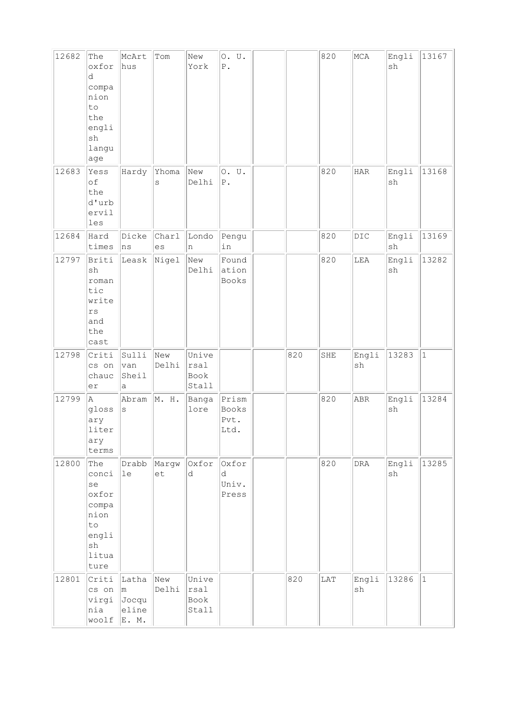| 12682 | The<br>oxfor<br>d<br>compa<br>nion<br>to<br>the<br>engli<br>sh<br>langu<br>age     | McArt<br>hus                            | Tom               | New<br>York                      | 0. U.<br>${\mathbb P}$ .       |     | 820       | MCA                          | Engli<br>sh                  | 13167       |
|-------|------------------------------------------------------------------------------------|-----------------------------------------|-------------------|----------------------------------|--------------------------------|-----|-----------|------------------------------|------------------------------|-------------|
| 12683 | Yess<br>of<br>the<br>d'urb<br>ervil<br>les                                         | Hardy                                   | Yhoma<br>$\rm s$  | New<br>Delhi                     | 0. U.<br>${\mathbb P}$ .       |     | 820       | $_{\rm HAR}$                 | Engli<br>sh                  | 13168       |
| 12684 | Hard<br>times                                                                      | Dicke<br>ns                             | Charl<br>es       | Londo<br>n                       | Pengu<br>in                    |     | 820       | DIC                          | Engli<br>$\operatorname{sh}$ | 13169       |
| 12797 | Briti<br>sh<br>roman<br>tic<br>write<br>$\mathtt{rs}$<br>and<br>the<br>cast        | Leask                                   | Nigel             | New<br>Delhi                     | Found<br>ation<br>Books        |     | 820       | LEA                          | Engli<br>sh                  | 13282       |
| 12798 | Criti<br>cs on<br>chauc<br>er                                                      | Sulli<br>van<br>Sheil<br>а              | New<br>Delhi      | Unive<br>rsal<br>Book<br>Stall   |                                | 820 | SHE       | Engli<br>sh                  | 13283                        | $\vert$ 1   |
| 12799 | A<br>gloss<br>ary<br>liter<br>ary<br>terms                                         | Abram<br>$\rm s$                        | $\parallel M. H.$ | Banga<br>lore                    | Prism<br>Books<br>Pvt.<br>Ltd. |     | 820       | ABR                          | Engli<br>sh                  | 13284       |
| 12800 | The<br>conci<br>se<br>oxfor<br>compa<br>nion<br>to<br>engli<br>sh<br>litua<br>ture | Drabb<br>le                             | Margw<br>et       | Oxfor<br>d                       | Oxfor<br>d<br>Univ.<br>Press   |     | 820       | <b>DRA</b>                   | Engli<br>sh                  | 13285       |
| 12801 | Criti<br>cs on<br>virgi<br>nia<br>woolf                                            | Latha<br> m <br>Jocqu<br>eline<br>E. M. | New<br>Delhi      | Unive<br> rsal <br>Book<br>Stall |                                | 820 | $\rm LAT$ | Engli<br>$\operatorname{sh}$ | 13286                        | $ 1\rangle$ |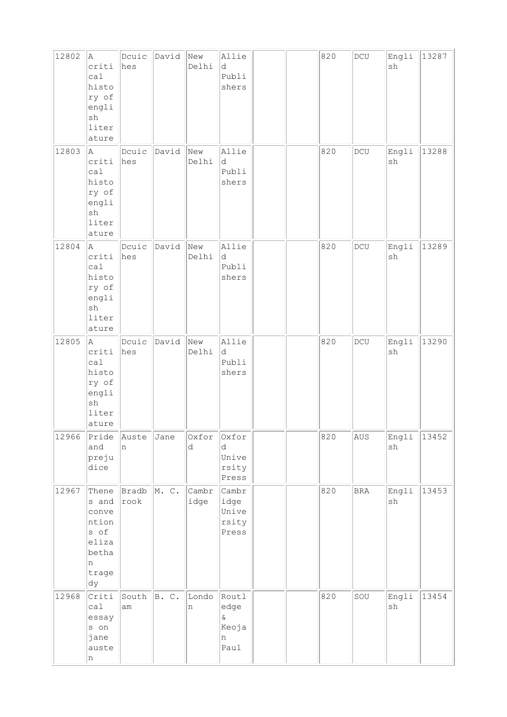| 12802 | A.<br>criti<br>cal<br>histo<br>ry of<br>engli<br>$\operatorname{sh}$<br>liter<br>ature             | Douic<br>hes  | David | New<br>Delhi  | Allie<br>d<br>Publi<br>shers                    |  | 820 | $\operatorname{\textsf{DCU}}$ | Engli<br>sh                  | 13287 |
|-------|----------------------------------------------------------------------------------------------------|---------------|-------|---------------|-------------------------------------------------|--|-----|-------------------------------|------------------------------|-------|
| 12803 | A.<br>criti<br>calal<br>histo<br>ry of<br>engli<br>$\operatorname{sh}$<br>liter<br>ature           | Dcuic<br>hes  | David | New<br>Delhi  | Allie<br>d<br>Publi<br>shers                    |  | 820 | DCU                           | Engli<br>sh                  | 13288 |
| 12804 | A<br>criti<br>cal<br>histo<br>ry of<br>engli<br>sh<br>liter<br>ature                               | Douic<br>hes  | David | New<br>Delhi  | Allie<br>d<br>Publi<br>shers                    |  | 820 | DCU                           | Engli<br>$\operatorname{sh}$ | 13289 |
| 12805 | la.<br>criti<br>cal<br>histo<br>ry of<br>engli<br>sh<br>liter<br>ature                             | Dcuic<br>hes  | David | New<br>Delhi  | Allie<br>d<br>Publi<br>shers                    |  | 820 | $DCU$                         | Engli<br>sh                  | 13290 |
| 12966 | Pride<br>and<br>preju<br>dice                                                                      | Auste<br>n    | Jane  | Oxfor<br>d    | Oxfor<br>d<br>Unive<br>rsity<br>Press           |  | 820 | AUS                           | Engli<br>$\operatorname{sh}$ | 13452 |
| 12967 | Thene<br>s and<br>conve<br>ntion<br>s of<br>eliza<br>betha<br>n<br>trage<br>$\mathrm{d}\mathrm{y}$ | Bradb<br>rook | M. C. | Cambr<br>idge | Cambr<br>idge<br>Unive<br>rsity<br>Press        |  | 820 | <b>BRA</b>                    | Engli<br>sh                  | 13453 |
| 12968 | Criti<br>ca1<br>essay<br>s on<br>jane<br>auste<br>n                                                | South<br>am   | B. C. | Londo<br>n    | Routl<br>edge<br>$\delta$<br>Keoja<br>n<br>Paul |  | 820 | SOU                           | Engli<br>$\operatorname{sh}$ | 13454 |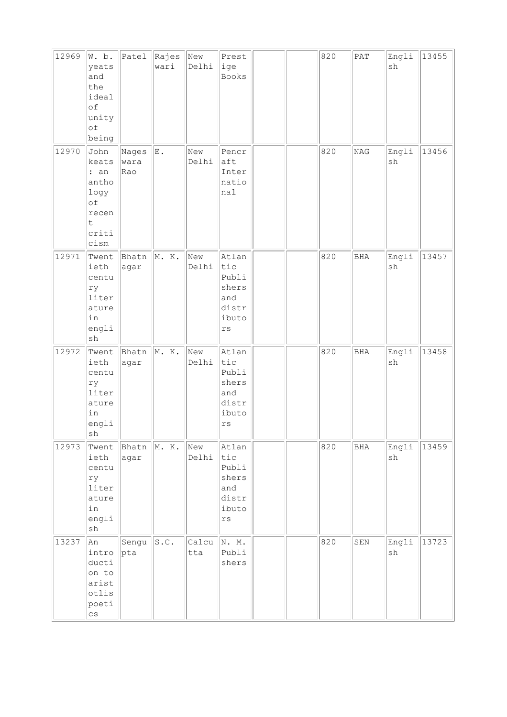| 12969 | W. b.<br>yeats<br>and<br>the<br>ideal<br>of<br>unity<br>οf<br>being                   | Patel                | Rajes<br>wari | New<br>Delhi | Prest<br>ige<br>Books                                                             |  | 820 | PAT        | Engli<br>sh                  | 13455 |
|-------|---------------------------------------------------------------------------------------|----------------------|---------------|--------------|-----------------------------------------------------------------------------------|--|-----|------------|------------------------------|-------|
| 12970 | John<br>keats<br>: an<br>antho<br>logy<br>οf<br>recen<br>t<br>criti<br>cism           | Nages<br>wara<br>Rao | ${\bf E}$ .   | New<br>Delhi | Pencr<br>aft<br>Inter<br>natio<br>nal                                             |  | 820 | $\rm NAG$  | Engli<br>${\tt sh}$          | 13456 |
| 12971 | Twent<br>ieth<br>centu<br>ry<br>liter<br>ature<br>in<br>engli<br>$\operatorname{sh}$  | Bhatn<br>agar        | M. K.         | New<br>Delhi | Atlan<br>tic<br>Publi<br>shers<br>and<br>distr<br>ibuto<br>$\mathtt{r}\mathtt{s}$ |  | 820 | <b>BHA</b> | Engli<br>$\operatorname{sh}$ | 13457 |
| 12972 | Twent<br>ieth<br>centu<br>ry<br>liter<br>ature<br>in<br>engli<br>sh                   | Bhatn<br>agar        | M. K.         | New<br>Delhi | Atlan<br>tic<br>Publi<br>shers<br>and<br>distr<br>ibuto<br>rs                     |  | 820 | <b>BHA</b> | Engli<br>$\operatorname{sh}$ | 13458 |
| 12973 | Twent<br>ieth<br>centu<br>ry<br>liter<br>ature<br>in<br>engli<br>$\operatorname{sh}$  | Bhatn<br>agar        | M. K.         | New<br>Delhi | Atlan<br>tic<br>Publi<br>shers<br>and<br>distr<br>ibuto<br>$\mathtt{rs}$          |  | 820 | BHA        | Engli<br>sh                  | 13459 |
| 13237 | An<br>intro<br>ducti<br>on to<br>arist<br>otlis<br>poeti<br>$\mathbb{C}\, \mathbb{S}$ | Sengu<br>pta         | S.C.          | Calcu<br>tta | N. M.<br>Publi<br>shers                                                           |  | 820 | SEN        | Engli<br>sh                  | 13723 |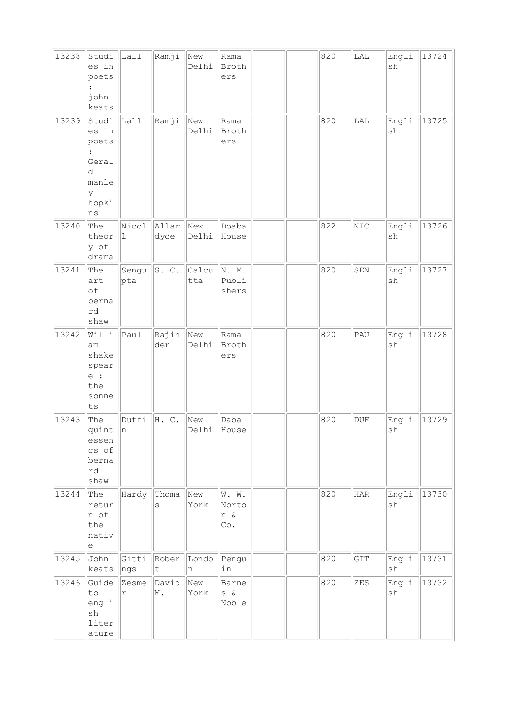| 13238 | Studi<br>es in<br>poets<br>john<br>keats                                                   | Lall          | Ramji              | New<br>Delhi | Rama<br>Broth<br>ers         |  | 820 | ${\rm LAL}$  | Engli<br>sh                  | 13724 |
|-------|--------------------------------------------------------------------------------------------|---------------|--------------------|--------------|------------------------------|--|-----|--------------|------------------------------|-------|
| 13239 | Studi<br>es in<br>poets<br>$\ddot{\phantom{a}}$<br>Geral<br>d<br>manle<br>У<br>hopki<br>ns | Lall          | Ramji              | New<br>Delhi | Rama<br>Broth<br>ers         |  | 820 | $_{\rm LAL}$ | Engli<br>$\operatorname{sh}$ | 13725 |
| 13240 | The<br>theor<br>y of<br>drama                                                              | Nicol<br>1    | Allar<br>dyce      | New<br>Delhi | Doaba<br>House               |  | 822 | NIC          | Engli<br>$\operatorname{sh}$ | 13726 |
| 13241 | The<br>art<br>of<br>berna<br>rd<br>shaw                                                    | Sengu<br>pta  | S. C.              | Calcu<br>tta | N. M.<br>Publi<br>shers      |  | 820 | SEN          | Engli<br>sh                  | 13727 |
| 13242 | Willi<br>am<br>shake<br>spear<br>e :<br>the<br>sonne<br>${\tt ts}$                         | lPaul         | Rajin<br>der       | New<br>Delhi | Rama<br>Broth<br>ers         |  | 820 | PAU          | Engli<br>sh                  | 13728 |
| 13243 | The<br>quint n<br>essen<br>cs of<br>berna<br>rd<br>shaw                                    | Duffi         | H. C.              | New<br>Delhi | Daba<br>House                |  | 820 | <b>DUF</b>   | Engli<br>sh                  | 13729 |
| 13244 | The<br>retur<br>n of<br>the<br>nativ<br>e                                                  | Hardy         | Thoma<br>S         | New<br>York  | W. W.<br>Norto<br>n &<br>Co. |  | 820 | <b>HAR</b>   | Engli<br>sh                  | 13730 |
| 13245 | John<br>keats                                                                              | Gitti<br> ngs | Rober<br>$\vert$ t | Londo<br>n   | Pengu<br>in                  |  | 820 | GIT          | Engli<br>$\operatorname{sh}$ | 13731 |
| 13246 | Guide<br>to<br>engli<br>$\operatorname{sh}$<br>liter<br>ature                              | Zesme<br>r    | David<br>M.        | New<br>York  | Barne<br>$S \delta$<br>Noble |  | 820 | ZES          | Engli<br>sh                  | 13732 |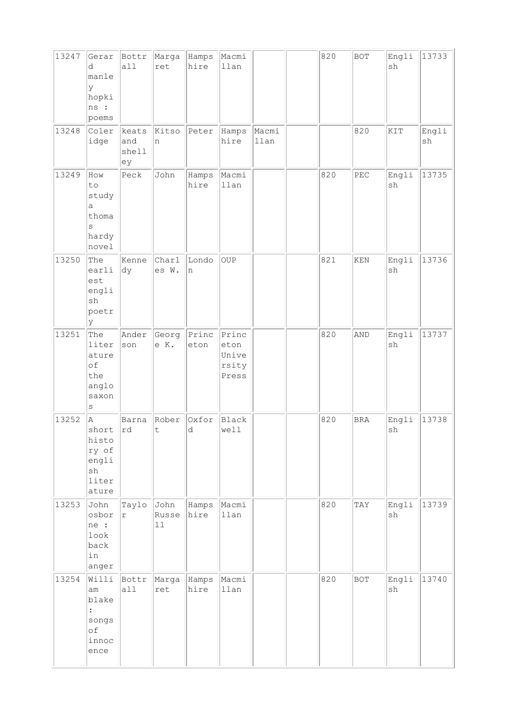| 13247 | Gerar<br>d<br>manle<br>У<br>hopki<br>ns :<br>poems                 | Bottr<br>all                | Marga<br>ret            | Hamps<br>hire | Macmi<br>llan                            |               | 820 | <b>BOT</b>                  | Engli<br>sh                  | 13733       |
|-------|--------------------------------------------------------------------|-----------------------------|-------------------------|---------------|------------------------------------------|---------------|-----|-----------------------------|------------------------------|-------------|
| 13248 | Coler<br>idge                                                      | keats<br>and<br>shell<br>ey | Kitso<br>n              | Peter         | Hamps<br>hire                            | Macmi<br>llan |     | 820                         | KIT                          | Engli<br>sh |
| 13249 | How<br>to<br>study<br>$\mathsf{a}$<br>thoma<br>S<br>hardy<br>novel | Peck                        | John                    | Hamps<br>hire | Macmi<br>llan                            |               | 820 | PEC                         | Engli<br>sh                  | 13735       |
| 13250 | The<br>earli<br>est<br>engli<br>sh<br>poetr<br>lУ                  | Kenne<br>dy                 | Charl<br>es W.          | Londo<br>n    | OUP                                      |               | 821 | $\mathop{\rm KEN}\nolimits$ | Engli<br>$\operatorname{sh}$ | 13736       |
| 13251 | The<br>liter<br>ature<br>of<br>the<br>anglo<br>saxon<br>$\rm s$    | Ander<br>son                | Georg<br>e K.           | Princ<br>eton | Princ<br>eton<br>Unive<br>rsity<br>Press |               | 820 | AND                         | Engli<br>$\operatorname{sh}$ | 13737       |
| 13252 | A<br>short Ird<br>histo<br>ry of<br>engli<br>sh<br>liter<br>ature  | Barna                       | Rober<br>t.             | Oxfor<br>d    | Black<br>well                            |               | 820 | <b>BRA</b>                  | Engli<br>sh                  | 13738       |
| 13253 | John<br>osbor<br>ne :<br>look<br>back<br>in<br>anger               | Taylo<br>$\Upsilon$         | John<br>Russe<br>$11\,$ | Hamps<br>hire | Macmi<br>llan                            |               | 820 | TAY                         | Engli<br>$\operatorname{sh}$ | 13739       |
| 13254 | Willi<br>lam<br>blake<br>$\vdots$<br>songs<br>of<br>innoc<br>ence  | Bottr<br>all                | Marga<br>ret            | Hamps<br>hire | Macmi<br>llan                            |               | 820 | BOT                         | Engli<br>$\operatorname{sh}$ | 13740       |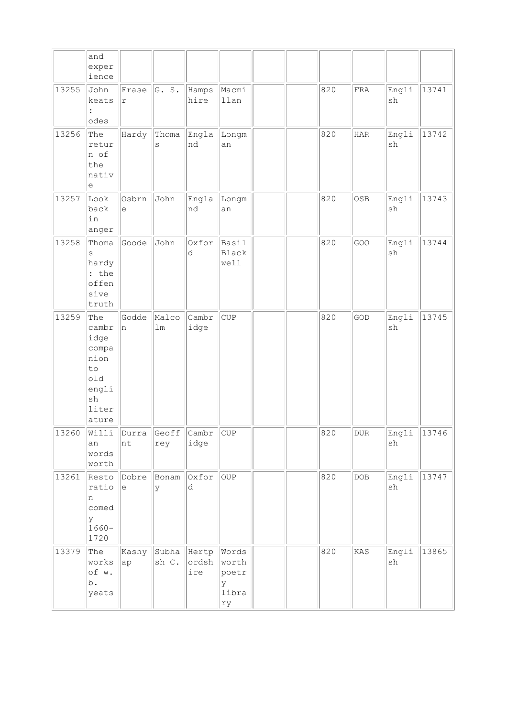|       | and<br>exper<br>ience                                                               |                     |                                                                    |                |                                             |  |     |            |             |       |
|-------|-------------------------------------------------------------------------------------|---------------------|--------------------------------------------------------------------|----------------|---------------------------------------------|--|-----|------------|-------------|-------|
| 13255 | John<br>keats<br>$\ddot{\cdot}$<br>odes                                             | Frase<br>r          | G. S.                                                              | Hamps<br>hire  | Macmi<br>llan                               |  | 820 | FRA        | Engli<br>sh | 13741 |
| 13256 | The<br>retur<br>n of<br>the<br>nativ<br>e                                           | Hardy               | Thoma<br>S                                                         | Engla<br>nd    | Longm<br>an                                 |  | 820 | HAR        | Engli<br>sh | 13742 |
| 13257 | Look<br>back<br>in<br>anger                                                         | Osbrn<br>$\epsilon$ | John                                                               | Engla<br>nd    | Longm<br>an                                 |  | 820 | OSB        | Engli<br>sh | 13743 |
| 13258 | Thoma<br>S<br>hardy<br>: the<br>offen<br>sive<br>truth                              | Goode               | John                                                               | Oxfor<br>d     | Basil<br>Black<br>well                      |  | 820 | GOO        | Engli<br>sh | 13744 |
| 13259 | The<br>cambr<br>idge<br>compa<br>nion<br>to<br>old<br>engli<br>sh<br>liter<br>ature | Godde<br>n.         | Malco<br>$\mathop{\rm Im}% \nolimits\left( \mathop{\Gamma}\right)$ | Cambr<br>idge  | <b>CUP</b>                                  |  | 820 | GOD        | Engli<br>sh | 13745 |
| 13260 | Willi<br>an<br>words<br>worth                                                       | Durra<br>nt         | Geoff<br>rey                                                       | Cambr <br>idge | CUP                                         |  | 820 | <b>DUR</b> | Engli<br>sh | 13746 |
| 13261 | Resto<br>ratio<br>n<br>comed<br>У<br>$1660 -$<br>1720                               | Dobre<br>e          | Bonam<br>У                                                         | Oxfor<br>d     | OUP                                         |  | 820 | DOB        | Engli<br>sh | 13747 |
| 13379 | The<br>works<br>of w.<br>b.<br>yeats                                                | Kashy<br>ap         | Subha Hertp<br>sh C.                                               | ordsh<br>ire   | Words<br>worth<br>poetr<br>У<br>libra<br>rу |  | 820 | KAS        | Engli<br>sh | 13865 |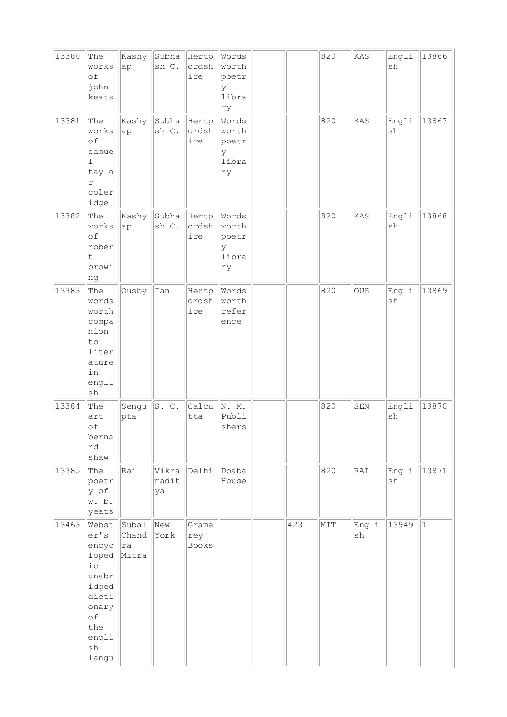| 13380 | The<br>works<br>of<br>john<br>keats                                                                               | Kashy<br>ap                     | Subha<br>sh C.         | Hertp<br>ordsh<br>ire | Words<br>worth<br>poetr<br>У<br>libra<br>ry |     | 820 | KAS         | Engli<br>sh | 13866       |
|-------|-------------------------------------------------------------------------------------------------------------------|---------------------------------|------------------------|-----------------------|---------------------------------------------|-----|-----|-------------|-------------|-------------|
| 13381 | The<br>works<br>of<br>samue<br>$\mathbf 1$<br>taylo<br>r<br>coler<br>idge                                         | Kashy<br>ap                     | Subha Hertp<br>sh C.   | ordsh<br>ire          | Words<br>worth<br>poetr<br>У<br>libra<br>ry |     | 820 | KAS         | Engli<br>sh | 13867       |
| 13382 | The<br>works<br>of<br>rober<br>t.<br>browi<br>ng                                                                  | Kashy<br>ap                     | Subha   Hertp<br>sh C. | ordsh<br>ire          | Words<br>worth<br>poetr<br>У<br>libra<br>ry |     | 820 | KAS         | Engli<br>sh | 13868       |
| 13383 | The<br>words<br>worth<br>compa<br>nion<br>to<br>liter<br>ature<br>in<br>engli<br>sh                               | Ousby                           | Ian                    | Hertp<br>ordsh<br>ire | Words<br>worth<br>refer<br>ence             |     | 820 | OUS         | Engli<br>sh | 13869       |
| 13384 | The<br>art<br>of<br>berna<br>rd<br>shaw                                                                           | Sengu<br>pta                    | S. C.                  | Calcu<br>tta          | N. M.<br>Publi<br>shers                     |     | 820 | SEN         | Engli<br>sh | 13870       |
| 13385 | The<br>poetr<br>y of<br>w. b.<br>yeats                                                                            | Rai                             | madit<br>ya            | Vikra Delhi           | Doaba<br>House                              |     | 820 | RAI         | Engli<br>sh | 13871       |
| 13463 | Webst<br>er's<br>encyc<br>loped<br>$i$ с<br>unabr<br>idged<br>dicti<br>onary<br>of<br>the<br>engli<br>sh<br>langu | Subal<br>Chand<br> ra <br>Mitra | New<br>York            | Grame<br>rey<br>Books |                                             | 423 | MIT | Engli<br>sh | 13949       | $\mathbf 1$ |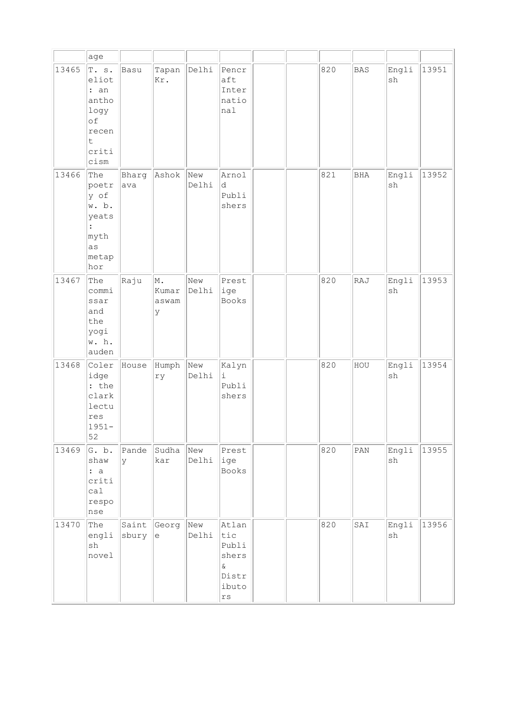|       | age                                                                                    |                |                           |              |                                                                |  |     |                |             |       |
|-------|----------------------------------------------------------------------------------------|----------------|---------------------------|--------------|----------------------------------------------------------------|--|-----|----------------|-------------|-------|
| 13465 | T. s.<br>eliot<br>: an<br>antho<br>logy<br>of<br>recen<br>t<br>criti<br>cism           | Basu           | Tapan<br>Kr.              | Delhi        | Pencr<br>aft<br>Inter<br>natio<br>nal                          |  | 820 | <b>BAS</b>     | Engli<br>sh | 13951 |
| 13466 | The<br>poetr<br>y of<br>w. b.<br>yeats<br>$\ddot{\cdot}$<br>myth<br>as<br>metap<br>hor | Bharg<br>ava   | Ashok                     | New<br>Delhi | Arnol<br>d.<br>Publi<br>shers                                  |  | 821 | <b>BHA</b>     | Engli<br>sh | 13952 |
| 13467 | The<br>commi<br>ssar<br>and<br>the<br>yogi<br>w. h.<br>auden                           | Raju           | M.<br>Kumar<br>aswam<br>y | New<br>Delhi | Prest<br>ige<br><b>Books</b>                                   |  | 820 | RAJ            | Engli<br>sh | 13953 |
| 13468 | Coler<br>idge<br>: the<br>clark<br>lectu<br>res<br>$1951 -$<br>52                      | House          | Humph<br>ry               | New<br>Delhi | Kalyn<br>i.<br>Publi<br>shers                                  |  | 820 | HOU            | Engli<br>sh | 13954 |
| 13469 | G. b.<br>shaw<br>: a<br>criti<br>ca1<br>respo<br>nse                                   | Pande<br>Ιy    | Sudha<br>kar              | New<br>Delhi | Prest<br>ige<br>Books                                          |  | 820 | $\texttt{PAN}$ | Engli<br>sh | 13955 |
| 13470 | The<br>engli<br>sh<br>novel                                                            | Saint<br>sbury | Georg<br>le               | New<br>Delhi | Atlan<br>tic<br>Publi<br>shers<br>$\&$<br>Distr<br>ibuto<br>rs |  | 820 | SAI            | Engli<br>sh | 13956 |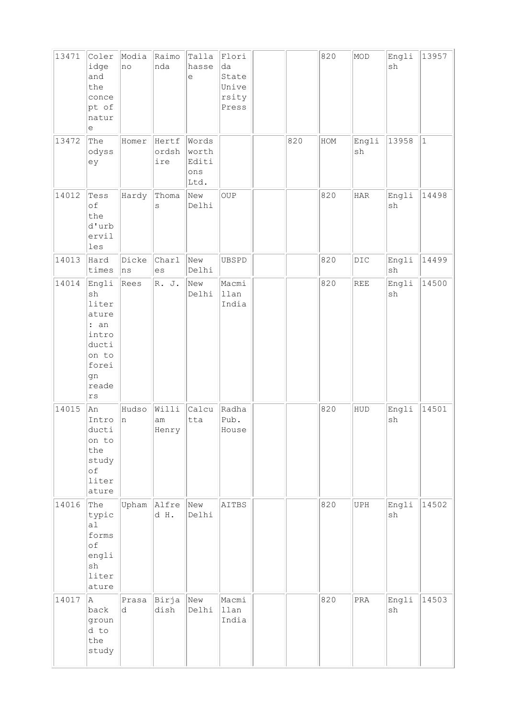| 13471 | Coler<br>idge<br>and<br>the<br>conce<br>pt of<br>natur<br>е                                    | Modia<br>no  | Raimo<br>nda          | Talla<br>hasse<br>$\in$                         | Flori<br>da<br>State<br>Unive<br>rsity<br>Press |     | 820 | MOD            | Engli<br>sh                  | 13957        |
|-------|------------------------------------------------------------------------------------------------|--------------|-----------------------|-------------------------------------------------|-------------------------------------------------|-----|-----|----------------|------------------------------|--------------|
| 13472 | The<br>odyss<br>ey                                                                             | Homer        | Hertf<br>ordsh<br>ire | Words<br>worth<br>Editi<br>$\verb ons $<br>Ltd. |                                                 | 820 | HOM | Engli<br>sh    | 13958                        | $\mathbf{1}$ |
| 14012 | Tess<br>of<br>the<br>d'urb<br>ervil<br>les                                                     | Hardy        | Thoma<br>S            | New<br>Delhi                                    | OUP                                             |     | 820 | $_{\rm HAR}$   | Engli<br>$\operatorname{sh}$ | 14498        |
| 14013 | Hard<br>times                                                                                  | Dicke<br> ns | Charl<br>es           | New<br>Delhi                                    | UBSPD                                           |     | 820 | $_{\rm DIC}$   | Engli<br>$\operatorname{sh}$ | 14499        |
| 14014 | Engli<br>sh<br>liter<br>ature<br>: an<br>intro<br>ducti<br>on to<br>forei<br>gn<br>reade<br>rs | Rees         | R. J.                 | New<br>Delhi                                    | Macmi<br>llan<br>India                          |     | 820 | <b>REE</b>     | Engli<br>sh                  | 14500        |
| 14015 | An<br>Intro<br>ducti<br>on to<br>the<br>study<br>оf<br>liter<br>ature                          | Hudso<br>n   | Willi<br>am<br>Henry  | Calcu<br>tta                                    | Radha<br>Pub.<br>House                          |     | 820 | HUD            | Engli<br>$\operatorname{sh}$ | 14501        |
| 14016 | The<br>typic<br>a1<br>forms<br>of<br>engli<br>$\operatorname{sh}$<br>liter<br>ature            | Upham        | Alfre<br>d H.         | New<br>Delhi                                    | AITBS                                           |     | 820 | UPH            | Engli<br>$\operatorname{sh}$ | 14502        |
| 14017 | A.<br>back<br>groun<br>d to<br>the<br>study                                                    | Prasa<br>d   | Birja<br>dish         | New<br>Delhi                                    | Macmi<br>llan<br>India                          |     | 820 | $\mathtt{PRA}$ | Engli<br>$\operatorname{sh}$ | 14503        |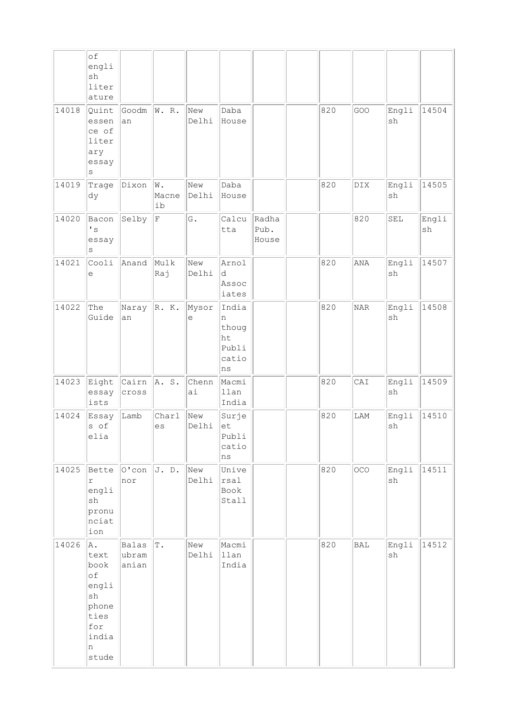|       | $\circ f$<br>engli<br>sh<br>liter<br>ature                                             |                         |                   |              |                                                   |                        |     |     |                              |                              |
|-------|----------------------------------------------------------------------------------------|-------------------------|-------------------|--------------|---------------------------------------------------|------------------------|-----|-----|------------------------------|------------------------------|
| 14018 | Quint<br>essen<br>ce of<br>liter<br>ary<br>essay<br>$\rm s$                            | Goodm<br>an             | W. R.             | New<br>Delhi | Daba<br>House                                     |                        | 820 | GOO | Engli<br>sh                  | 14504                        |
| 14019 | Trage<br>dy                                                                            | Dixon                   | W.<br>Macne<br>ib | New<br>Delhi | Daba<br>House                                     |                        | 820 | DIX | Engli<br>sh                  | 14505                        |
| 14020 | Bacon<br>$\mathbf{I}$ s<br>essay<br>S                                                  | Selby                   | F                 | G.           | Calcu<br>tta                                      | Radha<br>Pub.<br>House |     | 820 | SEL                          | Engli<br>$\operatorname{sh}$ |
| 14021 | Cooli<br>е                                                                             | Anand                   | Mulk<br>Raj       | New<br>Delhi | Arnol<br>d<br>Assoc<br>iates                      |                        | 820 | ANA | Engli<br>sh                  | 14507                        |
| 14022 | The<br>Guide                                                                           | Naray<br>an             | R. K.             | Mysor<br>е   | India<br>n<br>thoug<br>ht<br>Publi<br>catio<br>ns |                        | 820 | NAR | Engli<br>sh                  | 14508                        |
| 14023 | Eight<br>essay<br>ists                                                                 | Cairn<br>cross          | A. S.             | Chenn<br>ai  | Macmi<br>llan<br>India                            |                        | 820 | CAI | Engli<br>$\operatorname{sh}$ | 14509                        |
| 14024 | Essay<br>s of<br>elia                                                                  | Lamb                    | Charl<br>es       | New<br>Delhi | Surje<br>et<br>Publi<br>catio<br>ns               |                        | 820 | LAM | Engli<br>sh                  | 14510                        |
| 14025 | Bette<br>r<br>engli<br>sh<br>pronu<br>nciat<br>ion                                     | $ 0$ 'con<br>nor        | J. D.             | New<br>Delhi | Unive<br>rsal<br>Book<br>Stall                    |                        | 820 | OCO | Engli<br>sh                  | 14511                        |
| 14026 | A.<br>text<br>book<br>of<br>engli<br>sh<br>phone<br>ties<br>for<br>india<br>n<br>stude | Balas<br>ubram<br>anian | $\mathbb T$ .     | New<br>Delhi | Macmi<br>llan<br>India                            |                        | 820 | BAL | Engli<br>sh                  | 14512                        |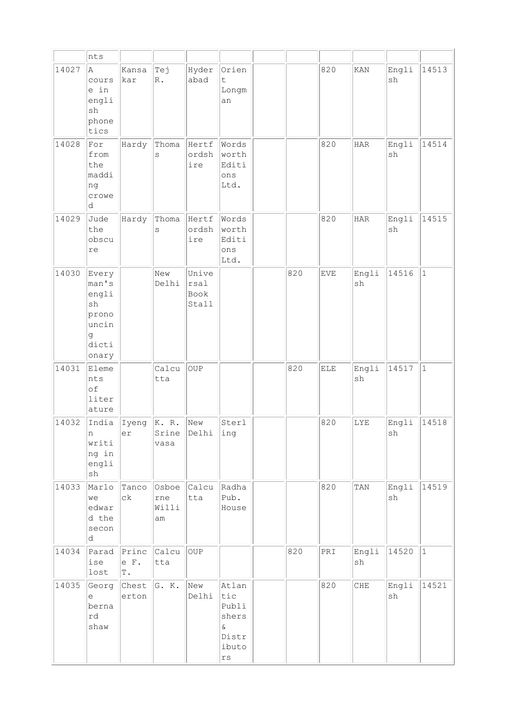|       | nts                                                                    |                     |                             |                                |                                                                               |     |     |              |             |              |
|-------|------------------------------------------------------------------------|---------------------|-----------------------------|--------------------------------|-------------------------------------------------------------------------------|-----|-----|--------------|-------------|--------------|
| 14027 | A.<br>cours<br>e in<br>engli<br>sh<br>phone<br>tics                    | Kansa<br>kar        | Tej<br>$\mathbb{R}$ .       | Hyder<br>abad                  | Orien<br>$\ddot{\mathsf{t}}$<br>Longm<br>an                                   |     | 820 | KAN          | Engli<br>sh | 14513        |
| 14028 | For<br>from<br>the<br>maddi<br>ng<br>crowe<br>d.                       | Hardy               | Thoma<br>S                  | Hertf<br>ordsh<br>ire          | Words<br>worth<br>Editi<br>ons<br>Ltd.                                        |     | 820 | <b>HAR</b>   | Engli<br>sh | 14514        |
| 14029 | Jude<br>the<br>obscu<br>re                                             | Hardy               | Thoma<br>S                  | Hertf<br>ordsh<br>ire          | Words<br>worth<br>Editi<br>ons<br>Ltd.                                        |     | 820 | $_{\rm HAR}$ | Engli<br>sh | 14515        |
| 14030 | Every<br>man's<br>engli<br>sh<br>prono<br>uncin<br>g<br>dicti<br>onary |                     | New<br>Delhi                | Unive<br>rsal<br>Book<br>Stall |                                                                               | 820 | EVE | Engli<br>sh  | 14516       | $\mathbf{1}$ |
| 14031 | Eleme<br>nts<br>of<br>liter<br>ature                                   |                     | Calcu<br>tta                | OUP                            |                                                                               | 820 | ELE | Engli<br>sh  | 14517       | $\mathbf{1}$ |
| 14032 | India<br>n<br>writi<br>ng in<br>engli<br>${\tt sh}$                    | Iyeng<br>er         | K. R.<br>Srine<br>vasa      | New<br>Delhi                   | Sterl<br>ıng                                                                  |     | 820 | LYE          | Engli<br>sh | 14518        |
| 14033 | Marlo<br>we<br>edwar<br>d the<br>secon<br>d                            | Tanco<br>сk         | Osboe<br>rne<br>Willi<br>am | Calcu<br>tta                   | Radha<br>Pub.<br>House                                                        |     | 820 | TAN          | Engli<br>sh | 14519        |
| 14034 | Parad<br>ise<br>lost                                                   | Princ<br>e F.<br>T. | Calcu<br>tta                | OUP                            |                                                                               | 820 | PRI | Engli<br>sh  | 14520       | $ 1\rangle$  |
| 14035 | Georg<br>e<br>berna<br>rd<br>shaw                                      | Chest<br>erton      | G. K.                       | New<br>Delhi                   | Atlan<br>tic<br>Publi<br>shers<br>$\delta$<br>Distr<br>ibuto<br>$\mathtt{rs}$ |     | 820 | CHE          | Engli<br>sh | 14521        |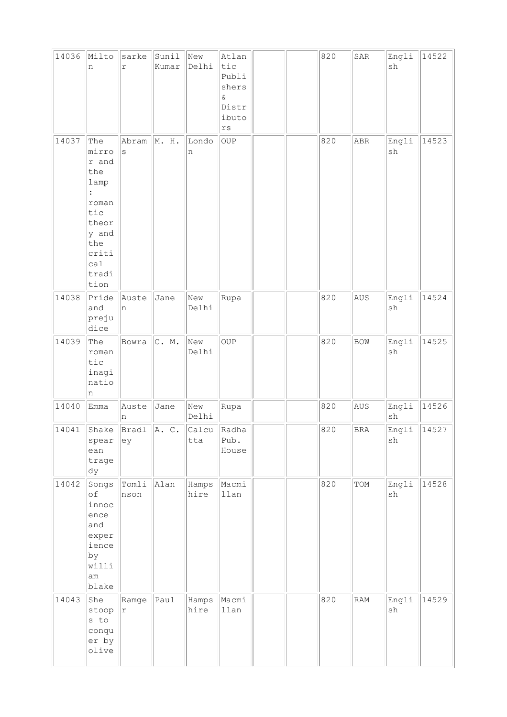| 14036 | Milto<br>n                                                                                                                       | sarke<br>$\acute{\text{r}}$ | Sunil<br>Kumar | New<br>Delhi  | Atlan<br>tic<br>Publi<br>shers<br>$\&$<br>Distr<br>ibuto<br>$\mathtt{r}\mathtt{s}$ |  | 820 | ${\tt SAR}$  | Engli<br>$\operatorname{sh}$ | 14522 |
|-------|----------------------------------------------------------------------------------------------------------------------------------|-----------------------------|----------------|---------------|------------------------------------------------------------------------------------|--|-----|--------------|------------------------------|-------|
| 14037 | The<br>mirro<br>r and<br>the<br>lamp<br>$\ddot{\cdot}$<br>roman<br>tic<br>theor<br>y and<br>the<br>criti<br>cal<br>tradi<br>tion | Abram<br>$\rm s$            | M. H.          | Londo<br>n    | OUP                                                                                |  | 820 | ABR          | Engli<br>$\operatorname{sh}$ | 14523 |
| 14038 | Pride<br>and<br>preju<br>dice                                                                                                    | Auste<br>n                  | Jane           | New<br>Delhi  | Rupa                                                                               |  | 820 | AUS          | Engli<br>$\operatorname{sh}$ | 14524 |
| 14039 | The<br>roman<br>tic<br>inagi<br>natio<br>n                                                                                       | Bowra                       | C. M.          | New<br>Delhi  | OUP                                                                                |  | 820 | <b>BOW</b>   | Engli<br>sh                  | 14525 |
| 14040 | Emma                                                                                                                             | Auste<br>n                  | Jane           | New<br>Delhi  | Rupa                                                                               |  | 820 | AUS          | Engli<br>${\tt sh}$          | 14526 |
| 14041 | Shake<br>spear<br>ean<br>trage<br>dy                                                                                             | Bradl<br>ey                 | A. C.          | Calcu<br>tta  | Radha<br>Pub.<br>House                                                             |  | 820 | $_{\rm BRA}$ | Engli  <br>sh                | 14527 |
| 14042 | Songs<br>of<br>innoc<br>ence<br>and<br>exper<br>ience<br>by<br>willi<br>am<br>blake                                              | Tom1i<br>nson               | Alan           | Hamps<br>hire | Macmi<br>llan                                                                      |  | 820 | TOM          | Engli<br>sh                  | 14528 |
| 14043 | She<br>stoop<br>s to<br>conqu<br>er by<br>olive                                                                                  | Ramge<br>r                  | lPaul          | Hamps<br>hire | Macmi<br>llan                                                                      |  | 820 | RAM          | Engli<br>$\operatorname{sh}$ | 14529 |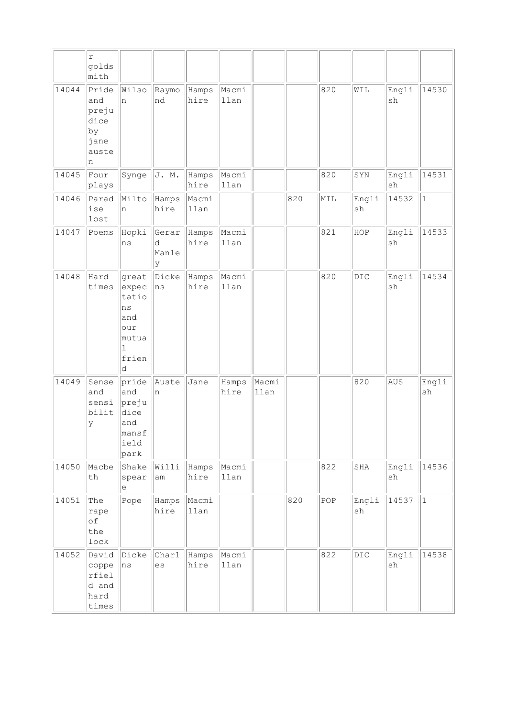|       | $\mathtt{r}$<br>golds<br>mith                             |                                                                                    |                          |               |               |               |     |     |             |             |              |
|-------|-----------------------------------------------------------|------------------------------------------------------------------------------------|--------------------------|---------------|---------------|---------------|-----|-----|-------------|-------------|--------------|
| 14044 | Pride<br>and<br>preju<br>dice<br>by<br>jane<br>auste<br>n | Wilso<br>n.                                                                        | Raymo<br>nd              | Hamps<br>hire | Macmi<br>llan |               |     | 820 | WIL         | Engli<br>sh | 14530        |
| 14045 | Four<br>plays                                             | Synge                                                                              | J. M.                    | Hamps<br>hire | Macmi<br>llan |               |     | 820 | SYN         | Engli<br>sh | 14531        |
| 14046 | Parad<br>ise<br>lost                                      | Milto<br>n                                                                         | Hamps<br>hire            | Macmi<br>llan |               |               | 820 | MIL | Engli<br>sh | 14532       | $\mathbf{1}$ |
| 14047 | Poems                                                     | Hopki<br>ns                                                                        | Gerar<br>d<br>Manle<br>y | Hamps<br>hire | Macmi<br>llan |               |     | 821 | HOP         | Engli<br>sh | 14533        |
| 14048 | Hard<br>times                                             | great<br>expec<br>tatio<br>ns<br>and<br>our<br>mutua<br>$\mathbf{1}$<br>frien<br>d | Dicke<br>ns              | Hamps<br>hire | Macmi<br>llan |               |     | 820 | DIC         | Engli<br>sh | 14534        |
| 14049 | Sense<br>and<br>sensi<br>bilit<br>У                       | pride<br>and<br>preju<br>dice<br>and<br>manst<br>ield<br>park                      | Auste<br>n               | Jane          | Hamps<br>hire | Macmi<br>llan |     |     | 820         | AUS         | Engli<br>sh  |
| 14050 | Macbe<br>th                                               | Shake<br>spear<br>е                                                                | Willi<br>am              | Hamps<br>hire | Macmi<br>llan |               |     | 822 | SHA         | Engli<br>sh | 14536        |
| 14051 | The<br>rape<br>оf<br>the<br>lock                          | Pope                                                                               | Hamps<br>hire            | Macmi<br>llan |               |               | 820 | POP | Engli<br>sh | 14537       | $\mathbf{1}$ |
| 14052 | David<br>coppe<br>rfiel<br>d and<br>hard<br>times         | Dicke<br>ns                                                                        | Charl<br>es              | Hamps<br>hire | Macmi<br>llan |               |     | 822 | DIC         | Engli<br>sh | 14538        |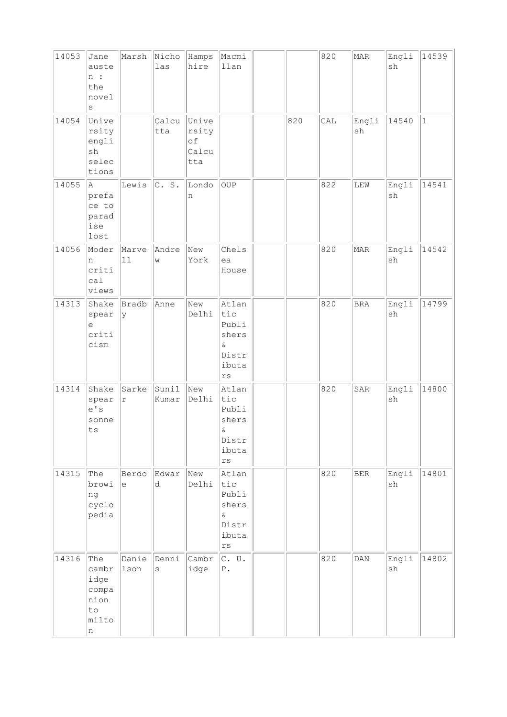| 14053 | Jane<br>auste<br>n:<br>the<br>novel<br>S                         | Marsh                                             | Nicho<br>las          | Hamps<br>hire                        | Macmi<br>llan                                                                          |     | 820 | MAR         | Engli<br>sh                  | 14539        |
|-------|------------------------------------------------------------------|---------------------------------------------------|-----------------------|--------------------------------------|----------------------------------------------------------------------------------------|-----|-----|-------------|------------------------------|--------------|
| 14054 | Unive<br>rsity<br>engli<br>$\operatorname{sh}$<br>selec<br>tions |                                                   | Calcu<br>tta          | Unive<br>rsity<br>of<br>Calcu<br>tta |                                                                                        | 820 | CAL | Engli<br>sh | 14540                        | $\mathbf{1}$ |
| 14055 | A<br>prefa<br>ce to<br>parad<br>ise<br>lost                      | Lewis                                             | C. S.                 | Londo<br>n                           | OUP                                                                                    |     | 822 | LEW         | Engli<br>$\operatorname{sh}$ | 14541        |
| 14056 | Moder<br>n<br>criti<br>ca1<br>views                              | Marve<br>$\boxed{11}$                             | Andre<br>W            | New<br>York                          | Chels<br>ea<br>House                                                                   |     | 820 | <b>MAR</b>  | Engli<br>sh                  | 14542        |
| 14313 | Shake<br>spear<br>е<br>criti<br>cism                             | Bradb<br>У                                        | Anne                  | New<br>Delhi                         | Atlan<br>tic<br>Publi<br>shers<br>$\&$<br>Distr<br>ibuta<br>$\mathtt{rs}$              |     | 820 | <b>BRA</b>  | Engli<br>sh                  | 14799        |
| 14314 | Shake<br>spear<br>e' s<br>sonne<br>ts                            | Sarke<br>$\Upsilon$                               | Sunil<br>Kumar        | New<br>Delhi                         | Atlan<br>tic<br>Publi<br>shers<br>$\delta$<br>Distr<br>ibuta<br>$\mathtt{r}\mathtt{s}$ |     | 820 | SAR         | Engli<br>sh                  | 14800        |
| 14315 | The<br>browi<br>ng<br>cyclo<br>pedia                             | Berdo<br>$\mathrel{\mathop{\mathrm{e}}\nolimits}$ | Edwar<br>d            | New<br>Delhi                         | Atlan<br>tic<br>Publi<br>shers<br>$\&$<br>Distr<br>ibuta<br>$\mathtt{rs}$              |     | 820 | $\rm{BER}$  | Engli<br>sh                  | 14801        |
| 14316 | The<br>cambr<br>idge<br>compa<br>nion<br>to<br>milto<br>n        | Danie<br>lson                                     | Denni<br>$\mathtt{s}$ | Cambr<br>idge                        | $C.$ U.<br>${\mathbb P}$ .                                                             |     | 820 | DAN         | Engli<br>$\operatorname{sh}$ | 14802        |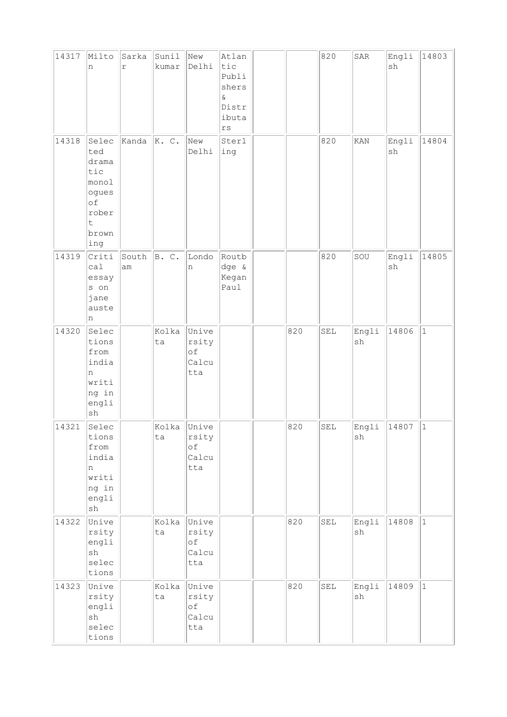| 14317 | Milto<br>n                                                                             | Sarka<br>$\acute{\text{r}}$ | Sunil<br>kumar | New<br>Delhi                                | Atlan<br>tic<br>Publi<br>shers<br>$\&$<br>Distr<br>ibuta<br>$\mathtt{rs}$ |     | 820 | ${\tt SAR}$ | Engli<br>$\operatorname{sh}$ | 14803     |
|-------|----------------------------------------------------------------------------------------|-----------------------------|----------------|---------------------------------------------|---------------------------------------------------------------------------|-----|-----|-------------|------------------------------|-----------|
| 14318 | Selec<br>ted<br>drama<br>tic<br>monol<br>ogues<br>of<br>rober<br>t<br>brown<br>ing     | Kanda                       | K. C.          | New<br>Delhi                                | Sterl<br>ing                                                              |     | 820 | KAN         | Engli<br>sh                  | 14804     |
| 14319 | Criti<br>ca1<br>essay<br>s on<br>jane<br>auste<br>n                                    | South<br>am                 | B. C.          | Londo<br>n                                  | Routb<br>dge &<br>Kegan<br>Paul                                           |     | 820 | SOU         | Engli<br>$\operatorname{sh}$ | 14805     |
| 14320 | Selec<br>tions<br>from<br>india<br>n<br>writi<br>ng in<br>engli<br>${\tt sh}$          |                             | Kolka<br>ta    | Unive<br>rsity<br>of<br>Calcu<br>tta        |                                                                           | 820 | SEL | Engli<br>sh | 14806                        | $\vert$ 1 |
| 14321 | Selec<br>tions<br>from<br>india<br>n<br>writi<br>ng in<br>engli<br>$\operatorname{sh}$ |                             | Kolka<br>ta    | Unive<br>rsity<br>οf<br>Calcu<br>tta        |                                                                           | 820 | SEL | Engli<br>sh | 14807                        | $\vert$ 1 |
| 14322 | Unive<br>rsity<br>engli<br>sh<br>selec<br>tions                                        |                             | Kolka<br>ta    | Unive<br>rsity<br>$\circ f$<br>Calcu<br>tta |                                                                           | 820 | SEL | Engli<br>sh | 14808                        | $\vert$ 1 |
| 14323 | Unive<br>rsity<br>engli<br>$\operatorname{sh}$<br>selec<br>tions                       |                             | Kolka<br>ta    | Unive<br>rsity<br>of<br>Calcu<br>tta        |                                                                           | 820 | SEL | Engli<br>sh | 14809                        | $\vert$ 1 |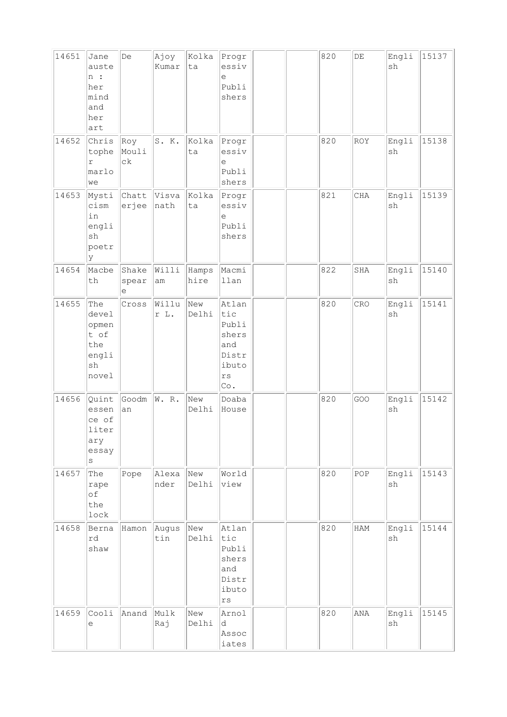| 14651 | Jane<br>auste<br>n:<br>her<br>mind<br>and<br>her<br>art      | De                  | Ajoy<br>Kumar       | Kolka<br>ta   | Progr<br>essiv<br>e<br>Publi<br>shers                                           |  | 820 | $\rm{DE}$ | Engli<br>sh                  | 15137 |
|-------|--------------------------------------------------------------|---------------------|---------------------|---------------|---------------------------------------------------------------------------------|--|-----|-----------|------------------------------|-------|
| 14652 | Chris<br>tophe<br>r<br>marlo<br>we                           | Roy<br>Mouli<br>сk  | S. K.               | Kolka<br>ta   | Progr<br>essiv<br>е<br>Publi<br>shers                                           |  | 820 | ROY       | Engli<br>sh                  | 15138 |
| 14653 | Mysti<br>cism<br>in<br>engli<br>sh<br>poetr<br>У             | Chatt<br>erjee      | Visva<br>nath       | Kolka<br>ta   | Progr<br>essiv<br>е<br>Publi<br>shers                                           |  | 821 | CHA       | Engli<br>sh                  | 15139 |
| 14654 | Macbe<br>th                                                  | Shake<br>spear<br>е | Willi<br>am         | Hamps<br>hire | Macmi<br>llan                                                                   |  | 822 | SHA       | Engli<br>sh                  | 15140 |
| 14655 | The<br>devel<br>opmen<br>t of<br>the<br>engli<br>sh<br>novel | Cross               | Willu<br>r L.       | New<br>Delhi  | Atlan<br>tic<br>Publi<br>shers<br>and<br>Distr<br>ibuto<br>$\mathtt{rs}$<br>Co. |  | 820 | CRO       | Engli<br>sh                  | 15141 |
| 14656 | Quint<br>essen<br>ce of<br>liter<br>ary<br>essay<br>$\rm s$  | Goodm<br>an         | W. R.               | New<br>Delhi  | Doaba<br>House                                                                  |  | 820 | GOO       | Engli<br>$\operatorname{sh}$ | 15142 |
| 14657 | The<br>rape<br>of<br>the<br>lock                             | Pope                | Alexa<br>nder       | New<br>Delhi  | World<br>view                                                                   |  | 820 | POP       | Engli<br>sh                  | 15143 |
| 14658 | Berna<br>rd<br>shaw                                          | Hamon               | Augus<br>$\tt{lin}$ | New<br>Delhi  | Atlan<br>tic<br>Publi<br>shers<br>and<br>Distr<br>ibuto<br>rs                   |  | 820 | HAM       | Engli<br>$\operatorname{sh}$ | 15144 |
| 14659 | Cooli<br>e                                                   | Anand               | Mulk<br>Raj         | New<br>Delhi  | Arnol<br>d<br>Assoc<br>iates                                                    |  | 820 | ANA       | Engli<br>sh                  | 15145 |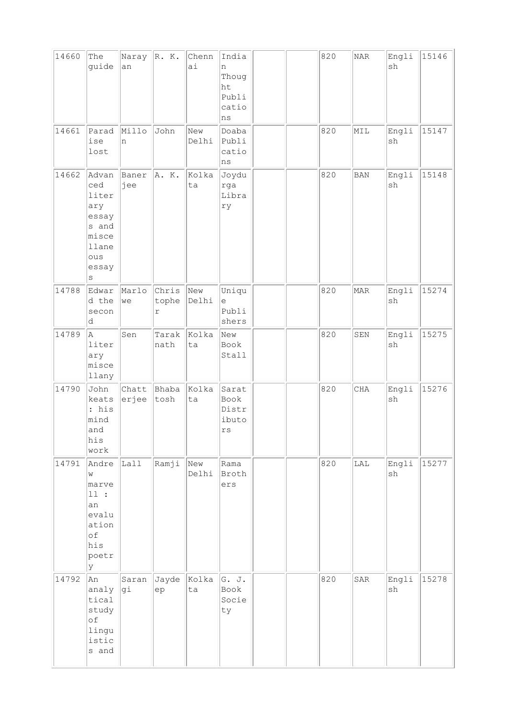| 14660 | The<br>guide                                                                                | Naray<br>an    | R. K.                        | Chenn<br>ai  | India<br>n<br>Thoug<br>ht<br>Publi<br>catio<br>ns |  | 820 | NAR         | Engli<br>sh                  | 15146 |
|-------|---------------------------------------------------------------------------------------------|----------------|------------------------------|--------------|---------------------------------------------------|--|-----|-------------|------------------------------|-------|
| 14661 | Parad<br>ise<br>lost                                                                        | Millo<br>n     | John                         | New<br>Delhi | Doaba<br>Publi<br>catio<br>ns                     |  | 820 | MIL         | Engli<br>sh                  | 15147 |
| 14662 | Advan<br>ced<br>liter<br>ary<br>essay<br>s and<br>misce<br>llane<br>ous<br>essay<br>$\rm s$ | Baner<br>jee   | A. K.                        | kolka<br>ta  | Joydu<br>rga<br>Libra<br>ry                       |  | 820 | BAN         | Engli<br>$\operatorname{sh}$ | 15148 |
| 14788 | Edwar<br>d the<br>secon<br>d                                                                | Marlo<br>we    | Chris<br>tophe<br>$\Upsilon$ | New<br>Delhi | Uniqu<br>e<br>Publi<br>shers                      |  | 820 | MAR         | Engli<br>sh                  | 15274 |
| 14789 | A<br>liter<br>ary<br>misce<br>llany                                                         | Sen            | Tarak<br>nath                | Kolka<br>ta  | New<br>Book<br>Stall                              |  | 820 | ${\tt SEN}$ | Engli<br>$\operatorname{sh}$ | 15275 |
| 14790 | John<br>keats<br>: his<br>mind<br>and<br>his<br>work                                        | Chatt<br>erjee | Bhaba<br>tosh                | Kolka<br>ta  | Sarat<br>Book<br>Distr<br>ibuto<br>rs             |  | 820 | CHA         | Engli<br>sh                  | 15276 |
| 14791 | Andre<br>W<br>marve<br>11:<br>an<br>evalu<br>ation<br>$\circ f$<br>his<br>poetr<br>У        | Lall           | Ramji                        | New<br>Delhi | Rama<br>Broth<br>ers                              |  | 820 | LAL         | Engli<br>$\operatorname{sh}$ | 15277 |
| 14792 | An<br>analy<br>tical<br>study<br>$\circ f$<br>lingu<br>istic<br>s and                       | Saran<br>gi    | Jayde<br>${\rm e} {\rm p}$   | Kolka<br>ta  | G. J.<br>Book<br>Socie<br>ty                      |  | 820 | SAR         | Engli<br>sh                  | 15278 |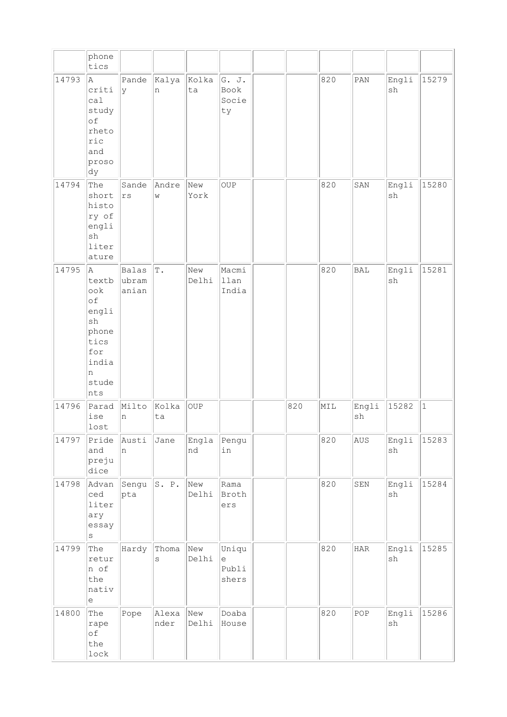|       | phone<br>tics                                                                                                 |                                |               |              |                                                                     |     |     |                |                     |           |
|-------|---------------------------------------------------------------------------------------------------------------|--------------------------------|---------------|--------------|---------------------------------------------------------------------|-----|-----|----------------|---------------------|-----------|
| 14793 | A<br>criti<br>ca1<br>study<br>of<br>rheto<br>ric<br>and<br>proso<br>dy                                        | Pande<br>Ιy                    | Kalya<br>n    | Kolka<br>ta  | G. J.<br>Book<br>Socie<br>ty                                        |     | 820 | $\texttt{PAN}$ | Engli<br>sh         | 15279     |
| 14794 | The<br>short<br>histo<br>ry of<br>engli<br>sh<br>liter<br>ature                                               | Sande<br>$\mathtt{rs}$         | Andre<br>W    | New<br>York  | OUP                                                                 |     | 820 | SAN            | Engli<br>sh         | 15280     |
| 14795 | Α<br>textb<br>ook<br>of<br>engli<br>$\operatorname{sh}$<br>phone<br>tics<br>for<br>india<br>n<br>stude<br>nts | <b>Balas</b><br>ubram<br>anian | $\mathbb T$ . | New<br>Delhi | Macmi<br>llan<br>India                                              |     | 820 | <b>BAL</b>     | Engli<br>sh         | 15281     |
| 14796 | Parad<br>ise<br>lost                                                                                          | Milto<br>n                     | Kolka<br>ta   | <b>OUP</b>   |                                                                     | 820 | MIL | Engli<br>sh    | 15282               | $\vert$ 1 |
| 14797 | Pride<br>and<br>preju<br>dice                                                                                 | Austi<br>n                     | Jane          | Engla<br>nd  | Pengu<br>in                                                         |     | 820 | AUS            | Engli<br>${\tt sh}$ | 15283     |
| 14798 | Advan<br>ced<br>liter<br>ary<br>essay<br>$\rm s$                                                              | Sengu<br>pta                   | S. P.         | New<br>Delhi | Rama<br>Broth<br>ers                                                |     | 820 | SEN            | Engli<br>sh         | 15284     |
| 14799 | The<br>retur<br>n of<br>the<br>nativ<br>$\mathop{\mathrm{e}}$                                                 | Hardy                          | Thoma<br>S    | New<br>Delhi | Uniqu<br>$\mathrel{\mathop{\mathrm{e}}\nolimits}$<br>Publi<br>shers |     | 820 | <b>HAR</b>     | Engli<br>sh         | 15285     |
| 14800 | The<br>rape<br>of<br>the<br>lock                                                                              | Pope                           | Alexa<br>nder | New<br>Delhi | Doaba<br>House                                                      |     | 820 | POP            | Engli<br>${\tt sh}$ | 15286     |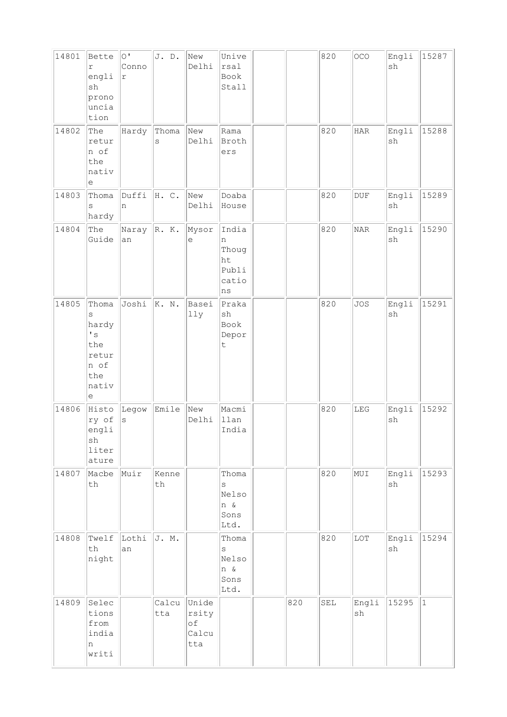| 14801 | Bette<br>$\Upsilon$<br>engli<br>sh<br>prono<br>uncia<br>tion                       | $\overline{O}$<br>Conno<br>r | J. D.        | New<br>Delhi                         | Unive<br>rsal<br>Book<br>Stall                    |     | 820 | OCO            | Engli<br>sh                  | 15287        |
|-------|------------------------------------------------------------------------------------|------------------------------|--------------|--------------------------------------|---------------------------------------------------|-----|-----|----------------|------------------------------|--------------|
| 14802 | The<br>retur<br>n of<br>the<br>nativ<br>е                                          | Hardy                        | Thoma<br>S   | New<br>Delhi                         | Rama<br>Broth<br>ers                              |     | 820 | HAR            | Engli<br>sh                  | 15288        |
| 14803 | Thoma<br>S<br>hardy                                                                | Duffi<br>n                   | H. C.        | New<br>Delhi                         | Doaba<br>House                                    |     | 820 | $\mathtt{DUF}$ | Engli<br>$\operatorname{sh}$ | 15289        |
| 14804 | The<br>Guide                                                                       | Naray $\ R. K.$<br>an        |              | Mysor<br>е                           | India<br>n<br>Thoug<br>ht<br>Publi<br>catio<br>ns |     | 820 | NAR            | Engli<br>sh                  | 15290        |
| 14805 | Thoma<br>S<br>hardy<br>$\mathbf{I}$ s<br>the<br>retur<br>n of<br>the<br>nativ<br>е | Joshi                        | K. N.        | Basei<br>11y                         | Praka<br>sh<br>Book<br>Depor<br>$\mathsf t$       |     | 820 | <b>JOS</b>     | Engli<br>sh                  | 15291        |
| 14806 | Histo<br>ry of<br>engli<br>sh<br>liter<br>ature                                    | Legow<br>$\rm s$             | Emile        | New<br>Delhi                         | Macmi<br>llan<br>India                            |     | 820 | ${\rm LEG}$    | Engli<br>sh                  | 15292        |
| 14807 | Macbe<br>$\tt th$                                                                  | Muir                         | Kenne<br>th  |                                      | Thoma<br>S<br>Nelso<br>n &<br>Sons<br>Ltd.        |     | 820 | NUI            | Engli<br>sh                  | 15293        |
| 14808 | Twelf<br>$\operatorname{\mathsf{th}}$<br>night                                     | Lothi<br>an                  | J. M.        |                                      | Thoma<br>S<br>Nelso<br>n &<br>Sons<br>Ltd.        |     | 820 | $_{\rm LOT}$   | Engli<br>sh                  | 15294        |
| 14809 | Selec<br>tions<br>from<br>india<br>n<br>writi                                      |                              | Calcu<br>tta | Unide<br>rsity<br>оf<br>Calcu<br>tta |                                                   | 820 | SEL | Engli<br>sh    | 15295                        | $\mathbf{1}$ |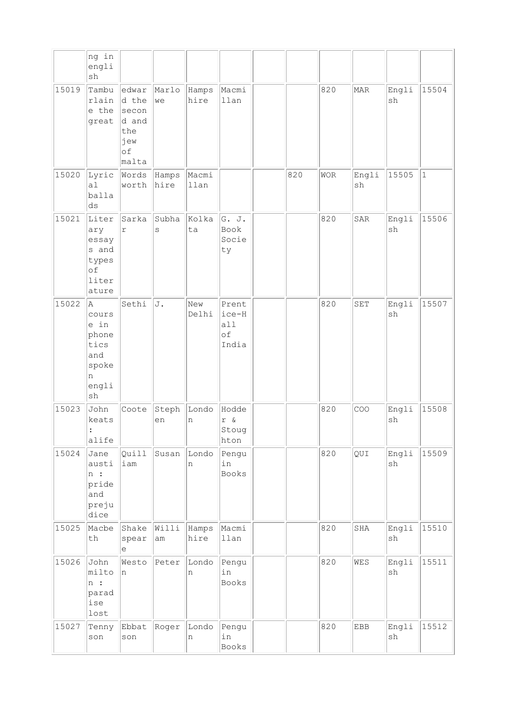|       | ng in<br>engli<br>sh                                                     |                                                               |                  |               |                                       |     |            |             |                              |              |
|-------|--------------------------------------------------------------------------|---------------------------------------------------------------|------------------|---------------|---------------------------------------|-----|------------|-------------|------------------------------|--------------|
| 15019 | Tambu<br>rlain<br>e the<br>great                                         | edwar<br>d the<br>secon<br>d and<br>the<br>jew<br>of<br>malta | Marlo<br>we      | Hamps<br>hire | Macmi<br>llan                         |     | 820        | MAR         | Engli<br>sh                  | 15504        |
| 15020 | Lyric<br>al<br>balla<br>ds                                               | Words<br>worth                                                | Hamps<br>hire    | Macmi<br>llan |                                       | 820 | <b>WOR</b> | Engli<br>sh | 15505                        | $\mathbf{1}$ |
| 15021 | Liter<br>ary<br>essay<br>s and<br>types<br>of<br>liter<br>ature          | Sarka<br>$\Upsilon$                                           | Subha<br>$\rm s$ | Kolka<br>ta   | G. J.<br>Book<br>Socie<br>ty          |     | 820        | SAR         | Engli<br>sh                  | 15506        |
| 15022 | A.<br>cours<br>e in<br>phone<br>tics<br>and<br>spoke<br>n<br>engli<br>sh | Sethi                                                         | J.               | New<br>Delhi  | Prent<br> ice-H<br>all<br>of<br>India |     | 820        | SET         | Engli<br>sh                  | 15507        |
| 15023 | John<br>keats<br>:<br>alife                                              | Coote                                                         | Steph<br>en      | Londo<br>n    | Hodde<br>Stoug<br>hton                |     | 820        | COO         | Engli<br>sh                  | 15508        |
| 15024 | Jane<br>austi<br>n:<br>pride<br>and<br>preju<br>dice                     | Quill<br>iam                                                  | Susan            | Londo<br>n    | Pengu<br>in<br>Books                  |     | 820        | QUI         | Engli<br>sh                  | 15509        |
| 15025 | Macbe<br>th                                                              | Shake<br>spear<br>$\mathop{\rm e}\nolimits$                   | Willi<br>am      | Hamps<br>hire | Macmi<br>llan                         |     | 820        | SHA         | Engli<br>sh                  | 15510        |
| 15026 | John<br>milto<br>n:<br>parad<br>ise<br>lost                              | Westo<br>In.                                                  | Peter            | Londo<br>n    | Pengu<br>in<br>Books                  |     | 820        | WES         | Engli<br>sh                  | 15511        |
| 15027 | Tenny<br>son                                                             | Ebbat<br>son                                                  | Roger            | Londo<br>n    | Pengu<br>in<br>Books                  |     | 820        | <b>EBB</b>  | Engli<br>$\operatorname{sh}$ | 15512        |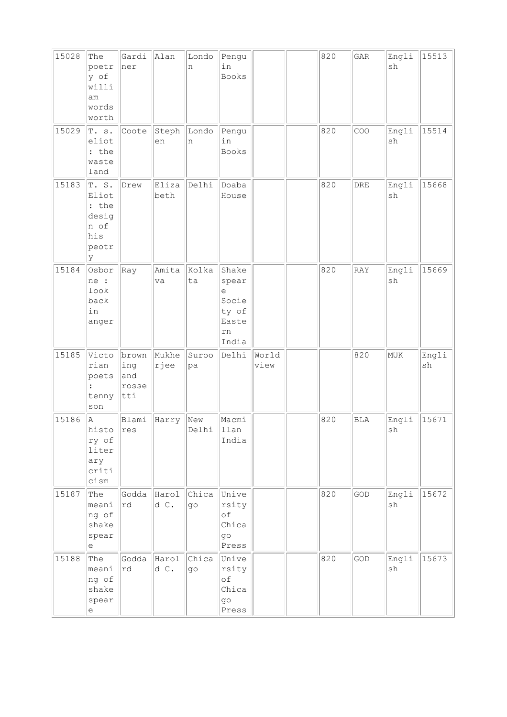| 15028 | The<br>poetr<br>y of<br>willi<br>am<br>words<br>worth         | Gardi<br>ner                         | Alan          | Londo<br>n              | Pengu<br>in<br>Books                                          |               | 820 | GAR        | Engli<br>sh | 15513       |
|-------|---------------------------------------------------------------|--------------------------------------|---------------|-------------------------|---------------------------------------------------------------|---------------|-----|------------|-------------|-------------|
| 15029 | T. s.<br>eliot<br>: the<br>waste<br>land                      | Coote                                | Steph<br>en   | Londo<br>n              | Pengu<br>in<br>Books                                          |               | 820 | COO        | Engli<br>sh | 15514       |
| 15183 | T.S.<br>Eliot<br>: the<br>desig<br>n of<br>his<br>peotr<br>lУ | Drew                                 | Eliza<br>beth | Delhi                   | Doaba<br>House                                                |               | 820 | DRE        | Engli<br>sh | 15668       |
| 15184 | Osbor<br>ne :<br>look<br>back<br>in<br>anger                  | Ray                                  | Amita<br>va   | Kolka<br>ta             | Shake<br>spear<br>e<br>Socie<br>ty of<br>Easte<br>rn<br>India |               | 820 | RAY        | Engli<br>sh | 15669       |
| 15185 | Victo<br>rian<br>poets<br>tenny<br>son                        | brown<br>ing<br>and<br>rosse<br> tti | Mukhe<br>rjee | Suroo<br>pa             | Delhi                                                         | World<br>view |     | 820        | MUK         | Engli<br>sh |
| 15186 | A<br>histo res<br>ry of<br>liter<br>ary<br>criti<br>cism      | Blami                                | Harry         | New<br>Delhi            | Macmi<br>llan<br>India                                        |               | 820 | <b>BLA</b> | Engli<br>sh | 15671       |
| 15187 | The<br>meani<br>ng of<br>shake<br>spear<br>e                  | Godda<br>rd                          | Harol<br>d C. | Chica<br>q <sub>O</sub> | Unive<br>rsity<br>оf<br>Chica<br>go<br>Press                  |               | 820 | GOD        | Engli<br>sh | 15672       |
| 15188 | The<br>meani<br>ng of<br>shake<br>spear<br>е                  | Godda<br>rd                          | Harol<br>d C. | Chica<br>go             | Unive<br>rsity<br>оf<br>Chica<br>go<br>Press                  |               | 820 | GOD        | Engli<br>sh | 15673       |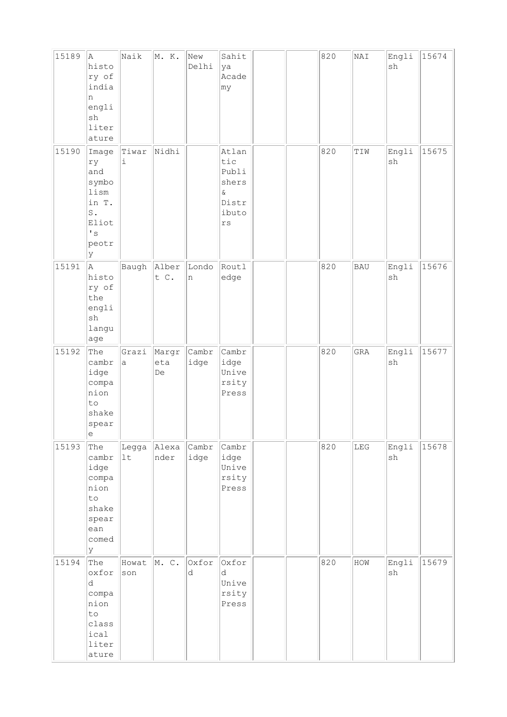| 15189 | A<br>histo<br>ry of<br>india<br>n<br>engli<br>sh<br>liter<br>ature                                      | Naik         | M. K.              | New<br>Delhi  | Sahit<br>ya<br>Acade<br> my                                               |  | 820 | NAI         | Engli<br>sh | 15674 |
|-------|---------------------------------------------------------------------------------------------------------|--------------|--------------------|---------------|---------------------------------------------------------------------------|--|-----|-------------|-------------|-------|
| 15190 | Image<br>ry<br>and<br>symbo<br>lism<br>in T.<br>$\texttt{S}$ .<br>Eliot<br>$\mathbf{I}$ s<br>peotr<br>У | Tiwar<br>i   | Nidhi              |               | Atlan<br>tic<br>Publi<br>shers<br>$\&$<br>Distr<br>ibuto<br>$\mathtt{rs}$ |  | 820 | TIW         | Engli<br>sh | 15675 |
| 15191 | A<br>histo<br>ry of<br>the<br>engli<br>sh<br>langu<br>age                                               | Baugh        | Alber<br>t C.      | Londo<br>n    | Routl<br>edge                                                             |  | 820 | <b>BAU</b>  | Engli<br>sh | 15676 |
| 15192 | The<br>cambr<br>idge<br>compa<br>nion<br>to<br>shake<br>spear<br>е                                      | Grazi<br>a   | Margr<br>eta<br>De | Cambr<br>idge | Cambr<br>idge<br>Unive<br>rsity<br>Press                                  |  | 820 | GRA         | Engli<br>sh | 15677 |
| 15193 | The<br>cambr<br>idge<br>compa<br>nion<br>to<br>shake<br>spear<br>ean<br>comed<br>lУ                     | Legga<br>1t  | Alexa<br>nder      | Cambr<br>idge | Cambr<br>idge<br>Unive<br>rsity<br>Press                                  |  | 820 | ${\tt LEG}$ | Engli<br>sh | 15678 |
| 15194 | The<br>oxfor<br>d<br>compa<br>nion<br>to<br>class<br>ical<br>liter<br>ature                             | Howat<br>son | M. C.              | Oxfor<br>d    | Oxfor<br>d<br>Unive<br>rsity<br>Press                                     |  | 820 | HOW         | Engli<br>sh | 15679 |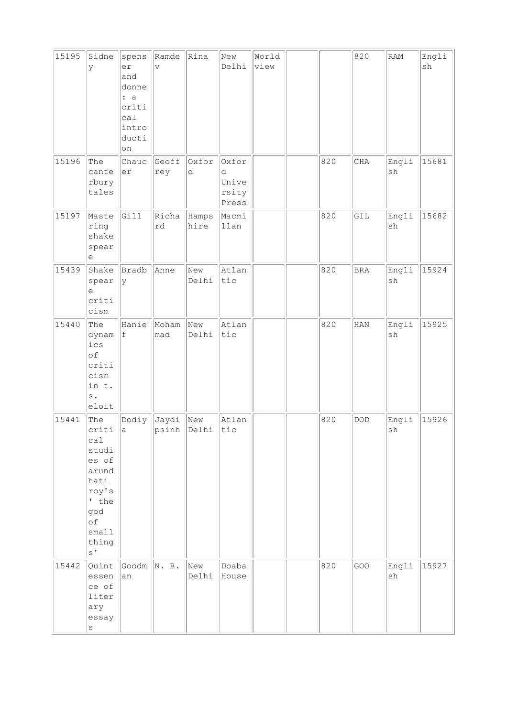| 15195 | Sidne<br>У                                                                                                                | spens<br>er<br>and<br>donne<br>: a<br>criti<br>ca1<br>intro<br>ducti<br>on | Ramde<br>$\boldsymbol{\nabla}$ | Rina          | New<br>Delhi                          | World<br>view |     | 820          | RAM                          | Engli<br>sh |
|-------|---------------------------------------------------------------------------------------------------------------------------|----------------------------------------------------------------------------|--------------------------------|---------------|---------------------------------------|---------------|-----|--------------|------------------------------|-------------|
| 15196 | The<br>cante<br>rbury<br>tales                                                                                            | Chauc<br>er                                                                | Geoff<br>rey                   | Oxfor<br>d    | Oxfor<br>d<br>Unive<br>rsity<br>Press |               | 820 | CHA          | Engli<br>$\operatorname{sh}$ | 15681       |
| 15197 | Maste<br>ring<br>shake<br>spear<br>е                                                                                      | Gill                                                                       | Richa<br>rd                    | Hamps<br>hire | Macmi<br>llan                         |               | 820 | GIL          | Engli<br>sh                  | 15682       |
| 15439 | Shake<br>spear<br>e<br>criti<br>cism                                                                                      | Bradb<br>У                                                                 | Anne                           | New<br>Delhi  | Atlan<br>tic                          |               | 820 | $_{\rm BRA}$ | Engli<br>$\operatorname{sh}$ | 15924       |
| 15440 | The<br>dynam<br>ics<br>of<br>criti<br>cism<br>in t.<br>$\mathbf s$ .<br>eloit                                             | Hanie<br>$\ensuremath{\mathsf{f}}$                                         | Moham<br>mad                   | New<br>Delhi  | Atlan<br>tic                          |               | 820 | HAN          | Engli<br>${\tt sh}$          | 15925       |
| 15441 | The<br>criti<br>ca1<br>studi<br>es of<br>arund<br>hati<br>roy's<br>' the<br>god<br>of<br>small1<br>thing<br>$S^{\dagger}$ | la l                                                                       | $Dodiy$ $Jaydi$<br>psinh Delhi | New           | Atlan<br>tic                          |               | 820 | DOD          | Engli<br>sh                  | 15926       |
| 15442 | Quint<br>essen<br>ce of<br>liter<br>ary<br>essay<br>$\rm s$                                                               | Goodm<br>an                                                                | N. R.                          | New<br>Delhi  | Doaba<br>House                        |               | 820 | GOO          | Engli<br>sh                  | 15927       |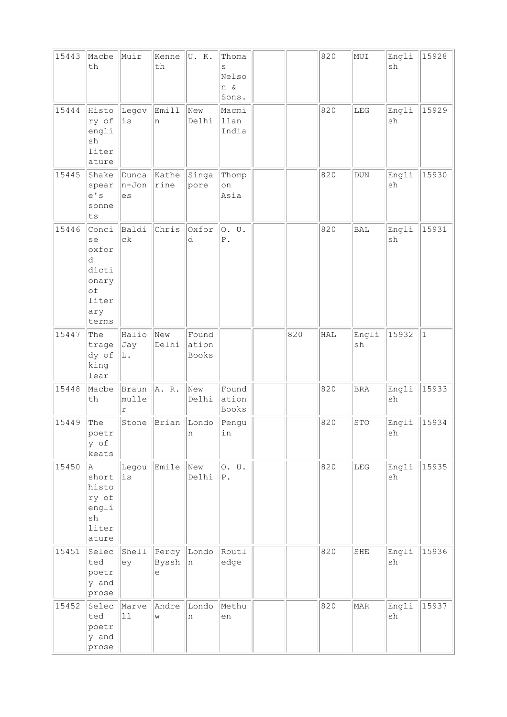| 15443 | Macbe<br>th                                                                | Muir                          | Kenne<br>th         | U.K.                    | Thoma<br>S<br>Nelso<br>n &<br>Sons. |     | 820 | MUI         | Engli<br>sh | 15928     |
|-------|----------------------------------------------------------------------------|-------------------------------|---------------------|-------------------------|-------------------------------------|-----|-----|-------------|-------------|-----------|
| 15444 | Histo<br>ry of<br>engli<br>sh<br>liter<br>ature                            | Legov<br>$\rm \dot{1}\,\rm S$ | Emill<br>n          | New<br>Delhi            | Macmi<br>llan<br>India              |     | 820 | LEG         | Engli<br>sh | 15929     |
| 15445 | Shake<br>spear<br>e' s<br>sonne<br>ts                                      | Dunca<br>n-Jon<br>es          | Kathe<br>rine       | Singa<br>pore           | Thomp<br>on<br>Asia                 |     | 820 | <b>DUN</b>  | Engli<br>sh | 15930     |
| 15446 | Conci<br>se<br>oxfor<br>d<br>dicti<br>onary<br>of<br>liter<br>ary<br>terms | Baldi<br>$c\,k$               | Chris               | Oxfor<br>d              | 0. U.<br>${\tt P}$ .                |     | 820 | <b>BAL</b>  | Engli<br>sh | 15931     |
| 15447 | The<br>trage<br>dy of<br>king<br>lear                                      | Halio<br>Jay<br>L.            | New<br>Delhi        | Found<br>ation<br>Books |                                     | 820 | HAL | Engli<br>sh | 15932       | $\vert$ 1 |
| 15448 | Macbe<br>th                                                                | Braun<br>mulle<br>$\Upsilon$  | A. R.               | New<br>Delhi            | Found<br>ation<br>Books             |     | 820 | <b>BRA</b>  | Engli<br>sh | 15933     |
| 15449 | The<br>poetr<br>y of<br>keats                                              | Stone                         | Brian               | Londo<br>n              | Pengu<br>in                         |     | 820 | STO         | Engli<br>sh | 15934     |
| 15450 | A<br>short<br>histo<br>ry of<br>engli<br>sh<br>liter<br>ature              | Legou<br>$\rm \dot{1}\,\rm S$ | Emile               | New<br>Delhi            | 0. U.<br>${\bf P}$ .                |     | 820 | ${\rm LEG}$ | Engli<br>sh | 15935     |
| 15451 | Selec<br>ted<br>poetr<br>y and<br>prose                                    | Shell<br>ey                   | Percy<br>Byssh<br>е | Londo<br>n              | Routl<br>edge                       |     | 820 | SHE         | Engli<br>sh | 15936     |
| 15452 | Selec<br>ted<br>poetr<br>y and<br>prose                                    | Marve<br>11                   | Andre<br>W          | Londo<br>n              | Methu<br>en                         |     | 820 | <b>MAR</b>  | Engli<br>sh | 15937     |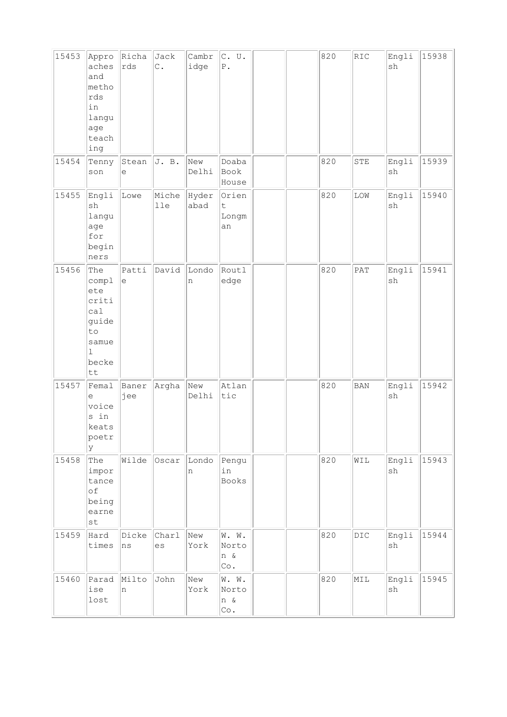| 15453 | Appro<br>aches<br>and<br>metho<br>rds<br>in<br>langu<br>age<br>teach<br>ing                | Richa<br>rds                                      | Jack<br>$\mathsf{C}$ . | Cambr<br>idge | C. U.<br>${\mathbb P}$ .            |  | 820 | RIC            | Engli<br>sh                  | 15938 |
|-------|--------------------------------------------------------------------------------------------|---------------------------------------------------|------------------------|---------------|-------------------------------------|--|-----|----------------|------------------------------|-------|
| 15454 | Tenny<br>$\verb son $                                                                      | Stean<br>е                                        | J. B.                  | New<br>Delhi  | Doaba<br>Book<br>House              |  | 820 | ${\tt STE}$    | Engli<br>sh                  | 15939 |
| 15455 | Engli<br>sh<br>langu<br>age<br>for<br>begin<br>ners                                        | Lowe                                              | Miche<br>lle           | Hyder<br>abad | Orien<br>$\mathsf t$<br>Longm<br>an |  | 820 | LOW            | Engli<br>sh                  | 15940 |
| 15456 | The<br>compl<br>ete<br>criti<br>ca1<br>guide<br>to<br>samue<br>$\mathbf{1}$<br>becke<br>tt | Patti<br>$\mathrel{\mathop{\mathrm{e}}\nolimits}$ | David                  | Londo<br>n    | Routl<br>edge                       |  | 820 | PAT            | Engli<br>sh                  | 15941 |
| 15457 | Femal<br>e<br>voice<br>s in<br>keats<br>poetr<br>y                                         | Baner<br>jee                                      | Argha                  | New<br>Delhi  | Atlan<br>tic                        |  | 820 | <b>BAN</b>     | Engli<br>sh                  | 15942 |
| 15458 | The<br>impor<br>tance<br>of<br>being<br>earne<br>st                                        | Wilde                                             | Oscar                  | Londo<br>n    | Pengu<br>in<br>Books                |  | 820 | WIL            | Engli<br>sh                  | 15943 |
| 15459 | Hard<br>times                                                                              | Dicke<br>ns                                       | Charl<br>es            | New<br>York   | W. W.<br>Norto<br>n &<br>Co.        |  | 820 | $\mathtt{DIC}$ | Engli<br>sh                  | 15944 |
| 15460 | Parad<br>ise<br>lost                                                                       | Milto<br>n                                        | John                   | New<br>York   | W. W.<br>Norto<br>n &<br>Co.        |  | 820 | MIL            | Engli<br>$\operatorname{sh}$ | 15945 |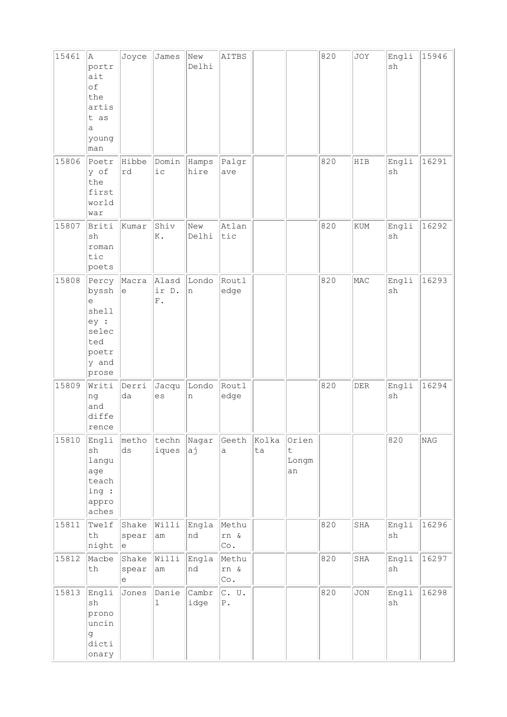| 15461 | A<br>portr<br>ait<br>of<br>the<br>artis<br>t as<br>a<br>young<br>man            | Joyce                              | James                | New<br>Delhi    | AITBS                      |             |                                     | 820 | JOY                         | Engli<br>sh                  | 15946 |
|-------|---------------------------------------------------------------------------------|------------------------------------|----------------------|-----------------|----------------------------|-------------|-------------------------------------|-----|-----------------------------|------------------------------|-------|
| 15806 | Poetr<br>y of<br>the<br>first<br>world<br>war                                   | Hibbe<br>rd                        | Domin<br>i c         | Hamps<br>hire   | Palgr<br>ave               |             |                                     | 820 | HIB                         | Engli<br>sh                  | 16291 |
| 15807 | Briti<br>sh<br>roman<br>tic<br>poets                                            | kumar                              | Shiv<br>K.           | New<br>Delhi    | Atlan<br>tic               |             |                                     | 820 | $\mathop{\rm KUM}\nolimits$ | Engli<br>sh                  | 16292 |
| 15808 | Percy<br>byssh<br>е<br>shell<br>ey :<br>selec<br>ted<br>poetr<br>y and<br>prose | Macra<br>$\mathop{\rm e}\nolimits$ | Alasd<br>ir D.<br>F. | Londo<br>n      | Routl<br>edge              |             |                                     | 820 | MAC                         | Engli<br>sh                  | 16293 |
| 15809 | Writi<br>ng<br>and<br>diffe<br>rence                                            | Derri<br>da                        | Jacqu<br>es          | Londo<br>$\,$ n | Routl<br>edge              |             |                                     | 820 | ${\rm DER}$                 | Engli<br>sh                  | 16294 |
| 15810 | Engli<br>sh<br>langu<br>age<br>teach<br>ing :<br>appro<br>aches                 | metho<br>$\mathrm{d}\mathbf{s}$    | techn<br>iques       | Nagar<br>aj     | Geeth<br>a                 | Kolka<br>ta | Orien<br>$\mathsf t$<br>Longm<br>an |     |                             | 820                          | NAG   |
| 15811 | Twelf<br>$\operatorname{\mathsf{th}}$<br>night                                  | Shake<br>spear<br>le               | Willi<br>am          | Engla<br>nd     | Methu<br>rn &<br>Co.       |             |                                     | 820 | SHA                         | Engli<br>$\operatorname{sh}$ | 16296 |
| 15812 | Macbe<br>th                                                                     | Shake<br>spear<br>е                | Willi<br>am          | Engla<br>nd     | Methu<br>rn &<br>Co.       |             |                                     | 820 | SHA                         | Engli<br>$\operatorname{sh}$ | 16297 |
| 15813 | Engli<br>sh<br>prono<br>uncin<br>g<br>dicti<br>onary                            | Jones                              | Danie<br>ı           | Cambr<br>idge   | $C.$ U.<br>${\mathbb P}$ . |             |                                     | 820 | JON                         | Engli<br>sh                  | 16298 |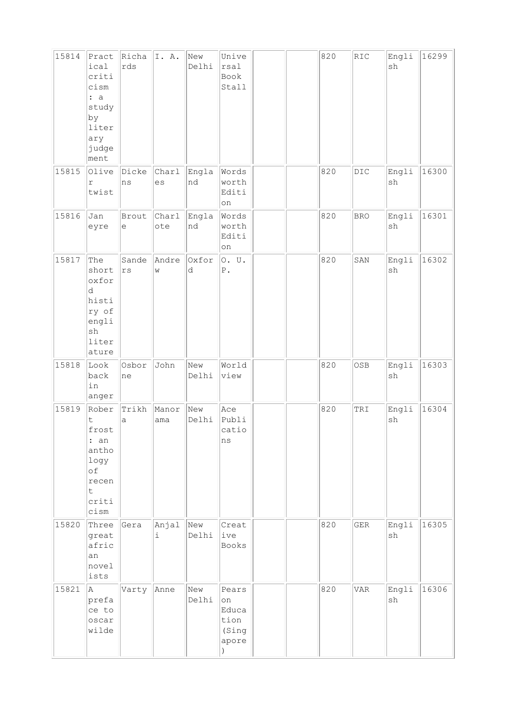| 15814 | Pract<br>ical<br>criti<br>cism<br>: a<br>study<br>by<br>liter<br>ary<br>judge<br>ment | Richa<br>rds                                      | I.A.         | New<br>Delhi | Unive<br>rsal<br>Book<br>Stall                 |  | 820 | RIC          | Engli<br>sh                  | 16299 |
|-------|---------------------------------------------------------------------------------------|---------------------------------------------------|--------------|--------------|------------------------------------------------|--|-----|--------------|------------------------------|-------|
| 15815 | Olive<br>r<br>twist                                                                   | Dicke<br>ns                                       | Charl<br>es  | Engla<br>nd  | Words<br>worth<br>Editi<br>on                  |  | 820 | $_{\rm DIC}$ | Engli<br>sh                  | 16300 |
| 15816 | Jan<br>eyre                                                                           | Brout<br>$\mathrel{\mathop{\mathrm{e}}\nolimits}$ | Charl<br>ote | Engla<br>nd  | Words<br>worth<br>Editi<br>on                  |  | 820 | <b>BRO</b>   | Engli<br>$\operatorname{sh}$ | 16301 |
| 15817 | The<br>short<br>oxfor<br>d<br>histi<br>ry of<br>engli<br>sh<br>liter<br>ature         | Sande<br>$\mathtt{rs}$                            | Andre<br>W   | Oxfor<br>d   | 0. U.<br>${\mathbb P}$ .                       |  | 820 | SAN          | Engli<br>sh                  | 16302 |
| 15818 | Look<br>back<br>in<br>anger                                                           | Osbor<br>ne                                       | John         | New<br>Delhi | World<br>view                                  |  | 820 | OSB          | Engli<br>sh                  | 16303 |
| 15819 | Rober<br>t<br>frost<br>: an<br>antho<br>logy<br>of<br>recen<br>t.<br>criti<br>cism    | Trikh<br>a                                        | Manor<br>ama | New<br>Delhi | Ace<br>Publi<br>catio<br>ns                    |  | 820 | TRI          | Engli<br>$\operatorname{sh}$ | 16304 |
| 15820 | Three<br>great<br>afric<br>an<br>novel<br>ists                                        | Gera                                              | Anjal<br>i   | New<br>Delhi | Creat<br>ive<br>Books                          |  | 820 | ${\tt GER}$  | Engli<br>sh                  | 16305 |
| 15821 | A<br>prefa<br>ce to<br>oscar<br>wilde                                                 | Varty                                             | Anne         | New<br>Delhi | Pears<br>on<br>Educa<br>tion<br>(Sing<br>apore |  | 820 | <b>VAR</b>   | Engli<br>$\operatorname{sh}$ | 16306 |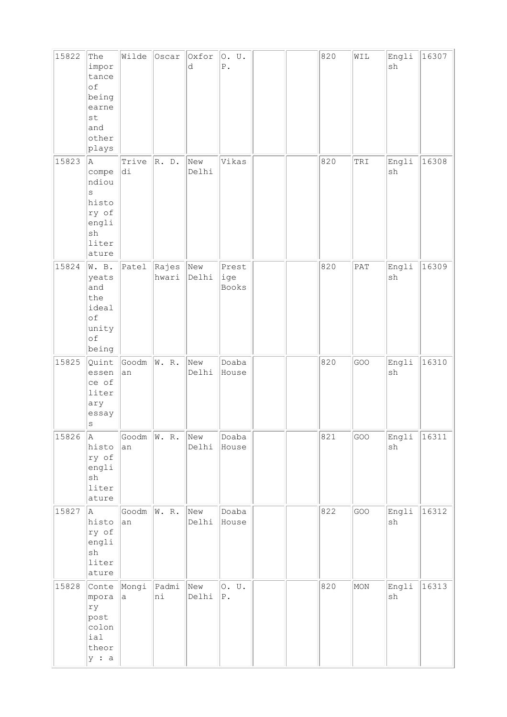| 15822 | The                                                                               | Wilde                 | Oscar           | Oxfor        | O. U.                 |  | 820 | WIL | Engli                        | 16307 |
|-------|-----------------------------------------------------------------------------------|-----------------------|-----------------|--------------|-----------------------|--|-----|-----|------------------------------|-------|
|       | impor<br>tance                                                                    |                       |                 | d            | ${\mathbb P}$ .       |  |     |     | sh                           |       |
|       | of<br>being<br>earne                                                              |                       |                 |              |                       |  |     |     |                              |       |
|       | st<br>and<br>other                                                                |                       |                 |              |                       |  |     |     |                              |       |
|       | plays                                                                             |                       |                 |              |                       |  |     |     |                              |       |
| 15823 | A.<br>compe<br>ndiou<br>S<br>histo                                                | Trive<br>di           | R. D.           | New<br>Delhi | Vikas                 |  | 820 | TRI | Engli<br>$\operatorname{sh}$ | 16308 |
|       | ry of<br>engli<br>sh<br>liter<br>ature                                            |                       |                 |              |                       |  |     |     |                              |       |
| 15824 | W. B.<br>yeats<br>and<br>the<br>ideal<br>$\circ f$<br>unity<br>$\circ f$<br>being | Patel                 | Rajes<br>hwari  | New<br>Delhi | Prest<br>ige<br>Books |  | 820 | PAT | Engli<br>sh                  | 16309 |
| 15825 | Quint<br>essen<br>ce of<br>liter<br>ary<br>essay<br>$\rm S$                       | Goodm<br>an           | W. R.           | New<br>Delhi | Doaba<br>House        |  | 820 | GOO | Engli<br>sh                  | 16310 |
| 15826 | A<br>histo<br>ry of<br>engli<br>sh<br>liter<br>ature                              | Goodm<br>an           | W. R.           | New<br>Delhi | Doaba<br>House        |  | 821 | GOO | Engli<br>$\operatorname{sh}$ | 16311 |
| 15827 | A<br>histo<br>ry of<br>engli<br>sh<br>liter<br>ature                              | Goodm $\ W. R.$<br>an |                 | New<br>Delhi | Doaba<br>House        |  | 822 | GOO | Engli<br>$\operatorname{sh}$ | 16312 |
| 15828 | Conte<br>mpora<br>ry<br>post<br>colon<br>ial<br>theor<br>y : a                    | Mongi<br>a            | $ $ Padmi<br>ni | New<br>Delhi | 0. U.<br>${\bf P}$ .  |  | 820 | MON | Engli<br>$\operatorname{sh}$ | 16313 |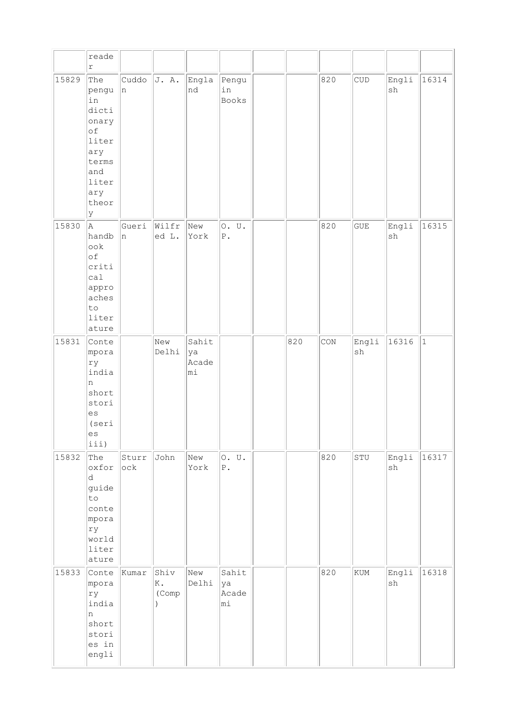|       | reade<br>r                                                                                               |              |                     |                            |                            |     |     |                             |                              |           |
|-------|----------------------------------------------------------------------------------------------------------|--------------|---------------------|----------------------------|----------------------------|-----|-----|-----------------------------|------------------------------|-----------|
| 15829 | The<br>pengu<br>in<br>dicti<br>onary<br>of<br>liter<br>ary<br>terms<br>and<br>liter<br>ary<br>theor<br>Y | Cuddo<br> n  | J. A.               | Engla<br>nd                | Pengu<br>in<br>Books       |     | 820 | $\ensuremath{\mathrm{CUD}}$ | Engli<br>sh                  | 16314     |
| 15830 | la.<br>handb<br>ook<br>of<br>criti<br>cal<br>appro<br>aches<br>to<br>liter<br>ature                      | Gueri<br>In. | Wilfr<br>ed L.      | New<br>York                | 0. U.<br>${\mathbb P}$ .   |     | 820 | GUE                         | Engli<br>sh                  | 16315     |
| 15831 | Conte<br>mpora<br>ry<br>india<br>n<br>short<br>stori<br>es<br>(seri<br>es<br>iii)                        |              | New<br>Delhi        | Sahit<br>ya<br>Acade<br>mi |                            | 820 | CON | Engli<br>sh                 | 16316                        | $\vert$ 1 |
| 15832 | The<br>oxfor<br>d.<br>guide<br>to<br>conte<br>mpora<br>ry<br>world<br>liter<br>ature                     | Sturr<br>ock | John                | New<br>York                | 0. U.<br>${\mathbb P}$ .   |     | 820 | STU                         | Engli<br>sh                  | 16317     |
| 15833 | Conte<br>mpora<br>ry<br>india<br>n<br>short<br>stori<br>es in<br>engli                                   | Kumar        | Shiv<br>K.<br>(Comp | New<br>Delhi               | Sahit<br>ya<br>Acade<br>mi |     | 820 | KUM                         | Engli<br>$\operatorname{sh}$ | 16318     |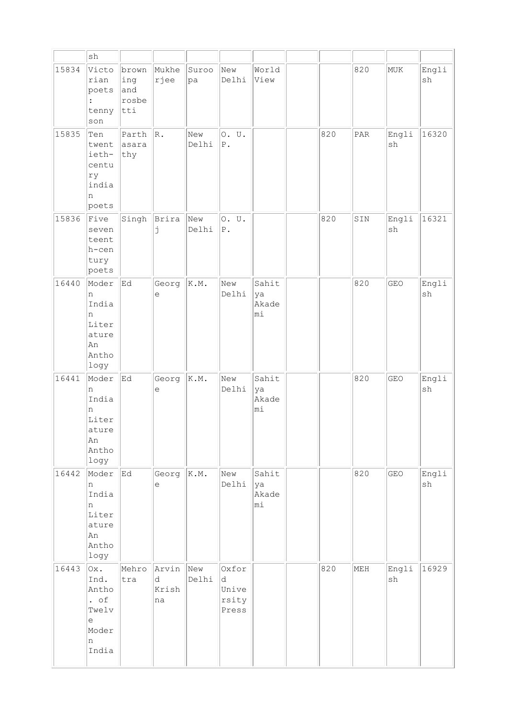|       | $\operatorname{sh}$                                                               |                                         |                           |              |                                       |                            |     |     |                              |                              |
|-------|-----------------------------------------------------------------------------------|-----------------------------------------|---------------------------|--------------|---------------------------------------|----------------------------|-----|-----|------------------------------|------------------------------|
| 15834 | Victo<br>rian<br>poets<br>$\ddot{\cdot}$<br>tenny<br>$\operatorname{son}$         | brown<br>ing<br>and<br>rosbe<br>$ $ tti | Mukhe<br>rjee             | Suroo<br>pa  | New<br>Delhi                          | World<br>View              |     | 820 | MUK                          | Engli<br>sh                  |
| 15835 | Ten<br>twent<br>ieth-<br>centu<br>ry<br>india<br>n<br>poets                       | Parth<br>asara<br>thy                   | R.                        | New<br>Delhi | 0. U.<br>${\mathbb P}$ .              |                            | 820 | PAR | Engli<br>sh                  | 16320                        |
| 15836 | Five<br>seven<br>teent<br>h-cen<br>tury<br>poets                                  | Singh                                   | Brira<br>j                | New<br>Delhi | 0. U.<br>${\mathbb P}$ .              |                            | 820 | SIN | Engli<br>$\operatorname{sh}$ | 16321                        |
| 16440 | Moder<br>n<br>India<br>n<br>Liter<br>ature<br>An<br>Antho<br>logy                 | Ed                                      | Georg<br>е                | K.M.         | New<br>Delhi                          | Sahit<br>ya<br>Akade<br>mi |     | 820 | GEO                          | Engli<br>sh                  |
| 16441 | Moder<br>n<br>India<br>n<br>Liter<br>ature<br>An<br>Antho<br>logy                 | Ed                                      | Georg<br>е                | K.M.         | New<br>Delhi                          | Sahit<br>ya<br>Akade<br>mi |     | 820 | GEO                          | Engli<br>sh                  |
| 16442 | Moder<br>n<br>India<br>n<br>Liter<br>ature<br>An<br>Antho<br>logy                 | Ed                                      | Georg<br>е                | K.M.         | New<br>Delhi                          | Sahit<br>ya<br>Akade<br>mi |     | 820 | GEO                          | Engli<br>$\operatorname{sh}$ |
| 16443 | Ox.<br>Ind.<br>Antho<br>. $\circ f$<br>Twelv<br>$\epsilon$<br>Moder<br>n<br>India | Mehro<br>tra                            | Arvin<br>d<br>Krish<br>na | New<br>Delhi | Oxfor<br>d<br>Unive<br>rsity<br>Press |                            | 820 | MEH | Engli<br>sh                  | 16929                        |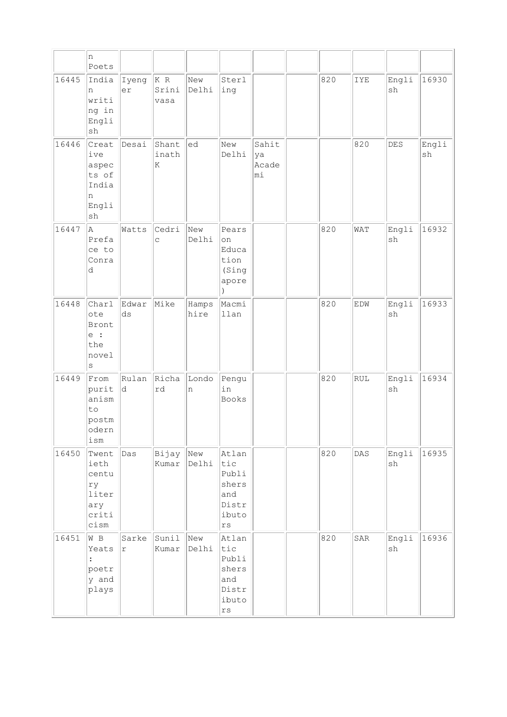|       | n<br>Poets                                                                 |                                 |                     |               |                                                                                   |                            |     |     |                              |             |
|-------|----------------------------------------------------------------------------|---------------------------------|---------------------|---------------|-----------------------------------------------------------------------------------|----------------------------|-----|-----|------------------------------|-------------|
| 16445 | India<br>n<br>writi<br>ng in<br>Engli<br>$\operatorname{sh}$               | Iyeng<br>er                     | KR<br>Srini<br>vasa | New<br>Delhi  | Sterl<br>ing                                                                      |                            | 820 | IYE | Engli<br>sh                  | 16930       |
| 16446 | Creat<br>ive<br>aspec<br>ts of<br>India<br>n<br>Engli<br>sh                | Desai                           | Shant<br>inath<br>K | ed            | New<br>Delhi                                                                      | Sahit<br>ya<br>Acade<br>mi |     | 820 | DES                          | Engli<br>sh |
| 16447 | A<br>Prefa<br>ce to<br>Conra<br>d                                          | Watts                           | Cedri<br>C          | New<br>Delhi  | Pears<br>on<br>Educa<br>tion<br>(Sing<br>apore<br>$\lambda$                       |                            | 820 | WAT | Engli<br>sh                  | 16932       |
| 16448 | Charl<br>ote<br>Bront<br>e :<br>the<br>novel<br>$\rm s$                    | Edwar<br>$\mathrm{d}\mathbf{s}$ | Mike                | Hamps<br>hire | Macmi<br>llan                                                                     |                            | 820 | EDW | Engli<br>sh                  | 16933       |
| 16449 | From<br>purit<br>anism<br>to<br>postm<br>odern<br>ism                      | Rulan<br>d.                     | Richa<br>rd         | Londo<br>n    | Pengu<br>in<br>Books                                                              |                            | 820 | RUL | Engli<br>sh                  | 16934       |
| 16450 | Twent<br>ieth<br>centu<br>ry<br>liter<br>ary<br>criti<br>$\hbox{\tt cism}$ | Das                             | Bijay<br>Kumar      | New<br>Delhi  | Atlan<br>tic<br>Publi<br>shers<br>and<br>Distr<br>ibuto<br>$\mathtt{r}\mathtt{s}$ |                            | 820 | DAS | Engli<br>$\operatorname{sh}$ | 16935       |
| 16451 | $W$ B<br>Yeats<br>$\ddot{\cdot}$<br>poetr<br>y and<br>plays                | Sarke<br>r                      | Sunil<br>Kumar      | New<br>Delhi  | Atlan<br>tic<br>Publi<br>shers<br>and<br>Distr<br>ibuto<br>$\mathtt{r}\mathtt{s}$ |                            | 820 | SAR | Engli<br>sh                  | 16936       |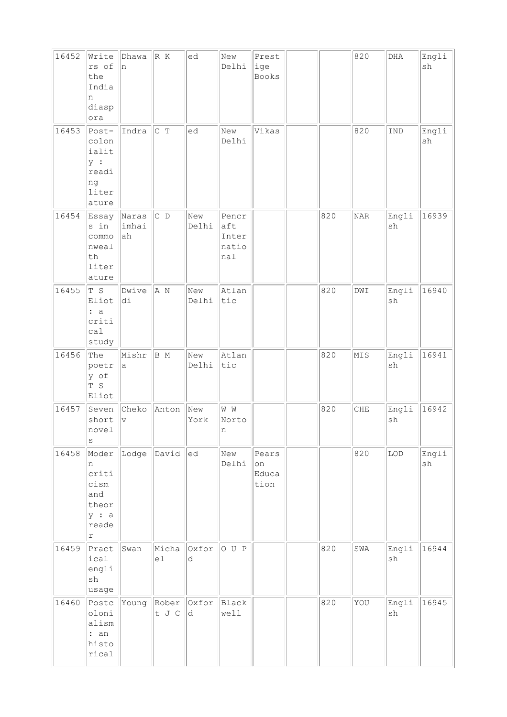| 16452 | Write<br>rs of<br>the<br>India<br>n<br>diasp<br>ora                         | Dhawa<br>In.         | R K                  | ed           | New<br>Delhi                          | Prest<br>ige<br>Books        |     | 820                         | ${\tt DHA}$                  | Engli<br>sh |
|-------|-----------------------------------------------------------------------------|----------------------|----------------------|--------------|---------------------------------------|------------------------------|-----|-----------------------------|------------------------------|-------------|
| 16453 | Post-<br>colon<br>ialit<br>y :<br>readi<br>ng<br>liter<br>ature             | Indra                | C T                  | ed           | New<br>Delhi                          | Vikas                        |     | 820                         | IND                          | Engli<br>sh |
| 16454 | Essay<br>s in<br>commo<br>nweal<br>th<br>liter<br>ature                     | Naras<br>imhai<br>ah | $ C$ D               | New<br>Delhi | Pencr<br>aft<br>Inter<br>natio<br>nal |                              | 820 | $\ensuremath{\mathsf{NAR}}$ | Engli<br>sh                  | 16939       |
| 16455 | T S<br>Eliot<br>: a<br>criti<br>ca1<br>study                                | Dwive<br>di          | A N                  | New<br>Delhi | Atlan<br>tic                          |                              | 820 | DWI                         | Engli<br>sh                  | 16940       |
| 16456 | The<br>poetr<br>y of<br>$\mathbb T$ S<br>Eliot                              | Mishr<br>а           | B M                  | New<br>Delhi | Atlan<br>tic                          |                              | 820 | MIS                         | Engli<br>$\operatorname{sh}$ | 16941       |
| 16457 | Seven<br>short<br>novel<br>S                                                | Cheko<br>$\vee$      | Anton                | New<br>York  | $\mathbbmss{W}$<br>Norto<br>n         |                              | 820 | CHE                         | Engli<br>sh                  | 16942       |
| 16458 | Moder<br>n<br>criti<br>cism<br>and<br>theor<br>y : a<br>reade<br>$\Upsilon$ | Lodge                | David                | ed           | New<br>Delhi                          | Pears<br>on<br>Educa<br>tion |     | 820                         | LOD                          | Engli<br>sh |
| 16459 | Pract<br>ical<br>engli<br>$\operatorname{sh}$<br>usage                      | Swan                 | Micha<br>el          | Oxfor<br>d   | OUP                                   |                              | 820 | SWA                         | Engli<br>sh                  | 16944       |
| 16460 | Postc<br>oloni<br>alism<br>: an<br>histo<br>rical                           | Young                | Rober Oxfor<br>t J C | d.           | Black<br>well                         |                              | 820 | YOU                         | Engli<br>$\operatorname{sh}$ | 16945       |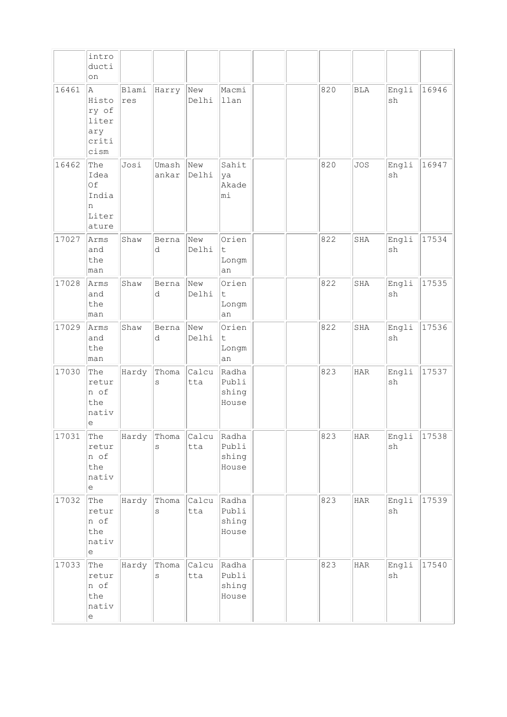|       | intro<br>ducti<br>on                                                             |              |                            |              |                                     |  |     |              |                              |       |
|-------|----------------------------------------------------------------------------------|--------------|----------------------------|--------------|-------------------------------------|--|-----|--------------|------------------------------|-------|
| 16461 | A<br>Histo<br>ry of<br>liter<br>ary<br>criti<br>cism                             | Blami<br>res | Harry                      | New<br>Delhi | Macmi<br>llan                       |  | 820 | <b>BLA</b>   | Engli<br>sh                  | 16946 |
| 16462 | The<br>Idea<br>Of<br>India<br>n<br>Liter<br>ature                                | Josi         | Umash<br>ankar             | New<br>Delhi | Sahit<br>ya<br>Akade<br>mi          |  | 820 | <b>JOS</b>   | Engli<br>sh                  | 16947 |
| 17027 | Arms<br>and<br>the<br>man                                                        | Shaw         | Berna<br>d                 | New<br>Delhi | Orien<br>$\mathsf t$<br>Longm<br>an |  | 822 | SHA          | Engli<br>sh                  | 17534 |
| 17028 | Arms<br>and<br>the<br>man                                                        | Shaw         | Berna<br>d                 | New<br>Delhi | Orien<br>t<br>Longm<br>an           |  | 822 | SHA          | Engli<br>sh                  | 17535 |
| 17029 | Arms<br>and<br>the<br>man                                                        | Shaw         | Berna<br>d                 | New<br>Delhi | Orien<br>t.<br>Longm<br>an          |  | 822 | SHA          | Engli<br>sh                  | 17536 |
| 17030 | The<br>retur<br>n of<br>the<br>nativ<br>е                                        | Hardy        | Thoma<br>S                 | Calcu<br>tta | Radha<br>Publi<br>shing<br>House    |  | 823 | <b>HAR</b>   | Engli<br>sh                  | 17537 |
| 17031 | The<br>retur<br>n of<br>the<br>nativ<br>$\mathrel{\mathop{\mathrm{e}}\nolimits}$ | Hardy        | $\ $ Thoma $\ $ Calcu<br>S | tta          | Radha<br>Publi<br>shing<br>House    |  | 823 | <b>HAR</b>   | Engli<br>$\operatorname{sh}$ | 17538 |
| 17032 | The<br>retur<br>n of<br>the<br>nativ<br>е                                        | Hardy        | Thoma<br>S                 | Calcu<br>tta | Radha<br>Publi<br>shing<br>House    |  | 823 | $_{\rm HAR}$ | Engli<br>$\operatorname{sh}$ | 17539 |
| 17033 | The<br>retur<br>n of<br>the<br>nativ<br>$\mathrel{\mathop{\mathrm{e}}\nolimits}$ | Hardy        | Thoma<br>S                 | Calcu<br>tta | Radha<br>Publi<br>shing<br>House    |  | 823 | HAR          | Engli<br>$\operatorname{sh}$ | 17540 |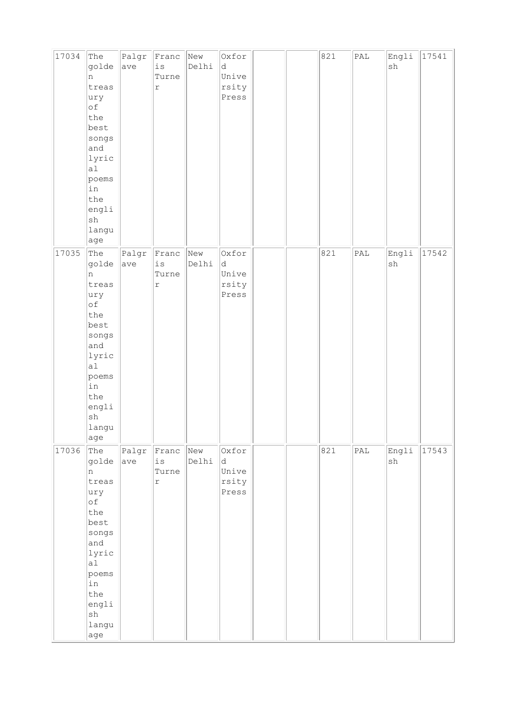| 17034 | The<br>golde                                 | Palgr<br>ave | Franc<br>$\rm \dot{1}\,\rm S$              | New<br>Delhi | Oxfor<br>d              |  | 821 | $\texttt{PAL}$              | Engli<br>$\operatorname{sh}$ | 17541 |
|-------|----------------------------------------------|--------------|--------------------------------------------|--------------|-------------------------|--|-----|-----------------------------|------------------------------|-------|
|       | n<br>treas<br>ury                            |              | Turne<br>$\acute{\text{r}}$                |              | Unive<br>rsity<br>Press |  |     |                             |                              |       |
|       | оf<br>the<br>best                            |              |                                            |              |                         |  |     |                             |                              |       |
|       | songs<br>and<br>lyric<br>al                  |              |                                            |              |                         |  |     |                             |                              |       |
|       | poems<br>in<br>the                           |              |                                            |              |                         |  |     |                             |                              |       |
|       | engli<br>$\operatorname{sh}$<br>langu<br>age |              |                                            |              |                         |  |     |                             |                              |       |
| 17035 | The<br>golde<br>n                            | Palgr<br>ave | Franc<br>$\mathtt{i}\,\mathtt{s}$<br>Turne | New<br>Delhi | Oxfor<br>d<br>Unive     |  | 821 | PAL                         | Engli<br>$\operatorname{sh}$ | 17542 |
|       | treas<br>ury<br>оf                           |              | $\acute{\text{r}}$                         |              | rsity<br>Press          |  |     |                             |                              |       |
|       | the<br>best<br>songs                         |              |                                            |              |                         |  |     |                             |                              |       |
|       | and<br>lyric<br>a1                           |              |                                            |              |                         |  |     |                             |                              |       |
|       | poems<br>in<br>the                           |              |                                            |              |                         |  |     |                             |                              |       |
|       | engli<br>$\operatorname{sh}$<br>langu<br>age |              |                                            |              |                         |  |     |                             |                              |       |
| 17036 | The<br>golde                                 | Palgr<br>ave | Franc<br>is                                | New<br>Delhi | Oxfor<br>d.             |  | 821 | $\ensuremath{\mathsf{PAL}}$ | Engli<br>sh                  | 17543 |
|       | $\mathsf{n}$<br>treas<br>ury                 |              | Turne<br>$\acute{\text{r}}$                |              | Unive<br>rsity<br>Press |  |     |                             |                              |       |
|       | оf<br>the<br>best                            |              |                                            |              |                         |  |     |                             |                              |       |
|       | songs<br>and                                 |              |                                            |              |                         |  |     |                             |                              |       |
|       | lyric<br>a1<br>poems                         |              |                                            |              |                         |  |     |                             |                              |       |
|       | in<br>the                                    |              |                                            |              |                         |  |     |                             |                              |       |
|       | engli<br>${\tt sh}$<br>langu                 |              |                                            |              |                         |  |     |                             |                              |       |
|       | age                                          |              |                                            |              |                         |  |     |                             |                              |       |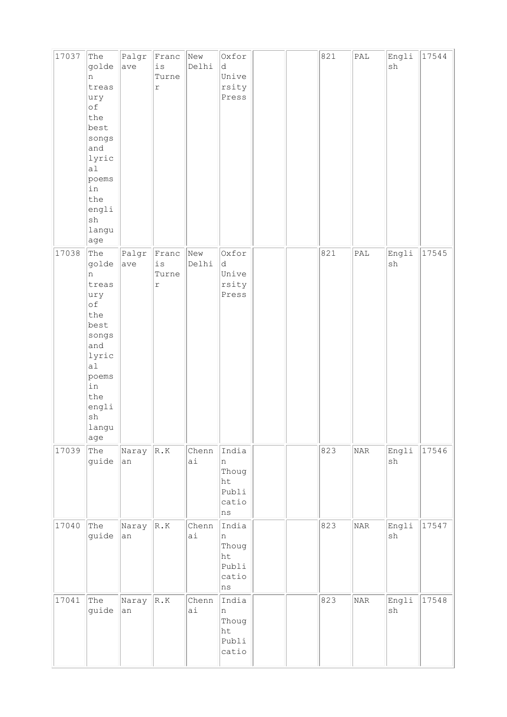| 17037 | The<br>golde<br>n<br>treas<br>ury<br>of<br>the<br>best<br>songs<br>and<br>lyric<br>a1<br>poems<br>in<br>the<br>engli<br>$\operatorname{sh}$<br>langu<br>age | Palgr<br>ave | Franc<br>$\rm \dot{1}\,\rm S$<br>Turne<br>$\Upsilon$ | New<br>Delhi | Oxfor<br>d<br>Unive<br>rsity<br>Press                 |  | 821 | $\ensuremath{\mathsf{PAL}}$ | Engli<br>$\operatorname{sh}$ | 17544 |
|-------|-------------------------------------------------------------------------------------------------------------------------------------------------------------|--------------|------------------------------------------------------|--------------|-------------------------------------------------------|--|-----|-----------------------------|------------------------------|-------|
| 17038 | The<br>golde<br>n<br>treas<br>ury<br>of<br>the<br>best<br>songs<br>and<br>lyric<br>a1<br>poems<br>in<br>the<br>engli<br>$\operatorname{sh}$<br>langu<br>age | Palgr<br>ave | Franc<br>$\mathtt{is}$<br>Turne<br>r                 | New<br>Delhi | Oxfor<br>d<br>Unive<br>rsity<br>Press                 |  | 821 | PAL                         | Engli<br>${\tt sh}$          | 17545 |
| 17039 | The<br>guide                                                                                                                                                | Naray<br>an  | $\ $ R.K                                             | Chenn<br>ai  | India<br>$\ln$<br>Thoug<br>ht<br>Publi<br>catio<br>ns |  | 823 | NAR                         | Engli<br>${\tt sh}$          | 17546 |
| 17040 | The<br>guide                                                                                                                                                | Naray<br>an  | R.K                                                  | Chenn<br>ai  | India<br>n<br>Thoug<br>ht<br>Publi<br>catio<br>ns     |  | 823 | NAR                         | Engli<br>sh                  | 17547 |
| 17041 | The<br>guide                                                                                                                                                | Naray<br>an  | R.K                                                  | Chenn<br>ai  | India<br>n<br>Thoug<br>ht<br>Publi<br>catio           |  | 823 | NAR                         | Engli<br>${\tt sh}$          | 17548 |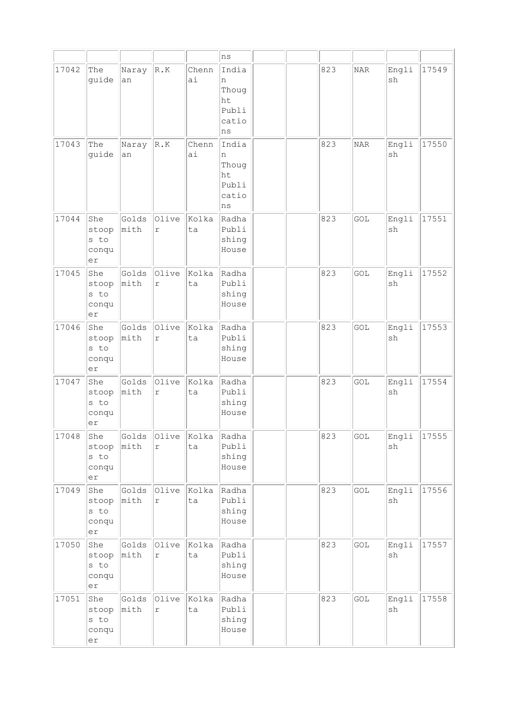|       |                                                         |               |                     |             | ns                                                |  |     |                             |                              |       |
|-------|---------------------------------------------------------|---------------|---------------------|-------------|---------------------------------------------------|--|-----|-----------------------------|------------------------------|-------|
| 17042 | The<br>guide                                            | Naray<br>an   | R.K                 | Chenn<br>ai | India<br>n<br>Thoug<br>ht<br>Publi<br>catio<br>ns |  | 823 | NAR                         | Engli<br>sh                  | 17549 |
| 17043 | The<br>guide                                            | Naray<br>an   | R.K                 | Chenn<br>ai | India<br>n<br>Thoug<br>ht<br>Publi<br>catio<br>ns |  | 823 | <b>NAR</b>                  | Engli<br>sh                  | 17550 |
| 17044 | She<br>stoop<br>s to<br>conqu<br>er                     | Golds<br>mith | Olive<br>$\Upsilon$ | Kolka<br>ta | Radha<br>Publi<br>shing<br>House                  |  | 823 | GOL                         | Engli<br>sh                  | 17551 |
| 17045 | She<br>stoop<br>s to<br>conqu<br>er                     | Golds<br>mith | Olive<br>$\Upsilon$ | Kolka<br>ta | Radha<br>Publi<br>shing<br>House                  |  | 823 | GOL                         | Engli<br>sh                  | 17552 |
| 17046 | She<br>stoop<br>s to<br>conqu<br>er                     | Golds<br>mith | Olive<br>r          | kolka<br>ta | Radha<br>Publi<br>shing<br>House                  |  | 823 | GOL                         | Engli<br>sh                  | 17553 |
| 17047 | She<br>stoop<br>s to<br>conqu<br>er                     | Golds<br>mith | Olive<br>$\Upsilon$ | Kolka<br>ta | Radha<br>Publi<br>shing<br>House                  |  | 823 | GOL                         | Engli<br>sh                  | 17554 |
| 17048 | She<br>stoop<br>s to<br>conqu<br>er                     | Golds<br>mith | Olive<br>$\Upsilon$ | Kolka<br>ta | Radha<br>Publi<br>shing<br>House                  |  | 823 | $\ensuremath{\mathsf{GOL}}$ | Engli<br>$\operatorname{sh}$ | 17555 |
| 17049 | She<br>stoop<br>s to<br>conqu<br>$\mathop{\mathtt{er}}$ | Golds<br>mith | Olive<br>r          | Kolka<br>ta | Radha<br>Publi<br>shing<br>House                  |  | 823 | GOL                         | Engli<br>sh                  | 17556 |
| 17050 | She<br>stoop<br>s to<br>conqu<br>er                     | Golds<br>mith | Olive<br>$\Upsilon$ | Kolka<br>ta | Radha<br>Publi<br>shing<br>House                  |  | 823 | GOL                         | Engli<br>sh                  | 17557 |
| 17051 | She<br>stoop<br>s to<br>conqu<br>er                     | Golds<br>mith | Olive<br>$\Upsilon$ | Kolka<br>ta | Radha<br>Publi<br>shing<br>House                  |  | 823 | GOL                         | Engli<br>$\operatorname{sh}$ | 17558 |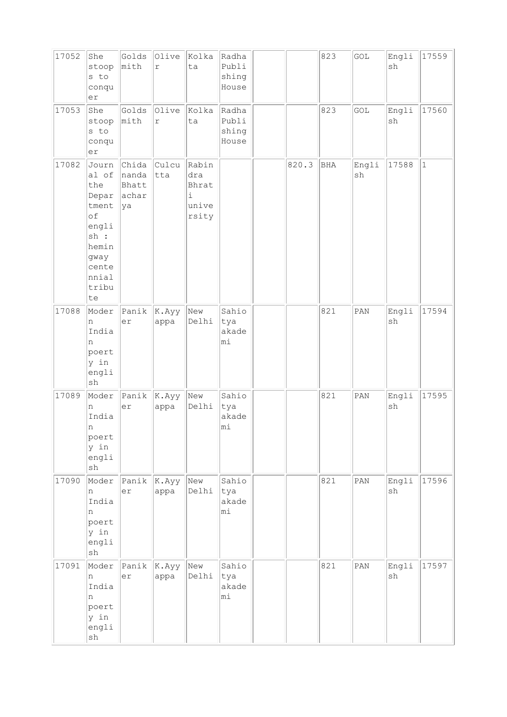| 17052 | She<br>stoop<br>s to<br>conqu<br>er                                                                              | Golds<br>mith                           | Olive<br>$\mathtt{r}$         | Kolka<br>ta                                          | Radha<br>Publi<br>shing<br>House |       | 823 | GOL                          | Engli<br>sh                  | 17559 |
|-------|------------------------------------------------------------------------------------------------------------------|-----------------------------------------|-------------------------------|------------------------------------------------------|----------------------------------|-------|-----|------------------------------|------------------------------|-------|
| 17053 | She<br>stoop<br>s to<br>conqu<br>er                                                                              | Golds<br>mith                           | Olive<br>$\mathtt{r}$         | Kolka<br>ta                                          | Radha<br>Publi<br>shing<br>House |       | 823 | GOL                          | Engli<br>sh                  | 17560 |
| 17082 | Journ<br>al of<br>the<br>Depar<br>tment<br>of<br>engli<br>sh :<br>hemin<br>gway<br>cente<br>nnial<br>tribu<br>te | Chida<br>nanda<br>Bhatt<br>achar<br> ya | Culcu<br> tta                 | Rabin<br>dra<br>Bhrat<br>$\dot{1}$<br>unive<br>rsity |                                  | 820.3 | BHA | Engli<br>$\operatorname{sh}$ | 17588                        | $1\,$ |
| 17088 | Moder<br>n<br>India<br>n<br>poert<br>y in<br>engli<br>$\operatorname{sh}$                                        | Panik<br>er                             | K.Ayy <br>appa                | New<br>Delhi                                         | Sahio<br>tya<br>akade<br>mi      |       | 821 | PAN                          | Engli<br>sh                  | 17594 |
| 17089 | Moder<br>n<br>India<br>n<br>poert<br>y in<br>engli<br>$\operatorname{sh}$                                        | Panik $ $ K.Ayy<br>er                   | appa                          | New<br>Delhi                                         | Sahio<br>tya<br>akade<br>mi      |       | 821 | PAN                          | Engli<br>sh                  | 17595 |
| 17090 | Moder<br>n<br>India<br>n<br>poert<br>y in<br>engli<br>$\operatorname{sh}$                                        | Panik<br>er                             | $\vert K.Ayy \rangle$<br>appa | New<br>Delhi                                         | Sahio<br>tya<br>akade<br>mi      |       | 821 | $\texttt{PAN}$               | Engli<br>$\operatorname{sh}$ | 17596 |
| 17091 | Moder<br>n<br>India<br>n<br>poert<br>y in<br>engli<br>sh                                                         | Panik<br>er                             | K.Ayy <br>appa                | New<br>Delhi                                         | Sahio<br>tya<br>akade<br>mi      |       | 821 | $\texttt{PAN}$               | Engli<br>sh                  | 17597 |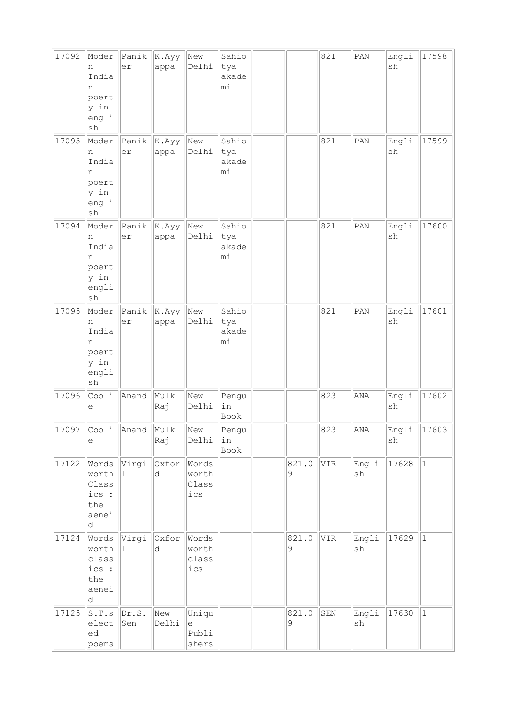| 17092 | Moder<br>n<br>India<br>n<br>poert<br>y in<br>engli<br>$\operatorname{sh}$ | Panik<br>er            | K.Ayy<br>appa  | New<br>Delhi                          | Sahio<br>tya<br>akade<br>mi |                      | 821 | $\texttt{PAN}$ | Engli<br>sh | 17598       |
|-------|---------------------------------------------------------------------------|------------------------|----------------|---------------------------------------|-----------------------------|----------------------|-----|----------------|-------------|-------------|
| 17093 | Moder<br>n<br>India<br>n<br>poert<br>y in<br>engli<br>sh                  | Panik<br>er            | K.Ayy<br>appa  | New<br>Delhi                          | Sahio<br>tya<br>akade<br>mi |                      | 821 | PAN            | Engli<br>sh | 17599       |
| 17094 | Moder<br>n<br>India<br>n<br>poert<br>y in<br>engli<br>${\tt sh}$          | Panik<br>er            | K. Ayy<br>appa | New<br>Delhi                          | Sahio<br>tya<br>akade<br>mi |                      | 821 | PAN            | Engli<br>sh | 17600       |
| 17095 | Moder<br>n<br>India<br>n<br>poert<br>y in<br>engli<br>sh                  | Panik<br>er            | K.Ayy<br>appa  | New<br>Delhi                          | Sahio<br>tya<br>akade<br>mi |                      | 821 | PAN            | Engli<br>sh | 17601       |
| 17096 | Cooli<br>е                                                                | Anand                  | Mulk<br>Raj    | New<br>Delhi                          | Pengu<br>in<br>Book         |                      | 823 | ANA            | Engli<br>sh | 17602       |
| 17097 | е                                                                         | Cooli Anand Mulk       | Raj            | New<br>Delhi                          | Pengu<br> in<br>Book        |                      | 823 | $\mathtt{ANA}$ | Engli<br>sh | 17603       |
| 17122 | worth<br>Class<br>ics :<br>the<br>aenei<br>d                              | Words Virgi Oxfor<br>1 | d              | Words<br>worth<br>Class<br>ics        |                             | 821.0<br>$\mathsf 9$ | VIR | Engli<br>sh    | 17628       | $ 1\rangle$ |
| 17124 | Words Virgi<br>worth<br>class<br>ics :<br>the<br>aenei<br>d               | 11                     | Oxfor<br>d     | Words<br>worth<br>class<br>$ics$      |                             | 821.0<br>$\mathsf 9$ | VIR | Engli<br>sh    | 17629       | $ 1\rangle$ |
| 17125 | S.T.s <br>elect<br>ed<br>poems                                            | $\vert$ Dr.S.<br>Sen   | New<br>Delhi   | Uniqu<br>$\epsilon$<br>Publi<br>shers |                             | 821.0<br>9           | SEN | Engli<br>sh    | 17630       | $ 1\rangle$ |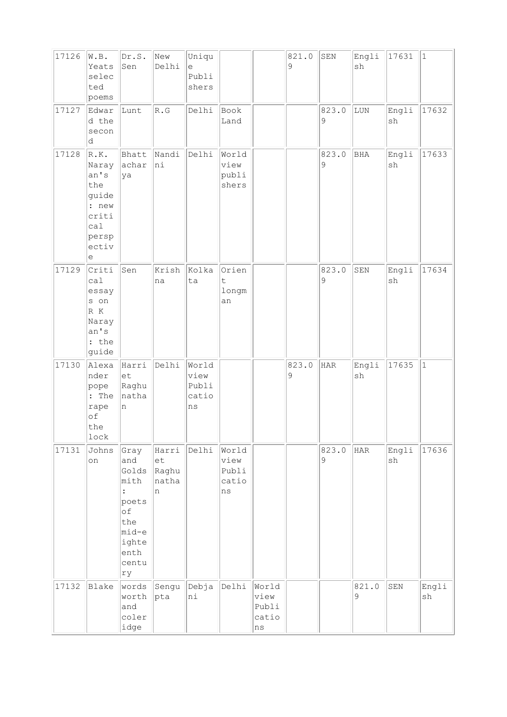| 17126 | W.B.<br>Yeats<br>selec<br>ted<br>poems                                                | Dr.S.<br>Sen                                                                                | New<br>Delhi                       | Uniqu<br>$\mathrel{\mathrm{e}}$<br>Publi<br>shers |                                       |                                             | 821.0<br>9 | SEN        | Engli<br>sh | 17631                        | $\vert$ 1   |
|-------|---------------------------------------------------------------------------------------|---------------------------------------------------------------------------------------------|------------------------------------|---------------------------------------------------|---------------------------------------|---------------------------------------------|------------|------------|-------------|------------------------------|-------------|
| 17127 | Edwar<br>d the<br>secon<br>d                                                          | Lunt                                                                                        | $\overline{\mathbb{R}}$ . G        | Delhi                                             | Book<br>Land                          |                                             |            | 823.0<br>9 | LUN         | Engli<br>sh                  | 17632       |
| 17128 | R.K.<br>Naray<br>an's<br>the<br>guide<br>: new<br>criti<br>cal<br>persp<br>ectiv<br>е | Bhatt<br>achar<br>ya                                                                        | Nandi<br>hi                        | Delhi                                             | World<br>view<br>publi<br>shers       |                                             |            | 823.0<br>9 | BHA         | Engli<br>sh                  | 17633       |
| 17129 | Criti<br>ca1<br>essay<br>s on<br>R K<br>Naray<br>an's<br>: the<br>guide               | Sen                                                                                         | Krish<br>na                        | Kolka<br>ta                                       | Orien<br>t<br>longm<br>an             |                                             |            | 823.0<br>9 | ${\tt SEN}$ | Engli<br>$\operatorname{sh}$ | 17634       |
| 17130 | Alexa<br>nder<br>pope<br>: The<br>rape<br>of<br>the<br>$_{\tt lock}$                  | Harri<br>$ \textrm{et}\>$<br>Raghu<br>natha<br>n                                            | Delhi                              | World<br>view<br>Publi<br>catio<br>$\rm ns$       |                                       |                                             | 823.0<br>9 | <b>HAR</b> | Engli<br>sh | 17635                        | $\vert$ 1   |
| 17131 | Johns<br>on                                                                           | Gray<br>and<br>Golds<br>mith<br>poets<br>оf<br>the<br>mid-e<br>ighte<br>enth<br>centu<br>ry | Harri<br>et<br>Raghu<br>natha<br>n | Delhi                                             | World<br>view<br>Publi<br>catio<br>ns |                                             |            | 823.0<br>9 | HAR         | Engli<br>sh                  | 17636       |
| 17132 | Blake                                                                                 | words<br>worth<br>and<br>coler<br>idge                                                      | Sengu<br> pta                      | Debja<br>ni                                       | Delhi                                 | World<br>view<br>Publi<br>catio<br>$\rm ns$ |            |            | 821.0<br>9  | ${\tt SEN}$                  | Engli<br>sh |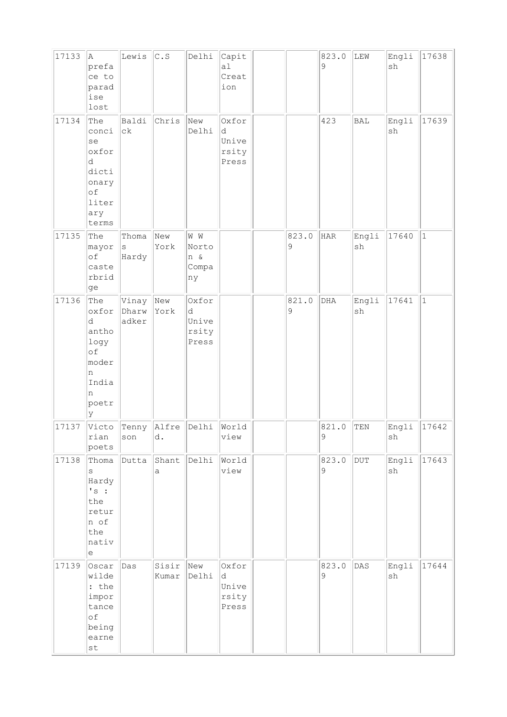| 17133 | la.<br>prefa<br>ce to<br>parad<br>ise<br>lost                                                      | Lewis                           | $\mathtt{C}$ . $\mathtt{S}$ | Delhi                                 | Capit<br>a1<br>Creat<br>ion           |                      | 823.0<br>9  | LEW         | Engli<br>sh                  | 17638     |
|-------|----------------------------------------------------------------------------------------------------|---------------------------------|-----------------------------|---------------------------------------|---------------------------------------|----------------------|-------------|-------------|------------------------------|-----------|
| 17134 | The<br>conci<br>se<br>oxfor<br>d<br>dicti<br>onary<br>of<br>liter<br>ary<br>terms                  | Baldi<br>$\mathrm{c}\mathrm{k}$ | Chris                       | New<br>Delhi                          | Oxfor<br>d<br>Unive<br>rsity<br>Press |                      | 423         | BAL         | Engli<br>$\operatorname{sh}$ | 17639     |
| 17135 | The<br>mayor<br>of<br>caste<br>rbrid<br>ge                                                         | Thoma<br>$\rm S$<br>Hardy       | New<br>York                 | W W<br>Norto<br>n &<br>Compa<br>ny    |                                       | 823.0<br>9           | <b>HAR</b>  | Engli<br>sh | 17640                        | $\vert$ 1 |
| 17136 | The<br>oxfor<br>d<br>antho<br>logy<br>of<br>moder<br>n<br>India<br>n<br>poetr<br>ly                | Vinay<br>Dharw<br>adker         | New<br>York                 | Oxfor<br>d<br>Unive<br>rsity<br>Press |                                       | 821.0<br>$\mathsf 9$ | ${\rm DHA}$ | Engli<br>sh | 17641                        | $\vert$ 1 |
| 17137 | Victo<br>rian<br>poets                                                                             | Tenny<br>son                    | Alfre<br>d.                 | Delhi                                 | World<br>view                         |                      | 821.0<br>9  | TEN         | Engli<br>${\tt sh}$          | 17642     |
| 17138 | Thoma<br>S<br>Hardy<br>'s:<br>the<br>retur<br>n of<br>the<br>nativ<br>e                            | Dutta                           | Shant<br>a                  | Delhi                                 | World<br>view                         |                      | 823.0<br>9  | DUT         | Engli<br>sh                  | 17643     |
| 17139 | Oscar<br>wilde<br>: the<br>impor<br>tance<br>of<br>being<br>earne<br>$\operatorname{\mathsf {st}}$ | Das                             | Sisir<br>Kumar              | New<br>Delhi                          | Oxfor<br>d<br>Unive<br>rsity<br>Press |                      | 823.0<br>9  | DAS         | Engli<br>$\operatorname{sh}$ | 17644     |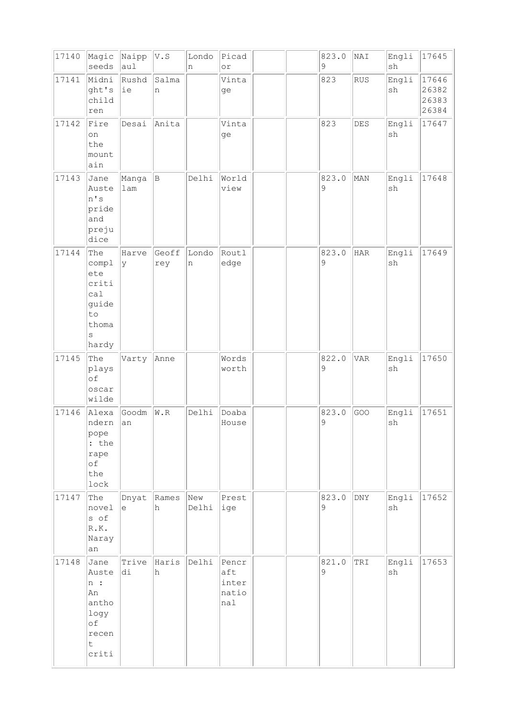| 17140 | Magic<br>seeds                                                                  | Naipp<br>aul                                      | V.S          | Londo<br>n      | Picad<br>$\circ$ r                    |  | 823.0<br>9 | NAI            | Engli<br>$\operatorname{sh}$ | 17645                            |
|-------|---------------------------------------------------------------------------------|---------------------------------------------------|--------------|-----------------|---------------------------------------|--|------------|----------------|------------------------------|----------------------------------|
| 17141 | Midni<br>ght's<br>child<br>ren                                                  | Rushd<br>ie                                       | Salma<br>n   |                 | Vinta<br>ge                           |  | 823        | <b>RUS</b>     | Engli<br>sh                  | 17646<br>26382<br>26383<br>26384 |
| 17142 | Fire<br>on<br>the<br>mount<br>ain                                               | Desai                                             | Anita        |                 | Vinta<br>ge                           |  | 823        | DES            | Engli<br>sh                  | 17647                            |
| 17143 | Jane<br>Auste<br>n's<br>pride<br>and<br>preju<br>dice                           | Manga<br>lam                                      | B            | Delhi           | World<br>view                         |  | 823.0<br>9 | MAN            | Engli<br>sh                  | 17648                            |
| 17144 | The<br>compl<br>ete<br>criti<br>ca1<br>guide<br>to<br>thoma<br>$\rm s$<br>hardy | Harve<br>l y                                      | Geoff<br>rey | Londo<br>$\,$ n | Routl<br>edge                         |  | 823.0<br>9 | <b>HAR</b>     | Engli<br>sh                  | 17649                            |
| 17145 | The<br>plays<br>of<br>oscar<br>wilde                                            | Varty                                             | Anne         |                 | Words<br>worth                        |  | 822.0<br>9 | <b>VAR</b>     | Engli<br>sh                  | 17650                            |
| 17146 | Alexa<br>ndern<br>pope<br>: the<br>rape<br>of<br>the<br>lock                    | Goodm<br>an                                       | W.R          | Delhi           | Doaba<br>House                        |  | 823.0<br>9 | GOO            | Engli<br>sh                  | 17651                            |
| 17147 | The<br>novel<br>s of<br>R.K.<br>Naray<br>an                                     | Dnyat<br>$\mathrel{\mathop{\mathrm{e}}\nolimits}$ | Rames<br>h   | New<br>Delhi    | Prest<br>ige                          |  | 823.0<br>9 | $\texttt{DNY}$ | Engli<br>$\operatorname{sh}$ | 17652                            |
| 17148 | Jane<br>Auste<br>n:<br>An<br>antho<br>logy<br>of<br>recen<br>t<br>criti         | Trive<br>di                                       | Haris<br>h   | Delhi           | Pencr<br>aft<br>inter<br>natio<br>nal |  | 821.0<br>9 | TRI            | Engli<br>sh                  | 17653                            |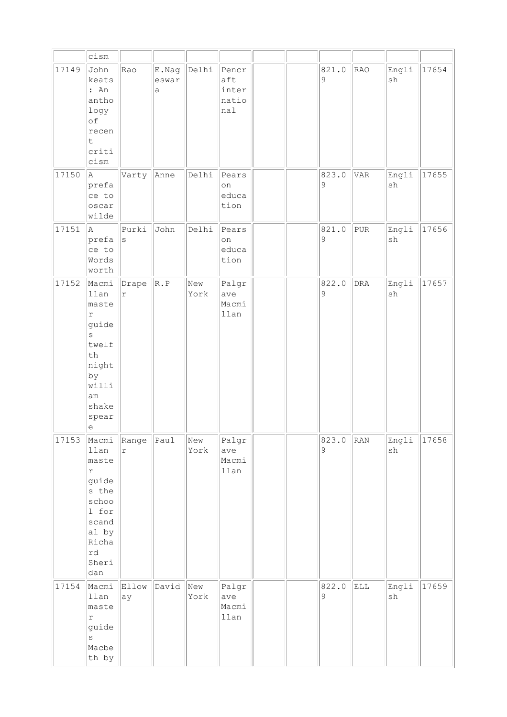|       | cism                                                                                                                                  |                     |                     |             |                                       |  |            |            |                              |       |
|-------|---------------------------------------------------------------------------------------------------------------------------------------|---------------------|---------------------|-------------|---------------------------------------|--|------------|------------|------------------------------|-------|
| 17149 | John<br>keats<br>: An<br>antho<br>logy<br>of<br>recen<br>t<br>criti<br>cism                                                           | Rao                 | E.Nag<br>eswar<br>a | Delhi       | Pencr<br>aft<br>inter<br>natio<br>nal |  | 821.0<br>9 | RAO        | Engli<br>sh                  | 17654 |
| 17150 | A<br>prefa<br>ce to<br>oscar<br>wilde                                                                                                 | Varty               | Anne                | Delhi       | Pears<br>on<br>educa<br>tion          |  | 823.0<br>9 | <b>VAR</b> | Engli<br>$\operatorname{sh}$ | 17655 |
| 17151 | la.<br>prefa<br>ce to<br>Words<br>worth                                                                                               | Purki<br>S          | John                | Delhi       | Pears<br>on<br>educa<br>tion          |  | 821.0<br>9 | PUR        | Engli<br>sh                  | 17656 |
| 17152 | Macmi<br>llan<br>maste<br>r<br>guide<br>S<br>twelf<br>th<br>night<br>by<br>willi<br>am<br>shake<br>spear<br>$\mathop{\rm e}\nolimits$ | Drape<br>r          | R.P                 | New<br>York | Palgr<br>ave<br>Macmi<br>llan         |  | 822.0<br>9 | <b>DRA</b> | Engli<br>$\operatorname{sh}$ | 17657 |
| 17153 | Macmi<br>llan<br>maste<br>$\Upsilon$<br>guide<br>s the<br>schoo<br>1 for<br>scand<br>al by<br>Richa<br>rd<br>Sheri<br>dan             | Range<br>$\Upsilon$ | Paul                | New<br>York | Palgr<br>ave<br>Macmi<br>llan         |  | 823.0<br>9 | RAN        | Engli<br>$\operatorname{sh}$ | 17658 |
| 17154 | Macmi<br>llan<br>maste<br>$\mathtt{r}$<br>guide<br>$\mathtt{s}$<br>Macbe<br>th by                                                     | Ellow<br>ay         | David               | New<br>York | Palgr<br>ave<br>Macmi<br>llan         |  | 822.0<br>9 | ELL        | Engli<br>sh                  | 17659 |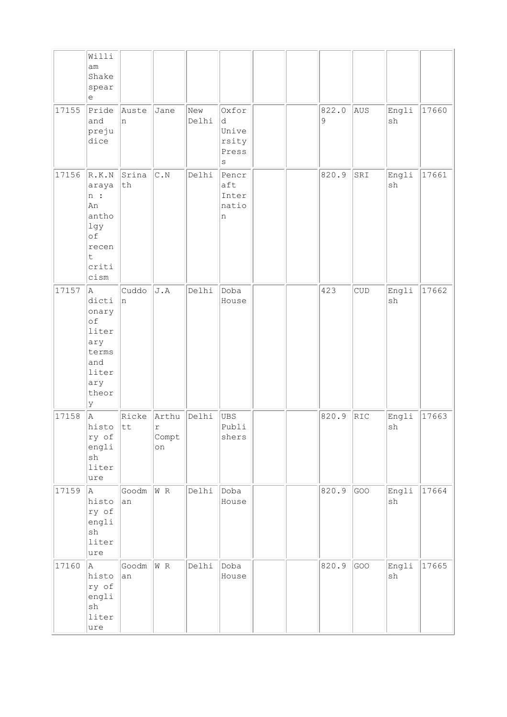|       | Willi                                                                                   |                   |                           |              |                                            |  |                      |            |             |       |
|-------|-----------------------------------------------------------------------------------------|-------------------|---------------------------|--------------|--------------------------------------------|--|----------------------|------------|-------------|-------|
|       | am<br>Shake<br>spear<br>e                                                               |                   |                           |              |                                            |  |                      |            |             |       |
| 17155 | Pride<br>and<br>preju<br>dice                                                           | Auste<br>In.      | Jane                      | New<br>Delhi | Oxfor<br>d<br>Unive<br>rsity<br>Press<br>S |  | 822.0<br>$\mathsf 9$ | AUS        | Engli<br>sh | 17660 |
| 17156 | R.K.N<br>araya<br>n:<br>An<br>antho<br>lgy<br>of<br>recen<br>$\sf t$<br>criti<br>cism   | Srina<br>$\tt th$ | $\mathbb{C}$ . N          | Delhi        | Pencr<br>aft<br>Inter<br>natio<br>n        |  | 820.9                | SRI        | Engli<br>sh | 17661 |
| 17157 | A<br>dicti<br>onary<br>of<br>liter<br>ary<br>terms<br>and<br>liter<br>ary<br>theor<br>У | Cuddo<br>n        | J.A                       | Delhi        | Doba<br>House                              |  | 423                  | <b>CUD</b> | Engli<br>sh | 17662 |
| 17158 | A<br>histo<br>ry of<br>engli<br>$\operatorname{sh}$<br>liter<br>ure                     | Ricke<br>tt       | Arthu<br>r<br>Compt<br>on | Delhi        | UBS<br>Publi<br>shers                      |  | 820.9                | RIC        | Engli<br>sh | 17663 |
| 17159 | A<br>histo<br>ry of<br>engli<br>$\operatorname{sh}$<br>liter<br>ure                     | Goodm<br>an       | W R                       | Delhi        | Doba<br>House                              |  | 820.9                | GOO        | Engli<br>sh | 17664 |
| 17160 | A<br>histo<br>ry of<br>engli<br>$\operatorname{sh}$<br>liter<br>ure                     | Goodm<br>an       | W R                       | Delhi        | Doba<br>House                              |  | 820.9                | GOO        | Engli<br>sh | 17665 |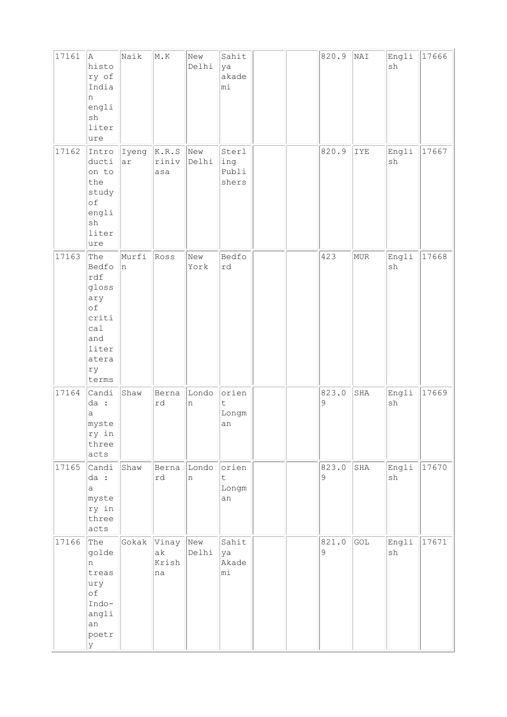| 17161 | A<br>histo<br>ry of<br>India<br>n<br>engli<br>sh<br>liter<br>ure                                  | Naik        | M.K                   | New<br>Delhi | Sahit<br>ya<br>akade<br>mi          |  | 820.9      | NAI | Engli<br>$\operatorname{sh}$ | 17666 |
|-------|---------------------------------------------------------------------------------------------------|-------------|-----------------------|--------------|-------------------------------------|--|------------|-----|------------------------------|-------|
| 17162 | Intro<br>ducti<br>on to<br>the<br>study<br>of<br>engli<br>sh<br>liter<br>ure                      | Iyeng<br>ar | K.R.S<br>riniv<br>asa | New<br>Delhi | Sterl<br>ing<br>Publi<br>shers      |  | 820.9      | IYE | Engli<br>$\operatorname{sh}$ | 17667 |
| 17163 | The<br>Bedfo<br>rdf<br>gloss<br>ary<br>оf<br>criti<br>ca1<br>and<br>liter<br>atera<br>ry<br>terms | Murfi<br>n  | Ross                  | New<br>York  | Bedfo<br>rd                         |  | 423        | MUR | Engli<br>$\operatorname{sh}$ | 17668 |
| 17164 | Candi<br>da :<br>а<br>myste<br>ry in<br>three<br>acts                                             | Shaw        | Berna<br>rd           | Londo<br>n   | orien<br>t<br>Longm<br>an           |  | 823.0<br>9 | SHA | Engli<br>sh                  | 17669 |
| 17165 | Candi<br>da :<br>a<br>myste<br>ry in<br>three<br>acts                                             | Shaw        | Berna<br>rd           | Londo<br>n   | orien<br>$\mathsf t$<br>Longm<br>an |  | 823.0<br>9 | SHA | Engli<br>sh                  | 17670 |
| 17166 | The<br>golde<br>n<br>treas<br>ury<br>оf<br>Indo-<br>angli<br>an<br>poetr<br>У                     | Gokak Vinay | ak<br>Krish<br>na     | New<br>Delhi | Sahit<br>ya<br>Akade<br>mi          |  | 821.0<br>9 | GOL | Engli<br>sh                  | 17671 |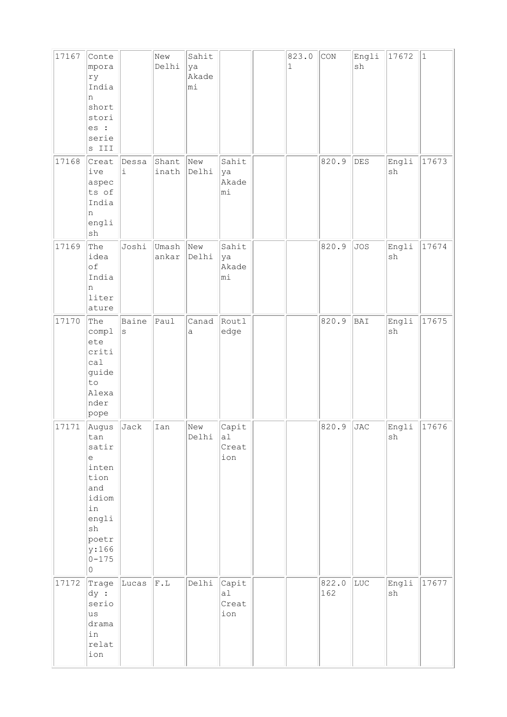| 17167<br>17168 | Conte<br>mpora<br>ry<br>India<br>n<br>short<br>stori<br>es :<br>serie<br>s III<br>Creat                                                                 | Dessa            | New<br>Delhi<br>Shant | Sahit<br>ya<br>Akade<br>mi<br>New | Sahit                       | 823.0<br>$\mathbf 1$ | CON<br>820.9 | Engli<br>$\operatorname{sh}$<br>DES | 17672<br>Engli               | $\vert$ 1<br>17673 |
|----------------|---------------------------------------------------------------------------------------------------------------------------------------------------------|------------------|-----------------------|-----------------------------------|-----------------------------|----------------------|--------------|-------------------------------------|------------------------------|--------------------|
|                | ive<br>aspec<br>ts of<br>India<br>n<br>engli<br>$\operatorname{sh}$                                                                                     | $\mathtt{i}$     | inath                 | Delhi                             | ya<br>Akade<br>mi           |                      |              |                                     | sh                           |                    |
| 17169          | The<br>idea<br>of<br>India<br>n<br>liter<br>ature                                                                                                       | Joshi            | Umash<br>ankar        | New<br>Delhi                      | Sahit<br>ya<br>Akade<br>mi  |                      | 820.9        | <b>JOS</b>                          | Engli<br>$\operatorname{sh}$ | 17674              |
| 17170          | The<br>compl<br>ete<br>criti<br>ca1<br>guide<br>to<br>Alexa<br>nder<br>pope                                                                             | Baine<br>$\rm s$ | Paul                  | Canad<br>$\mathsf a$              | Routl<br>edge               |                      | 820.9        | BAI                                 | Engli<br>sh                  | 17675              |
| 17171          | Augus<br>tan<br>satir<br>e<br>inten<br>tion<br>and<br>idiom<br>in<br>engli<br>$\operatorname{sh}$<br>poetr<br>y:166<br>$0 - 175$<br>$\mathsf{O}\xspace$ | Jack             | Ian                   | New<br>Delhi                      | Capit<br>a1<br>Creat<br>ion |                      | 820.9        | <b>JAC</b>                          | Engli<br>$\operatorname{sh}$ | 17676              |
| 17172          | Trage<br>$\mathrm{dy}$ :<br>serio<br>us<br>drama<br>in<br>relat<br>ion                                                                                  | Lucas            | F.L                   | Delhi                             | Capit<br>a1<br>Creat<br>ion |                      | 822.0<br>162 | LUC                                 | Engli<br>$\operatorname{sh}$ | 17677              |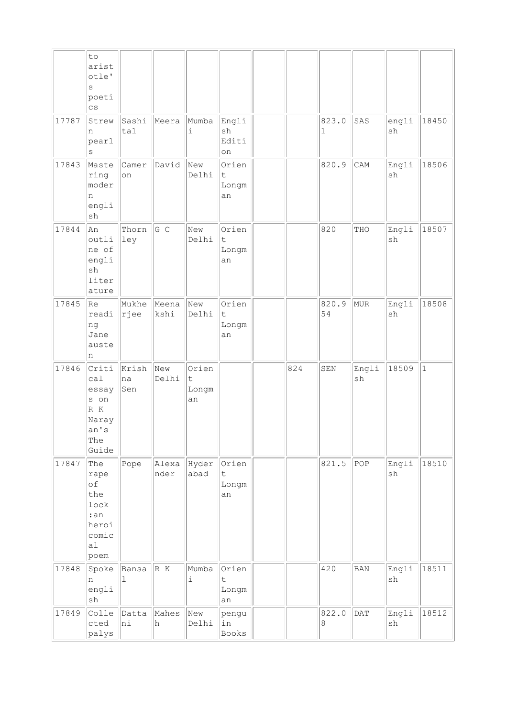|       | to<br>arist<br>otle'<br>S<br>poeti<br>$\overline{c}$ s                                    |                      |               |                              |                                     |     |                      |             |                              |              |
|-------|-------------------------------------------------------------------------------------------|----------------------|---------------|------------------------------|-------------------------------------|-----|----------------------|-------------|------------------------------|--------------|
| 17787 | Strew<br>n<br>pearl<br>$\rm s$                                                            | Sashi<br>tal         | Meera         | Mumba<br>$\dot{1}$           | Engli<br>sh<br>Editi<br>on          |     | 823.0<br>$\mathbf 1$ | SAS         | engli<br>sh                  | 18450        |
| 17843 | Maste<br>ring<br>moder<br>n<br>engli<br>sh                                                | Camer<br>on          | David         | New<br>Delhi                 | Orien<br>t<br>Longm<br>an           |     | 820.9                | CAM         | Engli<br>sh                  | 18506        |
| 17844 | An<br>outli<br>ne of<br>engli<br>sh<br>liter<br>ature                                     | Thorn<br>ley         | G C           | New<br>Delhi                 | Orien<br>t<br>Longm<br>an           |     | 820                  | THO         | Engli<br>sh                  | 18507        |
| 17845 | lRe<br>readi<br>ng<br>Jane<br>auste<br>n                                                  | Mukhe<br>$ r $ ee    | Meena<br>kshi | New<br>Delhi                 | Orien<br>$\sf t$<br>Longm<br>an     |     | 820.9<br>54          | MUR         | Engli<br>sh                  | 18508        |
| 17846 | Criti<br>ca1<br>essay<br>s on<br>$\mathbb R$ $\mathbb K$<br>Naray<br>an's<br>The<br>Guide | Krish<br>na<br>Sen   | New<br>Delhi  | Orien<br>t<br>Longm<br>an    |                                     | 824 | SEN                  | Engli<br>sh | 18509                        | $\mathbf{1}$ |
| 17847 | The<br>rape<br>оf<br>the<br>lock<br>:an<br>heroi<br>comic<br>al<br>poem                   | Pope                 | Alexa<br>nder | Hyder<br>abad                | Orien<br>t<br>Longm<br>an           |     | 821.5                | POP         | Engli<br>sh                  | 18510        |
| 17848 | Spoke<br>n<br>engli<br>sh                                                                 | Bansa<br>$\mathbf 1$ | R K           | Mumba<br>$\dot{\mathbbm{1}}$ | Orien<br>$\mathsf t$<br>Longm<br>an |     | 420                  | <b>BAN</b>  | Engli<br>$\operatorname{sh}$ | 18511        |
| 17849 | Colle<br>cted<br>palys                                                                    | Datta<br>ni          | Mahes<br>h    | New<br>Delhi                 | pengu<br>in<br>Books                |     | 822.0<br>8           | DATA        | Engli<br>sh                  | 18512        |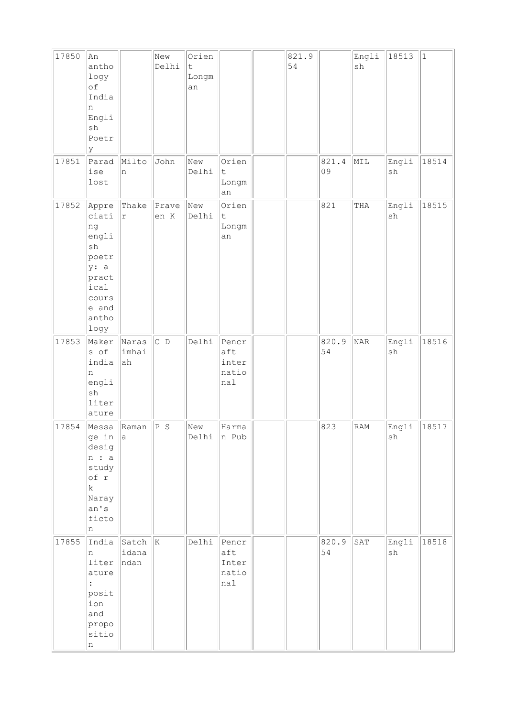| 17850 | An<br>antho<br>logy<br>оf<br>India<br>n<br>Engli<br>sh<br>Poetr<br>У                                     |                        | New<br>Delhi    | Orien<br>$\mathsf t$<br>Longm<br>an |                                       | 821.9<br>54 |             | Engli<br>sh                 | 18513                        | $\vert$ 1 |
|-------|----------------------------------------------------------------------------------------------------------|------------------------|-----------------|-------------------------------------|---------------------------------------|-------------|-------------|-----------------------------|------------------------------|-----------|
| 17851 | Parad<br>ise<br>lost                                                                                     | Milto<br>n             | John            | New<br>Delhi                        | Orien<br>$\sf t$<br>Longm<br>an       |             | 821.4<br>09 | MIL                         | Engli<br>$\operatorname{sh}$ | 18514     |
| 17852 | Appre<br>ciati<br>ng<br>engli<br>sh<br>poetr<br>y: a<br>pract<br>ical<br>cours<br>e and<br>antho<br>logy | Thake<br>r             | Prave<br>en K   | New<br>Delhi                        | Orien<br>$\mathsf t$<br>Longm<br>an   |             | 821         | THA                         | Engli<br>$\operatorname{sh}$ | 18515     |
| 17853 | Maker<br>s of<br>india<br>n<br>engli<br>sh<br>liter<br>ature                                             | Naras<br>imhai<br>ah   | $C$ D           | Delhi                               | Pencr<br>aft<br>inter<br>natio<br>nal |             | 820.9<br>54 | $\ensuremath{\mathsf{NAR}}$ | Engli<br>$\operatorname{sh}$ | 18516     |
| 17854 | Messa<br>ge in<br>desig<br>n : a<br>study<br>of r<br>$\rm k$<br>Naray<br>an's<br>ficto<br>n              | Raman<br> a            | P S             | New<br>Delhi                        | Harma<br>n Pub                        |             | 823         | RAM                         | Engli<br>$\operatorname{sh}$ | 18517     |
| 17855 | India<br>n<br>liter<br>ature<br>$\ddot{\cdot}$<br>posit<br>ion<br>and<br>propo<br>sitio<br>n             | Satch<br>idana<br>ndan | $\vert K \vert$ | Delhi                               | Pencr<br>aft<br>Inter<br>natio<br>nal |             | 820.9<br>54 | SAT                         | Engli<br>$\operatorname{sh}$ | 18518     |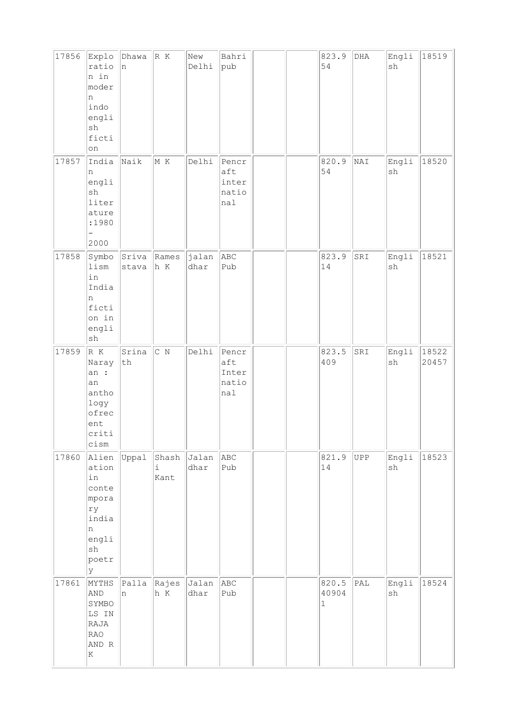| 17856 | Explo<br>ratio<br>n in<br>moder<br>n<br>indo<br>engli<br>sh<br>ficti<br>on                               | Dhawa<br>n        | R K                        | New<br>Delhi  | Bahri<br>pub                          |  | 823.9<br>54                    | $_{\rm DHA}$   | Engli<br>sh                  | 18519          |
|-------|----------------------------------------------------------------------------------------------------------|-------------------|----------------------------|---------------|---------------------------------------|--|--------------------------------|----------------|------------------------------|----------------|
| 17857 | India<br>n<br>engli<br>sh<br>liter<br>ature<br>:1980<br>2000                                             | Naik              | M K                        | Delhi         | Pencr<br>aft<br>inter<br>natio<br>nal |  | 820.9<br>54                    | NAI            | Engli<br>$\operatorname{sh}$ | 18520          |
| 17858 | Symbo<br>lism<br>in<br>India<br>n<br>ficti<br>on in<br>engli<br>${\tt sh}$                               | stava             | Sriva Rames<br>h K         | jalan<br>dhar | ABC<br>Pub                            |  | 823.9<br>14                    | SRI            | Engli<br>sh                  | 18521          |
| 17859 | R K<br>Naray<br>an :<br>an<br>antho<br>logy<br>ofrec<br>ent<br>criti<br>cism                             | Srina<br>$\tt th$ | C N                        | Delhi         | Pencr<br>aft<br>Inter<br>natio<br>nal |  | 823.5<br>409                   | SRI            | Engli<br>sh                  | 18522<br>20457 |
| 17860 | Alien<br>ation<br>in<br>conte<br>mpora<br>ry<br>india<br>n<br>engli<br>$\operatorname{sh}$<br>poetr<br>У | Uppal             | Shash<br>$\dot{1}$<br>Kant | Jalan<br>dhar | ABC<br>Pub                            |  | 821.9<br>14                    | UPP            | Engli<br>${\tt sh}$          | 18523          |
| 17861 | MYTHS<br>AND<br>SYMBO<br>LS IN<br>RAJA<br><b>RAO</b><br>AND R<br>K                                       | Palla<br>n        | Rajes<br>h K               | Jalan<br>dhar | ABC<br>Pub                            |  | 820.5<br>40904<br>$\mathbf{1}$ | $\mathtt{PAL}$ | Engli<br>sh                  | 18524          |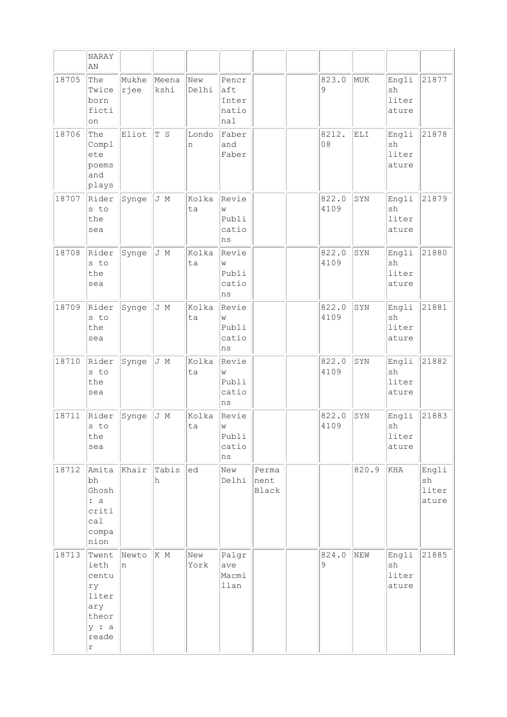|       | <b>NARAY</b><br>AN                                                           |               |               |              |                                           |                        |                      |       |                               |                               |
|-------|------------------------------------------------------------------------------|---------------|---------------|--------------|-------------------------------------------|------------------------|----------------------|-------|-------------------------------|-------------------------------|
| 18705 | The<br>Twice<br>born<br>ficti<br>on                                          | Mukhe<br>rjee | Meena<br>kshi | New<br>Delhi | Pencr<br>aft<br>Inter<br>natio<br>nal     |                        | 823.0<br>$\mathsf 9$ | MUK   | Engli<br>sh<br>liter<br>ature | 21877                         |
| 18706 | The<br>Compl<br>ete<br>poems<br>and<br>plays                                 | Eliot         | T S           | Londo<br>n   | Faber<br>and<br>Faber                     |                        | 8212.<br>08          | ELI   | Engli<br>sh<br>liter<br>ature | 21878                         |
| 18707 | Rider<br>s to<br>the<br>sea                                                  | Synge         | J M           | Kolka<br>ta  | Revie<br>W<br>Publi<br>catio<br>ns        |                        | 822.0<br>4109        | SYN   | Engli<br>sh<br>liter<br>ature | 21879                         |
| 18708 | Rider<br>s to<br>the<br>sea                                                  | Synge         | J M           | Kolka<br>ta  | Revie<br>W<br>Publi<br>catio<br>ns        |                        | 822.0<br>4109        | SYN   | Engli<br>sh<br>liter<br>ature | 21880                         |
| 18709 | Rider<br>s to<br>the<br>sea                                                  | Synge         | J M           | Kolka<br>ta  | Revie<br>W<br>Publi<br>catio<br>ns        |                        | 822.0<br>4109        | SYN   | Engli<br>sh<br>liter<br>ature | 21881                         |
| 18710 | Rider<br>s to<br>the<br>sea                                                  | Synge         | J M           | Kolka<br>ta  | Revie<br>W<br>Publi<br>catio<br>ns        |                        | 822.0<br>4109        | SYN   | Engli<br>sh<br>liter<br>ature | 21882                         |
| 18711 | Rider<br>s to<br>the<br>sea                                                  | Synge         | J M           | Kolka<br>ta  | Revie<br><b>W</b><br>Publi<br>catio<br>ns |                        | 822.0<br>4109        | SYN   | Engli<br>sh<br>liter<br>ature | 21883                         |
| 18712 | Amita<br>bh<br>Ghosh<br>: a<br>criti<br>ca1<br>compa<br>nion                 | Khair         | Tabis<br>h    | ed           | New<br>Delhi                              | Perma<br>nent<br>Black |                      | 820.9 | KHA                           | Engli<br>sh<br>liter<br>ature |
| 18713 | Twent<br>ieth<br>centu<br>ry<br>liter<br>ary<br>theor<br>y : a<br>reade<br>r | Newto<br>n    | K M           | New<br>York  | Palgr<br>ave<br>Macmi<br>llan             |                        | 824.0<br>9           | NEW   | Engli<br>sh<br>liter<br>ature | 21885                         |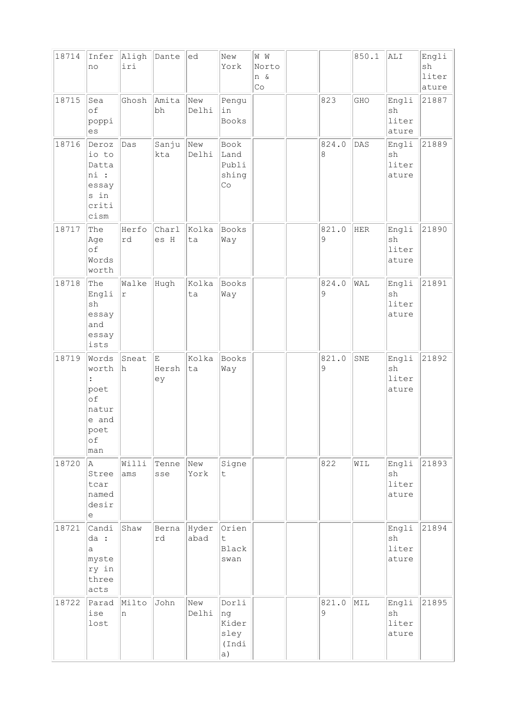| 18714 | Infer<br>no                                                                           | Aligh<br>iri | Dante             | ed                  | New<br>York                                   | W W<br>Norto<br>n &<br>Co |            | 850.1 | ALI                           | Engli<br>sh<br>liter<br>ature |
|-------|---------------------------------------------------------------------------------------|--------------|-------------------|---------------------|-----------------------------------------------|---------------------------|------------|-------|-------------------------------|-------------------------------|
| 18715 | Sea<br>of<br>poppi<br>es                                                              | Ghosh        | Amita<br>bh       | New<br>Delhi        | Pengu<br>in<br>Books                          |                           | 823        | GHO   | Engli<br>sh<br>liter<br>ature | 21887                         |
| 18716 | Deroz<br>io to<br>Datta<br>ni :<br>essay<br>s in<br>criti<br>cism                     | Das          | Sanju<br>kta      | New<br>Delhi        | Book<br>Land<br>Publi<br>shing<br>Co          |                           | 824.0<br>8 | DAS   | Engli<br>sh<br>liter<br>ature | 21889                         |
| 18717 | The<br>Age<br>of<br>Words<br>worth                                                    | Herfo<br>rd  | Charl<br>es H     | Kolka<br>ta         | Books<br>Way                                  |                           | 821.0<br>9 | HER   | Engli<br>sh<br>liter<br>ature | 21890                         |
| 18718 | The<br>Engli<br>sh<br>essay<br>and<br>essay<br>ists                                   | Walke<br>r   | Hugh              | Kolka<br>ta         | Books<br>Way                                  |                           | 824.0<br>9 | WAL   | Engli<br>sh<br>liter<br>ature | 21891                         |
| 18719 | Words<br>worth<br>$\ddot{\cdot}$<br>poet<br>of<br>natur<br>e and<br>poet<br>оf<br>man | Sneat<br>h   | E.<br>Hersh<br>ey | Kolka<br>ta         | Books<br>Way                                  |                           | 821.0<br>9 | SNE   | Engli<br>sh<br>liter<br>ature | 21892                         |
| 18720 | A.<br>Stree<br>tcar<br>named<br>desir<br>е                                            | Willi<br>ams | Tenne<br>sse      | New<br>York         | Signe<br>$\mathsf t$                          |                           | 822        | WIL   | Engli<br>sh<br>liter<br>ature | 21893                         |
| 18721 | Candi<br>da :<br>a<br>myste<br>ry in<br>three<br>acts                                 | Shaw         | rd                | Berna Hyder<br>abad | Orien<br>$\ddot{\mathsf{t}}$<br>Black<br>swan |                           |            |       | Engli<br>sh<br>liter<br>ature | 21894                         |
| 18722 | Parad<br>ise<br>lost                                                                  | Milto<br>In. | John              | New<br>Delhi        | Dorli<br>ng<br>Kider<br>sley<br>(Indi<br>a)   |                           | 821.0<br>9 | MIL   | Engli<br>sh<br>liter<br>ature | 21895                         |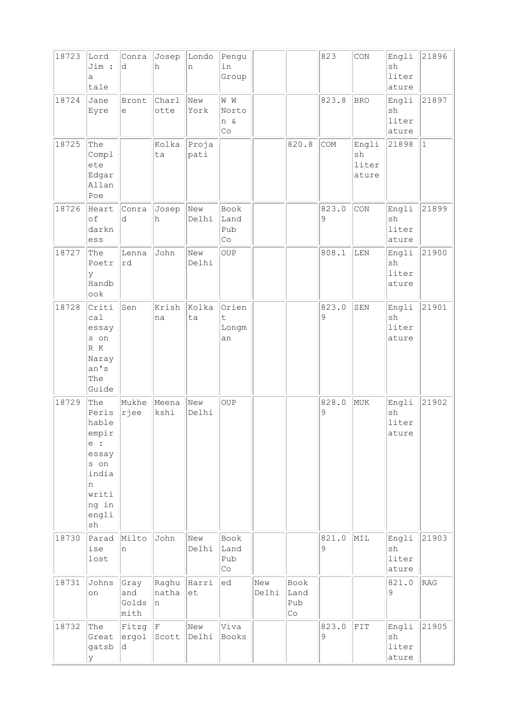| 18723 | Lord<br>Jim :<br>a<br>tale                                                                                             | Conra<br>d                   | Josep<br>h            | Londo<br>n    | Pengu<br>in<br>Group                      |              |                                           | 823        | CON                           | Engli<br>sh<br>liter<br>ature | 21896        |
|-------|------------------------------------------------------------------------------------------------------------------------|------------------------------|-----------------------|---------------|-------------------------------------------|--------------|-------------------------------------------|------------|-------------------------------|-------------------------------|--------------|
| 18724 | Jane<br>Eyre                                                                                                           | Bront<br>е                   | Charl<br>otte         | New<br>York   | W W<br>Norto<br>n &<br>Co                 |              |                                           | 823.8      | <b>BRO</b>                    | Engli<br>sh<br>liter<br>ature | 21897        |
| 18725 | The<br>Compl<br>ete<br>Edgar<br>Allan<br>Poe                                                                           |                              | Kolka<br>ta           | Proja<br>pati |                                           |              | 820.8                                     | COM        | Engli<br>sh<br>liter<br>ature | 21898                         | $\mathbf{1}$ |
| 18726 | Heart<br>of<br>darkn<br>ess                                                                                            | Conra<br>d                   | Josep<br>h            | New<br>Delhi  | Book<br>Land<br>Pub<br>$\mathbb{C} \circ$ |              |                                           | 823.0<br>9 | CON                           | Engli<br>sh<br>liter<br>ature | 21899        |
| 18727 | The<br>Poetr<br>У<br>Handb<br>ook                                                                                      | Lenna<br>rd                  | John                  | New<br>Delhi  | OUP                                       |              |                                           | 808.1      | LEN                           | Engli<br>sh<br>liter<br>ature | 21900        |
| 18728 | Criti<br>ca1<br>essay<br>s on<br>R K<br>Naray<br>an's<br>The<br>Guide                                                  | Sen                          | Krish<br>na           | Kolka<br>ta   | Orien<br>t<br>Longm<br>an                 |              |                                           | 823.0<br>9 | SEN                           | Engli<br>sh<br>liter<br>ature | 21901        |
| 18729 | The<br>Peris<br>hable<br>empir<br>e :<br>essay<br>s on<br>india<br>n<br>writi<br>ng in<br>engli<br>$\operatorname{sh}$ | Mukhe<br>rjee                | Meena<br>kshi         | New<br>Delhi  | OUP                                       |              |                                           | 828.0<br>9 | MUK                           | Engli<br>sh<br>liter<br>ature | 21902        |
| 18730 | Parad<br>ise<br>lost                                                                                                   | Milto<br>'n                  | John                  | New<br>Delhi  | Book<br>Land<br>Pub<br>Co                 |              |                                           | 821.0<br>9 | MIL                           | Engli<br>sh<br>liter<br>ature | 21903        |
| 18731 | Johns<br>on                                                                                                            | Gray<br>and<br>Golds<br>mith | Raghu<br>natha<br>In. | Harri<br>et   | ed                                        | New<br>Delhi | Book<br>Land<br>Pub<br>$\mathbb{C} \circ$ |            |                               | 821.0<br>9                    | RAG          |
| 18732 | The<br>Great<br>gatsb<br>У                                                                                             | Fitzg<br>ergol<br>d          | F<br>Scott            | New<br>Delhi  | Viva<br>Books                             |              |                                           | 823.0<br>9 | FIT                           | Engli<br>sh<br>liter<br>ature | 21905        |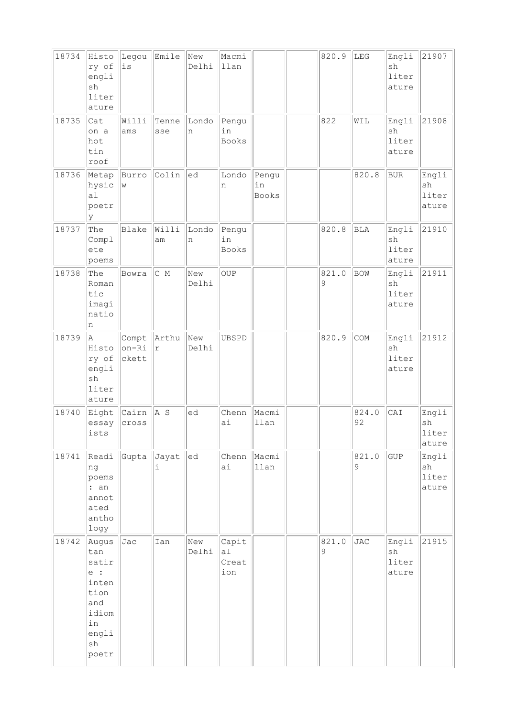| 18734 | Histo<br>ry of<br>engli<br>sh<br>liter<br>ature                                             | Legou<br>is             | Emile        | New<br>Delhi | Macmi<br>llan               |                             | 820.9      | LEG                  | Engli<br>sh<br>liter<br>ature | 21907                         |
|-------|---------------------------------------------------------------------------------------------|-------------------------|--------------|--------------|-----------------------------|-----------------------------|------------|----------------------|-------------------------------|-------------------------------|
| 18735 | Cat<br>on a<br>hot<br>tin<br>roof                                                           | Willi<br>ams            | Tenne<br>sse | Londo<br>n   | Pengu<br>in<br>Books        |                             | 822        | WIL                  | Engli<br>sh<br>liter<br>ature | 21908                         |
| 18736 | Metap<br>hysic<br>a1<br>poetr<br>ly                                                         | Burro<br>W              | Colin        | ed           | Londo<br>n                  | Pengu<br>in<br><b>Books</b> |            | 820.8                | <b>BUR</b>                    | Engli<br>sh<br>liter<br>ature |
| 18737 | The<br>Compl<br>ete<br>poems                                                                | Blake                   | Willi<br>am  | Londo<br>n   | Pengu<br>in<br>Books        |                             | 820.8      | $\operatorname{BLA}$ | Engli<br>sh<br>liter<br>ature | 21910                         |
| 18738 | The<br>Roman<br>tic<br>imagi<br>natio<br>n                                                  | Bowra                   | $C$ M        | New<br>Delhi | OUP                         |                             | 821.0<br>9 | BOW                  | Engli<br>sh<br>liter<br>ature | 21911                         |
| 18739 | A<br>Histo<br>ry of<br>engli<br>sh<br>liter<br>ature                                        | Compt<br>on-Ri<br>ckett | Arthu<br>r   | New<br>Delhi | UBSPD                       |                             | 820.9      | COM                  | Engli<br>sh<br>liter<br>ature | 21912                         |
| 18740 | Eight<br>essay<br>ists                                                                      | Cairn<br>cross          | $ A \tS$     | ed           | Chenn<br>ai                 | Macmi<br>llan               |            | 824.0<br>92          | CAI                           | Engli<br>sh<br>liter<br>ature |
| 18741 | Readi<br>ng<br>poems<br>: an<br>annot<br>ated<br>antho<br>logy                              | Gupta                   | Jayat<br>i.  | ed           | Chenn<br>ai                 | Macmi<br>llan               |            | 821.0<br>9           | GUP                           | Engli<br>sh<br>liter<br>ature |
| 18742 | Augus<br>tan<br>satir<br>e :<br>inten<br>tion<br>and<br>idiom<br>in<br>engli<br>sh<br>poetr | Jac                     | Ian          | New<br>Delhi | Capit<br>al<br>Creat<br>ion |                             | 821.0<br>9 | <b>JAC</b>           | Engli<br>sh<br>liter<br>ature | 21915                         |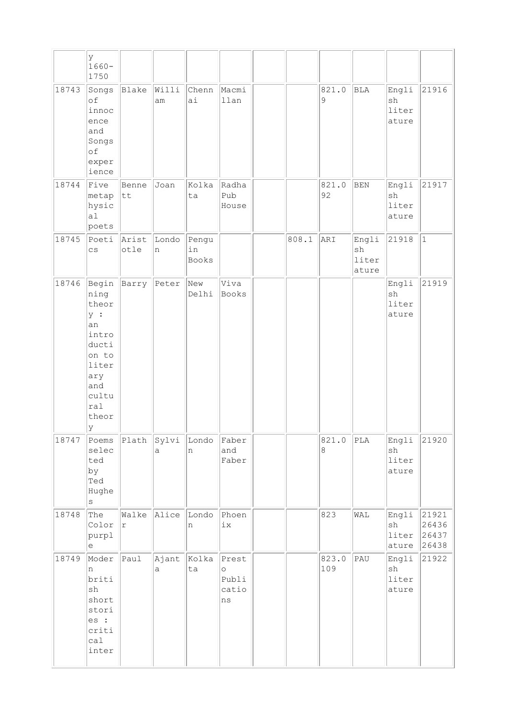|       | У<br>$1660 -$<br>1750                                                                                               |                       |             |                      |                                          |       |                           |                               |                               |                                  |
|-------|---------------------------------------------------------------------------------------------------------------------|-----------------------|-------------|----------------------|------------------------------------------|-------|---------------------------|-------------------------------|-------------------------------|----------------------------------|
| 18743 | Songs<br>of<br>innoc<br>ence<br>and<br>Songs<br>of<br>exper<br>ience                                                | Blake                 | Willi<br>am | Chenn<br>ai          | Macmi<br>llan                            |       | 821.0<br>9                | BLA                           | Engli<br>sh<br>liter<br>ature | 21916                            |
| 18744 | Five<br>metap<br>hysic<br>a1<br>poets                                                                               | Benne<br> tt          | Joan        | Kolka<br>ta          | Radha<br>Pub<br>House                    |       | 821.0<br>92               | $\rm BEN$                     | Engli<br>sh<br>liter<br>ature | 21917                            |
| 18745 | Poeti<br>$\mathsf{CS}\phantom{0}$                                                                                   | Arist<br>otle         | Londo<br>n  | Pengu<br>in<br>Books |                                          | 808.1 | ARI                       | Engli<br>sh<br>liter<br>ature | 21918                         | $ 1\rangle$                      |
| 18746 | Begin<br>ning<br>theor<br>y :<br>an<br>intro<br>ducti<br>on to<br>liter<br>ary<br>and<br>cultu<br>ral<br>theor<br>У | Barry                 | Peter       | New<br>Delhi         | Viva<br>Books                            |       |                           |                               | Engli<br>sh<br>liter<br>ature | 21919                            |
| 18747 | Poems<br>selec<br>ted<br>by<br>Ted<br>Hughe<br>$\rm s$                                                              | Plath                 | Sylvi<br>a  | Londo<br>n           | Faber<br>and<br>Faber                    |       | 821.0<br>$\boldsymbol{8}$ | $\ensuremath{\mathrm{PLA}}$   | Engli<br>sh<br>liter<br>ature | 21920                            |
| 18748 | The<br>Color<br>purpl<br>е                                                                                          | Walke<br>$\mathtt{r}$ | Alice       | Londo<br>n           | Phoen<br>$\rm i\,x$                      |       | 823                       | WAL                           | Engli<br>sh<br>liter<br>ature | 21921<br>26436<br>26437<br>26438 |
| 18749 | Moder<br>n<br>briti<br>$\operatorname{sh}$<br>short<br>stori<br>es :<br>criti<br>ca1<br>inter                       | Paul                  | Ajant<br>a  | Kolka<br>ta          | Prest<br>$\circ$<br>Publi<br>catio<br>ns |       | 823.0<br>109              | PAU                           | Engli<br>sh<br>liter<br>ature | 21922                            |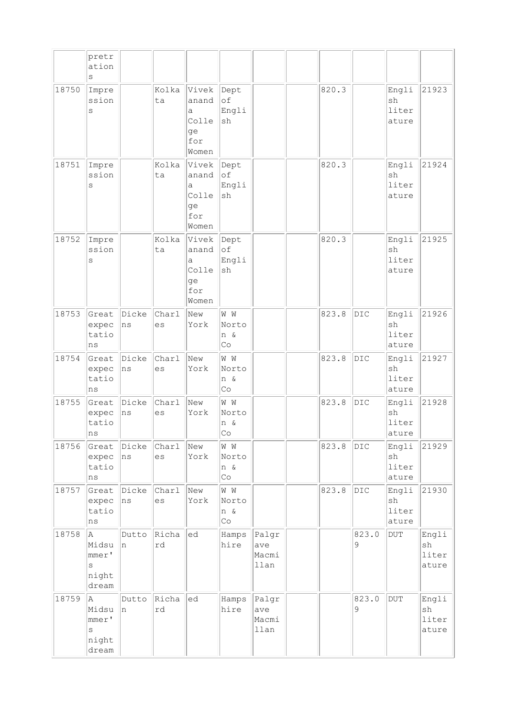|       | pretr<br>ation<br>S                        |             |             |                                                    |                                           |                               |       |                |                               |                               |
|-------|--------------------------------------------|-------------|-------------|----------------------------------------------------|-------------------------------------------|-------------------------------|-------|----------------|-------------------------------|-------------------------------|
| 18750 | Impre<br>ssion<br>S                        |             | Kolka<br>ta | Vivek<br>anand<br>а<br>Colle<br>ge<br>for<br>Women | Dept<br>$\circ$ f<br>Engli<br>sh          |                               | 820.3 |                | Engli<br>sh<br>liter<br>ature | 21923                         |
| 18751 | Impre<br>ssion<br>S                        |             | Kolka<br>ta | Vivek<br>anand<br>a<br>Colle<br>ge<br>for<br>Women | Dept<br>of<br>Engli<br>sh                 |                               | 820.3 |                | Engli<br>sh<br>liter<br>ature | 21924                         |
| 18752 | Impre<br>ssion<br>$\rm s$                  |             | Kolka<br>ta | Vivek<br>anand<br>а<br>Colle<br>ge<br>for<br>Women | Dept<br>of<br>Engli<br>sh                 |                               | 820.3 |                | Engli<br>sh<br>liter<br>ature | 21925                         |
| 18753 | Great<br>expec<br>tatio<br>ns              | Dicke<br>ns | Charl<br>es | New<br>York                                        | W W<br>Norto<br>n &<br>Co                 |                               | 823.8 | DIC            | Engli<br>sh<br>liter<br>ature | 21926                         |
| 18754 | Great<br>expec<br>tatio<br>ns              | Dicke<br>ns | Charl<br>es | New<br>York                                        | W W<br>Norto<br>n &<br>Co                 |                               | 823.8 | DIC            | Engli<br>sh<br>liter<br>ature | 21927                         |
| 18755 | Great<br>expec<br>tatio<br>ns              | Dicke<br>ns | Charl<br>es | New<br>York                                        | W W<br>Norto<br>n &<br>Co.                |                               | 823.8 | DIC            | Engli<br>sh<br>liter<br>ature | 21928                         |
| 18756 | Great<br>expec<br>tatio<br>ns              | Dicke<br>ns | Charl<br>es | New<br>York                                        | W W<br>Norto<br>n &<br>$\mathbb{C} \circ$ |                               | 823.8 | $\mathtt{DIC}$ | Engli<br>sh<br>liter<br>ature | 21929                         |
| 18757 | Great<br>expec<br>tatio<br>$\rm ns$        | Dicke<br>ns | Charl<br>es | New<br>York                                        | M M<br>Norto<br>n &<br>$\mathbb{C} \circ$ |                               | 823.8 | DIC            | Engli<br>sh<br>liter<br>ature | 21930                         |
| 18758 | A<br>Midsu<br>mmer'<br>S<br>night<br>dream | Dutto<br>n  | Richa<br>rd | ed                                                 | Hamps<br>hire                             | Palgr<br>ave<br>Macmi<br>llan |       | 823.0<br>9     | <b>DUT</b>                    | Engli<br>sh<br>liter<br>ature |
| 18759 | A<br>Midsu<br>mmer'<br>S<br>night<br>dream | Dutto<br>n  | Richa<br>rd | ed                                                 | Hamps<br>hire                             | Palgr<br>ave<br>Macmi<br>llan |       | 823.0<br>9     | $\overline{\text{DUT}}$       | Engli<br>sh<br>liter<br>ature |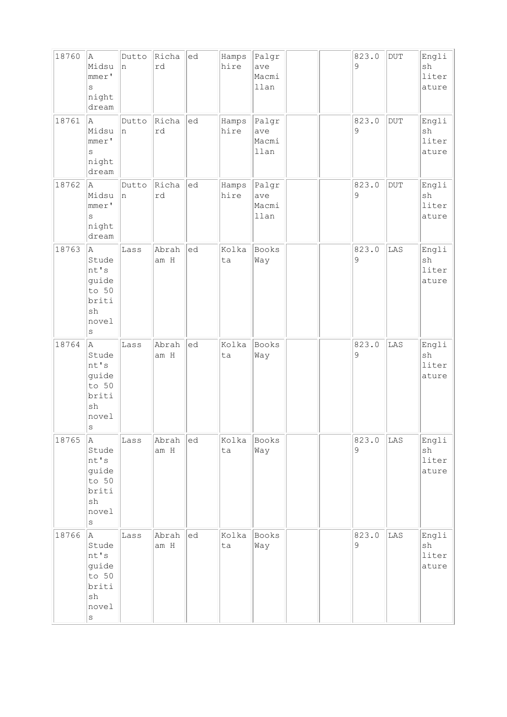| 18760 | A<br>Midsu<br>mmer'<br>$\rm s$<br>night<br>dream                                         | Dutto<br>n | Richa<br>rd   | ed | Hamps<br>hire | Palgr<br>ave<br>Macmi<br>llan |  | 823.0<br>9 | DUT | Engli<br>sh<br>liter<br>ature |
|-------|------------------------------------------------------------------------------------------|------------|---------------|----|---------------|-------------------------------|--|------------|-----|-------------------------------|
| 18761 | la.<br>Midsu<br>mmer'<br>$\rm s$<br>night<br>dream                                       | Dutto<br>n | Richa<br>rd   | ed | Hamps<br>hire | Palgr<br>ave<br>Macmi<br>llan |  | 823.0<br>9 | DUT | Engli<br>sh<br>liter<br>ature |
| 18762 | A<br>Midsu<br>mmer'<br>$\rm s$<br>night<br>dream                                         | Dutto<br>n | Richa<br>rd   | ed | Hamps<br>hire | Palgr<br>ave<br>Macmi<br>llan |  | 823.0<br>9 | DUT | Engli<br>sh<br>liter<br>ature |
| 18763 | la.<br>Stude<br>nt's<br>guide<br>to 50<br>briti<br>sh<br>novel<br>$\rm s$                | Lass       | Abrah<br>am H | ed | Kolka<br>ta   | Books<br>Way                  |  | 823.0<br>9 | LAS | Engli<br>sh<br>liter<br>ature |
| 18764 | A.<br>Stude<br>nt's<br>guide<br>to 50<br>briti<br>sh<br>novel<br>$\rm s$                 | Lass       | Abrah<br>am H | ed | Kolka<br>ta   | Books<br>Way                  |  | 823.0<br>9 | LAS | Engli<br>sh<br>liter<br>ature |
| 18765 | A,<br>Stude<br>nt's<br>guide<br>to 50<br>briti<br>sh<br>novel<br>$\rm s$                 | Lass       | Abrah<br>am H | ed | Kolka<br>ta   | Books<br>Way                  |  | 823.0<br>9 | LAS | Engli<br>sh<br>liter<br>ature |
| 18766 | A<br>Stude<br>nt's<br>guide<br>to 50<br>briti<br>$\operatorname{sh}$<br>novel<br>$\rm s$ | Lass       | Abrah<br>am H | ed | Kolka<br>ta   | Books<br>Way                  |  | 823.0<br>9 | LAS | Engli<br>sh<br>liter<br>ature |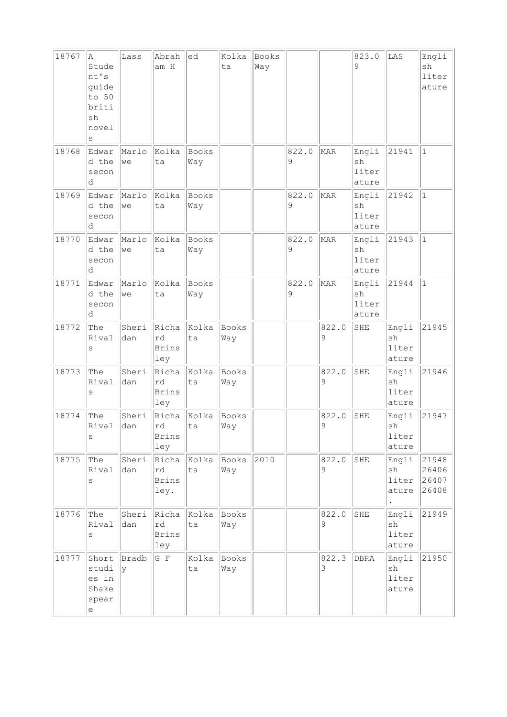| 18767 | Α<br>Stude<br>nt's<br>guide<br>to 50<br>briti<br>sh<br>novel<br>S                     | Lass         | Abrah<br>am H                       | ed                  | Kolka<br>ta  | Books<br>Way |            |            | 823.0<br>9                    | LAS                           | Engli<br>sh<br>liter<br>ature    |
|-------|---------------------------------------------------------------------------------------|--------------|-------------------------------------|---------------------|--------------|--------------|------------|------------|-------------------------------|-------------------------------|----------------------------------|
| 18768 | Edwar<br>d the<br>secon<br>d                                                          | Marlo<br>we  | Kolka<br>ta                         | Books<br>Way        |              |              | 822.0<br>9 | MAR        | Engli<br>sh<br>liter<br>ature | 21941                         | $\mathbf{1}$                     |
| 18769 | Edwar<br>d the<br>secon<br>d                                                          | Marlo<br>we  | Kolka<br>ta                         | <b>Books</b><br>Way |              |              | 822.0<br>9 | MAR        | Engli<br>sh<br>liter<br>ature | 21942                         | $\vert$ 1                        |
| 18770 | Edwar<br>d the<br>secon<br>d                                                          | Marlo<br>we  | Kolka<br>ta                         | Books<br>Way        |              |              | 822.0<br>9 | MAR        | Engli<br>sh<br>liter<br>ature | 21943                         | $\vert$ 1                        |
| 18771 | Edwar<br>d the<br>secon<br>d                                                          | Marlo<br>we  | Kolka<br>ta                         | Books<br>Way        |              |              | 822.0<br>9 | MAR        | Engli<br>sh<br>liter<br>ature | 21944                         | $ 1\rangle$                      |
| 18772 | The<br>Rival<br>S                                                                     | Sheri<br>dan | Richa<br>rd<br><b>Brins</b><br>ley  | Kolka<br>ta         | Books<br>Way |              |            | 822.0<br>9 | SHE                           | Engli<br>sh<br>liter<br>ature | 21945                            |
| 18773 | The<br>Rival<br>S                                                                     | Sheri<br>dan | Richa<br>rd<br><b>Brins</b><br>ley  | Kolka<br>ta         | Books<br>Way |              |            | 822.0<br>9 | SHE                           | Engli<br>sh<br>liter<br>ature | 21946                            |
| 18774 | The<br>Rival<br>S                                                                     | Sheri<br>dan | Richa<br>rd<br><b>Brins</b><br>ley  | Kolka<br>ta         | Books<br>Way |              |            | 822.0<br>9 | SHE                           | Engli<br>sh<br>liter<br>ature | 21947                            |
| 18775 | The<br>Rival<br>S                                                                     | Sheri<br>dan | Richa<br>rd<br><b>Brins</b><br>ley. | Kolka<br>ta         | Books<br>Way | 2010         |            | 822.0<br>9 | SHE                           | Engli<br>sh<br>liter<br>ature | 21948<br>26406<br>26407<br>26408 |
| 18776 | The<br>Rival<br>S                                                                     | Sheri<br>dan | Richa<br>rd<br><b>Brins</b><br>ley  | Kolka<br>ta         | Books<br>Way |              |            | 822.0<br>9 | SHE                           | Engli<br>sh<br>liter<br>ature | 21949                            |
| 18777 | Short<br>studi<br>es in<br>Shake<br>spear<br>$\mathrel{\mathop{\mathrm{e}}\nolimits}$ | Bradb<br> y  | G F                                 | Kolka<br>ta         | Books<br>Way |              |            | 822.3<br>3 | DBRA                          | Engli<br>sh<br>liter<br>ature | 21950                            |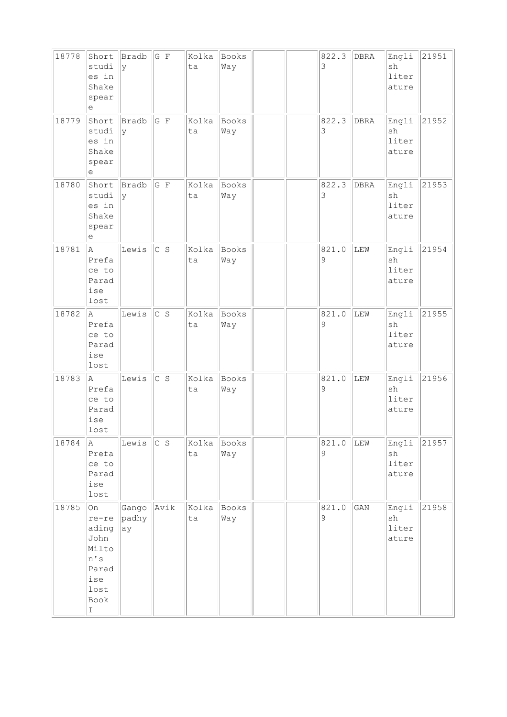| 18778 | Short<br>studi<br>es in<br>Shake<br>spear<br>е                                                       | Bradb<br>y           | $G$ F       | Kolka<br>ta | <b>Books</b><br>Way |  | 822.3<br>3            | DBRA | Engli<br>sh<br>liter<br>ature | 21951 |
|-------|------------------------------------------------------------------------------------------------------|----------------------|-------------|-------------|---------------------|--|-----------------------|------|-------------------------------|-------|
| 18779 | Short<br>studi<br>es in<br>Shake<br>spear<br>е                                                       | Bradb<br>lγ          | G F         | Kolka<br>ta | Books<br>Way        |  | 822.3<br>3            | DBRA | Engli<br>sh<br>liter<br>ature | 21952 |
| 18780 | Short<br>studi<br>es in<br>Shake<br>spear<br>е                                                       | Bradb<br> y          | $G$ $F$     | Kolka<br>ta | Books<br>Way        |  | 822.3<br>3            | DBRA | Engli<br>sh<br>liter<br>ature | 21953 |
| 18781 | la.<br>Prefa<br>ce to<br>Parad<br>ise<br>lost                                                        | Lewis                | $ c\>$ s    | Kolka<br>ta | Books<br>Way        |  | 821.0<br>9            | LEW  | Engli<br>sh<br>liter<br>ature | 21954 |
| 18782 | A.<br>Prefa<br>ce to<br>Parad<br>ise<br>lost                                                         | Lewis                | $\vert$ c s | Kolka<br>ta | Books<br>Way        |  | 821.0<br>9            | LEW  | Engli<br>sh<br>liter<br>ature | 21955 |
| 18783 | A<br>Prefa<br>ce to<br>Parad<br>ise<br>lost                                                          | Lewis                | C S         | Kolka<br>ta | Books<br>Way        |  | 821.0<br>9            | LEW  | Engli<br>sh<br>liter<br>ature | 21956 |
| 18784 | A<br>Prefa<br>ce to<br>Parad<br>ise<br>lost                                                          | Lewis                | C S         | Kolka<br>ta | Books<br>Way        |  | 821.0<br>9            | LEW  | Engli<br>sh<br>liter<br>ature | 21957 |
| 18785 | <b>On</b><br>re-re<br>ading<br>John<br>Milto<br>n's<br>Parad<br>ise<br>lost<br>Book<br>$\mathbbm{I}$ | Gango<br>padhy<br>ay | Avik        | Kolka<br>ta | Books<br>Way        |  | 821.0<br>$\mathsf{S}$ | GAN  | Engli<br>sh<br>liter<br>ature | 21958 |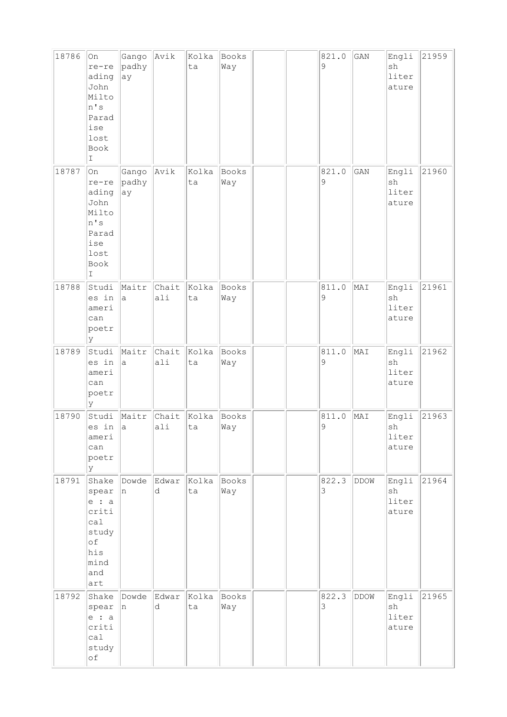| 18786 | On<br>re-re<br>ading<br>John<br>Milto<br>n's<br>Parad<br>ise<br>lost<br>Book<br>I     | Gango<br>padhy<br>ay | Avik         | Kolka<br>ta | Books<br>Way |  | 821.0<br>9           | GAN  | Engli<br>sh<br>liter<br>ature         | 21959 |
|-------|---------------------------------------------------------------------------------------|----------------------|--------------|-------------|--------------|--|----------------------|------|---------------------------------------|-------|
| 18787 | On<br>re-re<br>ading<br>John<br>Milto<br>n's<br>Parad<br>ise<br>lost<br>Book<br>I     | Gango<br>padhy<br>ay | Avik         | Kolka<br>ta | Books<br>Way |  | 821.0<br>9           | GAN  | Engli<br>sh<br>liter<br>ature         | 21960 |
| 18788 | Studi<br>es in<br>ameri<br>can<br>poetr<br>ly                                         | Maitr<br>a           | Chait<br>ali | Kolka<br>ta | Books<br>Way |  | 811.0<br>9           | MAI  | Engli<br>sh<br>liter<br>ature         | 21961 |
| 18789 | Studi<br>es in<br>ameri<br>can<br>poetr<br>lУ                                         | Maitr<br>a           | Chait<br>ali | Kolka<br>ta | Books<br>Way |  | 811.0<br>9           | MAI  | Engli<br>sh<br>liter<br>ature         | 21962 |
| 18790 | Studi<br>es in<br>ameri<br>can<br>poetr<br>lУ                                         | Maitr<br> a          | Chait<br>ali | Kolka<br>ta | Books<br>Way |  | 811.0<br>$\mathsf 9$ | MAI  | Engli<br>${\rm sh}$<br>liter<br>ature | 21963 |
| 18791 | Shake<br>spear<br>$e$ : a<br>criti<br>cal<br>study<br>of<br>his<br>mind<br>and<br>art | Dowde<br>In          | Edwar<br>d   | Kolka<br>ta | Books<br>Way |  | 822.3<br>3           | DDOW | Engli<br>sh<br>liter<br>ature         | 21964 |
| 18792 | Shake<br>spear<br>$e$ : a<br>criti<br>ca1<br>study<br>of                              | Dowde<br>In.         | Edwar<br>d   | Kolka<br>ta | Books<br>Way |  | 822.3<br>3           | DDOW | Engli<br>sh<br>liter<br>ature         | 21965 |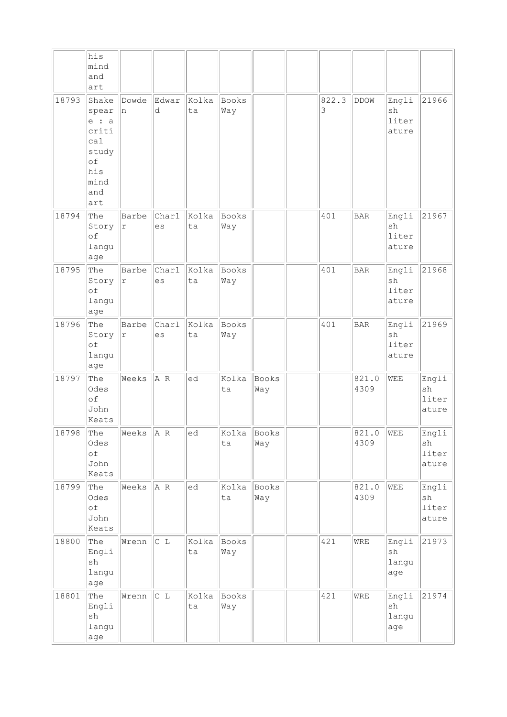|       | his<br>mind<br>and<br>art                                                             |                     |             |             |                   |                     |            |                   |                               |                               |
|-------|---------------------------------------------------------------------------------------|---------------------|-------------|-------------|-------------------|---------------------|------------|-------------------|-------------------------------|-------------------------------|
| 18793 | Shake<br>spear<br>$e$ : a<br>criti<br>ca1<br>study<br>of<br>his<br>mind<br>and<br>art | Dowde<br>In.        | Edwar<br>d  | Kolka<br>ta | Books<br>Way      |                     | 822.3<br>3 | <b>DDOW</b>       | Engli<br>sh<br>liter<br>ature | 21966                         |
| 18794 | The<br>Story<br>of<br>langu<br>age                                                    | Barbe<br>$\Upsilon$ | Charl<br>es | Kolka<br>ta | Books<br>Way      |                     | 401        | <b>BAR</b>        | Engli<br>sh<br>liter<br>ature | 21967                         |
| 18795 | The<br>Story<br>of<br>langu<br>age                                                    | Barbe<br>r          | Charl<br>es | Kolka<br>ta | Books<br>Way      |                     | 401        | <b>BAR</b>        | Engli<br>sh<br>liter<br>ature | 21968                         |
| 18796 | The<br>Story<br>of<br>langu<br>age                                                    | Barbe<br>r          | Charl<br>es | Kolka<br>ta | Books<br>Way      |                     | 401        | <b>BAR</b>        | Engli<br>sh<br>liter<br>ature | 21969                         |
| 18797 | The<br>Odes<br>of<br>John<br>Keats                                                    | Weeks               | A R         | ed          | Kolka<br>ta       | <b>Books</b><br>Way |            | 821.0<br>4309     | WEE                           | Engli<br>sh<br>liter<br>ature |
| 18798 | The<br>Odes<br>$\circ f$<br>John<br>Keats                                             | Weeks               | $ A \ R$    | ed          | Kolka Books<br>ta | Way                 |            | 821.0 WEE<br>4309 |                               | Engli<br>sh<br>liter<br>ature |
| 18799 | The<br>Odes<br>of<br>John<br>Keats                                                    | Weeks               | A R         | ed          | Kolka<br>ta       | Books<br>Way        |            | 821.0<br>4309     | WEE                           | Engli<br>sh<br>liter<br>ature |
| 18800 | The<br>Engli<br>$\operatorname{sh}$<br>langu<br>age                                   | Wrenn               | C L         | Kolka<br>ta | Books<br>Way      |                     | 421        | WRE               | Engli<br>sh<br>langu<br>age   | 21973                         |
| 18801 | The<br>Engli<br>sh<br>langu<br>age                                                    | Wrenn               | C L         | Kolka<br>ta | Books<br>Way      |                     | 421        | WRE               | Engli<br>sh<br>langu<br>age   | 21974                         |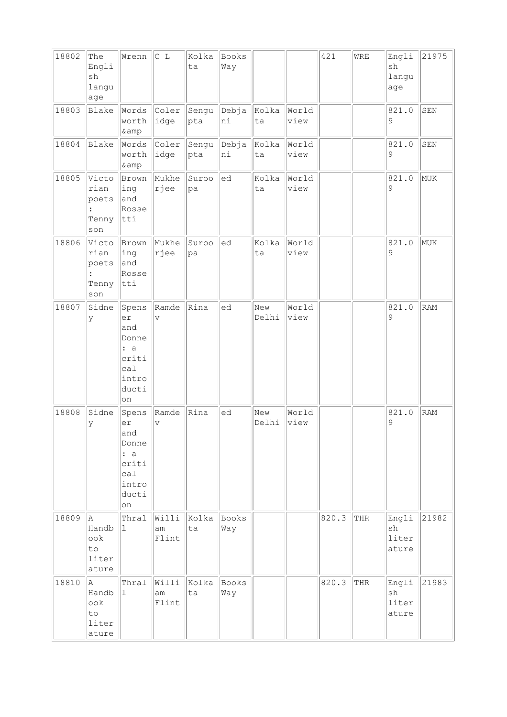| 18802 | The<br>Engli<br>sh<br>langu<br>age                     | Wrenn                                                                      | C L                              | Kolka<br>ta  | Books<br>Way        |              |               | 421   | WRE | Engli<br>sh<br>langu<br>age   | 21975      |
|-------|--------------------------------------------------------|----------------------------------------------------------------------------|----------------------------------|--------------|---------------------|--------------|---------------|-------|-----|-------------------------------|------------|
| 18803 | Blake                                                  | Words<br>worth<br>& amp                                                    | Coler<br> idge                   | Sengu<br>pta | Debja<br>ni         | Kolka<br>ta  | World<br>view |       |     | 821.0<br>9                    | SEN        |
| 18804 | Blake                                                  | Words<br>worth<br>& amp                                                    | Coler<br>idge                    | Sengu<br>pta | Debja<br>ni         | Kolka<br>ta  | World<br>view |       |     | 821.0<br>9                    | SEN        |
| 18805 | Victo<br>rian<br>poets<br>Tenny<br>son                 | Brown<br>ing<br>and<br>Rosse<br>$ $ tti                                    | Mukhe<br>rjee                    | Suroo<br>pa  | ed                  | Kolka<br>ta  | World<br>view |       |     | 821.0<br>9                    | MUK        |
| 18806 | Victo<br>rian<br>poets<br>Tenny<br>son                 | Brown<br>ing<br>and<br>Rosse<br>$ $ tti                                    | Mukhe<br>rjee                    | Suroo<br>pa  | ed                  | Kolka<br>ta  | World<br>view |       |     | 821.0<br>9                    | MUK        |
| 18807 | Sidne<br>У                                             | Spens<br>er<br>and<br>Donne<br>: a<br>criti<br>ca1<br>intro<br>ducti<br>on | Ramde<br>$\overline{\mathbf{V}}$ | Rina         | ed                  | New<br>Delhi | World<br>view |       |     | 821.0<br>9                    | <b>RAM</b> |
| 18808 | Sidne<br>У                                             | Spens<br>er<br>and<br>Donne<br>: a<br>criti<br>ca1<br>intro<br>ducti<br>on | Ramde<br>$\vee$                  | Rina         | ed                  | New<br>Delhi | World<br>view |       |     | 821.0<br>9                    | RAM        |
| 18809 | A.<br>Handb<br>$\circ \circ k$<br>to<br>liter<br>ature | Thral<br>$\mathbf 1$                                                       | Willi<br>am<br>Flint             | Kolka<br>ta  | Books<br>Way        |              |               | 820.3 | THR | Engli<br>sh<br>liter<br>ature | 21982      |
| 18810 | A<br>Handb<br>ook<br>to<br>liter<br>ature              | Thral<br>$\mathbf{1}$                                                      | Willi<br>am<br>Flint             | Kolka<br>ta  | <b>Books</b><br>Way |              |               | 820.3 | THR | Engli<br>sh<br>liter<br>ature | 21983      |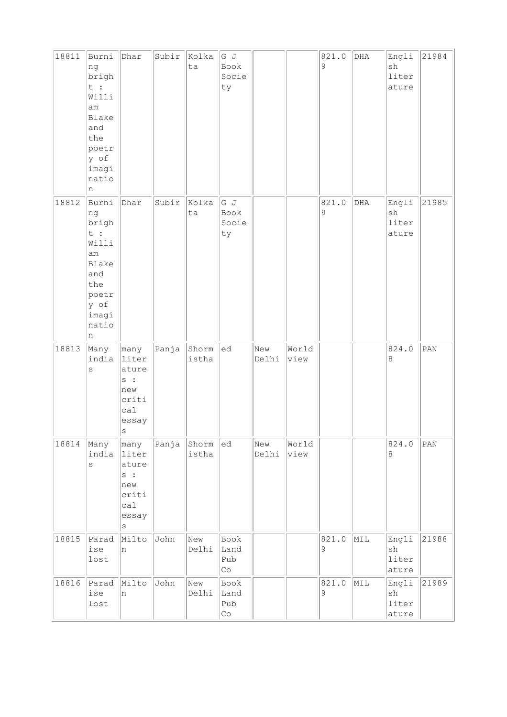| 18811 | Burni<br>ng<br>brigh<br>t :<br>Willi<br>am<br>Blake<br>and<br>the<br>poetr<br>y of<br>imagi<br>natio<br>n | Dhar                                                                     | Subir | Kolka<br>ta    | G J<br>Book<br>Socie<br>ty                |              |               | 821.0<br>9 | DHA | Engli<br>sh<br>liter<br>ature                  | 21984 |
|-------|-----------------------------------------------------------------------------------------------------------|--------------------------------------------------------------------------|-------|----------------|-------------------------------------------|--------------|---------------|------------|-----|------------------------------------------------|-------|
| 18812 | Burni<br>ng<br>brigh<br>t :<br>Willi<br>am<br>Blake<br>and<br>the<br>poetr<br>y of<br>imagi<br>natio<br>n | Dhar                                                                     | Subir | Kolka<br>ta    | G J<br>Book<br>Socie<br>ty                |              |               | 821.0<br>9 | DHA | Engli<br>sh<br>liter<br>ature                  | 21985 |
| 18813 | Many<br>india<br>$\rm s$                                                                                  | many<br>liter<br>ature<br>s :<br>new<br>criti<br>ca1<br>essay<br> s      | Panja | Shorm<br>istha | ed                                        | New<br>Delhi | World<br>view |            |     | 824.0<br>8                                     | PAN   |
| 18814 | Many<br>india<br>$\rm s$                                                                                  | many<br>liter<br>ature<br>s :<br>new<br>criti<br>ca1<br>essay<br>$\rm s$ | Panja | Shorm<br>istha | ed                                        | New<br>Delhi | World<br>view |            |     | 824.0<br>$\,8\,$                               | PAN   |
| 18815 | Parad<br>ise<br>lost                                                                                      | Milto<br>n                                                               | John  | New<br>Delhi   | Book<br>Land<br>Pub<br>$\mathbb{C} \circ$ |              |               | 821.0<br>9 | MIL | Engli<br>$\operatorname{sh}$<br>liter<br>ature | 21988 |
| 18816 | Parad<br>ise<br>lost                                                                                      | Milto<br>n                                                               | John  | New<br>Delhi   | Book<br>Land<br>Pub<br>$\mathbb{C} \circ$ |              |               | 821.0<br>9 | MIL | Engli<br>$\operatorname{sh}$<br>liter<br>ature | 21989 |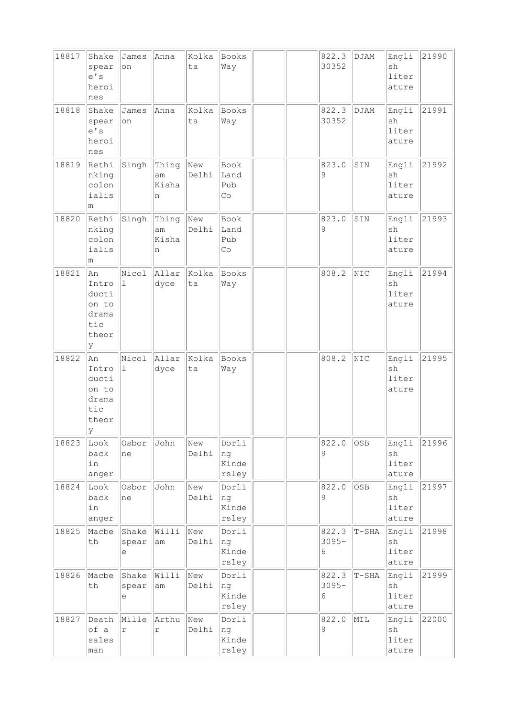| 18817 | Shake<br>spear<br>e' s<br>heroi<br>nes                      | James<br>on          | Anna                      | Kolka<br>ta  | Books<br>Way                   |  | 822.3<br>30352         | DJAM    | Engli<br>sh<br>liter<br>ature | 21990 |
|-------|-------------------------------------------------------------|----------------------|---------------------------|--------------|--------------------------------|--|------------------------|---------|-------------------------------|-------|
| 18818 | Shake<br>spear<br>e' s<br>heroi<br>nes                      | James<br>on          | Anna                      | Kolka<br>ta  | Books<br>Way                   |  | 822.3<br>30352         | DJAM    | Engli<br>sh<br>liter<br>ature | 21991 |
| 18819 | Rethi<br>nking<br>colon<br>ialis<br>m                       | Singh                | Thing<br>am<br>Kisha<br>n | New<br>Delhi | Book<br>Land<br>Pub<br>Co      |  | 823.0<br>9             | SIN     | Engli<br>sh<br>liter<br>ature | 21992 |
| 18820 | Rethi<br>nking<br>colon<br>ialis<br>m                       | Singh                | Thing<br>am<br>Kisha<br>n | New<br>Delhi | Book<br>Land<br>Pub<br>Co      |  | 823.0<br>9             | SIN     | Engli<br>sh<br>liter<br>ature | 21993 |
| 18821 | An<br>Intro<br>ducti<br>on to<br>drama<br>tic<br>theor<br>У | Nicol<br>ı           | Allar<br>dyce             | Kolka<br>ta  | Books<br>Way                   |  | 808.2                  | NIC     | Engli<br>sh<br>liter<br>ature | 21994 |
| 18822 | An<br>Intro<br>ducti<br>on to<br>drama<br>tic<br>theor<br>У | Nicol<br>$\mathbf 1$ | Allar<br>dyce             | Kolka<br>ta  | Books<br>Way                   |  | 808.2                  | NIC     | Engli<br>sh<br>liter<br>ature | 21995 |
| 18823 | Look<br>back<br>in<br>anger                                 | Osbor<br>ne          | John                      | New<br>Delhi | Dorli<br>ng<br>Kinde<br>rsley  |  | 822.0<br>9             | OSB     | Engli<br>sh<br>liter<br>ature | 21996 |
| 18824 | Look<br>back<br>in<br>anger                                 | Osbor<br>ne          | John                      | New<br>Delhi | Dorli<br>ng<br>Kinde<br>rsley  |  | 822.0<br>9             | OSB     | Engli<br>sh<br>liter<br>ature | 21997 |
| 18825 | Macbe<br>th                                                 | Shake<br>spear<br>е  | Willi<br>am               | New<br>Delhi | Dorli<br> ng<br>Kinde<br>rsley |  | 822.3<br>$3095 -$<br>6 | $T-SHA$ | Engli<br>sh<br>liter<br>ature | 21998 |
| 18826 | Macbe<br>th                                                 | Shake<br>spear<br>е  | Willi<br>am               | New<br>Delhi | Dorli<br>ng<br>Kinde<br>rsley  |  | 822.3<br>$3095 -$<br>6 | $T-SHA$ | Engli<br>sh<br>liter<br>ature | 21999 |
| 18827 | Death<br>of a<br>sales<br>man                               | Mille<br>$\Upsilon$  | Arthu<br>$\Upsilon$       | New<br>Delhi | Dorli<br>ng<br>Kinde<br>rsley  |  | 822.0<br>$\mathsf 9$   | MIL     | Engli<br>sh<br>liter<br>ature | 22000 |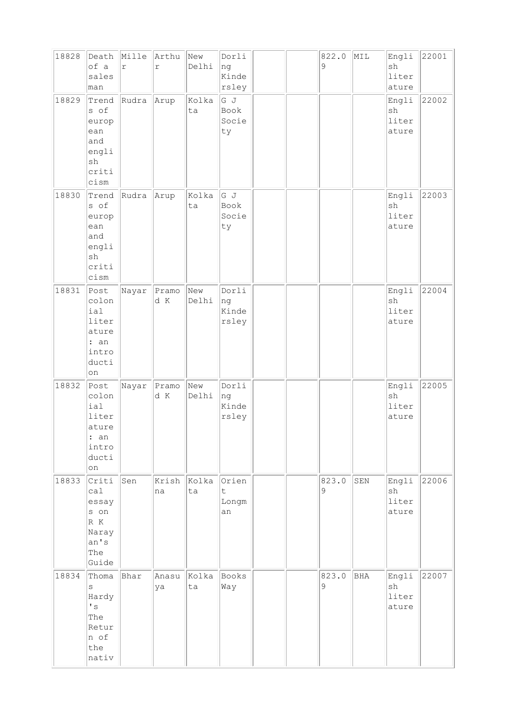| 18828 | Death<br>of a<br>sales<br>man                                                            | Mille<br>$\Upsilon$ | Arthu<br>$\Gamma$ | New<br>Delhi | Dorli<br>ng<br>Kinde<br>rsley |  | 822.0<br>9 | MIL | Engli<br>sh<br>liter<br>ature | 22001 |
|-------|------------------------------------------------------------------------------------------|---------------------|-------------------|--------------|-------------------------------|--|------------|-----|-------------------------------|-------|
| 18829 | Trend<br>s of<br>europ<br>ean<br>and<br>engli<br>sh<br>criti<br>cism                     | Rudra               | Arup              | Kolka<br>ta  | G J<br>Book<br>Socie<br>ty    |  |            |     | Engli<br>sh<br>liter<br>ature | 22002 |
| 18830 | Trend<br>s of<br>europ<br>ean<br>and<br>engli<br>sh<br>criti<br>cism                     | Rudra               | Arup              | Kolka<br>ta  | G J<br>Book<br>Socie<br>ty    |  |            |     | Engli<br>sh<br>liter<br>ature | 22003 |
| 18831 | Post<br>colon<br>ial<br>liter<br>ature<br>: an<br>intro<br>ducti<br>on                   | Nayar               | Pramo<br>d K      | New<br>Delhi | Dorli<br>ng<br>Kinde<br>rsley |  |            |     | Engli<br>sh<br>liter<br>ature | 22004 |
| 18832 | Post<br>colon<br>ial<br>liter<br>ature<br>: an<br>intro<br>ducti<br>on                   | Nayar               | Pramo<br>d K      | New<br>Delhi | Dorli<br>ng<br>Kinde<br>rsley |  |            |     | Engli<br>sh<br>liter<br>ature | 22005 |
| 18833 | Criti<br>cal<br>essay<br>s on<br>$R$ $K$<br>Naray<br>an's<br>The<br>Guide                | Sen                 | Krish<br>na       | Kolka<br>ta  | Orien<br>t.<br>Longm<br>an    |  | 823.0<br>9 | SEN | Engli<br>sh<br>liter<br>ature | 22006 |
| 18834 | Thoma<br>S<br>Hardy<br>$\mathbf{I}$ $\mathbf{S}$<br>The<br>Retur<br>n of<br>the<br>nativ | Bhar                | Anasu<br>ya       | Kolka<br>ta  | Books<br>Way                  |  | 823.0<br>9 | BHA | Engli<br>sh<br>liter<br>ature | 22007 |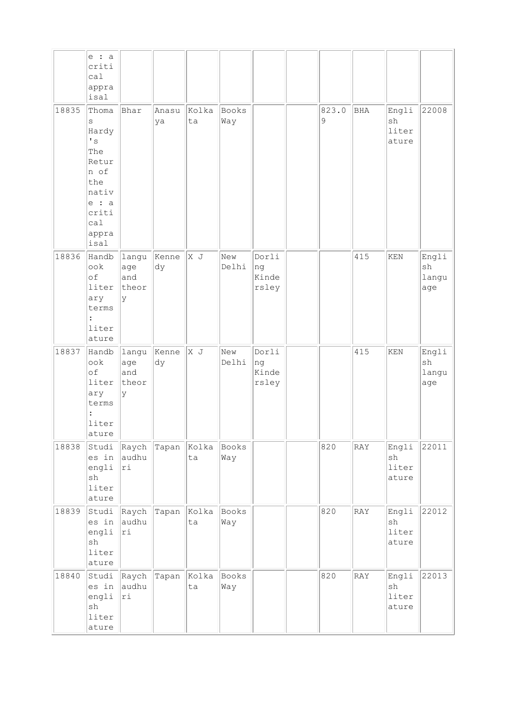|       | $e$ : a<br>criti<br>ca1<br>appra<br>isal                                                                                  |                                   |                   |             |              |                               |                      |     |                                                |                             |
|-------|---------------------------------------------------------------------------------------------------------------------------|-----------------------------------|-------------------|-------------|--------------|-------------------------------|----------------------|-----|------------------------------------------------|-----------------------------|
| 18835 | Thoma<br>S<br>Hardy<br>$\mathbf{I}$ s<br>The<br>Retur<br>n of<br>the<br>nativ<br>$e$ : a<br>criti<br>cal<br>appra<br>isal | Bhar                              | Anasu<br>ya       | Kolka<br>ta | Books<br>Way |                               | 823.0<br>$\mathsf 9$ | BHA | Engli<br>sh<br>liter<br>ature                  | 22008                       |
| 18836 | Handb<br>ook<br>of<br>liter<br>ary<br>terms<br>liter<br>ature                                                             | langu<br>age<br>and<br>theor<br>У | Kenne<br>dy       | x J         | New<br>Delhi | Dorli<br>ng<br>Kinde<br>rsley |                      | 415 | KEN                                            | Engli<br>sh<br>langu<br>age |
| 18837 | Handb<br>ook<br>$\circ$ f<br>liter<br>ary<br>terms<br>liter<br>ature                                                      | langu<br>age<br>and<br>theor<br>У | Kenne<br>dy       | X J         | New<br>Delhi | Dorli<br>nq<br>Kinde<br>rsley |                      | 415 | KEN                                            | Engli<br>sh<br>langu<br>age |
| 18838 | Studi<br>es in<br>engli<br>${\tt sh}$<br>liter<br>ature                                                                   | Raych<br>audhu<br> ri             | Tapan             | Kolka<br>ta | Books<br>Way |                               | 820                  | RAY | Engli<br>sh<br>liter<br>ature                  | 22011                       |
| 18839 | Studi<br>es in<br>engli<br>$\operatorname{sh}$<br>liter<br>ature                                                          | audhu<br> ri                      | Raych Tapan Kolka | ta          | Books<br>Way |                               | 820                  | RAY | Engli<br>$\operatorname{sh}$<br>liter<br>ature | 22012                       |
| 18840 | Studi<br>es in<br>engli<br>sh<br>liter<br>ature                                                                           | Raych<br>audhu<br>ri              | Tapan             | Kolka<br>ta | Books<br>Way |                               | 820                  | RAY | Engli<br>$\operatorname{sh}$<br>liter<br>ature | 22013                       |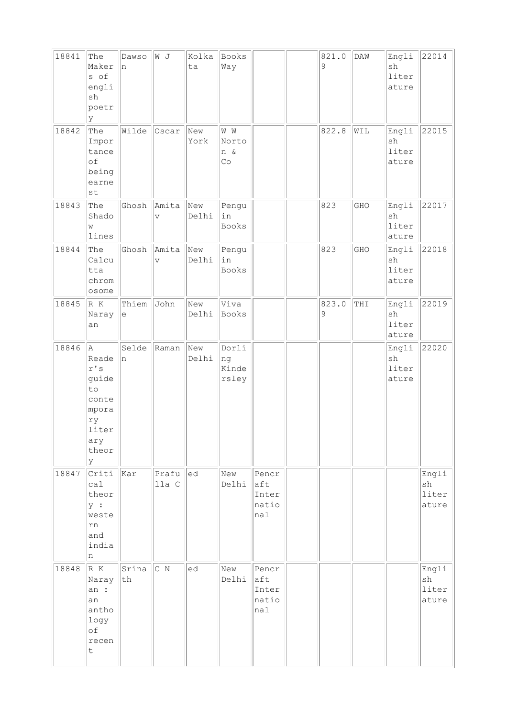| 18841 | The<br>Maker<br>s of<br>engli<br>sh<br>poetr<br>У                                                    | Dawso<br>n                                        | W J                              | Kolka<br>ta  | Books<br>Way                          |                                       | 821.0<br>9 | DAW | Engli<br>sh<br>liter<br>ature | 22014                                          |
|-------|------------------------------------------------------------------------------------------------------|---------------------------------------------------|----------------------------------|--------------|---------------------------------------|---------------------------------------|------------|-----|-------------------------------|------------------------------------------------|
| 18842 | The<br>Impor<br>tance<br>οf<br>being<br>earne<br>st                                                  | Wilde                                             | Oscar                            | New<br>York  | $\mathbbmss{W}$<br>Norto<br>n &<br>Co |                                       | 822.8      | WIL | Engli<br>sh<br>liter<br>ature | 22015                                          |
| 18843 | The<br>Shado<br>W<br>lines                                                                           | Ghosh                                             | Amita<br>$\overline{\mathsf{V}}$ | New<br>Delhi | Pengu<br>in<br><b>Books</b>           |                                       | 823        | GHO | Engli<br>sh<br>liter<br>ature | 22017                                          |
| 18844 | The<br>Calcu<br>tta<br>chrom<br>osome                                                                | Ghosh                                             | Amita<br>$\vee$                  | New<br>Delhi | Pengu<br>in<br>Books                  |                                       | 823        | GHO | Engli<br>sh<br>liter<br>ature | 22018                                          |
| 18845 | R K<br>Naray<br>an                                                                                   | Thiem<br>$\mathrel{\mathop{\mathrm{e}}\nolimits}$ | John                             | New<br>Delhi | Viva<br>Books                         |                                       | 823.0<br>9 | THI | Engli<br>sh<br>liter<br>ature | 22019                                          |
| 18846 | la.<br>Reade<br>$\mathtt{r}$ 's<br>guide<br>to<br>conte<br>mpora<br>ry<br>liter<br>ary<br>theor<br>У | Selde<br>'n                                       | Raman                            | New<br>Delhi | Dorli<br>ng<br>Kinde<br>rsley         |                                       |            |     | Engli<br>sh<br>liter<br>ature | 22020                                          |
| 18847 | Criti<br>ca1<br>theor<br>y :<br>weste<br>${\tt rn}$<br>and<br>india<br>n                             | kar                                               | Prafu<br>lla C                   | led          | New<br>Delhi                          | Pencr<br>aft<br>Inter<br>natio<br>nal |            |     |                               | Engli<br>sh<br>liter<br>ature                  |
| 18848 | R K<br>Naray<br>an :<br>an<br>antho<br>logy<br>оf<br>recen<br>t                                      | Srina<br> th                                      | $\overline{C}$ N                 | ed           | New<br>Delhi                          | Pencr<br>aft<br>Inter<br>natio<br>nal |            |     |                               | Engli<br>$\operatorname{sh}$<br>liter<br>ature |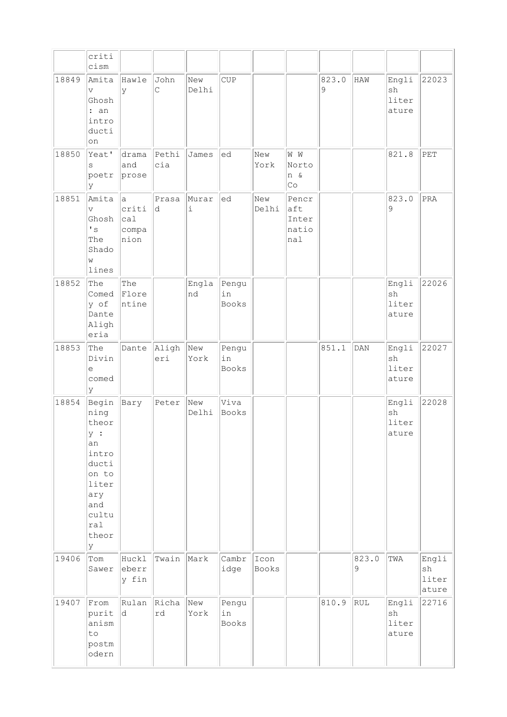|       | criti<br>cism                                                                                                        |                                      |              |              |                             |               |                                       |                      |            |                               |                                                |
|-------|----------------------------------------------------------------------------------------------------------------------|--------------------------------------|--------------|--------------|-----------------------------|---------------|---------------------------------------|----------------------|------------|-------------------------------|------------------------------------------------|
| 18849 | Amita<br>$\overline{V}$<br>Ghosh<br>: an<br>intro<br>ducti<br>on                                                     | Hawle<br>y                           | John<br>C    | New<br>Delhi | <b>CUP</b>                  |               |                                       | 823.0<br>$\mathsf 9$ | HAW        | Engli<br>sh<br>liter<br>ature | 22023                                          |
| 18850 | Yeat'<br>S<br>poetr<br>lУ                                                                                            | drama<br>and<br>prose                | Pethi<br>cia | James        | led                         | New<br>York   | W M<br>Norto<br>n &<br>Co             |                      |            | 821.8                         | PET                                            |
| 18851 | Amita<br>$\mathbf v$<br>Ghosh<br>$\mathbf{F}$<br>The<br>Shado<br>W<br>lines                                          | la.<br>criti<br>cal<br>compa<br>nion | Prasa<br>ld. | Murar<br>i   | ed                          | New<br>Delhi  | Pencr<br>aft<br>Inter<br>natio<br>hal |                      |            | 823.0<br>9                    | PRA                                            |
| 18852 | The<br>Comed<br>y of<br>Dante<br>Aligh<br>eria                                                                       | The<br>Flore<br>ntine                |              | Engla<br>nd  | Pengu<br>in<br>Books        |               |                                       |                      |            | Engli<br>sh<br>liter<br>ature | 22026                                          |
| 18853 | The<br>Divin<br>$\mathrel{\mathop{\mathrm{e}}\nolimits}$<br>comed<br>ly                                              | Dante                                | Aligh<br>eri | New<br>York  | Pengu<br>in<br><b>Books</b> |               |                                       | 851.1                | DAN        | Engli<br>sh<br>liter<br>ature | 22027                                          |
| 18854 | Begin<br>ning<br>theor<br>у :<br>an<br>intro<br>ducti<br>on to<br>liter<br>ary<br>and<br>cultu<br>ral<br>theor<br>lУ | Bary                                 | Peter        | New<br>Delhi | Viva<br><b>Books</b>        |               |                                       |                      |            | Engli<br>sh<br>liter<br>ature | 22028                                          |
| 19406 | Tom<br>Sawer                                                                                                         | Huckl<br>eberr<br>y fin              | Twain        | Mark         | Cambr<br>idge               | Icon<br>Books |                                       |                      | 823.0<br>9 | TWA                           | Engli<br>$\operatorname{sh}$<br>liter<br>ature |
| 19407 | From<br>purit<br>anism<br>to<br>postm<br>odern                                                                       | Rulan<br>ld.                         | Richa<br>rd  | New<br>York  | Pengu<br>in<br>Books        |               |                                       | 810.9                | RUL        | Engli<br>sh<br>liter<br>ature | 22716                                          |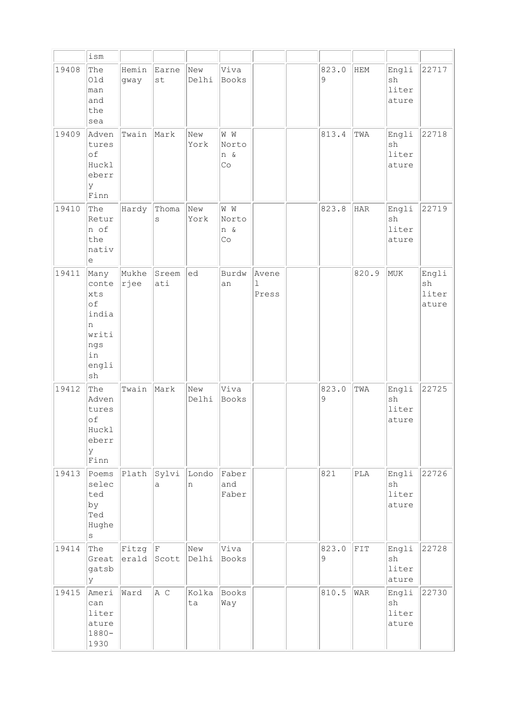|       | ism                                                                                            |                |                    |              |                           |                               |            |                           |                                                |                               |
|-------|------------------------------------------------------------------------------------------------|----------------|--------------------|--------------|---------------------------|-------------------------------|------------|---------------------------|------------------------------------------------|-------------------------------|
| 19408 | The<br>Old<br>man<br>and<br>the<br>sea                                                         | Hemin<br>gway  | Earne<br>st        | New<br>Delhi | Viva<br>Books             |                               | 823.0<br>9 | <b>HEM</b>                | Engli<br>sh<br>liter<br>ature                  | 22717                         |
| 19409 | Adven<br>tures<br>of<br>Huckl<br>eberr<br>У<br>Finn                                            | Twain          | Mark               | New<br>York  | W W<br>Norto<br>n &<br>Co |                               | 813.4      | TWA                       | Engli<br>sh<br>liter<br>ature                  | 22718                         |
| 19410 | The<br>Retur<br>n of<br>the<br>nativ<br>e                                                      | Hardy          | Thoma<br>S         | New<br>York  | W W<br>Norto<br>n &<br>Co |                               | 823.8      | HAR                       | Engli<br>sh<br>liter<br>ature                  | 22719                         |
| 19411 | Many<br>conte<br>xts<br>of<br>india<br>n<br>writi<br>ngs<br>in<br>engli<br>$\operatorname{sh}$ | Mukhe<br> rjee | Sreem<br>ati       | ed           | Burdw<br>an               | Avene<br>$\mathbf 1$<br>Press |            | 820.9                     | MUK                                            | Engli<br>sh<br>liter<br>ature |
| 19412 | The<br>Adven<br>tures<br>of<br>Huckl<br>eberr<br>У<br>Finn                                     | Twain          | Mark               | New<br>Delhi | Viva<br>Books             |                               | 823.0<br>9 | TWA                       | Engli<br>sh<br>liter<br>ature                  | 22725                         |
| 19413 | Poems<br>selec<br>ted<br>by<br>Ted<br>Hughe<br>$\rm s$                                         | Plath          | Sylvi<br>a         | Londo<br>n   | Faber<br>and<br>Faber     |                               | 821        | $\ensuremath{\text{PLA}}$ | Engli<br>$\operatorname{sh}$<br>liter<br>ature | 22726                         |
| 19414 | The<br>Great<br>gatsb<br>У                                                                     | Fitzg          | F<br>$erald$ Scott | New<br>Delhi | Viva<br>Books             |                               | 823.0<br>9 | FIT                       | Engli<br>sh<br>liter<br>ature                  | 22728                         |
| 19415 | Ameri<br>can<br>liter<br>ature<br>$1880 -$<br>1930                                             | Ward           | A C                | Kolka<br>ta  | Books<br>Way              |                               | 810.5      | <b>WAR</b>                | Engli<br>sh<br>liter<br>ature                  | 22730                         |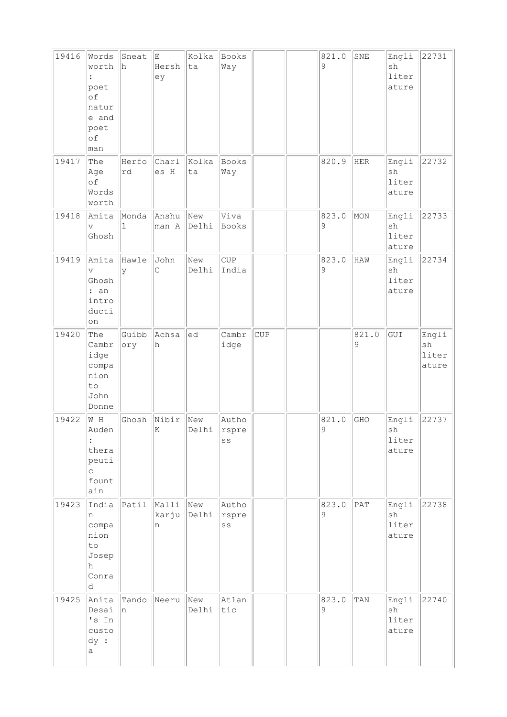| 19416 | Words<br>worth<br>poet<br>of<br>natur<br>e and<br>poet<br>of<br>man   | Sneat<br>h   | E<br>Hersh<br>ey    | Kolka<br>ta  | Books<br>Way         |            | 821.0<br>9       | SNE                         | Engli<br>sh<br>liter<br>ature         | 22731                         |
|-------|-----------------------------------------------------------------------|--------------|---------------------|--------------|----------------------|------------|------------------|-----------------------------|---------------------------------------|-------------------------------|
| 19417 | The<br>Age<br>of<br>Words<br>worth                                    | Herfo<br>rd  | Charl<br>es H       | Kolka<br>ta  | Books<br>Way         |            | 820.9            | <b>HER</b>                  | Engli<br>sh<br>liter<br>ature         | 22732                         |
| 19418 | Amita<br>$\overline{V}$<br>Ghosh                                      | Monda<br>1   | Anshu<br>man A      | New<br>Delhi | Viva<br>Books        |            | 823.0<br>9       | MON                         | Engli<br>sh<br>liter<br>ature         | 22733                         |
| 19419 | Amita<br>$\overline{V}$<br>Ghosh<br>: an<br>intro<br>ducti<br>on      | Hawle<br>y   | John<br>C           | New<br>Delhi | CUP<br>India         |            | 823.0<br>9       | <b>HAW</b>                  | Engli<br>sh<br>liter<br>ature         | 22734                         |
| 19420 | The<br>Cambr<br>idge<br>compa<br>nion<br>to<br>John<br>Donne          | Guibb<br>ory | Achsa<br>h          | ed           | Cambr<br>idge        | <b>CUP</b> |                  | 821.0<br>9                  | GUI                                   | Engli<br>sh<br>liter<br>ature |
| 19422 | W H<br>Auden<br>$\ddot{\cdot}$<br>thera<br>peuti<br>C<br>fount<br>ain | Ghosh        | Nibir<br>K          | New<br>Delhi | Autho<br>rspre<br>SS |            | 821.0<br>$\circ$ | GHO                         | Engli<br>sh<br>liter<br>ature         | 22737                         |
| 19423 | India<br>n<br>compa<br>nion<br>to<br>Josep<br>h<br>Conra<br>d         | Patil        | Malli<br>karju<br>n | New<br>Delhi | Autho<br>rspre<br>SS |            | 823.0<br>9       | $\ensuremath{\mathsf{PAT}}$ | Engli<br>${\tt sh}$<br>liter<br>ature | 22738                         |
| 19425 | Anita<br>Desai<br>'s In<br>custo<br>dy :<br>а                         | Tando<br>n   | Neeru               | New<br>Delhi | Atlan<br>tic         |            | 823.0<br>9       | TAN                         | Engli<br>sh<br>liter<br>ature         | 22740                         |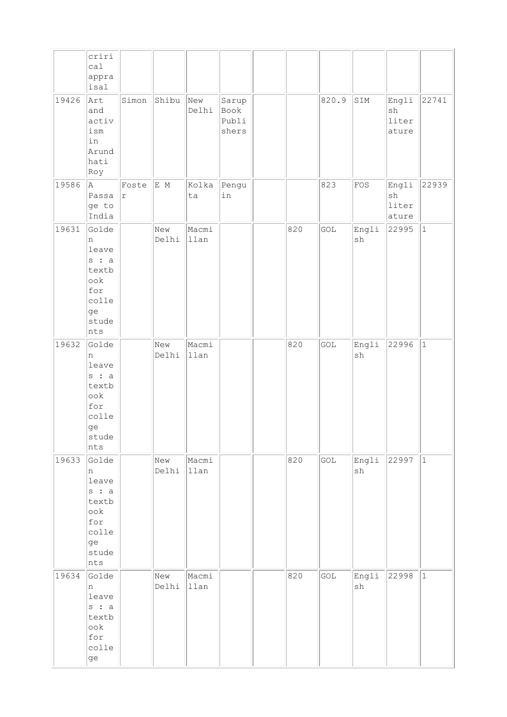|       | criri<br>ca1<br>appra<br>isal                                                        |                     |              |               |                                 |     |       |                              |                               |             |
|-------|--------------------------------------------------------------------------------------|---------------------|--------------|---------------|---------------------------------|-----|-------|------------------------------|-------------------------------|-------------|
| 19426 | Art<br>and<br>activ<br>ism<br>in<br>Arund<br>hati<br>Roy                             | Simon               | Shibu        | New<br>Delhi  | Sarup<br>Book<br>Publi<br>shers |     | 820.9 | SIM                          | Engli<br>sh<br>liter<br>ature | 22741       |
| 19586 | A<br>Passa<br>ge to<br>India                                                         | Foste<br>$\Upsilon$ | E M          | Kolka<br>ta   | Pengu<br>in                     |     | 823   | FOS                          | Engli<br>sh<br>liter<br>ature | 22939       |
| 19631 | Golde<br>n<br>leave<br>$s$ : a<br>textb<br>ook<br>for<br>colle<br>ge<br>stude<br>nts |                     | New<br>Delhi | Macmi<br>llan |                                 | 820 | GOL   | Engli<br>$\operatorname{sh}$ | 22995                         | $ 1\rangle$ |
| 19632 | Golde<br>n<br>leave<br>s : a<br>textb<br>ook<br>for<br>colle<br>ge<br>stude<br>nts   |                     | New<br>Delhi | Macmi<br>llan |                                 | 820 | GOL   | Engli<br>sh                  | 22996                         | 1           |
| 19633 | Golde<br>n<br>leave<br>$s$ : a<br>textb<br>ook<br>for<br>colle<br>ge<br>stude<br>nts |                     | New<br>Delhi | Macmi<br>llan |                                 | 820 | GOL   | Engli<br>sh                  | 22997                         | $ 1\rangle$ |
| 19634 | Golde<br>n<br>leave<br>$s$ : a<br>textb<br>$\mathrm{ook}$<br>for<br>colle<br>ge      |                     | New<br>Delhi | Macmi<br>llan |                                 | 820 | GOL   | Engli<br>sh                  | 22998                         | $\vert$ 1   |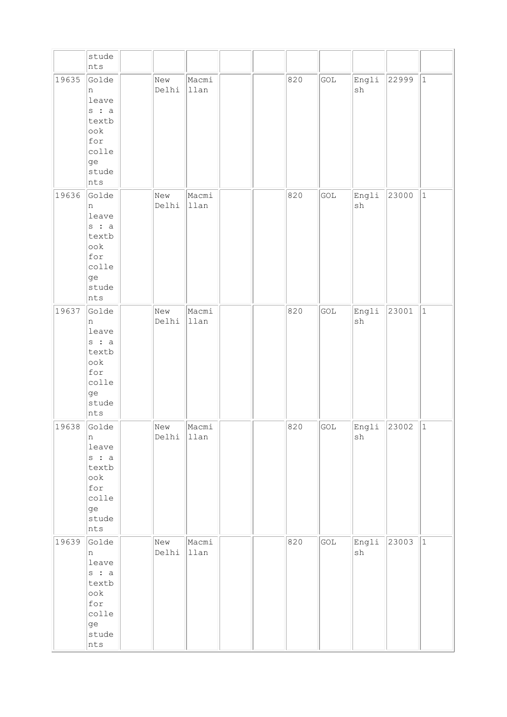|       | stude<br>nts                                                                                    |              |               |  |     |     |                              |       |           |
|-------|-------------------------------------------------------------------------------------------------|--------------|---------------|--|-----|-----|------------------------------|-------|-----------|
| 19635 | Golde<br>n<br>leave<br>$s$ : a<br>textb<br>ook<br>for<br>colle<br>ge<br>stude<br>nts            | New<br>Delhi | Macmi<br>llan |  | 820 | GOL | Engli<br>$\operatorname{sh}$ | 22999 | 1         |
| 19636 | Golde<br>n<br>leave<br>$ s\>$ : a<br>textb<br>ook<br>for<br>colle<br>ge<br>stude<br>nts         | New<br>Delhi | Macmi<br>llan |  | 820 | GOL | Engli<br>sh                  | 23000 | 1         |
| 19637 | Golde<br>n<br>leave<br>$s$ : a<br>textb<br>ook<br>for<br>colle<br>ge<br>stude<br>nts            | New<br>Delhi | Macmi<br>llan |  | 820 | GOL | Engli<br>sh                  | 23001 | $\vert$ 1 |
| 19638 | Golde<br>n<br>leave<br>$s$ : a<br>textb<br>$\mathrm{ook}$<br>for<br>colle<br>ge<br>stude<br>nts | New<br>Delhi | Macmi<br>llan |  | 820 | GOL | Engli<br>${\tt sh}$          | 23002 | 1         |
| 19639 | Golde<br>n<br>leave<br>$s$ : a<br>textb<br>$\mathrm{ook}$<br>for<br>colle<br>ge<br>stude<br>nts | New<br>Delhi | Macmi<br>llan |  | 820 | GOL | Engli<br>${\tt sh}$          | 23003 | 1         |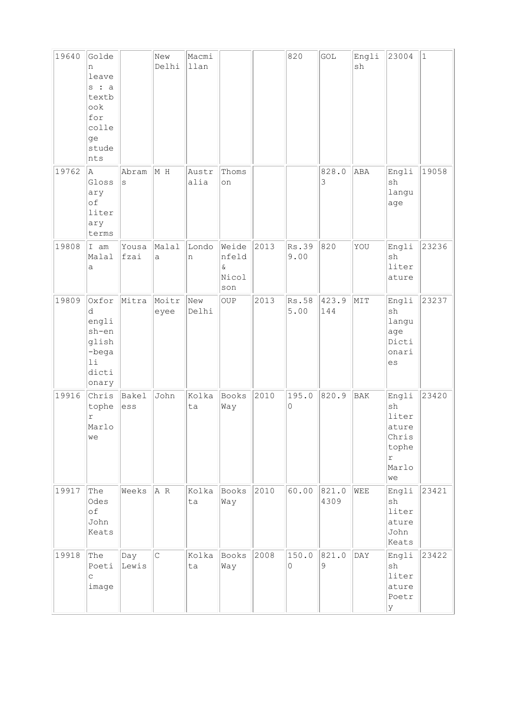| 19640 | Golde<br>n<br>leave<br>$s$ : a<br>textb<br>ook<br>for<br>colle<br>ge<br>stude<br>nts |                  | New<br>Delhi  | Macmi<br>llan |                                            |      | 820           | $\ensuremath{\mathsf{GOL}}$ | Engli<br>sh | 23004                                                               | $\mathbf{1}$ |
|-------|--------------------------------------------------------------------------------------|------------------|---------------|---------------|--------------------------------------------|------|---------------|-----------------------------|-------------|---------------------------------------------------------------------|--------------|
| 19762 | A<br>Gloss<br>ary<br>of<br>liter<br>ary<br>terms                                     | Abram<br>$\rm s$ | M H           | Austr<br>alia | Thoms<br>on                                |      |               | 828.0<br>3                  | ABA         | Engli<br>sh<br>langu<br>age                                         | 19058        |
| 19808 | I am<br>Malal<br>a                                                                   | Yousa<br>fzai    | Malal<br>a    | Londo<br>n    | Weide<br>nfeld<br>$\delta$<br>Nicol<br>son | 2013 | Rs.39<br>9.00 | 820                         | YOU         | Engli<br>sh<br>liter<br>ature                                       | 23236        |
| 19809 | Oxfor<br>d<br>engli<br>sh-en<br>glish<br>-bega<br>11<br>dicti<br>onary               | Mitra            | Moitr<br>eyee | New<br>Delhi  | OUP                                        | 2013 | Rs.58<br>5.00 | 423.9<br>144                | MIT         | Engli<br>sh<br>langu<br>age<br>Dicti<br>onari<br>es                 | 23237        |
| 19916 | Chris<br>tophe<br>$\Upsilon$<br>Marlo<br>we                                          | Bakel<br>ess     | John          | Kolka<br>ta   | Books<br>Way                               | 2010 | 195.0<br>0    | 820.9                       | BAK         | Engli<br>sh<br>liter<br>ature<br>Chris<br>tophe<br>r<br>Marlo<br>we | 23420        |
| 19917 | The<br>Odes<br>of<br>John<br>Keats                                                   | Weeks            | A R           | Kolka<br>ta   | Books<br>Way                               | 2010 | 60.00         | 821.0<br>4309               | WEE         | Engli<br>sh<br>liter<br>ature<br>John<br>Keats                      | 23421        |
| 19918 | The<br>Poeti<br>$\mathop{\mathsf{C}}$<br>image                                       | Day<br>Lewis     | $\vert$ C     | Kolka<br>ta   | Books<br>Way                               | 2008 | 150.0<br>0    | 821.0<br>9                  | DAY         | Engli<br>sh<br>liter<br>ature<br>Poetr<br>У                         | 23422        |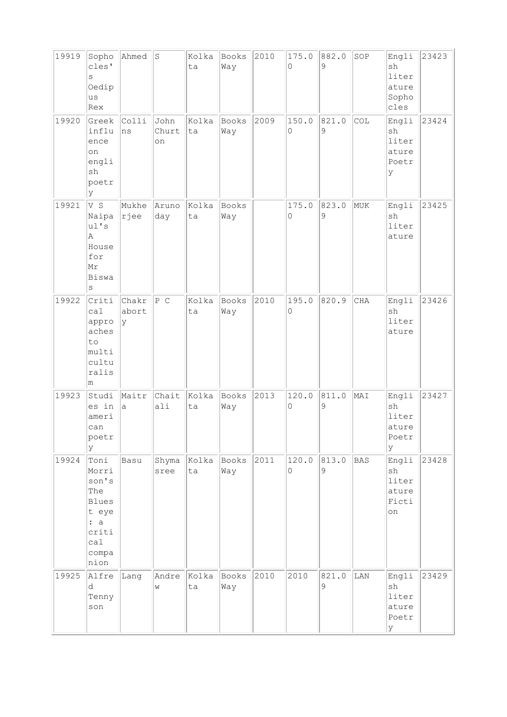| 19919 | Sopho<br>cles'<br>S<br>Oedip<br>us<br>Rex                                                      | Ahmed               | $\rm S$             | Kolka<br>ta | Books<br>Way        | 2010 | 175.0<br>0           | 882.0<br>9 | SOP        | Engli<br>sh<br>liter<br>ature<br>Sopho<br>cles | 23423 |
|-------|------------------------------------------------------------------------------------------------|---------------------|---------------------|-------------|---------------------|------|----------------------|------------|------------|------------------------------------------------|-------|
| 19920 | Greek<br>influ<br>ence<br>on<br>engli<br>sh<br>poetr<br>У                                      | Colli<br>ns         | John<br>Churt<br>on | Kolka<br>ta | <b>Books</b><br>Way | 2009 | 150.0<br>0           | 821.0<br>9 | COL        | Engli<br>sh<br>liter<br>ature<br>Poetr<br>У    | 23424 |
| 19921 | V S<br>Naipa<br>ul's<br>A<br>House<br>for<br>Mr<br>Biswa<br>S                                  | Mukhe<br> rjee      | Aruno<br>day        | Kolka<br>ta | Books<br>Way        |      | 175.0<br>$\mathbf 0$ | 823.0<br>9 | MUK        | Engli<br>sh<br>liter<br>ature                  | 23425 |
| 19922 | Criti<br>ca1<br>appro<br>aches<br>to<br>multi<br>cultu<br>ralis<br>m                           | Chakr<br>abort<br>У | P C                 | Kolka<br>ta | Books<br>Way        | 2010 | 195.0<br>0           | 820.9      | CHA        | Engli<br>sh<br>liter<br>ature                  | 23426 |
| 19923 | Studi<br>es in<br>ameri<br>can<br>poetr<br>У                                                   | Maitr<br>a          | Chait<br>ali        | Kolka<br>ta | Books<br>Way        | 2013 | 120.0<br>0           | 811.0<br>9 | MAI        | Engli<br>sh<br>liter<br>ature<br>Poetr<br>У    | 23427 |
| 19924 | Toni<br>Morri<br>son's<br>The<br><b>Blues</b><br>t eye<br>: a<br>criti<br>ca1<br>compa<br>nion | Basu                | Shyma<br>sree       | Kolka<br>ta | Books<br>Way        | 2011 | 120.0<br>$\Omega$    | 813.0<br>9 | <b>BAS</b> | Engli<br>sh<br>liter<br>ature<br>Ficti<br>on   | 23428 |
| 19925 | Alfre<br>d<br>Tenny<br>son                                                                     | Lang                | Andre<br>W          | Kolka<br>ta | <b>Books</b><br>Way | 2010 | 2010                 | 821.0<br>9 | LAN        | Engli<br>sh<br>liter<br>ature<br>Poetr<br>У    | 23429 |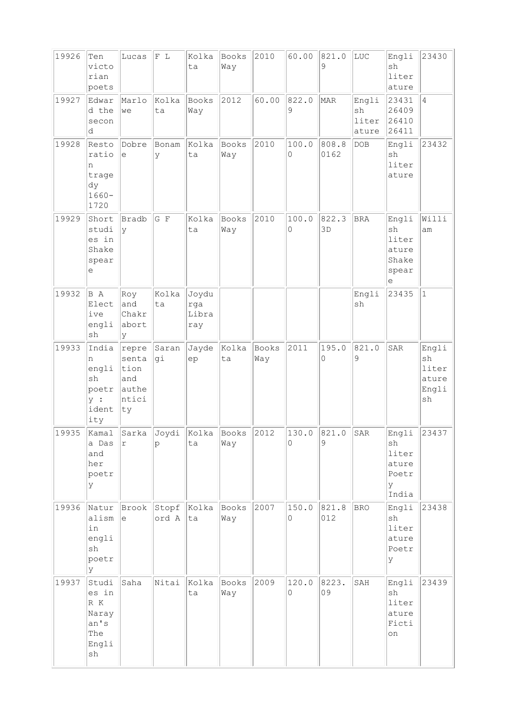| 19926                               | Ten<br>victo<br>rian<br>poets                                                    | Lucas                                                 | $F$ L          | Kolka<br>ta                  | Books<br>Way        | 2010         | 60.00              | 821.0<br>9    | $_{\mbox{\tiny LUC}}$         | Engli<br>sh<br>liter<br>ature                              | 23430                                        |
|-------------------------------------|----------------------------------------------------------------------------------|-------------------------------------------------------|----------------|------------------------------|---------------------|--------------|--------------------|---------------|-------------------------------|------------------------------------------------------------|----------------------------------------------|
| 19927                               | Edwar<br>d the<br>secon<br>d                                                     | Marlo<br>we                                           | Kolka<br>ta    | <b>Books</b><br>Way          | 2012                | 60.00        | 822.0<br>9         | MAR           | Engli<br>sh<br>liter<br>ature | 23431<br>26409<br>26410<br>26411                           | $\overline{4}$                               |
| 19928                               | Resto<br>ratio<br>n<br>trage<br>dy<br>$1660 -$<br>1720                           | Dobre<br>е                                            | Bonam<br>У     | Kolka<br>ta                  | <b>Books</b><br>Way | 2010         | 100.0<br>0         | 808.8<br>0162 | DOB                           | Engli<br>sh<br>liter<br>ature                              | 23432                                        |
| 19929                               | Short<br>studi<br>es in<br>Shake<br>spear<br>е                                   | Bradb<br>y                                            | $G$ F          | Kolka<br>ta                  | Books<br>Way        | 2010         | 100.0<br>0         | 822.3<br>3D   | <b>BRA</b>                    | Engli<br>sh<br>liter<br>ature<br>Shake<br>spear<br>е       | Willi<br>am                                  |
| 19932                               | B A<br>Elect<br>ive<br>engli<br>sh                                               | Roy<br>and<br>Chakr<br>abort<br>У                     | Kolka<br>ta    | Joydu<br>rga<br>Libra<br>ray |                     |              |                    |               | Engli<br>sh                   | 23435                                                      | $\vert$ 1                                    |
| 19933                               | India<br>n<br>engli<br>sh<br>poetr<br>y:<br>ident<br>ity                         | repre<br>senta<br>tion<br>and<br>authe<br>ntici<br>ty | Saran<br>gi    | Jayde<br>ep                  | Kolka<br>ta         | Books<br>Way | 2011               | 195.0<br>0    | 821.0<br>9                    | SAR                                                        | Engli<br>sh<br>liter<br>ature<br>Engli<br>sh |
| 19935 Kamal Sarka Joydi Kolka Books | a Das<br>and<br>her<br>poetr<br>У                                                | r                                                     | p              | ta                           | Way                 | 2012         | $130.0$ 821.0<br>0 | 9             | <sub>SAR</sub>                | Engli 23437<br>sh<br>liter<br>ature<br>Poetr<br>У<br>India |                                              |
| 19936                               | Natur<br>alism<br>in<br>engli<br>sh<br>poetr<br>У                                | Brook<br>e                                            | Stopf<br>ord A | Kolka<br>ta                  | Books<br>Way        | 2007         | 150.0<br>$\Omega$  | 821.8<br>012  | <b>BRO</b>                    | Engli<br>sh<br>liter<br>ature<br>Poetr<br>ΙY               | 23438                                        |
| 19937                               | Studi<br>es in<br>$\mathbb R$ $\mathbb K$<br>Naray<br>an's<br>The<br>Engli<br>sh | Saha                                                  | Nitai          | Kolka<br>ta                  | Books<br>Way        | 2009         | 120.0<br>$\circ$   | 8223.<br>09   | SAH                           | Engli<br>sh<br>liter<br>ature<br>Ficti<br>on               | 23439                                        |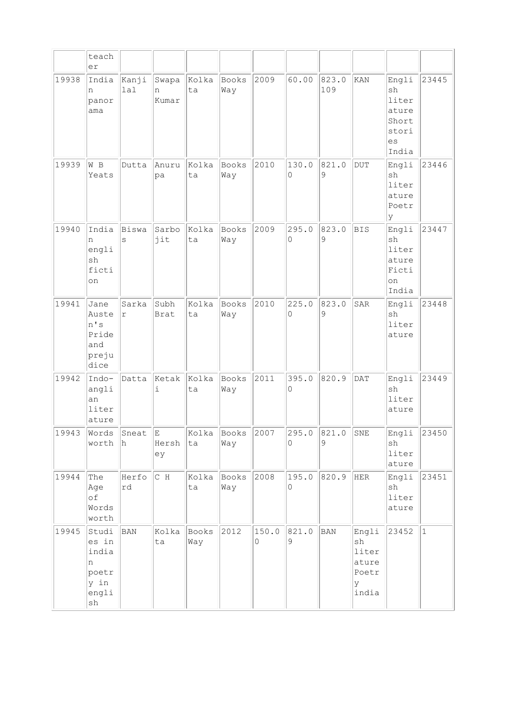|       | teach<br>er                                                  |                     |                     |              |              |            |            |              |                                                      |                                                                |              |
|-------|--------------------------------------------------------------|---------------------|---------------------|--------------|--------------|------------|------------|--------------|------------------------------------------------------|----------------------------------------------------------------|--------------|
| 19938 | India<br>n<br>panor<br>ama                                   | Kanji<br>lal        | Swapa<br>n<br>Kumar | Kolka<br>ta  | Books<br>Way | 2009       | 60.00      | 823.0<br>109 | KAN                                                  | Engli<br>sh<br>liter<br>ature<br>Short<br>stori<br>es<br>India | 23445        |
| 19939 | W B<br>Yeats                                                 | Dutta               | Anuru<br>pa         | Kolka<br>ta  | Books<br>Way | 2010       | 130.0<br>0 | 821.0<br>9   | <b>DUT</b>                                           | Engli<br>sh<br>liter<br>ature<br>Poetr<br>ΙY                   | 23446        |
| 19940 | India<br>n<br>engli<br>sh<br>ficti<br>on                     | Biswa<br>S          | Sarbo<br>jit        | Kolka<br>ta  | Books<br>Way | 2009       | 295.0<br>0 | 823.0<br>9   | <b>BIS</b>                                           | Engli<br>sh<br>liter<br>ature<br>Ficti<br>on<br>India          | 23447        |
| 19941 | Jane<br>Auste<br>n's<br>Pride<br>and<br>preju<br>dice        | Sarka<br>$\Upsilon$ | Subh<br>Brat        | kolka<br>ta  | Books<br>Way | 2010       | 225.0<br>0 | 823.0<br>9   | SAR                                                  | Engli<br>sh<br>liter<br>ature                                  | 23448        |
| 19942 | Indo-<br>angli<br>an<br>liter<br>ature                       | Datta               | Ketak<br>i          | Kolka<br>ta  | Books<br>Way | 2011       | 395.0<br>0 | 820.9        | <b>DAT</b>                                           | Engli<br>sh<br>liter<br>ature                                  | 23449        |
| 19943 | Words<br>worth                                               | Sneat<br>h          | E.<br>Hersh<br>ey   | Kolka<br>ta  | Books<br>Way | 2007       | 295.0<br>0 | 821.0<br>9   | SNE                                                  | Engli<br>sh<br>liter<br>ature                                  | 23450        |
| 19944 | The<br>Age<br>оf<br>Words<br>worth                           | Herfo<br>rd         | $C$ H               | Kolka<br>ta  | Books<br>Way | 2008       | 195.0<br>0 | 820.9        | HER                                                  | Engli<br>sh<br>liter<br>ature                                  | 23451        |
| 19945 | Studi<br>es in<br>india<br>n<br>poetr<br>y in<br>engli<br>sh | <b>BAN</b>          | Kolka<br>ta         | Books<br>Way | 2012         | 150.0<br>0 | 821.0<br>9 | $_{\rm BAN}$ | Engli<br>sh<br>liter<br>ature<br>Poetr<br>У<br>india | 23452                                                          | $\mathbf{1}$ |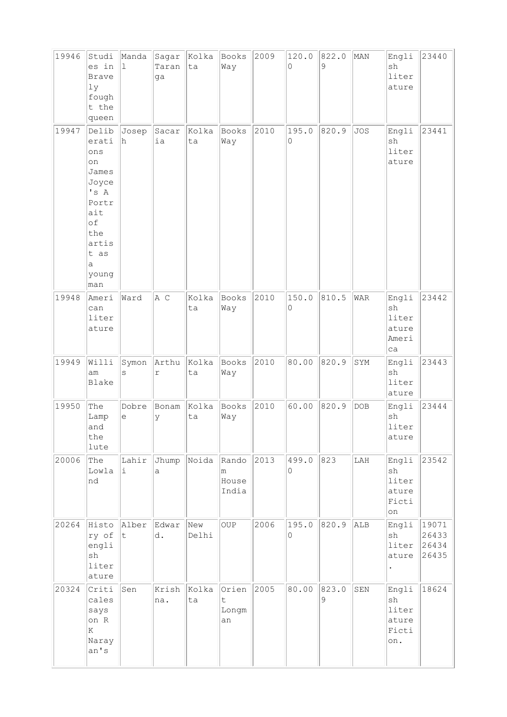| 19946 | Studi<br>es in<br><b>Brave</b><br>1y<br>fough<br>t the<br>queen                                                          | Manda<br>$\perp$   | Sagar<br>Taran<br>ga | Kolka<br>ta  | Books<br>Way                                | 2009 | 120.0<br>0        | 822.0<br>9 | MAN         | Engli<br>sh<br>liter<br>ature                 | 23440                            |
|-------|--------------------------------------------------------------------------------------------------------------------------|--------------------|----------------------|--------------|---------------------------------------------|------|-------------------|------------|-------------|-----------------------------------------------|----------------------------------|
| 19947 | Delib<br>erati<br>ons<br>on<br>James<br>Joyce<br>'s A<br>Portr<br>ait<br>of<br>the<br>artis<br>t as<br>a<br>young<br>man | Josep<br>h         | Sacar<br>ia          | Kolka<br>ta  | <b>Books</b><br>Way                         | 2010 | 195.0<br>0        | 820.9      | <b>JOS</b>  | Engli<br>sh<br>liter<br>ature                 | 23441                            |
| 19948 | Ameri<br>can<br>liter<br>ature                                                                                           | Ward               | A C                  | Kolka<br>ta  | <b>Books</b><br>Way                         | 2010 | 150.0<br>0        | 810.5      | WAR         | Engli<br>sh<br>liter<br>ature<br>Ameri<br>ca  | 23442                            |
| 19949 | Willi<br>am<br>Blake                                                                                                     | Symon<br>S         | Arthu<br>r           | Kolka<br>ta  | Books<br>Way                                | 2010 | 80.00             | 820.9      | SYM         | Engli<br>sh<br>liter<br>ature                 | 23443                            |
| 19950 | The<br>Lamp<br>and<br>the<br>lute                                                                                        | Dobre<br>е         | Bonam<br>У           | Kolka<br>ta  | Books<br>Way                                | 2010 | 60.00             | 820.9      | <b>DOB</b>  | Engli<br>sh<br>liter<br>ature                 | 23444                            |
| 20006 | The<br>Lowla<br>nd                                                                                                       | Lahir<br>i         | Jhump<br>a           | Noida        | Rando<br>m<br>House<br>India                | 2013 | 499.0<br>$\Omega$ | 823        | ${\rm LAH}$ | Engli<br>sh<br>liter<br>ature<br>Ficti<br>on  | 23542                            |
| 20264 | Histo<br>ry of<br>engli<br>sh<br>liter<br>ature                                                                          | Alber<br>$\vert$ t | Edwar<br>d.          | New<br>Delhi | OUP                                         | 2006 | 195.0<br>$\circ$  | 820.9      | ALB         | Engli<br>sh<br>liter<br>ature                 | 19071<br>26433<br>26434<br>26435 |
| 20324 | Criti<br>cales<br>says<br>on R<br>K<br>Naray<br>an's                                                                     | Sen                | Krish<br>na.         | Kolka<br>ta  | Orien<br>$\ddot{\mathsf{t}}$<br>Longm<br>an | 2005 | 80.00             | 823.0<br>9 | ${\tt SEN}$ | Engli<br>sh<br>liter<br>ature<br>Ficti<br>on. | 18624                            |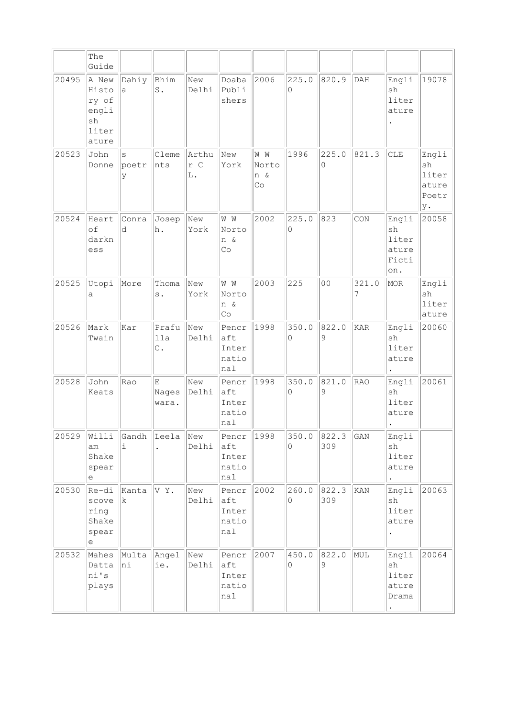|       | The<br>Guide                                             |                 |                                |                    |                                       |                           |            |                      |                             |                                                     |                                              |
|-------|----------------------------------------------------------|-----------------|--------------------------------|--------------------|---------------------------------------|---------------------------|------------|----------------------|-----------------------------|-----------------------------------------------------|----------------------------------------------|
| 20495 | A New<br>Histo<br>ry of<br>engli<br>sh<br>liter<br>ature | Dahiy<br>a      | Bhim<br>S.                     | New<br>Delhi       | Doaba<br>Publi<br>shers               | 2006                      | 225.0<br>0 | 820.9                | DAH                         | Engli<br>sh<br>liter<br>ature                       | 19078                                        |
| 20523 | John<br>Donne                                            | S<br>poetr<br>У | Cleme<br>nts                   | Arthu<br>r C<br>L. | New<br>York                           | W W<br>Norto<br>n &<br>Co | 1996       | 225.0<br>$\Omega$    | 821.3                       | CLE                                                 | Engli<br>sh<br>liter<br>ature<br>Poetr<br>у. |
| 20524 | Heart<br>of<br>darkn<br>ess                              | Conra<br>d      | Josep<br>h.                    | New<br>York        | W W<br>Norto<br>n &<br>Co             | 2002                      | 225.0<br>0 | 823                  | CON                         | Engli<br>sh<br>liter<br>ature<br>Ficti<br>on.       | 20058                                        |
| 20525 | Utopi<br>a                                               | More            | Thoma<br>s.                    | New<br>York        | W W<br>Norto<br>n &<br>Co             | 2003                      | 225        | 0 <sub>0</sub>       | 321.0<br>7                  | MOR                                                 | Engli<br>sh<br>liter<br>ature                |
| 20526 | Mark<br>Twain                                            | Kar             | Prafu<br>lla<br>$\mathbb{C}$ . | New<br>Delhi       | Pencr<br>aft<br>Inter<br>natio<br>nal | 1998                      | 350.0<br>0 | 822.0<br>9           | <b>KAR</b>                  | Engli<br>sh<br>liter<br>ature                       | 20060                                        |
| 20528 | John<br>Keats                                            | Rao             | E<br>Nages<br>wara.            | New<br>Delhi       | Pencr<br>aft<br>Inter<br>natio<br>nal | 1998                      | 350.0<br>0 | 821.0<br>9           | <b>RAO</b>                  | Engli<br>sh<br>liter<br>ature                       | 20061                                        |
| 20529 | Willi<br>am<br>Shake<br>spear<br>е                       | Gandh<br>i      | Leela                          | New<br>Delhi       | Pencr<br>aft<br>Inter<br>natio<br>nal | 1998                      | 350.0<br>0 | 822.3<br>309         | $\mathop{\rm GAN}\nolimits$ | Engli<br>sh<br>liter<br>ature                       |                                              |
| 20530 | Re-di<br>scove<br>ring<br>Shake<br>spear<br>е            | Kanta<br>k.     | VY.                            | New<br>Delhi       | Pencr<br>aft<br>Inter<br>natio<br>nal | 2002                      | 260.0<br>0 | 822.3<br>309         | KAN                         | Engli<br>sh<br>liter<br>ature                       | 20063                                        |
| 20532 | Mahes<br>Datta<br>ni's<br>plays                          | Multa<br>hi     | Angel<br>ie.                   | New<br>Delhi       | Pencr<br>aft<br>Inter<br>natio<br>nal | 2007                      | 450.0<br>0 | 822.0<br>$\mathsf 9$ | MUL                         | Engli<br>sh<br>liter<br>ature<br>Drama<br>$\bullet$ | 20064                                        |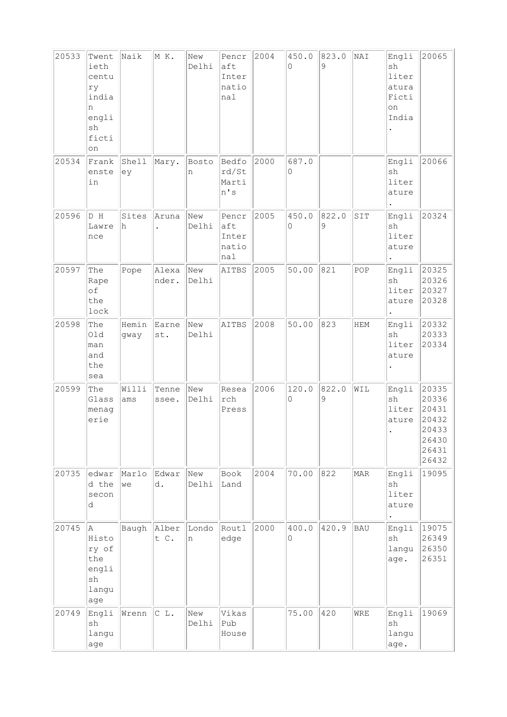| 20533 | Twent<br>ieth<br>centu<br>ry<br>india<br>n<br>engli<br>sh<br>ficti<br>on | Naik          | M K.           | New<br>Delhi | Pencr<br>aft<br>Inter<br>natio<br>nal     | 2004 | 450.0<br>0 | 823.0<br>9 | NAI         | Engli<br>sh<br>liter<br>atura<br>Ficti<br>on<br>India | 20065                                                                |
|-------|--------------------------------------------------------------------------|---------------|----------------|--------------|-------------------------------------------|------|------------|------------|-------------|-------------------------------------------------------|----------------------------------------------------------------------|
| 20534 | Frank<br>enste<br>in                                                     | Shell<br>ey   | Mary.          | Bosto<br>n   | Bedfo<br>rd/St<br>Marti<br>n's            | 2000 | 687.0<br>0 |            |             | Engli<br>sh<br>liter<br>ature                         | 20066                                                                |
| 20596 | D H<br>Lawre<br>nce                                                      | Sites<br>h    | Aruna          | New<br>Delhi | Pencr<br>aft<br>Inter<br>natio<br>$ $ nal | 2005 | 450.0<br>0 | 822.0<br>9 | SIT         | Engli<br>sh<br>liter<br>ature                         | 20324                                                                |
| 20597 | The<br>Rape<br>of<br>the<br>lock                                         | Pope          | Alexa<br>nder. | New<br>Delhi | AITBS                                     | 2005 | 50.00      | 821        | POP         | Engli<br>sh<br>liter<br>ature                         | 20325<br>20326<br>20327<br>20328                                     |
| 20598 | The<br>Old<br>man<br>and<br>the<br>sea                                   | Hemin<br>gway | Earne<br>st.   | New<br>Delhi | AITBS                                     | 2008 | 50.00      | 823        | ${\tt HEM}$ | Engli<br>sh<br>liter<br>ature                         | 20332<br>20333<br>20334                                              |
| 20599 | The<br>Glass<br>menag<br>erie                                            | Willi<br>ams  | Tenne<br>ssee. | New<br>Delhi | Resea<br>rch<br>Press                     | 2006 | 120.0<br>0 | 822.0<br>9 | WIL         | Engli<br>sh<br>liter<br>ature                         | 20335<br>20336<br>20431<br>20432<br>20433<br>26430<br>26431<br>26432 |
| 20735 | edwar<br>d the<br>secon<br>d                                             | Marlo<br>we   | Edwar<br>d.    | New<br>Delhi | Book<br>Land                              | 2004 | 70.00      | 822        | MAR         | Engli<br>sh<br>liter<br>ature                         | 19095                                                                |
| 20745 | la.<br>Histo<br>ry of<br>the<br>engli<br>sh<br>langu<br>age              | Baugh         | Alber<br>t C.  | Londo<br>n   | Routl<br>edge                             | 2000 | 400.0<br>0 | 420.9      | <b>BAU</b>  | Engli<br>sh<br>langu<br>age.                          | 19075<br>26349<br>26350<br>26351                                     |
| 20749 | Engli<br>sh<br>langu<br>age                                              | Wrenn         | C L.           | New<br>Delhi | Vikas<br>Pub<br>House                     |      | 75.00      | 420        | WRE         | Engli<br>sh<br>langu<br>age.                          | 19069                                                                |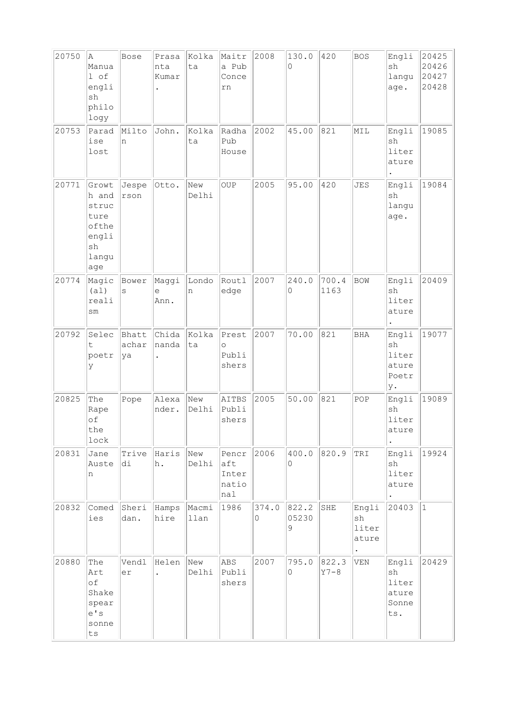| 20750 | Α<br>Manua<br>l of<br>engli<br>sh<br>philo<br>logy                                       | Bose                 | Prasa<br>nta<br>Kumar         | Kolka<br>ta   | Maitr<br>a Pub<br>Conce<br>rn             | 2008       | 130.0<br>0          | 420             | <b>BOS</b>                    | Engli<br>sh<br>langu<br>age.                  | 20425<br>20426<br>20427<br>20428 |
|-------|------------------------------------------------------------------------------------------|----------------------|-------------------------------|---------------|-------------------------------------------|------------|---------------------|-----------------|-------------------------------|-----------------------------------------------|----------------------------------|
| 20753 | Parad<br>ise<br>lost                                                                     | Milto<br>n           | John.                         | Kolka<br>ta   | Radha<br>Pub<br>House                     | 2002       | 45.00               | 821             | MIL                           | Engli<br>sh<br>liter<br>ature                 | 19085                            |
| 20771 | Growt<br>h and<br>struc<br>ture<br>ofthe<br>engli<br>$\operatorname{sh}$<br>langu<br>age | Jespe<br>rson        | Otto.                         | New<br>Delhi  | OUP                                       | 2005       | 95.00               | 420             | <b>JES</b>                    | Engli<br>sh<br>langu<br>age.                  | 19084                            |
| 20774 | Magic<br>(a1)<br>reali<br>sm                                                             | Bower<br>S           | Maggi<br>e<br>Ann.            | Londo<br>n    | Routl<br>edge                             | 2007       | 240.0<br>0          | 700.4<br>1163   | <b>BOW</b>                    | Engli<br>sh<br>liter<br>ature                 | 20409                            |
| 20792 | Selec<br>t<br>poetr<br>У                                                                 | Bhatt<br>achar<br>ya | Chida<br>nanda                | Kolka<br>ta   | Prest<br>$\circ$<br>Publi<br>shers        | 2007       | 70.00               | 821             | <b>BHA</b>                    | Engli<br>sh<br>liter<br>ature<br>Poetr<br>у.  | 19077                            |
| 20825 | The<br>Rape<br>of<br>the<br>lock                                                         | Pope                 | Alexa<br>nder.                | New<br>Delhi  | AITBS<br>Publi<br>shers                   | 2005       | 50.00               | 821             | POP                           | Engli<br>sh<br>liter<br>ature                 | 19089                            |
| 20831 | Jane<br>Auste<br>n                                                                       | Trive<br>di          | Haris<br>h.                   | New<br>Delhi  | Pencr<br>aft<br>Inter<br>natio<br>$ $ nal | 2006       | 400.0<br>0          | 820.9           | TRI                           | Engli<br>sh<br>liter<br>ature                 | 19924                            |
| 20832 | Comed<br>ies                                                                             | Sheri<br>dan.        | Hamps<br>hire                 | Macmi<br>llan | 1986                                      | 374.0<br>0 | 822.2<br>05230<br>9 | SHE             | Engli<br>sh<br>liter<br>ature | 20403                                         | $\mathbf{1}$                     |
| 20880 | The<br>Art<br>of<br>Shake<br>spear<br>e' s<br>sonne<br>ts                                | Vendl<br>er          | Helen<br>$\ddot{\phantom{a}}$ | New<br>Delhi  | ABS<br>Publi<br>shers                     | 2007       | 795.0<br>0          | 822.3<br>$Y7-8$ | VEN                           | Engli<br>sh<br>liter<br>ature<br>Sonne<br>ts. | 20429                            |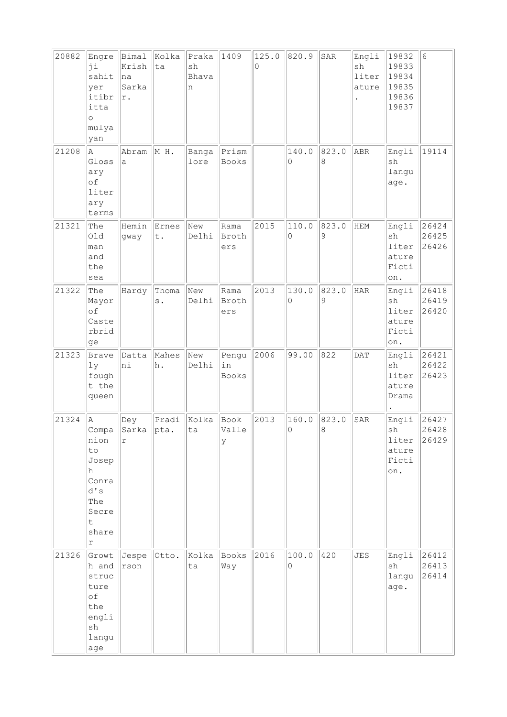| 20882 | Engre<br>ji<br>sahit<br>yer<br>itibr<br>itta<br>$\circ$<br>mulya                                   | Bimal<br>Krish<br> na<br>Sarka<br>$\mathtt{r}$ . | Kolka<br>ta    | Praka<br>sh<br>Bhava<br>n | 1409                        | 125.0<br>0 | 820.9      | SAR              | Engli<br>sh<br>liter<br>ature | 19832<br>19833<br>19834<br>19835<br>19836<br>19837 | $6\phantom{.}6$         |
|-------|----------------------------------------------------------------------------------------------------|--------------------------------------------------|----------------|---------------------------|-----------------------------|------------|------------|------------------|-------------------------------|----------------------------------------------------|-------------------------|
| 21208 | yan<br>A<br>Gloss<br>ary<br>of<br>liter<br>ary<br>terms                                            | Abram<br>а                                       | MH.            | Banga<br>lore             | Prism<br>Books              |            | 140.0<br>0 | 823.0<br>$\,8\,$ | ABR                           | Engli<br>$\operatorname{sh}$<br>langu<br>age.      | 19114                   |
| 21321 | The<br>01d<br>man<br>and<br>the<br>sea                                                             | Hemin<br>gway                                    | Ernes<br>t.    | New<br>Delhi              | Rama<br>Broth<br>ers        | 2015       | 110.0<br>0 | 823.0<br>9       | HEM                           | Engli<br>sh<br>liter<br>ature<br>Ficti<br>on.      | 26424<br>26425<br>26426 |
| 21322 | The<br>Mayor<br>of<br>Caste<br>rbrid<br>ge                                                         | Hardy                                            | Thoma<br>s.    | New<br>Delhi              | Rama<br>Broth<br>ers        | 2013       | 130.0<br>0 | 823.0<br>9       | HAR                           | Engli<br>sh<br>liter<br>ature<br>Ficti<br>on.      | 26418<br>26419<br>26420 |
| 21323 | Brave<br>1y<br>fough<br>t the<br>queen                                                             | Datta<br>hi                                      | Mahes<br>h.    | New<br>Delhi              | Pengu<br>in<br><b>Books</b> | 2006       | 99.00      | 822              | <b>DAT</b>                    | Engli<br>sh<br>liter<br>ature<br>Drama             | 26421<br>26422<br>26423 |
| 21324 | A<br>Compa<br>nion<br>to<br>Josep<br>h<br>Conra<br>d's<br>The<br>Secre<br>t<br>share<br>$\Upsilon$ | Dey<br>Sarka<br>r                                | Pradi<br> pta. | Kolka<br>ta               | Book<br>Valle<br>У          | 2013       | 160.0<br>0 | 823.0<br>8       | SAR                           | Engli<br>sh<br>liter<br>ature<br>Ficti<br>on.      | 26427<br>26428<br>26429 |
| 21326 | Growt<br>h and<br>struc<br>ture<br>of<br>the<br>engli<br>$\operatorname{sh}$<br>langu<br>age       | Jespe<br>rson                                    | Otto.          | Kolka<br>ta               | Books<br>Way                | 2016       | 100.0<br>0 | 420              | JES                           | Engli<br>sh<br>langu<br>age.                       | 26412<br>26413<br>26414 |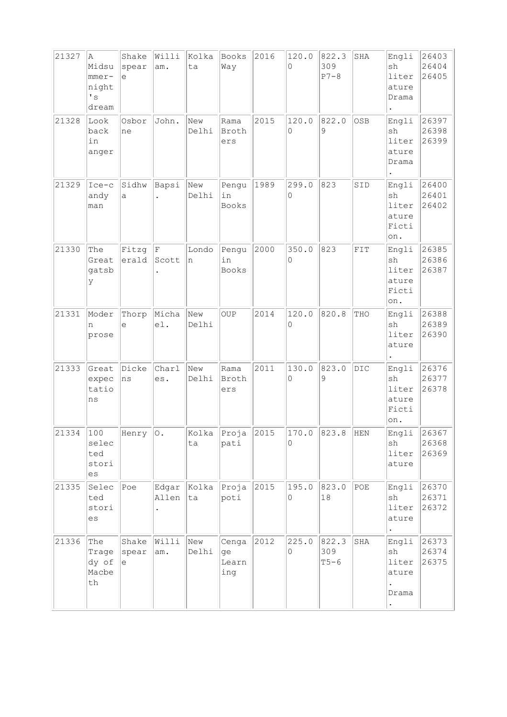| 21327 | Α<br>Midsu<br>$mme$ r-<br>night<br>$\mathbf{I}$ s<br>dream | Shake<br>spear<br>e | Willi<br>am.   | Kolka<br>ta  | Books<br>Way                | 2016 | 120.0<br>$\Omega$ | 822.3<br>309<br>$P7-8$ | SHA            | Engli<br>sh<br>liter<br>ature<br>Drama        | 26403<br>26404<br>26405 |
|-------|------------------------------------------------------------|---------------------|----------------|--------------|-----------------------------|------|-------------------|------------------------|----------------|-----------------------------------------------|-------------------------|
| 21328 | Look<br>back<br>in<br>anger                                | Osbor<br>ne         | John.          | New<br>Delhi | Rama<br>Broth<br>ers        | 2015 | 120.0<br>0        | 822.0<br>9             | OSB            | Engli<br>sh<br>liter<br>ature<br>Drama        | 26397<br>26398<br>26399 |
| 21329 | $Ice-c$<br>andy<br>man                                     | Sidhw<br>a          | Bapsi          | New<br>Delhi | Pengu<br>in<br><b>Books</b> | 1989 | 299.0<br>0        | 823                    | SID            | Engli<br>sh<br>liter<br>ature<br>Ficti<br>on. | 26400<br>26401<br>26402 |
| 21330 | The<br>Great<br>gatsb<br>У                                 | Fitzg<br>erald      | F<br>Scott     | Londo<br>n   | Pengu<br>in<br><b>Books</b> | 2000 | 350.0<br>0        | 823                    | FIT            | Engli<br>sh<br>liter<br>ature<br>Ficti<br>on. | 26385<br>26386<br>26387 |
| 21331 | Moder<br>n<br>prose                                        | Thorp<br>e          | Micha<br>e1.   | New<br>Delhi | <b>OUP</b>                  | 2014 | 120.0<br>0        | 820.8                  | THO            | Engli<br>sh<br>liter<br>ature                 | 26388<br>26389<br>26390 |
| 21333 | Great<br>expec<br>tatio<br>ns                              | Dicke<br>ns         | Charl<br>es.   | New<br>Delhi | Rama<br>Broth<br>ers        | 2011 | 130.0<br>$\Omega$ | 823.0<br>9             | $_{\rm DIC}$   | Engli<br>sh<br>liter<br>ature<br>Ficti<br>on. | 26376<br>26377<br>26378 |
| 21334 | 100<br>selec<br>ted<br>stori<br>es                         | Henry $ 0.$         |                | Kolka<br>ta  | Proja<br>pati               | 2015 | 170.0<br>0        | 823.8                  | HEN            | Engli<br>sh<br>liter<br>ature                 | 26367<br>26368<br>26369 |
| 21335 | Selec<br>ted<br>stori<br>es                                | Poe                 | Edgar<br>Allen | Kolka<br>ta  | Proja<br>poti               | 2015 | 195.0<br>0        | 823.0<br>18            | $\mathtt{POE}$ | Engli<br>sh<br>liter<br>ature                 | 26370<br>26371<br>26372 |
| 21336 | The<br>Trage<br>dy of<br>Macbe<br>th                       | Shake<br>spear<br>e | Willi<br>am.   | New<br>Delhi | Cenga<br>ge<br>Learn<br>ing | 2012 | 225.0<br>0        | 822.3<br>309<br>$T5-6$ | SHA            | Engli<br>sh<br>liter<br>ature<br>Drama        | 26373<br>26374<br>26375 |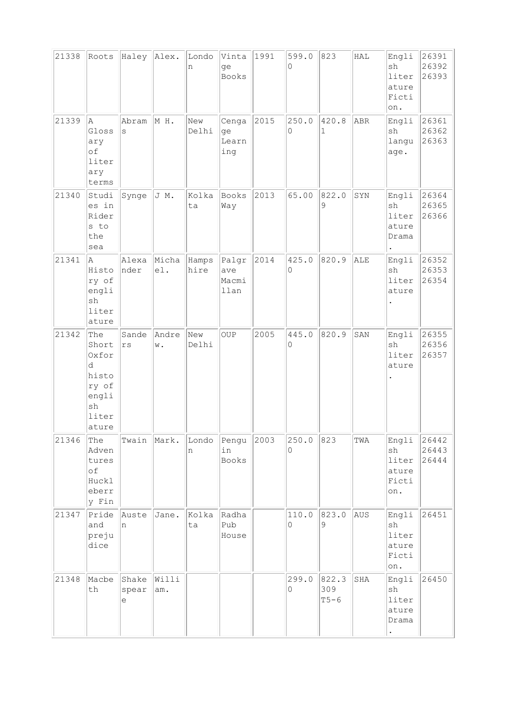| 21338 | Roots                                                                         | Haley Alex.         |                 | Londo<br>n    | Vinta<br>ge<br><b>Books</b>   | 1991 | 599.0<br>$\Omega$ | 823                    | ${\tt HAL}$ | Engli<br>sh<br>liter<br>ature<br>Ficti<br>on.                  | 26391<br>26392<br>26393 |
|-------|-------------------------------------------------------------------------------|---------------------|-----------------|---------------|-------------------------------|------|-------------------|------------------------|-------------|----------------------------------------------------------------|-------------------------|
| 21339 | A<br>Gloss<br>ary<br>оf<br>liter<br>ary<br>terms                              | Abram<br>S          | MH.             | New<br>Delhi  | Cenga<br>ge<br>Learn<br>ing   | 2015 | 250.0<br>0        | 420.8<br>$\mathbf 1$   | ABR         | Engli<br>sh<br>langu<br>age.                                   | 26361<br>26362<br>26363 |
| 21340 | Studi<br>es in<br>Rider<br>s to<br>the<br>sea                                 | Synge               | J M.            | Kolka<br>ta   | Books<br>Way                  | 2013 | 65.00             | 822.0<br>9             | SYN         | Engli<br>sh<br>liter<br>ature<br>Drama                         | 26364<br>26365<br>26366 |
| 21341 | A,<br>Histo<br>ry of<br>engli<br>sh<br>liter<br>ature                         | Alexa<br>nder       | Micha<br>e1.    | Hamps<br>hire | Palgr<br>ave<br>Macmi<br>llan | 2014 | 425.0<br>0        | 820.9                  | ALE         | Engli<br>sh<br>liter<br>ature                                  | 26352<br>26353<br>26354 |
| 21342 | The<br>Short<br>Oxfor<br>d<br>histo<br>ry of<br>engli<br>sh<br>liter<br>ature | Sande<br>rs         | Andre<br>$\leq$ | New<br>Delhi  | <b>OUP</b>                    | 2005 | 445.0<br>0        | 820.9                  | SAN         | Engli<br>sh<br>liter<br>ature                                  | 26355<br>26356<br>26357 |
| 21346 | The<br>Adven<br>tures<br>оf<br>Huckl<br>eberr<br>y Fin                        | Twain               | Mark.           | Londo<br>n    | Pengu<br>in<br>Books          | 2003 | 250.0<br>$\Omega$ | 823                    | TWA         | Engli<br>sh<br>liter<br>ature<br>Ficti<br>on.                  | 26442<br>26443<br>26444 |
| 21347 | Pride<br>and<br>preju<br>dice                                                 | Auste<br>In.        | Jane.           | Kolka<br>ta   | Radha<br>Pub<br>House         |      | 110.0<br>0        | 823.0<br>9             | AUS         | Engli<br>$\operatorname{sh}$<br>liter<br>ature<br>Ficti<br>on. | 26451                   |
| 21348 | Macbe<br>th                                                                   | Shake<br>spear<br>е | Willi<br>am.    |               |                               |      | 299.0<br>0        | 822.3<br>309<br>$T5-6$ | SHA         | Engli<br>sh<br>liter<br>ature<br>Drama                         | 26450                   |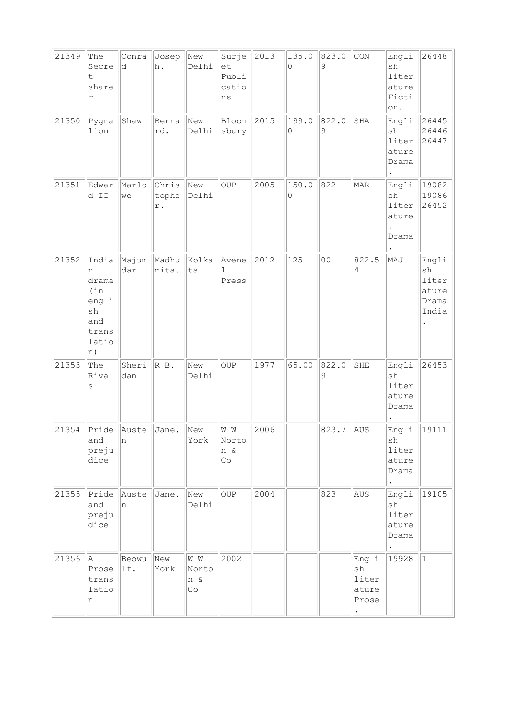| 21349 | The<br>Secre<br>t<br>share<br>r                                           | Conra<br>d   | Josep<br>h.           | New<br>Delhi                              | Surje<br>et<br>Publi<br>catio<br>ns | 2013 | 135.0<br>$\Omega$ | 823.0<br>9     | CON                                                 | Engli<br>sh<br>liter<br>ature<br>Ficti<br>on. | 26448                                           |
|-------|---------------------------------------------------------------------------|--------------|-----------------------|-------------------------------------------|-------------------------------------|------|-------------------|----------------|-----------------------------------------------------|-----------------------------------------------|-------------------------------------------------|
| 21350 | Pygma<br>lion                                                             | Shaw         | Berna<br>rd.          | New<br>Delhi                              | Bloom<br>sbury                      | 2015 | 199.0<br>0        | 822.0<br>9     | SHA                                                 | Engli<br>sh<br>liter<br>ature<br>Drama        | 26445<br>26446<br>26447                         |
| 21351 | Edwar<br>d II                                                             | Marlo<br>we  | Chris<br>tophe<br>r.  | New<br>Delhi                              | OUP                                 | 2005 | 150.0<br>0        | 822            | MAR                                                 | Engli<br>sh<br>liter<br>ature<br>Drama        | 19082<br>19086<br>26452                         |
| 21352 | India<br>n<br>drama<br>(in)<br>engli<br>sh<br>and<br>trans<br>latio<br>n) | Majum<br>dar | Madhu Kolka<br>mita.  | ta                                        | Avene<br>$\mathbf{1}$<br>Press      | 2012 | 125               | 0 <sub>0</sub> | 822.5<br>4                                          | MAJ                                           | Engli<br>sh<br>liter<br>ature<br>Drama<br>India |
| 21353 | The<br>Rival<br>$\rm s$                                                   | Sheri<br>dan | R B.                  | New<br>Delhi                              | OUP                                 | 1977 | 65.00             | 822.0<br>9     | SHE                                                 | Engli<br>sh<br>liter<br>ature<br>Drama        | 26453                                           |
| 21354 | and<br>preju<br>dice                                                      | n            | Pride Auste Jane. New | York                                      | M M<br>Norto<br>n &<br>Co           | 2006 |                   | 823.7 AUS      |                                                     | Engli<br>sh<br>liter<br>ature<br>Drama        | 19111                                           |
| 21355 | Pride<br>and<br>preju<br>dice                                             | Auste<br>n   | Jane.                 | New<br>Delhi                              | OUP                                 | 2004 |                   | 823            | AUS                                                 | Engli<br>sh<br>liter<br>ature<br>Drama        | 19105                                           |
| 21356 | A<br>Prose<br>trans<br>latio<br>n                                         | Beowu<br>lf. | New<br>York           | W W<br>Norto<br>n &<br>$\mathbb{C} \circ$ | 2002                                |      |                   |                | Engli<br>sh<br>liter<br>ature<br>Prose<br>$\bullet$ | 19928                                         | $\mathbf{1}$                                    |